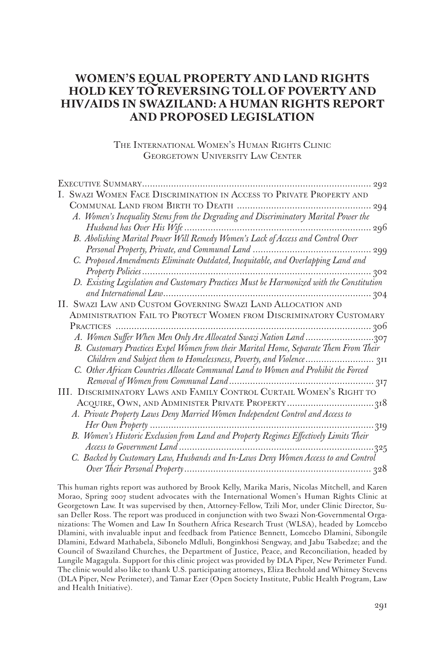# **WOMEN'S EQUAL PROPERTY AND LAND RIGHTS HOLD KEY TO REVERSING TOLL OF POVERTY AND HIV/AIDS IN SWAZILAND: A HUMAN RIGHTS REPORT AND PROPOSED LEGISLATION**

The International Women's Human Rights Clinic GEORGETOWN UNIVERSITY LAW CENTER

|  | SWAZI WOMEN FACE DISCRIMINATION IN ACCESS TO PRIVATE PROPERTY AND                     |
|--|---------------------------------------------------------------------------------------|
|  |                                                                                       |
|  | A. Women's Inequality Stems from the Degrading and Discriminatory Marital Power the   |
|  |                                                                                       |
|  | B. Abolishing Marital Power Will Remedy Women's Lack of Access and Control Over       |
|  |                                                                                       |
|  | C. Proposed Amendments Eliminate Outdated, Inequitable, and Overlapping Land and      |
|  | 302                                                                                   |
|  |                                                                                       |
|  |                                                                                       |
|  | II. SWAZI LAW AND CUSTOM GOVERNING SWAZI LAND ALLOCATION AND                          |
|  | ADMINISTRATION FAIL TO PROTECT WOMEN FROM DISCRIMINATORY CUSTOMARY                    |
|  |                                                                                       |
|  |                                                                                       |
|  | B. Customary Practices Expel Women from their Marital Home, Separate Them From Their  |
|  |                                                                                       |
|  | C. Other African Countries Allocate Communal Land to Women and Prohibit the Forced    |
|  |                                                                                       |
|  | III. DISCRIMINATORY LAWS AND FAMILY CONTROL CURTAIL WOMEN'S RIGHT TO                  |
|  |                                                                                       |
|  | A. Private Property Laws Deny Married Women Independent Control and Access to         |
|  | 319                                                                                   |
|  | B. Women's Historic Exclusion from Land and Property Regimes Effectively Limits Their |
|  |                                                                                       |
|  | C. Backed by Customary Law, Husbands and In-Laws Deny Women Access to and Control     |
|  |                                                                                       |

This human rights report was authored by Brook Kelly, Marika Maris, Nicolas Mitchell, and Karen Morao, Spring 2007 student advocates with the International Women's Human Rights Clinic at Georgetown Law. It was supervised by then, Attorney-Fellow, Tzili Mor, under Clinic Director, Susan Deller Ross. The report was produced in conjunction with two Swazi Non-Governmental Organizations: The Women and Law In Southern Africa Research Trust (WLSA), headed by Lomcebo Dlamini, with invaluable input and feedback from Patience Bennett, Lomcebo Dlamini, Sibongile Dlamini, Edward Mathabela, Sibonelo Mdluli, Bonginkhosi Sengway, and Jabu Tsabedze; and the Council of Swaziland Churches, the Department of Justice, Peace, and Reconciliation, headed by Lungile Magagula. Support for this clinic project was provided by DLA Piper, New Perimeter Fund. The clinic would also like to thank U.S. participating attorneys, Eliza Bechtold and Whitney Stevens (DLA Piper, New Perimeter), and Tamar Ezer (Open Society Institute, Public Health Program, Law and Health Initiative).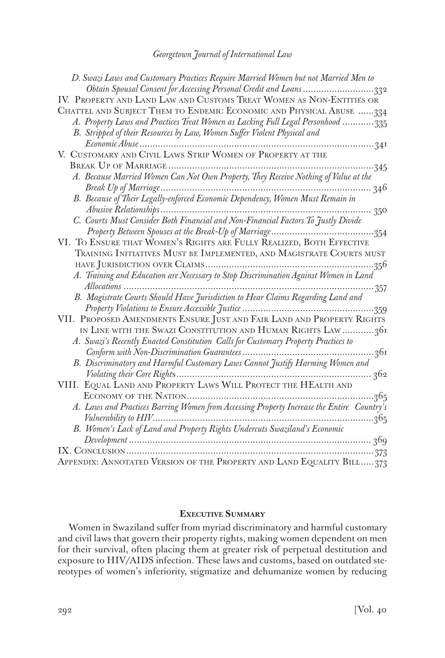| D. Swazi Laws and Customary Practices Require Married Women but not Married Men to        |  |
|-------------------------------------------------------------------------------------------|--|
| Obtain Spousal Consent for Accessing Personal Credit and Loans 332                        |  |
| IV. PROPERTY AND LAND LAW AND CUSTOMS TREAT WOMEN AS NON-ENTITIES OR                      |  |
| CHATTEL AND SUBJECT THEM TO ENDEMIC ECONOMIC AND PHYSICAL ABUSE 334                       |  |
| A. Property Laws and Practices Treat Women as Lacking Full Legal Personhood 335           |  |
| B. Stripped of their Resources by Law, Women Suffer Violent Physical and                  |  |
|                                                                                           |  |
| V. CUSTOMARY AND CIVIL LAWS STRIP WOMEN OF PROPERTY AT THE                                |  |
|                                                                                           |  |
| A. Because Married Women Can Not Own Property, They Receive Nothing of Value at the       |  |
|                                                                                           |  |
|                                                                                           |  |
|                                                                                           |  |
| C. Courts Must Consider Both Financial and Non-Financial Factors To Justly Divide         |  |
|                                                                                           |  |
| VI. TO ENSURE THAT WOMEN'S RIGHTS ARE FULLY REALIZED, BOTH EFFECTIVE                      |  |
| TRAINING INITIATIVES MUST BE IMPLEMENTED, AND MAGISTRATE COURTS MUST                      |  |
|                                                                                           |  |
|                                                                                           |  |
|                                                                                           |  |
| B. Magistrate Courts Should Have Jurisdiction to Hear Claims Regarding Land and           |  |
|                                                                                           |  |
| VII. PROPOSED AMENDMENTS ENSURE JUST AND FAIR LAND AND PROPERTY RIGHTS                    |  |
| IN LINE WITH THE SWAZI CONSTITUTION AND HUMAN RIGHTS LAW 361                              |  |
| A. Swazi's Recently Enacted Constitution Calls for Customary Property Practices to        |  |
| 36I                                                                                       |  |
| B. Discriminatory and Harmful Customary Laws Cannot Justify Harming Women and             |  |
|                                                                                           |  |
| VIII. EQUAL LAND AND PROPERTY LAWS WILL PROTECT THE HEALTH AND                            |  |
| .365                                                                                      |  |
| A. Laws and Practices Barring Women from Accessing Property Increase the Entire Country's |  |
| 365                                                                                       |  |
| B. Women's Lack of Land and Property Rights Undercuts Swaziland's Economic                |  |
|                                                                                           |  |
| 373                                                                                       |  |
| APPENDIX: ANNOTATED VERSION OF THE PROPERTY AND LAND EQUALITY BILL373                     |  |

#### **Executive Summary**

Women in Swaziland suffer from myriad discriminatory and harmful customary and civil laws that govern their property rights, making women dependent on men for their survival, often placing them at greater risk of perpetual destitution and exposure to HIV/AIDS infection. These laws and customs, based on outdated stereotypes of women's inferiority, stigmatize and dehumanize women by reducing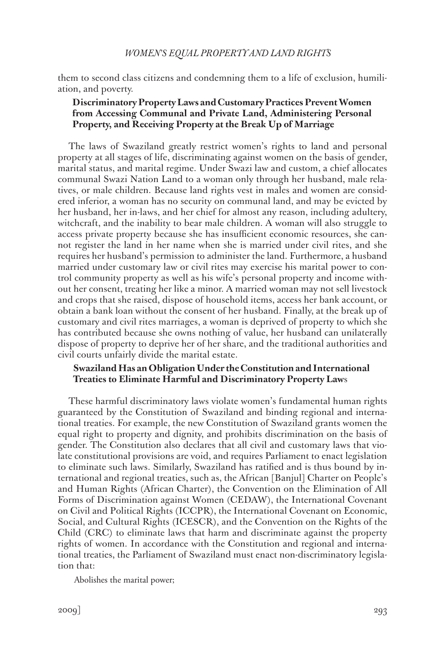them to second class citizens and condemning them to a life of exclusion, humiliation, and poverty.

# **Discriminatory Property Laws and Customary Practices Prevent Women from Accessing Communal and Private Land, Administering Personal Property, and Receiving Property at the Break Up of Marriage**

The laws of Swaziland greatly restrict women's rights to land and personal property at all stages of life, discriminating against women on the basis of gender, marital status, and marital regime. Under Swazi law and custom, a chief allocates communal Swazi Nation Land to a woman only through her husband, male relatives, or male children. Because land rights vest in males and women are considered inferior, a woman has no security on communal land, and may be evicted by her husband, her in-laws, and her chief for almost any reason, including adultery, witchcraft, and the inability to bear male children. A woman will also struggle to access private property because she has insufficient economic resources, she cannot register the land in her name when she is married under civil rites, and she requires her husband's permission to administer the land. Furthermore, a husband married under customary law or civil rites may exercise his marital power to control community property as well as his wife's personal property and income without her consent, treating her like a minor. A married woman may not sell livestock and crops that she raised, dispose of household items, access her bank account, or obtain a bank loan without the consent of her husband. Finally, at the break up of customary and civil rites marriages, a woman is deprived of property to which she has contributed because she owns nothing of value, her husband can unilaterally dispose of property to deprive her of her share, and the traditional authorities and civil courts unfairly divide the marital estate.

# **Swaziland Has an Obligation Under the Constitution and International Treaties to Eliminate Harmful and Discriminatory Property Law**s

These harmful discriminatory laws violate women's fundamental human rights guaranteed by the Constitution of Swaziland and binding regional and international treaties. For example, the new Constitution of Swaziland grants women the equal right to property and dignity, and prohibits discrimination on the basis of gender. The Constitution also declares that all civil and customary laws that violate constitutional provisions are void, and requires Parliament to enact legislation to eliminate such laws. Similarly, Swaziland has ratified and is thus bound by international and regional treaties, such as, the African [Banjul] Charter on People's and Human Rights (African Charter), the Convention on the Elimination of All Forms of Discrimination against Women (CEDAW), the International Covenant on Civil and Political Rights (ICCPR), the International Covenant on Economic, Social, and Cultural Rights (ICESCR), and the Convention on the Rights of the Child (CRC) to eliminate laws that harm and discriminate against the property rights of women. In accordance with the Constitution and regional and international treaties, the Parliament of Swaziland must enact non-discriminatory legislation that:

Abolishes the marital power;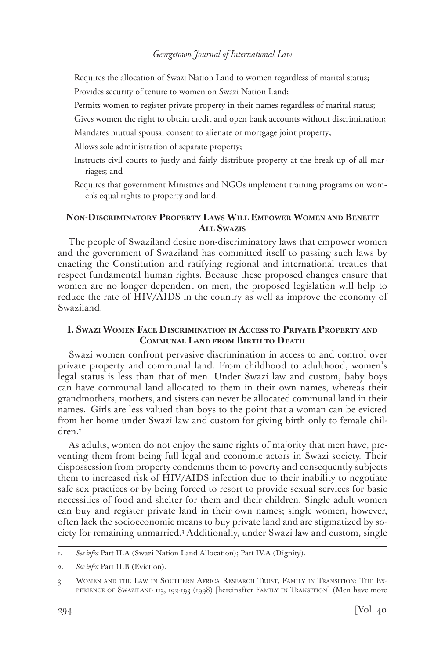Requires the allocation of Swazi Nation Land to women regardless of marital status; Provides security of tenure to women on Swazi Nation Land;

Permits women to register private property in their names regardless of marital status;

Gives women the right to obtain credit and open bank accounts without discrimination;

Mandates mutual spousal consent to alienate or mortgage joint property;

Allows sole administration of separate property;

- Instructs civil courts to justly and fairly distribute property at the break-up of all marriages; and
- Requires that government Ministries and NGOs implement training programs on women's equal rights to property and land.

# **Non-Discriminatory Property Laws Will Empower Women and Benefit All Swazis**

The people of Swaziland desire non-discriminatory laws that empower women and the government of Swaziland has committed itself to passing such laws by enacting the Constitution and ratifying regional and international treaties that respect fundamental human rights. Because these proposed changes ensure that women are no longer dependent on men, the proposed legislation will help to reduce the rate of HIV/AIDS in the country as well as improve the economy of Swaziland.

# **I. Swazi Women Face Discrimination in Access to Private Property and Communal Land from Birth to Death**

Swazi women confront pervasive discrimination in access to and control over private property and communal land. From childhood to adulthood, women's legal status is less than that of men. Under Swazi law and custom, baby boys can have communal land allocated to them in their own names, whereas their grandmothers, mothers, and sisters can never be allocated communal land in their names.1 Girls are less valued than boys to the point that a woman can be evicted from her home under Swazi law and custom for giving birth only to female children.<sup>2</sup>

As adults, women do not enjoy the same rights of majority that men have, preventing them from being full legal and economic actors in Swazi society. Their dispossession from property condemns them to poverty and consequently subjects them to increased risk of HIV/AIDS infection due to their inability to negotiate safe sex practices or by being forced to resort to provide sexual services for basic necessities of food and shelter for them and their children. Single adult women can buy and register private land in their own names; single women, however, often lack the socioeconomic means to buy private land and are stigmatized by society for remaining unmarried.3 Additionally, under Swazi law and custom, single

<sup>1.</sup> *See infra* Part II.A (Swazi Nation Land Allocation); Part IV.A (Dignity).

<sup>2.</sup> *See infra* Part II.B (Eviction).

<sup>3.</sup> Women and the Law in Southern Africa Research Trust, Family in Transition: The Experience of Swaziland 113, 192-193 (1998) [hereinafter Family in Transition] (Men have more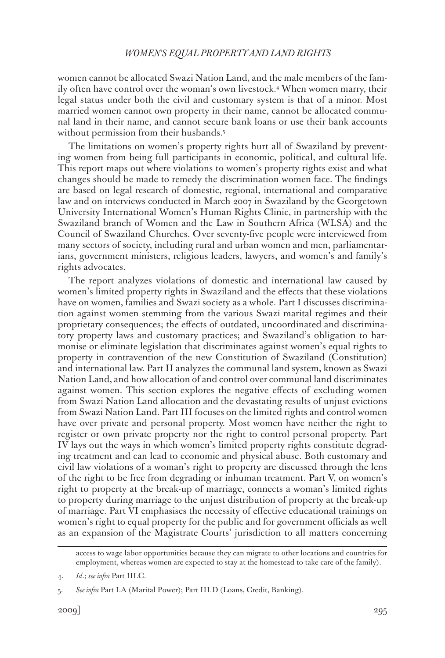women cannot be allocated Swazi Nation Land, and the male members of the family often have control over the woman's own livestock.4 When women marry, their legal status under both the civil and customary system is that of a minor. Most married women cannot own property in their name, cannot be allocated communal land in their name, and cannot secure bank loans or use their bank accounts without permission from their husbands.<sup>5</sup>

The limitations on women's property rights hurt all of Swaziland by preventing women from being full participants in economic, political, and cultural life. This report maps out where violations to women's property rights exist and what changes should be made to remedy the discrimination women face. The findings are based on legal research of domestic, regional, international and comparative law and on interviews conducted in March 2007 in Swaziland by the Georgetown University International Women's Human Rights Clinic, in partnership with the Swaziland branch of Women and the Law in Southern Africa (WLSA) and the Council of Swaziland Churches. Over seventy-five people were interviewed from many sectors of society, including rural and urban women and men, parliamentarians, government ministers, religious leaders, lawyers, and women's and family's rights advocates.

The report analyzes violations of domestic and international law caused by women's limited property rights in Swaziland and the effects that these violations have on women, families and Swazi society as a whole. Part I discusses discrimination against women stemming from the various Swazi marital regimes and their proprietary consequences; the effects of outdated, uncoordinated and discriminatory property laws and customary practices; and Swaziland's obligation to harmonise or eliminate legislation that discriminates against women's equal rights to property in contravention of the new Constitution of Swaziland (Constitution) and international law. Part II analyzes the communal land system, known as Swazi Nation Land, and how allocation of and control over communal land discriminates against women. This section explores the negative effects of excluding women from Swazi Nation Land allocation and the devastating results of unjust evictions from Swazi Nation Land. Part III focuses on the limited rights and control women have over private and personal property. Most women have neither the right to register or own private property nor the right to control personal property. Part IV lays out the ways in which women's limited property rights constitute degrading treatment and can lead to economic and physical abuse. Both customary and civil law violations of a woman's right to property are discussed through the lens of the right to be free from degrading or inhuman treatment. Part V, on women's right to property at the break-up of marriage, connects a woman's limited rights to property during marriage to the unjust distribution of property at the break-up of marriage. Part VI emphasises the necessity of effective educational trainings on women's right to equal property for the public and for government officials as well as an expansion of the Magistrate Courts' jurisdiction to all matters concerning

access to wage labor opportunities because they can migrate to other locations and countries for employment, whereas women are expected to stay at the homestead to take care of the family).

<sup>4.</sup> *Id*.; *see infra* Part III.C.

<sup>5.</sup> *See infra* Part I.A (Marital Power); Part III.D (Loans, Credit, Banking).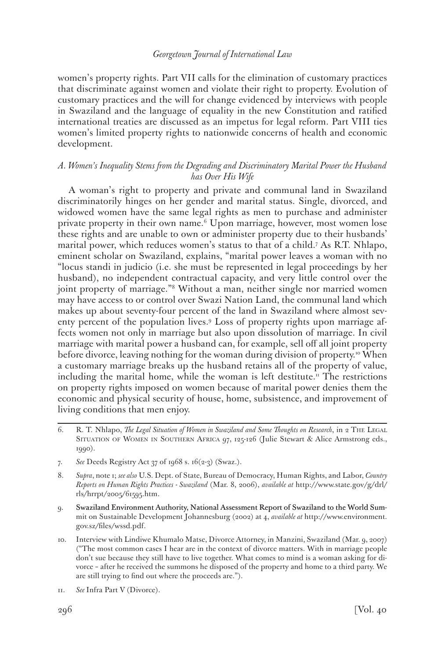women's property rights. Part VII calls for the elimination of customary practices that discriminate against women and violate their right to property. Evolution of customary practices and the will for change evidenced by interviews with people in Swaziland and the language of equality in the new Constitution and ratified international treaties are discussed as an impetus for legal reform. Part VIII ties women's limited property rights to nationwide concerns of health and economic development.

# *A. Women's Inequality Stems from the Degrading and Discriminatory Marital Power the Husband has Over His Wife*

A woman's right to property and private and communal land in Swaziland discriminatorily hinges on her gender and marital status. Single, divorced, and widowed women have the same legal rights as men to purchase and administer private property in their own name.6 Upon marriage, however, most women lose these rights and are unable to own or administer property due to their husbands' marital power, which reduces women's status to that of a child.7 As R.T. Nhlapo, eminent scholar on Swaziland, explains, "marital power leaves a woman with no "locus standi in judicio (i.e. she must be represented in legal proceedings by her husband), no independent contractual capacity, and very little control over the joint property of marriage."8 Without a man, neither single nor married women may have access to or control over Swazi Nation Land, the communal land which makes up about seventy-four percent of the land in Swaziland where almost seventy percent of the population lives.9 Loss of property rights upon marriage affects women not only in marriage but also upon dissolution of marriage. In civil marriage with marital power a husband can, for example, sell off all joint property before divorce, leaving nothing for the woman during division of property.<sup>10</sup> When a customary marriage breaks up the husband retains all of the property of value, including the marital home, while the woman is left destitute.<sup>11</sup> The restrictions on property rights imposed on women because of marital power denies them the economic and physical security of house, home, subsistence, and improvement of living conditions that men enjoy.

- 7. *See* Deeds Registry Act 37 of 1968 s. 16(2-3) (Swaz.).
- 8. *Supra*, note 1; *see also* U.S. Dept. of State, Bureau of Democracy, Human Rights, and Labor, *Country Reports on Human Rights Practices - Swaziland* (Mar. 8, 2006), *available at* http://www.state.gov/g/drl/ rls/hrrpt/2005/61595.htm.
- 9. Swaziland Environment Authority, National Assessment Report of Swaziland to the World Summit on Sustainable Development Johannesburg (2002) at 4, *available at* http://www.environment. gov.sz/files/wssd.pdf.
- 10. Interview with Lindiwe Khumalo Matse, Divorce Attorney, in Manzini, Swaziland (Mar. 9, 2007) ("The most common cases I hear are in the context of divorce matters. With in marriage people don't sue because they still have to live together. What comes to mind is a woman asking for divorce – after he received the summons he disposed of the property and home to a third party. We are still trying to find out where the proceeds are.").
- 11. *See* Infra Part V (Divorce).

<sup>6.</sup> R. T. Nhlapo, *The Legal Situation of Women in Swaziland and Some Thoughts on Research*, in 2 THE LEGAL Situation of Women in Southern Africa 97, 125-126 (Julie Stewart & Alice Armstrong eds., 1990).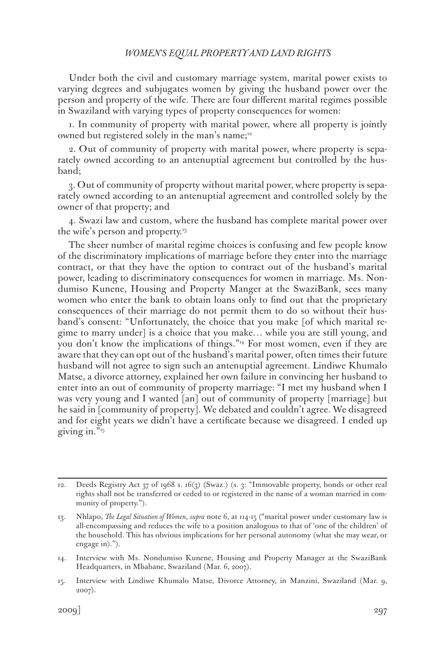Under both the civil and customary marriage system, marital power exists to varying degrees and subjugates women by giving the husband power over the person and property of the wife. There are four different marital regimes possible in Swaziland with varying types of property consequences for women:

1. In community of property with marital power, where all property is jointly owned but registered solely in the man's name;<sup>12</sup>

2. Out of community of property with marital power, where property is separately owned according to an antenuptial agreement but controlled by the husband;

3. Out of community of property without marital power, where property is separately owned according to an antenuptial agreement and controlled solely by the owner of that property; and

4. Swazi law and custom, where the husband has complete marital power over the wife's person and property.<sup>13</sup>

The sheer number of marital regime choices is confusing and few people know of the discriminatory implications of marriage before they enter into the marriage contract, or that they have the option to contract out of the husband's marital power, leading to discriminatory consequences for women in marriage. Ms. Nondumiso Kunene, Housing and Property Manger at the SwaziBank, sees many women who enter the bank to obtain loans only to find out that the proprietary consequences of their marriage do not permit them to do so without their husband's consent: "Unfortunately, the choice that you make [of which marital regime to marry under] is a choice that you make… while you are still young, and you don't know the implications of things."<sup>4</sup> For most women, even if they are aware that they can opt out of the husband's marital power, often times their future husband will not agree to sign such an antenuptial agreement. Lindiwe Khumalo Matse, a divorce attorney, explained her own failure in convincing her husband to enter into an out of community of property marriage: "I met my husband when I was very young and I wanted [an] out of community of property [marriage] but he said in [community of property]. We debated and couldn't agree. We disagreed and for eight years we didn't have a certificate because we disagreed. I ended up giving in."15

<sup>12.</sup> Deeds Registry Act 37 of 1968 s. 16(3) (Swaz.) (s. 3: "Immovable property, bonds or other real rights shall not be transferred or ceded to or registered in the name of a woman married in community of property.").

<sup>13.</sup> Nhlapo, *The Legal Situation of Women*, *supra* note 6, at 114-15 ("marital power under customary law is all-encompassing and reduces the wife to a position analogous to that of 'one of the children' of the household. This has obvious implications for her personal autonomy (what she may wear, or engage in).").

<sup>14.</sup> Interview with Ms. Nondumiso Kunene, Housing and Property Manager at the SwaziBank Headquarters, in Mbabane, Swaziland (Mar. 6, 2007).

<sup>15.</sup> Interview with Lindiwe Khumalo Matse, Divorce Attorney, in Manzini, Swaziland (Mar. 9, 2007).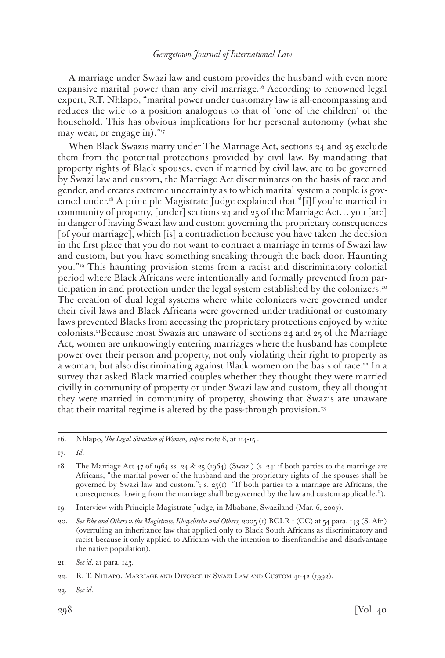A marriage under Swazi law and custom provides the husband with even more expansive marital power than any civil marriage.<sup>16</sup> According to renowned legal expert, R.T. Nhlapo, "marital power under customary law is all-encompassing and reduces the wife to a position analogous to that of 'one of the children' of the household. This has obvious implications for her personal autonomy (what she may wear, or engage in)."<sup>17</sup>

When Black Swazis marry under The Marriage Act, sections 24 and 25 exclude them from the potential protections provided by civil law. By mandating that property rights of Black spouses, even if married by civil law, are to be governed by Swazi law and custom, the Marriage Act discriminates on the basis of race and gender, and creates extreme uncertainty as to which marital system a couple is governed under.18 A principle Magistrate Judge explained that "[i]f you're married in community of property, [under] sections 24 and 25 of the Marriage Act… you [are] in danger of having Swazi law and custom governing the proprietary consequences [of your marriage], which [is] a contradiction because you have taken the decision in the first place that you do not want to contract a marriage in terms of Swazi law and custom, but you have something sneaking through the back door. Haunting you."19 This haunting provision stems from a racist and discriminatory colonial period where Black Africans were intentionally and formally prevented from participation in and protection under the legal system established by the colonizers.<sup>20</sup> The creation of dual legal systems where white colonizers were governed under their civil laws and Black Africans were governed under traditional or customary laws prevented Blacks from accessing the proprietary protections enjoyed by white colonists.21Because most Swazis are unaware of sections 24 and 25 of the Marriage Act, women are unknowingly entering marriages where the husband has complete power over their person and property, not only violating their right to property as a woman, but also discriminating against Black women on the basis of race.<sup>22</sup> In a survey that asked Black married couples whether they thought they were married civilly in community of property or under Swazi law and custom, they all thought they were married in community of property, showing that Swazis are unaware that their marital regime is altered by the pass-through provision.<sup>23</sup>

17. *Id*.

<sup>16.</sup> Nhlapo, *The Legal Situation of Women*, *supra* note 6, at 114-15 .

<sup>18.</sup> The Marriage Act 47 of 1964 ss. 24 & 25 (1964) (Swaz.) (s. 24: if both parties to the marriage are Africans, "the marital power of the husband and the proprietary rights of the spouses shall be governed by Swazi law and custom."; s.  $25(1)$ : "If both parties to a marriage are Africans, the consequences flowing from the marriage shall be governed by the law and custom applicable.").

<sup>19.</sup> Interview with Principle Magistrate Judge, in Mbabane, Swaziland (Mar. 6, 2007).

<sup>20.</sup> *See Bhe and Others v. the Magistrate, Khayelitsha and Others,* 2005 (1) BCLR 1 (CC) at 54 para. 143 (S. Afr.) (overruling an inheritance law that applied only to Black South Africans as discriminatory and racist because it only applied to Africans with the intention to disenfranchise and disadvantage the native population).

<sup>21.</sup> *See id*. at para. 143.

<sup>22.</sup> R. T. Nhlapo, Marriage and Divorce in Swazi Law and Custom 41-42 (1992).

<sup>23.</sup> *See id.*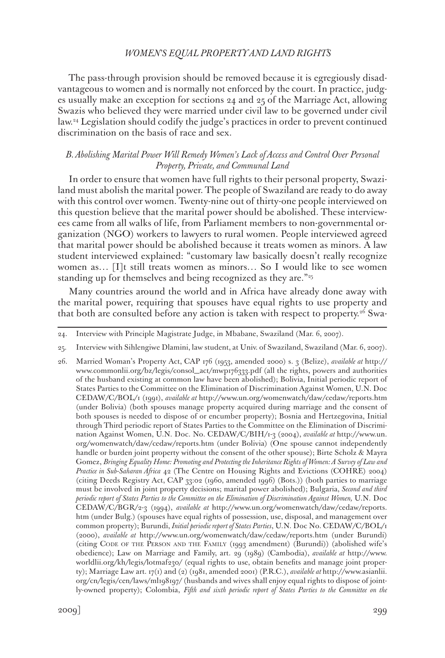The pass-through provision should be removed because it is egregiously disadvantageous to women and is normally not enforced by the court. In practice, judges usually make an exception for sections 24 and 25 of the Marriage Act, allowing Swazis who believed they were married under civil law to be governed under civil law.24 Legislation should codify the judge's practices in order to prevent continued discrimination on the basis of race and sex.

# *B. Abolishing Marital Power Will Remedy Women's Lack of Access and Control Over Personal Property, Private, and Communal Land*

In order to ensure that women have full rights to their personal property, Swaziland must abolish the marital power. The people of Swaziland are ready to do away with this control over women. Twenty-nine out of thirty-one people interviewed on this question believe that the marital power should be abolished. These interviewees came from all walks of life, from Parliament members to non-governmental organization (NGO) workers to lawyers to rural women. People interviewed agreed that marital power should be abolished because it treats women as minors. A law student interviewed explained: "customary law basically doesn't really recognize women as... [I]t still treats women as minors... So I would like to see women standing up for themselves and being recognized as they are."<sup>25</sup>

Many countries around the world and in Africa have already done away with the marital power, requiring that spouses have equal rights to use property and that both are consulted before any action is taken with respect to property.26 Swa-

25. Interview with Sihlengiwe Dlamini, law student, at Univ. of Swaziland, Swaziland (Mar. 6, 2007).

<sup>24.</sup> Interview with Principle Magistrate Judge, in Mbabane, Swaziland (Mar. 6, 2007).

<sup>26.</sup> Married Woman's Property Act, CAP 176 (1953, amended 2000) s. 3 (Belize), *available at* http:// www.commonlii.org/bz/legis/consol\_act/mwp176333.pdf (all the rights, powers and authorities of the husband existing at common law have been abolished); Bolivia, Initial periodic report of States Parties to the Committee on the Elimination of Discrimination Against Women, U.N. Doc CEDAW/C/BOL/1 (1991), *available at* http://www.un.org/womenwatch/daw/cedaw/reports.htm (under Bolivia) (both spouses manage property acquired during marriage and the consent of both spouses is needed to dispose of or encumber property); Bosnia and Hertzegovina, Initial through Third periodic report of States Parties to the Committee on the Elimination of Discrimination Against Women, U.N. Doc. No. CEDAW/C/BIH/1-3 (2004), *available at* http://www.un. org/womenwatch/daw/cedaw/reports.htm (under Bolivia) (One spouse cannot independently handle or burden joint property without the consent of the other spouse); Birte Scholz & Mayra Gomez, *Bringing Equality Home: Promoting and Protecting the Inheritance Rights of Women: A Survey of Law and Practice in Sub-Saharan Africa* 42 (The Centre on Housing Rights and Evictions (COHRE) 2004) (citing Deeds Registry Act, CAP 33:02 (1960, amended 1996) (Bots.)) (both parties to marriage must be involved in joint property decisions; marital power abolished); Bulgaria, *Second and third periodic report of States Parties to the Committee on the Elimination of Discrimination Against Women,* U.N. Doc CEDAW/C/BGR/2-3 (1994), *available at* http://www.un.org/womenwatch/daw/cedaw/reports. htm (under Bulg.) (spouses have equal rights of possession, use, disposal, and management over common property); Burundi, *Initial periodic report of States Parties*, U.N. Doc No. CEDAW/C/BOL/1 (2000), *available at* http://www.un.org/womenwatch/daw/cedaw/reports.htm (under Burundi) (citing CODE OF THE PERSON AND THE FAMILY (1993 amendment) (Burundi)) (abolished wife's obedience); Law on Marriage and Family, art. 29 (1989) (Cambodia), *available at* http://www. worldlii.org/kh/legis/lotmaf230/ (equal rights to use, obtain benefits and manage joint property); Marriage Law art. 17(1) and (2) (1981, amended 2001) (P.R.C.), *available at* http://www.asianlii. org/cn/legis/cen/laws/ml198197/ (husbands and wives shall enjoy equal rights to dispose of jointly-owned property); Colombia, *Fifth and sixth periodic report of States Parties to the Committee on the*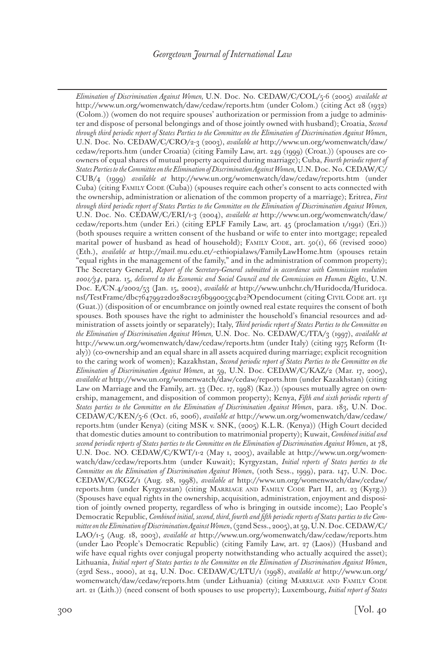*Elimination of Discrimination Against Women,* U.N. Doc. No. CEDAW/C/COL/5-6 (2005) *available at* http://www.un.org/womenwatch/daw/cedaw/reports.htm (under Colom.) (citing Act 28 (1932) (Colom.)) (women do not require spouses' authorization or permission from a judge to administer and dispose of personal belongings and of those jointly owned with husband); Croatia, *Second through third periodic report of States Parties to the Committee on the Elimination of Discrimination Against Women*, U.N. Doc. No. CEDAW/C/CRO/2-3 (2003), *available at* http://www.un.org/womenwatch/daw/ cedaw/reports.htm (under Croatia) (citing Family Law, art. 249 (1999) (Croat.)) (spouses are coowners of equal shares of mutual property acquired during marriage); Cuba, *Fourth periodic report of States Parties to the Committee on the Elimination of Discrimination Against Women,* U.N. Doc. No. CEDAW/C/ CUB/4 (1999) *available at* http://www.un.org/womenwatch/daw/cedaw/reports.htm (under Cuba) (citing FAMILY CODE (Cuba)) (spouses require each other's consent to acts connected with the ownership, administration or alienation of the common property of a marriage); Eritrea, *First through third periodic report of States Parties to the Committee on the Elimination of Discrimination Against Women,*  U.N. Doc. No. CEDAW/C/ERI/1-3 (2004), *available at* http://www.un.org/womenwatch/daw/ cedaw/reports.htm (under Eri.) (citing EPLF Family Law, art. 45 (proclamation 1/1991) (Eri.)) (both spouses require a written consent of the husband or wife to enter into mortgage; repealed marital power of husband as head of household); FAMILY CODE, art. 50(1), 66 (revised 2000) (Eth.), *available at* http://mail.mu.edu.et/~ethiopialaws/FamilyLawHome.htm (spouses retain "equal rights in the management of the family," and in the administration of common property); The Secretary General, *Report of the Secretary-General submitted in accordance with Commission resolution 2001/34*, para. 15, *delivered to the Economic and Social Council and the Commission on Human Rights*, U.N. Doc. E/CN.4/2002/53 (Jan. 15, 2002), *available at* http://www.unhchr.ch/Huridocda/Huridoca. nsf/TestFrame/dbc76479922d0282c1256b990053c4b2?Opendocument (citing Civil Code art. 131 (Guat.)) (disposition of or encumbrance on jointly owned real estate requires the consent of both spouses. Both spouses have the right to administer the household's financial resources and administration of assets jointly or separately); Italy, *Third periodic report of States Parties to the Committee on the Elimination of Discrimination Against Women,* U.N. Doc. No. CEDAW/C/ITA/3 (1997), *available at*  http://www.un.org/womenwatch/daw/cedaw/reports.htm (under Italy) (citing 1975 Reform (Italy)) (co-ownership and an equal share in all assets acquired during marriage; explicit recognition to the caring work of women); Kazakhstan, *Second periodic report of States Parties to the Committee on the Elimination of Discrimination Against Women*, at 59, U.N. Doc. CEDAW/C/KAZ/2 (Mar. 17, 2005), *available at* http://www.un.org/womenwatch/daw/cedaw/reports.htm (under Kazakhstan) (citing Law on Marriage and the Family, art. 33 (Dec. 17, 1998) (Kaz.)) (spouses mutually agree on ownership, management, and disposition of common property); Kenya, *Fifth and sixth periodic reports of States parties to the Committee on the Elimination of Discrimination Against Women*, para. 183, U.N. Doc. CEDAW/C/KEN/5-6 (Oct. 16, 2006), *available at* http://www.un.org/womenwatch/daw/cedaw/ reports.htm (under Kenya) (citing MSK v. SNK, (2005) K.L.R. (Kenya)) (High Court decided that domestic duties amount to contribution to matrimonial property); Kuwait, *Combined initial and second periodic reports of States parties to the Committee on the Elimination of Discrimination Against Women*, at 78, U.N. Doc. NO. CEDAW/C/KWT/1-2 (May 1, 2003), available at http://www.un.org/womenwatch/daw/cedaw/reports.htm (under Kuwait); Kyrgyzstan, *Initial reports of States parties to the Committee on the Elimination of Discrimination Against Women*, (10th Sess., 1999), para. 147, U.N. Doc. CEDAW/C/KGZ/1 (Aug. 28, 1998), *available at* http://www.un.org/womenwatch/daw/cedaw/ reports.htm (under Kyrgyzstan) (citing MARRIAGE AND FAMILY CODE Part II, art. 23 (Kyrg.)) (Spouses have equal rights in the ownership, acquisition, administration, enjoyment and disposition of jointly owned property, regardless of who is bringing in outside income); Lao People's Democratic Republic, *Combined initial, second, third, fourth and fifth periodic reports of States parties to the Committee on the Elimination of Discrimination Against Women*, (32nd Sess., 2005), at 59, U.N. Doc. CEDAW/C/ LAO/1-5 (Aug. 18, 2003), *available at* http://www.un.org/womenwatch/daw/cedaw/reports.htm (under Lao People's Democratic Republic) (citing Family Law, art. 27 (Laos)) (Husband and wife have equal rights over conjugal property notwithstanding who actually acquired the asset); Lithuania, *Initial report of States parties to the Committee on the Elimination of Discrimination Against Women*, (23rd Sess., 2000), at 24, U.N. Doc. CEDAW/C/LTU/1 (1998), *available at* http://www.un.org/ womenwatch/daw/cedaw/reports.htm (under Lithuania) (citing MARRIAGE AND FAMILY CODE art. 21 (Lith.)) (need consent of both spouses to use property); Luxembourg, *Initial report of States*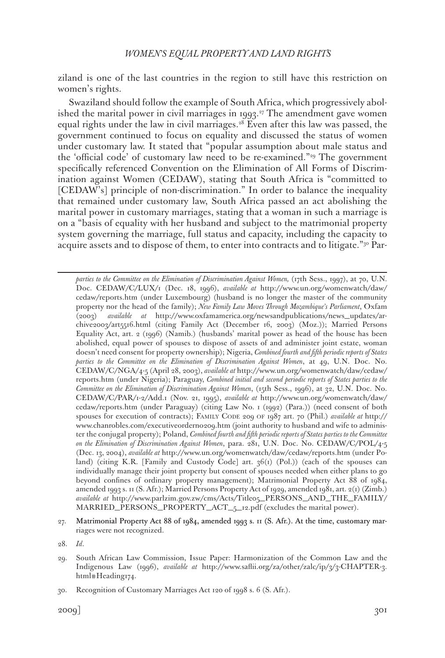ziland is one of the last countries in the region to still have this restriction on women's rights.

Swaziland should follow the example of South Africa, which progressively abolished the marital power in civil marriages in 1993.<sup>27</sup> The amendment gave women equal rights under the law in civil marriages.<sup>28</sup> Even after this law was passed, the government continued to focus on equality and discussed the status of women under customary law. It stated that "popular assumption about male status and the 'official code' of customary law need to be re-examined."29 The government specifically referenced Convention on the Elimination of All Forms of Discrimination against Women (CEDAW), stating that South Africa is "committed to [CEDAW's] principle of non-discrimination." In order to balance the inequality that remained under customary law, South Africa passed an act abolishing the marital power in customary marriages, stating that a woman in such a marriage is on a "basis of equality with her husband and subject to the matrimonial property system governing the marriage, full status and capacity, including the capacity to acquire assets and to dispose of them, to enter into contracts and to litigate."<sup>30</sup> Par-

*parties to the Committee on the Elimination of Discrimination Against Women,* (17th Sess., 1997), at 70, U.N. Doc. CEDAW/C/LUX/1 (Dec. 18, 1996), *available at* http://www.un.org/womenwatch/daw/ cedaw/reports.htm (under Luxembourg) (husband is no longer the master of the community property nor the head of the family); *New Family Law Moves Through Mozambique's Parliament*, Oxfam (2003) *available at* http://www.oxfamamerica.org/newsandpublications/news\_updates/archive2003/art5516.html (citing Family Act (December 16, 2003) (Moz.)); Married Persons Equality Act, art. 2 (1996) (Namib.) (husbands' marital power as head of the house has been abolished, equal power of spouses to dispose of assets of and administer joint estate, woman doesn't need consent for property ownership); Nigeria, *Combined fourth and fifth periodic reports of States parties to the Committee on the Elimination of Discrimination Against Women*, at 49, U.N. Doc. No. CEDAW/C/NGA/4-5 (April 28, 2003), *available at* http://www.un.org/womenwatch/daw/cedaw/ reports.htm (under Nigeria); Paraguay, *Combined initial and second periodic reports of States parties to the Committee on the Elimination of Discrimination Against Women*, (15th Sess., 1996), at 32, U.N. Doc. No. CEDAW/C/PAR/1-2/Add.1 (Nov. 21, 1995), *available at* http://www.un.org/womenwatch/daw/ cedaw/reports.htm (under Paraguay) (citing Law No. 1 (1992) (Para.)) (need consent of both spouses for execution of contracts); Family Code 209 of 1987 art. 70 (Phil.) *available at* http:// www.chanrobles.com/executiveorderno209.htm (joint authority to husband and wife to administer the conjugal property); Poland, *Combined fourth and fifth periodic reports of States parties to the Committee on the Elimination of Discrimination Against Women*, para. 281, U.N. Doc. No. CEDAW/C/POL/4-5 (Dec. 13, 2004), *available at* http://www.un.org/womenwatch/daw/cedaw/reports.htm (under Poland) (citing K.R. [Family and Custody Code] art. 36(1) (Pol.)) (each of the spouses can individually manage their joint property but consent of spouses needed when either plans to go beyond confines of ordinary property management); Matrimonial Property Act 88 of 1984, amended 1993 s. 11 (S. Afr.); Married Persons Property Act of 1929, amended 1981, art. 2(1) (Zimb.) *available at* http://www.parlzim.gov.zw/cms/Acts/Title05\_PERSONS\_AND\_THE\_FAMILY/ MARRIED\_PERSONS\_PROPERTY\_ACT\_5\_12.pdf (excludes the marital power).

- 27. Matrimonial Property Act 88 of 1984, amended 1993 s. 11 (S. Afr.). At the time, customary marriages were not recognized.
- 28. *Id*.
- 29. South African Law Commission, Issue Paper: Harmonization of the Common Law and the Indigenous Law (1996), *available at* http://www.saflii.org/za/other/zalc/ip/3/3-CHAPTER-3. html#Heading174.

<sup>30.</sup> Recognition of Customary Marriages Act 120 of 1998 s. 6 (S. Afr.).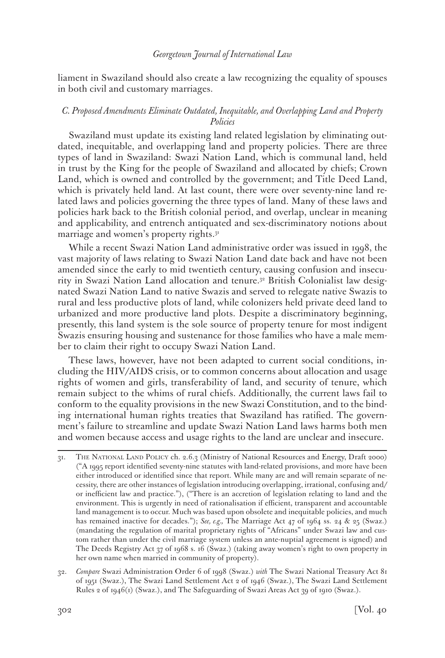liament in Swaziland should also create a law recognizing the equality of spouses in both civil and customary marriages.

# *C. Proposed Amendments Eliminate Outdated, Inequitable, and Overlapping Land and Property Policies*

Swaziland must update its existing land related legislation by eliminating outdated, inequitable, and overlapping land and property policies. There are three types of land in Swaziland: Swazi Nation Land, which is communal land, held in trust by the King for the people of Swaziland and allocated by chiefs; Crown Land, which is owned and controlled by the government; and Title Deed Land, which is privately held land. At last count, there were over seventy-nine land related laws and policies governing the three types of land. Many of these laws and policies hark back to the British colonial period, and overlap, unclear in meaning and applicability, and entrench antiquated and sex-discriminatory notions about marriage and women's property rights.<sup>31</sup>

While a recent Swazi Nation Land administrative order was issued in 1998, the vast majority of laws relating to Swazi Nation Land date back and have not been amended since the early to mid twentieth century, causing confusion and insecurity in Swazi Nation Land allocation and tenure.32 British Colonialist law designated Swazi Nation Land to native Swazis and served to relegate native Swazis to rural and less productive plots of land, while colonizers held private deed land to urbanized and more productive land plots. Despite a discriminatory beginning, presently, this land system is the sole source of property tenure for most indigent Swazis ensuring housing and sustenance for those families who have a male member to claim their right to occupy Swazi Nation Land.

These laws, however, have not been adapted to current social conditions, including the HIV/AIDS crisis, or to common concerns about allocation and usage rights of women and girls, transferability of land, and security of tenure, which remain subject to the whims of rural chiefs. Additionally, the current laws fail to conform to the equality provisions in the new Swazi Constitution, and to the binding international human rights treaties that Swaziland has ratified. The government's failure to streamline and update Swazi Nation Land laws harms both men and women because access and usage rights to the land are unclear and insecure.

32. *Compare* Swazi Administration Order 6 of 1998 (Swaz.) *with* The Swazi National Treasury Act 81 of 1951 (Swaz.), The Swazi Land Settlement Act 2 of 1946 (Swaz.), The Swazi Land Settlement Rules 2 of 1946(1) (Swaz.), and The Safeguarding of Swazi Areas Act 39 of 1910 (Swaz.).

<sup>31.</sup> The National Land Policy ch. 2.6.3 (Ministry of National Resources and Energy, Draft 2000) ("A 1995 report identified seventy-nine statutes with land-related provisions, and more have been either introduced or identified since that report. While many are and will remain separate of necessity, there are other instances of legislation introducing overlapping, irrational, confusing and/ or inefficient law and practice."), ("There is an accretion of legislation relating to land and the environment. This is urgently in need of rationalisation if efficient, transparent and accountable land management is to occur. Much was based upon obsolete and inequitable policies, and much has remained inactive for decades."); *See, e.g.,* The Marriage Act 47 of 1964 ss. 24 & 25 (Swaz.) (mandating the regulation of marital proprietary rights of "Africans" under Swazi law and custom rather than under the civil marriage system unless an ante-nuptial agreement is signed) and The Deeds Registry Act 37 of 1968 s. 16 (Swaz.) (taking away women's right to own property in her own name when married in community of property).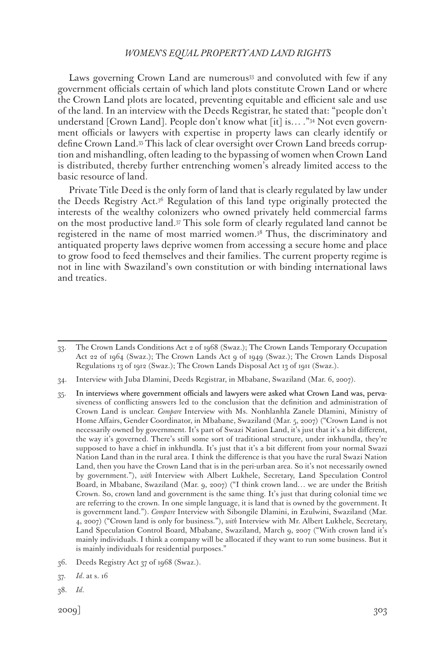Laws governing Crown Land are numerous<sup>33</sup> and convoluted with few if any government officials certain of which land plots constitute Crown Land or where the Crown Land plots are located, preventing equitable and efficient sale and use of the land. In an interview with the Deeds Registrar, he stated that: "people don't understand [Crown Land]. People don't know what [it] is… ."<sup>34</sup> Not even government officials or lawyers with expertise in property laws can clearly identify or define Crown Land.35 This lack of clear oversight over Crown Land breeds corruption and mishandling, often leading to the bypassing of women when Crown Land is distributed, thereby further entrenching women's already limited access to the basic resource of land.

Private Title Deed is the only form of land that is clearly regulated by law under the Deeds Registry Act.36 Regulation of this land type originally protected the interests of the wealthy colonizers who owned privately held commercial farms on the most productive land.37 This sole form of clearly regulated land cannot be registered in the name of most married women.38 Thus, the discriminatory and antiquated property laws deprive women from accessing a secure home and place to grow food to feed themselves and their families. The current property regime is not in line with Swaziland's own constitution or with binding international laws and treaties.

- 35. In interviews where government officials and lawyers were asked what Crown Land was, pervasiveness of conflicting answers led to the conclusion that the definition and administration of Crown Land is unclear. *Compare* Interview with Ms. Nonhlanhla Zanele Dlamini, Ministry of Home Affairs, Gender Coordinator, in Mbabane, Swaziland (Mar. 5, 2007) ("Crown Land is not necessarily owned by government. It's part of Swazi Nation Land, it's just that it's a bit different, the way it's governed. There's still some sort of traditional structure, under inkhundla, they're supposed to have a chief in inkhundla. It's just that it's a bit different from your normal Swazi Nation Land than in the rural area. I think the difference is that you have the rural Swazi Nation Land, then you have the Crown Land that is in the peri-urban area. So it's not necessarily owned by government."), *with* Interview with Albert Lukhele, Secretary, Land Speculation Control Board, in Mbabane, Swaziland (Mar. 9, 2007) ("I think crown land… we are under the British Crown. So, crown land and government is the same thing. It's just that during colonial time we are referring to the crown. In one simple language, it is land that is owned by the government. It is government land."). *Compare* Interview with Sibongile Dlamini, in Ezulwini, Swaziland (Mar. 4, 2007) ("Crown land is only for business."), *with* Interview with Mr. Albert Lukhele, Secretary, Land Speculation Control Board, Mbabane, Swaziland, March 9, 2007 ("With crown land it's mainly individuals. I think a company will be allocated if they want to run some business. But it is mainly individuals for residential purposes."
- 36. Deeds Registry Act 37 of 1968 (Swaz.).
- 37. *Id*. at s. 16
- 38. *Id*.

<sup>33.</sup> The Crown Lands Conditions Act 2 of 1968 (Swaz.); The Crown Lands Temporary Occupation Act 22 of 1964 (Swaz.); The Crown Lands Act 9 of 1949 (Swaz.); The Crown Lands Disposal Regulations 13 of 1912 (Swaz.); The Crown Lands Disposal Act 13 of 1911 (Swaz.).

<sup>34.</sup> Interview with Juba Dlamini, Deeds Registrar, in Mbabane, Swaziland (Mar. 6, 2007).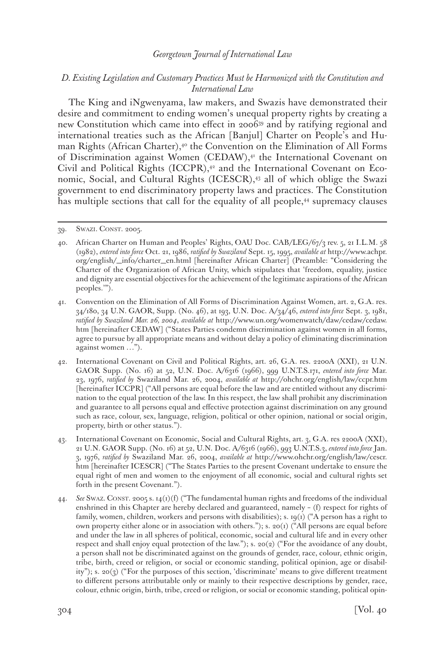### *D. Existing Legislation and Customary Practices Must be Harmonized with the Constitution and International Law*

The King and iNgwenyama, law makers, and Swazis have demonstrated their desire and commitment to ending women's unequal property rights by creating a new Constitution which came into effect in 200639 and by ratifying regional and international treaties such as the African [Banjul] Charter on People's and Human Rights (African Charter),<sup>40</sup> the Convention on the Elimination of All Forms of Discrimination against Women (CEDAW),<sup>41</sup> the International Covenant on Civil and Political Rights  $(ICCPR)$ ,<sup>42</sup> and the International Covenant on Economic, Social, and Cultural Rights (ICESCR),<sup>43</sup> all of which oblige the Swazi government to end discriminatory property laws and practices. The Constitution has multiple sections that call for the equality of all people,<sup>44</sup> supremacy clauses

<sup>39.</sup> SWAZI. CONST. 2005.

<sup>40.</sup> African Charter on Human and Peoples' Rights, OAU Doc. CAB/LEG/67/3 rev. 5, 21 I.L.M. 58 (1982), *entered into force* Oct. 21, 1986, *ratified by Swaziland* Sept. 15, 1995, *available at* http://www.achpr. org/english/\_info/charter\_en.html [hereinafter African Charter] (Preamble: "Considering the Charter of the Organization of African Unity, which stipulates that 'freedom, equality, justice and dignity are essential objectives for the achievement of the legitimate aspirations of the African peoples.'").

<sup>41.</sup> Convention on the Elimination of All Forms of Discrimination Against Women, art. 2, G.A. res. 34/180, 34 U.N. GAOR, Supp. (No. 46), at 193, U.N. Doc. A/34/46, *entered into force* Sept. 3, 1981, *ratified by Swaziland Mar. 26, 2004*, *available at* http://www.un.org/womenwatch/daw/cedaw/cedaw. htm [hereinafter CEDAW] ("States Parties condemn discrimination against women in all forms, agree to pursue by all appropriate means and without delay a policy of eliminating discrimination against women …").

<sup>42.</sup> International Covenant on Civil and Political Rights, art. 26, G.A. res. 2200A (XXI), 21 U.N. GAOR Supp. (No. 16) at 52, U.N. Doc. A/6316 (1966), 999 U.N.T.S.171, *entered into force* Mar. 23, 1976, *ratified by* Swaziland Mar. 26, 2004, *available at* http://ohchr.org/english/law/ccpr.htm [hereinafter ICCPR] ("All persons are equal before the law and are entitled without any discrimination to the equal protection of the law. In this respect, the law shall prohibit any discrimination and guarantee to all persons equal and effective protection against discrimination on any ground such as race, colour, sex, language, religion, political or other opinion, national or social origin, property, birth or other status.").

<sup>43.</sup> International Covenant on Economic, Social and Cultural Rights, art. 3, G.A. res 2200A (XXI), 21 U.N. GAOR Supp. (No. 16) at 52, U.N. Doc. A/6316 (1966), 993 U.N.T.S.3, *entered into force* Jan. 3, 1976, *ratified by* Swaziland Mar. 26, 2004, *available at* http://www.ohchr.org/english/law/cescr. htm [hereinafter ICESCR] ("The States Parties to the present Covenant undertake to ensure the equal right of men and women to the enjoyment of all economic, social and cultural rights set forth in the present Covenant.").

<sup>44.</sup> *See* Swaz. Const. 2005 s. 14(1)(f) ("The fundamental human rights and freedoms of the individual enshrined in this Chapter are hereby declared and guaranteed, namely – (f) respect for rights of family, women, children, workers and persons with disabilities); s. 19(1) ("A person has a right to own property either alone or in association with others."); s. 20(1) ("All persons are equal before and under the law in all spheres of political, economic, social and cultural life and in every other respect and shall enjoy equal protection of the law."); s. 20(2) ("For the avoidance of any doubt, a person shall not be discriminated against on the grounds of gender, race, colour, ethnic origin, tribe, birth, creed or religion, or social or economic standing, political opinion, age or disability"); s. 20(3) ("For the purposes of this section, 'discriminate' means to give different treatment to different persons attributable only or mainly to their respective descriptions by gender, race, colour, ethnic origin, birth, tribe, creed or religion, or social or economic standing, political opin-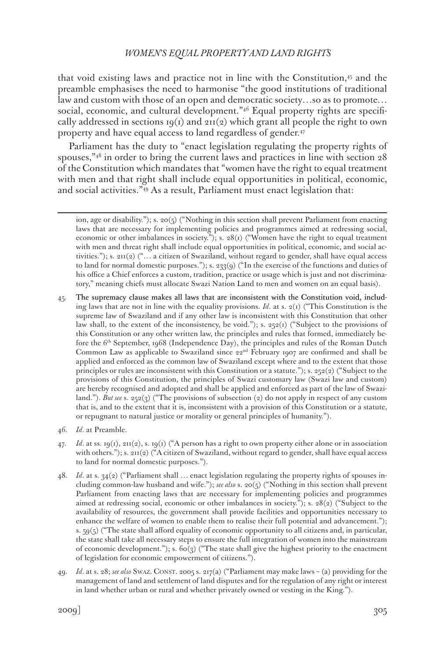that void existing laws and practice not in line with the Constitution, $45$  and the preamble emphasises the need to harmonise "the good institutions of traditional law and custom with those of an open and democratic society…so as to promote… social, economic, and cultural development."<sup>46</sup> Equal property rights are specifically addressed in sections  $I_9(I)$  and  $2II(2)$  which grant all people the right to own property and have equal access to land regardless of gender.<sup>47</sup>

Parliament has the duty to "enact legislation regulating the property rights of spouses,"48 in order to bring the current laws and practices in line with section 28 of the Constitution which mandates that "women have the right to equal treatment with men and that right shall include equal opportunities in political, economic, and social activities."49 As a result, Parliament must enact legislation that:

ion, age or disability."); s. 20(5) ("Nothing in this section shall prevent Parliament from enacting laws that are necessary for implementing policies and programmes aimed at redressing social, economic or other imbalances in society."); s.  $28(t)$  ("Women have the right to equal treatment with men and threat right shall include equal opportunities in political, economic, and social activities."); s.  $2\pi(2)$  ("... a citizen of Swaziland, without regard to gender, shall have equal access to land for normal domestic purposes."); s. 233(9) ("In the exercise of the functions and duties of his office a Chief enforces a custom, tradition, practice or usage which is just and not discriminatory," meaning chiefs must allocate Swazi Nation Land to men and women on an equal basis).

- 45. The supremacy clause makes all laws that are inconsistent with the Constitution void, including laws that are not in line with the equality provisions. *Id*. at s. 2(1) ("This Constitution is the supreme law of Swaziland and if any other law is inconsistent with this Constitution that other law shall, to the extent of the inconsistency, be void."); s. 252(1) ("Subject to the provisions of this Constitution or any other written law, the principles and rules that formed, immediately before the 6<sup>th</sup> September, 1968 (Independence Day), the principles and rules of the Roman Dutch Common Law as applicable to Swaziland since 22nd February 1907 are confirmed and shall be applied and enforced as the common law of Swaziland except where and to the extent that those principles or rules are inconsistent with this Constitution or a statute."); s.  $252(2)$  ("Subject to the provisions of this Constitution, the principles of Swazi customary law (Swazi law and custom) are hereby recognised and adopted and shall be applied and enforced as part of the law of Swaziland."). *But see* s. 252(3) ("The provisions of subsection (2) do not apply in respect of any custom that is, and to the extent that it is, inconsistent with a provision of this Constitution or a statute, or repugnant to natural justice or morality or general principles of humanity.").
- 46. *Id*. at Preamble.
- 47. *Id*. at ss. 19(1), 211(2), s. 19(1) ("A person has a right to own property either alone or in association with others."); s. 211(2) ("A citizen of Swaziland, without regard to gender, shall have equal access to land for normal domestic purposes.").
- 48. *Id*. at s. 34(2) ("Parliament shall … enact legislation regulating the property rights of spouses including common-law husband and wife."); *see also* s. 20(5) ("Nothing in this section shall prevent Parliament from enacting laws that are necessary for implementing policies and programmes aimed at redressing social, economic or other imbalances in society."); s. 28(2) ("Subject to the availability of resources, the government shall provide facilities and opportunities necessary to enhance the welfare of women to enable them to realise their full potential and advancement."); s.  $59(5)$  ("The state shall afford equality of economic opportunity to all citizens and, in particular, the state shall take all necessary steps to ensure the full integration of women into the mainstream of economic development."); s. 60(3) ("The state shall give the highest priority to the enactment of legislation for economic empowerment of citizens.").
- 49. *Id*. at s. 28; *see also* Swaz. Const. 2005 s. 217(a) ("Parliament may make laws (a) providing for the management of land and settlement of land disputes and for the regulation of any right or interest in land whether urban or rural and whether privately owned or vesting in the King.").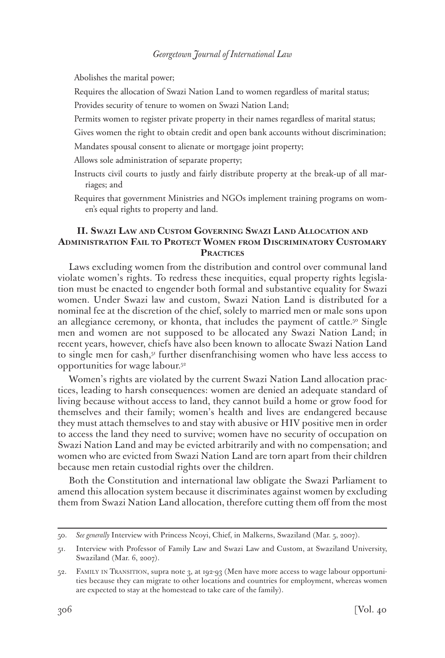Abolishes the marital power;

Requires the allocation of Swazi Nation Land to women regardless of marital status;

Provides security of tenure to women on Swazi Nation Land;

- Permits women to register private property in their names regardless of marital status;
- Gives women the right to obtain credit and open bank accounts without discrimination;
- Mandates spousal consent to alienate or mortgage joint property;
- Allows sole administration of separate property;
- Instructs civil courts to justly and fairly distribute property at the break-up of all marriages; and
- Requires that government Ministries and NGOs implement training programs on women's equal rights to property and land.

# **II. Swazi Law and Custom Governing Swazi Land Allocation and Administration Fail to Protect Women from Discriminatory Customary Practices**

Laws excluding women from the distribution and control over communal land violate women's rights. To redress these inequities, equal property rights legislation must be enacted to engender both formal and substantive equality for Swazi women. Under Swazi law and custom, Swazi Nation Land is distributed for a nominal fee at the discretion of the chief, solely to married men or male sons upon an allegiance ceremony, or khonta, that includes the payment of cattle.<sup>50</sup> Single men and women are not supposed to be allocated any Swazi Nation Land; in recent years, however, chiefs have also been known to allocate Swazi Nation Land to single men for cash,<sup>51</sup> further disenfranchising women who have less access to opportunities for wage labour.52

Women's rights are violated by the current Swazi Nation Land allocation practices, leading to harsh consequences: women are denied an adequate standard of living because without access to land, they cannot build a home or grow food for themselves and their family; women's health and lives are endangered because they must attach themselves to and stay with abusive or HIV positive men in order to access the land they need to survive; women have no security of occupation on Swazi Nation Land and may be evicted arbitrarily and with no compensation; and women who are evicted from Swazi Nation Land are torn apart from their children because men retain custodial rights over the children.

Both the Constitution and international law obligate the Swazi Parliament to amend this allocation system because it discriminates against women by excluding them from Swazi Nation Land allocation, therefore cutting them off from the most

<sup>50.</sup> *See generally* Interview with Princess Ncoyi, Chief, in Malkerns, Swaziland (Mar. 5, 2007).

<sup>51.</sup> Interview with Professor of Family Law and Swazi Law and Custom, at Swaziland University, Swaziland (Mar. 6, 2007).

<sup>52.</sup> Family in Transition, supra note 3, at 192-93 (Men have more access to wage labour opportunities because they can migrate to other locations and countries for employment, whereas women are expected to stay at the homestead to take care of the family).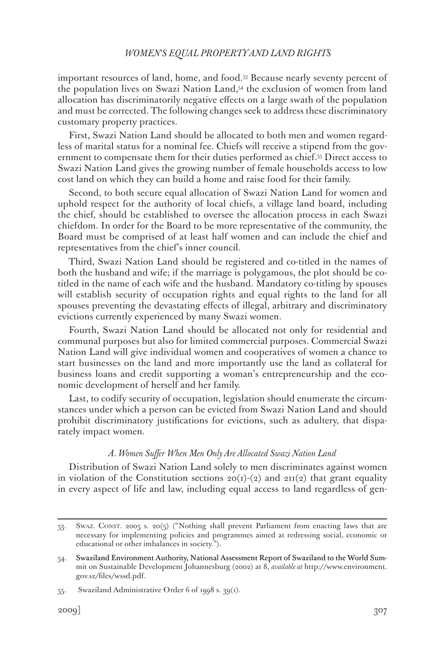important resources of land, home, and food.53 Because nearly seventy percent of the population lives on Swazi Nation Land,<sup>54</sup> the exclusion of women from land allocation has discriminatorily negative effects on a large swath of the population and must be corrected. The following changes seek to address these discriminatory customary property practices.

First, Swazi Nation Land should be allocated to both men and women regardless of marital status for a nominal fee. Chiefs will receive a stipend from the government to compensate them for their duties performed as chief.55 Direct access to Swazi Nation Land gives the growing number of female households access to low cost land on which they can build a home and raise food for their family.

Second, to both secure equal allocation of Swazi Nation Land for women and uphold respect for the authority of local chiefs, a village land board, including the chief, should be established to oversee the allocation process in each Swazi chiefdom. In order for the Board to be more representative of the community, the Board must be comprised of at least half women and can include the chief and representatives from the chief's inner council.

Third, Swazi Nation Land should be registered and co-titled in the names of both the husband and wife; if the marriage is polygamous, the plot should be cotitled in the name of each wife and the husband. Mandatory co-titling by spouses will establish security of occupation rights and equal rights to the land for all spouses preventing the devastating effects of illegal, arbitrary and discriminatory evictions currently experienced by many Swazi women.

Fourth, Swazi Nation Land should be allocated not only for residential and communal purposes but also for limited commercial purposes. Commercial Swazi Nation Land will give individual women and cooperatives of women a chance to start businesses on the land and more importantly use the land as collateral for business loans and credit supporting a woman's entrepreneurship and the economic development of herself and her family.

Last, to codify security of occupation, legislation should enumerate the circumstances under which a person can be evicted from Swazi Nation Land and should prohibit discriminatory justifications for evictions, such as adultery, that disparately impact women.

#### *A. Women Suffer When Men Only Are Allocated Swazi Nation Land*

Distribution of Swazi Nation Land solely to men discriminates against women in violation of the Constitution sections  $20(I)(2)$  and  $2II(2)$  that grant equality in every aspect of life and law, including equal access to land regardless of gen-

<sup>53.</sup> Swaz. Const. 2005 s. 20(5) ("Nothing shall prevent Parliament from enacting laws that are necessary for implementing policies and programmes aimed at redressing social, economic or educational or other imbalances in society.").

<sup>54.</sup> Swaziland Environment Authority, National Assessment Report of Swaziland to the World Summit on Sustainable Development Johannesburg (2002) at 8, *available at* http://www.environment. gov.sz/files/wssd.pdf.

<sup>55.</sup> Swaziland Administrative Order 6 of 1998 s. 39(1).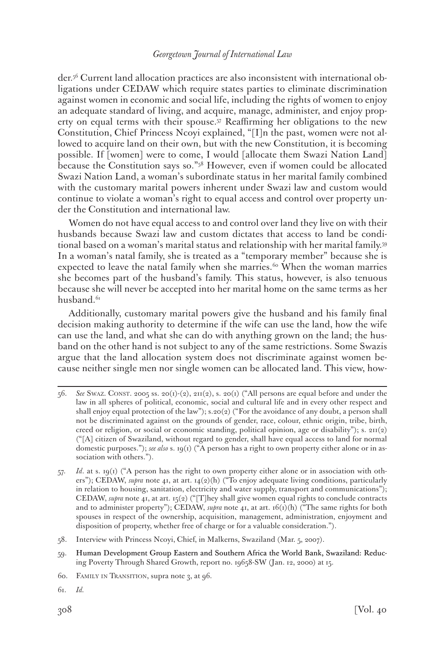der.56 Current land allocation practices are also inconsistent with international obligations under CEDAW which require states parties to eliminate discrimination against women in economic and social life, including the rights of women to enjoy an adequate standard of living, and acquire, manage, administer, and enjoy property on equal terms with their spouse.57 Reaffirming her obligations to the new Constitution, Chief Princess Ncoyi explained, "[I]n the past, women were not allowed to acquire land on their own, but with the new Constitution, it is becoming possible. If [women] were to come, I would [allocate them Swazi Nation Land] because the Constitution says so."58 However, even if women could be allocated Swazi Nation Land, a woman's subordinate status in her marital family combined with the customary marital powers inherent under Swazi law and custom would continue to violate a woman's right to equal access and control over property under the Constitution and international law.

Women do not have equal access to and control over land they live on with their husbands because Swazi law and custom dictates that access to land be conditional based on a woman's marital status and relationship with her marital family.59 In a woman's natal family, she is treated as a "temporary member" because she is expected to leave the natal family when she marries.<sup>60</sup> When the woman marries she becomes part of the husband's family. This status, however, is also tenuous because she will never be accepted into her marital home on the same terms as her husband.<sup>61</sup>

Additionally, customary marital powers give the husband and his family final decision making authority to determine if the wife can use the land, how the wife can use the land, and what she can do with anything grown on the land; the husband on the other hand is not subject to any of the same restrictions. Some Swazis argue that the land allocation system does not discriminate against women because neither single men nor single women can be allocated land. This view, how-

- 56. *See* Swaz. Const. 2005 ss. 20(1)-(2), 211(2), s. 20(1) ("All persons are equal before and under the law in all spheres of political, economic, social and cultural life and in every other respect and shall enjoy equal protection of the law");  $s.20(2)$  ("For the avoidance of any doubt, a person shall not be discriminated against on the grounds of gender, race, colour, ethnic origin, tribe, birth, creed or religion, or social or economic standing, political opinion, age or disability"); s. 211(2) ("[A] citizen of Swaziland, without regard to gender, shall have equal access to land for normal domestic purposes."); *see also* s. 19(1) ("A person has a right to own property either alone or in association with others.").
- 57. *Id*. at s. 19(1) ("A person has the right to own property either alone or in association with others"); CEDAW, *supra* note 41, at art. 14(2)(h) ("To enjoy adequate living conditions, particularly in relation to housing, sanitation, electricity and water supply, transport and communications"); CEDAW, *supra* note 41, at art. 15(2) ("[T]hey shall give women equal rights to conclude contracts and to administer property"); CEDAW, *supra* note 41, at art. 16(1)(h) ("The same rights for both spouses in respect of the ownership, acquisition, management, administration, enjoyment and disposition of property, whether free of charge or for a valuable consideration.").
- 58. Interview with Princess Ncoyi, Chief, in Malkerns, Swaziland (Mar. 5, 2007).
- 59. Human Development Group Eastern and Southern Africa the World Bank, Swaziland: Reducing Poverty Through Shared Growth, report no. 19658-SW (Jan. 12, 2000) at 15.
- 60. Family in Transition, supra note 3, at 96.
- 61. *Id.*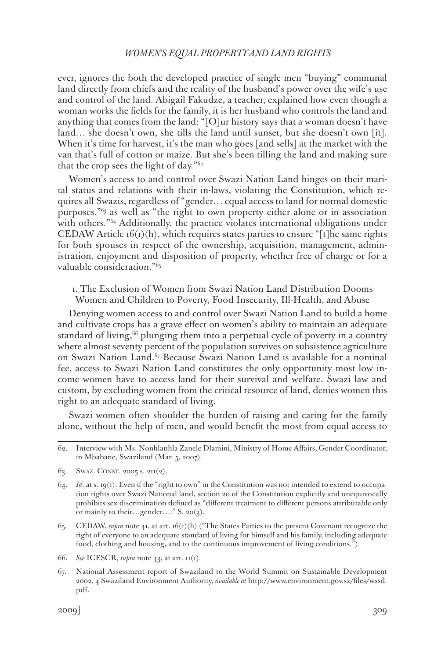ever, ignores the both the developed practice of single men "buying" communal land directly from chiefs and the reality of the husband's power over the wife's use and control of the land. Abigail Fakudze, a teacher, explained how even though a woman works the fields for the family, it is her husband who controls the land and anything that comes from the land: "[O]ur history says that a woman doesn't have land… she doesn't own, she tills the land until sunset, but she doesn't own [it]. When it's time for harvest, it's the man who goes [and sells] at the market with the van that's full of cotton or maize. But she's been tilling the land and making sure that the crop sees the light of day."62

Women's access to and control over Swazi Nation Land hinges on their marital status and relations with their in-laws, violating the Constitution, which requires all Swazis, regardless of "gender… equal access to land for normal domestic purposes,"63 as well as "the right to own property either alone or in association with others."<sup>64</sup> Additionally, the practice violates international obligations under CEDAW Article  $f(1)(h)$ , which requires states parties to ensure "[t]he same rights for both spouses in respect of the ownership, acquisition, management, administration, enjoyment and disposition of property, whether free of charge or for a valuable consideration."65

1. The Exclusion of Women from Swazi Nation Land Distribution Dooms Women and Children to Poverty, Food Insecurity, Ill-Health, and Abuse

Denying women access to and control over Swazi Nation Land to build a home and cultivate crops has a grave effect on women's ability to maintain an adequate standard of living,<sup>66</sup> plunging them into a perpetual cycle of poverty in a country where almost seventy percent of the population survives on subsistence agriculture on Swazi Nation Land.67 Because Swazi Nation Land is available for a nominal fee, access to Swazi Nation Land constitutes the only opportunity most low income women have to access land for their survival and welfare. Swazi law and custom, by excluding women from the critical resource of land, denies women this right to an adequate standard of living.

Swazi women often shoulder the burden of raising and caring for the family alone, without the help of men, and would benefit the most from equal access to

63. SWAZ. CONST. 2005 s. 211(2).

- 65. CEDAW, *supra* note 41, at art. 16(1)(h) ("The States Parties to the present Covenant recognize the right of everyone to an adequate standard of living for himself and his family, including adequate food, clothing and housing, and to the continuous improvement of living conditions.").
- 66. *See* ICESCR, *supra* note 43, at art. 11(1).
- 67. National Assessment report of Swaziland to the World Summit on Sustainable Development 2002, 4 Swaziland Environment Authority, *available at* http://www.environment.gov.sz/files/wssd. pdf.

<sup>62.</sup> Interview with Ms. Nonhlanhla Zanele Dlamini, Ministry of Home Affairs, Gender Coordinator, in Mbabane, Swaziland (Mar. 5, 2007).

<sup>64.</sup> *Id*. at s. 19(1). Even if the "right to own" in the Constitution was not intended to extend to occupation rights over Swazi National land, section 20 of the Constitution explicitly and unequivocally prohibits sex discrimination defined as "different treatment to different persons attributable only or mainly to their…gender…." S. 20(3).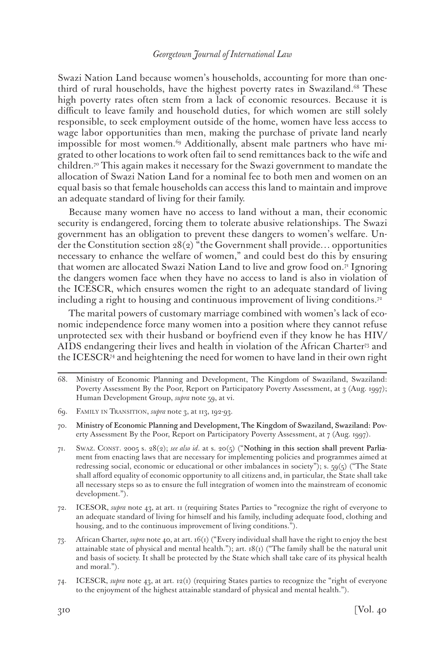Swazi Nation Land because women's households, accounting for more than onethird of rural households, have the highest poverty rates in Swaziland.<sup>68</sup> These high poverty rates often stem from a lack of economic resources. Because it is difficult to leave family and household duties, for which women are still solely responsible, to seek employment outside of the home, women have less access to wage labor opportunities than men, making the purchase of private land nearly impossible for most women.<sup>69</sup> Additionally, absent male partners who have migrated to other locations to work often fail to send remittances back to the wife and children.70 This again makes it necessary for the Swazi government to mandate the allocation of Swazi Nation Land for a nominal fee to both men and women on an equal basis so that female households can access this land to maintain and improve an adequate standard of living for their family.

Because many women have no access to land without a man, their economic security is endangered, forcing them to tolerate abusive relationships. The Swazi government has an obligation to prevent these dangers to women's welfare. Under the Constitution section  $28(2)$  "the Government shall provide... opportunities necessary to enhance the welfare of women," and could best do this by ensuring that women are allocated Swazi Nation Land to live and grow food on.<sup>71</sup> Ignoring the dangers women face when they have no access to land is also in violation of the ICESCR, which ensures women the right to an adequate standard of living including a right to housing and continuous improvement of living conditions.<sup>72</sup>

The marital powers of customary marriage combined with women's lack of economic independence force many women into a position where they cannot refuse unprotected sex with their husband or boyfriend even if they know he has HIV/ AIDS endangering their lives and health in violation of the African Charter73 and the ICESCR74 and heightening the need for women to have land in their own right

<sup>68.</sup> Ministry of Economic Planning and Development, The Kingdom of Swaziland, Swaziland: Poverty Assessment By the Poor, Report on Participatory Poverty Assessment, at 3 (Aug. 1997); Human Development Group, *supra* note 59, at vi.

<sup>69.</sup> Family in Transition, *supra* note 3, at 113, 192-93.

<sup>70.</sup> Ministry of Economic Planning and Development, The Kingdom of Swaziland, Swaziland: Poverty Assessment By the Poor, Report on Participatory Poverty Assessment, at 7 (Aug. 1997).

<sup>71.</sup> Swaz. Const. 2005 s. 28(2); *see also id*. at s. 20(5) ("Nothing in this section shall prevent Parliament from enacting laws that are necessary for implementing policies and programmes aimed at redressing social, economic or educational or other imbalances in society"); s. 59(5) ("The State shall afford equality of economic opportunity to all citizens and, in particular, the State shall take all necessary steps so as to ensure the full integration of women into the mainstream of economic development.").

<sup>72.</sup> ICESOR, *supra* note 43, at art. 11 (requiring States Parties to "recognize the right of everyone to an adequate standard of living for himself and his family, including adequate food, clothing and housing, and to the continuous improvement of living conditions.").

<sup>73.</sup> African Charter, *supra* note 40, at art. 16(1) ("Every individual shall have the right to enjoy the best attainable state of physical and mental health."); art.  $18(i)$  ("The family shall be the natural unit and basis of society. It shall be protected by the State which shall take care of its physical health and moral.").

<sup>74.</sup> ICESCR, *supra* note 43, at art. 12(1) (requiring States parties to recognize the "right of everyone to the enjoyment of the highest attainable standard of physical and mental health.").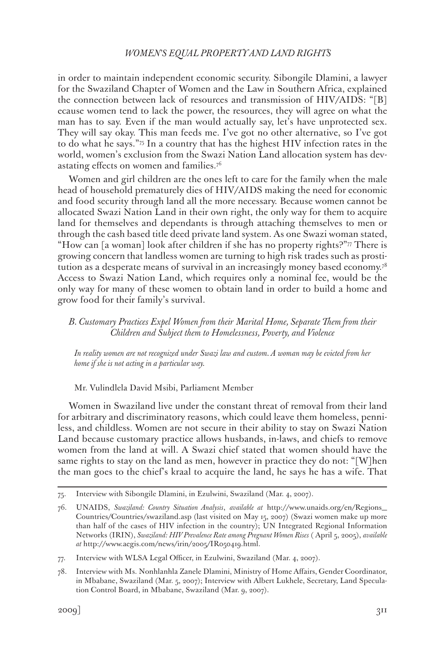in order to maintain independent economic security. Sibongile Dlamini, a lawyer for the Swaziland Chapter of Women and the Law in Southern Africa, explained the connection between lack of resources and transmission of HIV/AIDS: "[B] ecause women tend to lack the power, the resources, they will agree on what the man has to say. Even if the man would actually say, let's have unprotected sex. They will say okay. This man feeds me. I've got no other alternative, so I've got to do what he says."75 In a country that has the highest HIV infection rates in the world, women's exclusion from the Swazi Nation Land allocation system has devastating effects on women and families.<sup>76</sup>

Women and girl children are the ones left to care for the family when the male head of household prematurely dies of HIV/AIDS making the need for economic and food security through land all the more necessary. Because women cannot be allocated Swazi Nation Land in their own right, the only way for them to acquire land for themselves and dependants is through attaching themselves to men or through the cash based title deed private land system. As one Swazi woman stated, "How can [a woman] look after children if she has no property rights?"77 There is growing concern that landless women are turning to high risk trades such as prostitution as a desperate means of survival in an increasingly money based economy.78 Access to Swazi Nation Land, which requires only a nominal fee, would be the only way for many of these women to obtain land in order to build a home and grow food for their family's survival.

#### *B. Customary Practices Expel Women from their Marital Home, Separate Them from their Children and Subject them to Homelessness, Poverty, and Violence*

*In reality women are not recognized under Swazi law and custom. A woman may be evicted from her home if she is not acting in a particular way.*

Mr. Vulindlela David Msibi, Parliament Member

Women in Swaziland live under the constant threat of removal from their land for arbitrary and discriminatory reasons, which could leave them homeless, penniless, and childless. Women are not secure in their ability to stay on Swazi Nation Land because customary practice allows husbands, in-laws, and chiefs to remove women from the land at will. A Swazi chief stated that women should have the same rights to stay on the land as men, however in practice they do not: "[W]hen the man goes to the chief's kraal to acquire the land, he says he has a wife. That

<sup>75.</sup> Interview with Sibongile Dlamini, in Ezulwini, Swaziland (Mar. 4, 2007).

<sup>76.</sup> UNAIDS, *Swaziland: Country Situation Analysis*, *available at* http://www.unaids.org/en/Regions\_ Countries/Countries/swaziland.asp (last visited on May 15, 2007) (Swazi women make up more than half of the cases of HIV infection in the country); UN Integrated Regional Information Networks (IRIN), *Swaziland: HIV Prevalence Rate among Pregnant Women Rises* ( April 5, 2005), *available at* http://www.aegis.com/news/irin/2005/IR050419.html.

<sup>77.</sup> Interview with WLSA Legal Officer, in Ezulwini, Swaziland (Mar. 4, 2007).

<sup>78.</sup> Interview with Ms. Nonhlanhla Zanele Dlamini, Ministry of Home Affairs, Gender Coordinator, in Mbabane, Swaziland (Mar. 5, 2007); Interview with Albert Lukhele, Secretary, Land Speculation Control Board, in Mbabane, Swaziland (Mar. 9, 2007).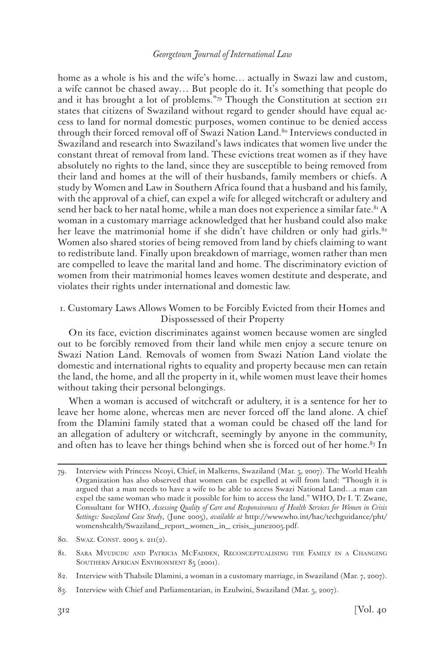home as a whole is his and the wife's home… actually in Swazi law and custom, a wife cannot be chased away… But people do it. It's something that people do and it has brought a lot of problems."79 Though the Constitution at section 211 states that citizens of Swaziland without regard to gender should have equal access to land for normal domestic purposes, women continue to be denied access through their forced removal off of Swazi Nation Land.<sup>80</sup> Interviews conducted in Swaziland and research into Swaziland's laws indicates that women live under the constant threat of removal from land. These evictions treat women as if they have absolutely no rights to the land, since they are susceptible to being removed from their land and homes at the will of their husbands, family members or chiefs. A study by Women and Law in Southern Africa found that a husband and his family, with the approval of a chief, can expel a wife for alleged witchcraft or adultery and send her back to her natal home, while a man does not experience a similar fate.<sup>81</sup> A woman in a customary marriage acknowledged that her husband could also make her leave the matrimonial home if she didn't have children or only had girls.<sup>82</sup> Women also shared stories of being removed from land by chiefs claiming to want to redistribute land. Finally upon breakdown of marriage, women rather than men are compelled to leave the marital land and home. The discriminatory eviction of women from their matrimonial homes leaves women destitute and desperate, and violates their rights under international and domestic law.

1. Customary Laws Allows Women to be Forcibly Evicted from their Homes and Dispossessed of their Property

On its face, eviction discriminates against women because women are singled out to be forcibly removed from their land while men enjoy a secure tenure on Swazi Nation Land. Removals of women from Swazi Nation Land violate the domestic and international rights to equality and property because men can retain the land, the home, and all the property in it, while women must leave their homes without taking their personal belongings.

When a woman is accused of witchcraft or adultery, it is a sentence for her to leave her home alone, whereas men are never forced off the land alone. A chief from the Dlamini family stated that a woman could be chased off the land for an allegation of adultery or witchcraft, seemingly by anyone in the community, and often has to leave her things behind when she is forced out of her home. $83$  In

<sup>79.</sup> Interview with Princess Ncoyi, Chief, in Malkerns, Swaziland (Mar. 5, 2007). The World Health Organization has also observed that women can be expelled at will from land: "Though it is argued that a man needs to have a wife to be able to access Swazi National Land…a man can expel the same woman who made it possible for him to access the land." WHO, Dr I. T. Zwane, Consultant for WHO, *Assessing Quality of Care and Responsiveness of Health Services for Women in Crisis Settings: Swaziland Case Study*, (June 2005), *available at* http://www.who.int/hac/techguidance/pht/ womenshealth/Swaziland\_report\_women\_in\_ crisis\_june2005.pdf.

<sup>80.</sup> SWAZ. CONST. 2005 s. 211(2).

<sup>81.</sup> Sara Mvududu and Patricia McFadden, Reconceptualising the Family in a Changing SOUTHERN AFRICAN ENVIRONMENT 85 (2001).

<sup>82.</sup> Interview with Thabsile Dlamini, a woman in a customary marriage, in Swaziland (Mar. 7, 2007).

<sup>83.</sup> Interview with Chief and Parliamentarian, in Ezulwini, Swaziland (Mar. 5, 2007).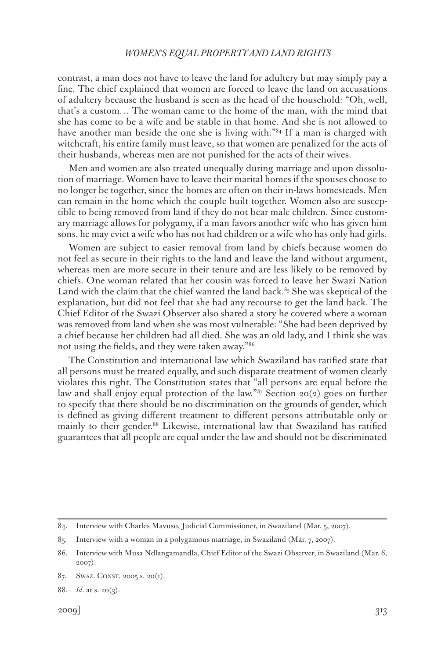contrast, a man does not have to leave the land for adultery but may simply pay a fine. The chief explained that women are forced to leave the land on accusations of adultery because the husband is seen as the head of the household: "Oh, well, that's a custom… The woman came to the home of the man, with the mind that she has come to be a wife and be stable in that home. And she is not allowed to have another man beside the one she is living with."<sup>84</sup> If a man is charged with witchcraft, his entire family must leave, so that women are penalized for the acts of their husbands, whereas men are not punished for the acts of their wives.

Men and women are also treated unequally during marriage and upon dissolution of marriage. Women have to leave their marital homes if the spouses choose to no longer be together, since the homes are often on their in-laws homesteads. Men can remain in the home which the couple built together. Women also are susceptible to being removed from land if they do not bear male children. Since customary marriage allows for polygamy, if a man favors another wife who has given him sons, he may evict a wife who has not had children or a wife who has only had girls.

Women are subject to easier removal from land by chiefs because women do not feel as secure in their rights to the land and leave the land without argument, whereas men are more secure in their tenure and are less likely to be removed by chiefs. One woman related that her cousin was forced to leave her Swazi Nation Land with the claim that the chief wanted the land back. $85$  She was skeptical of the explanation, but did not feel that she had any recourse to get the land back. The Chief Editor of the Swazi Observer also shared a story he covered where a woman was removed from land when she was most vulnerable: "She had been deprived by a chief because her children had all died. She was an old lady, and I think she was not using the fields, and they were taken away."86

The Constitution and international law which Swaziland has ratified state that all persons must be treated equally, and such disparate treatment of women clearly violates this right. The Constitution states that "all persons are equal before the law and shall enjoy equal protection of the law."<sup>87</sup> Section 20(2) goes on further to specify that there should be no discrimination on the grounds of gender, which is defined as giving different treatment to different persons attributable only or mainly to their gender.<sup>88</sup> Likewise, international law that Swaziland has ratified guarantees that all people are equal under the law and should not be discriminated

<sup>84.</sup> Interview with Charles Mavuso, Judicial Commissioner, in Swaziland (Mar. 5, 2007).

<sup>85.</sup> Interview with a woman in a polygamous marriage, in Swaziland (Mar. 7, 2007).

<sup>86.</sup> Interview with Musa Ndlangamandla, Chief Editor of the Swazi Observer, in Swaziland (Mar. 6, 2007).

<sup>87.</sup> SWAZ. CONST. 2005 s. 20(1).

<sup>88.</sup> *Id*. at s. 20(3).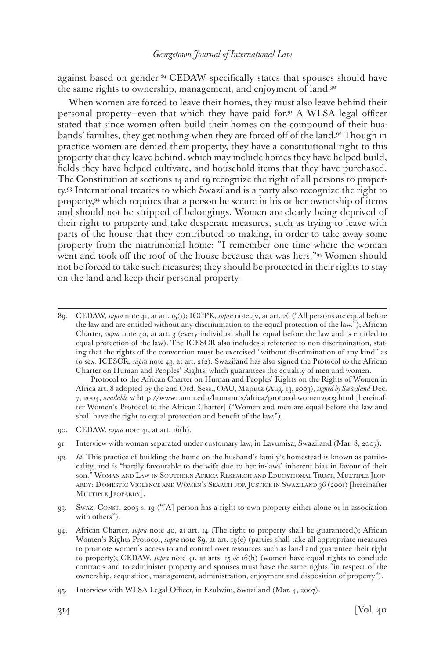against based on gender.<sup>89</sup> CEDAW specifically states that spouses should have the same rights to ownership, management, and enjoyment of land.90

When women are forced to leave their homes, they must also leave behind their personal property—even that which they have paid for.91 A WLSA legal officer stated that since women often build their homes on the compound of their husbands' families, they get nothing when they are forced off of the land.92 Though in practice women are denied their property, they have a constitutional right to this property that they leave behind, which may include homes they have helped build, fields they have helped cultivate, and household items that they have purchased. The Constitution at sections 14 and 19 recognize the right of all persons to property.93 International treaties to which Swaziland is a party also recognize the right to property,94 which requires that a person be secure in his or her ownership of items and should not be stripped of belongings. Women are clearly being deprived of their right to property and take desperate measures, such as trying to leave with parts of the house that they contributed to making, in order to take away some property from the matrimonial home: "I remember one time where the woman went and took off the roof of the house because that was hers."95 Women should not be forced to take such measures; they should be protected in their rights to stay on the land and keep their personal property.

 Protocol to the African Charter on Human and Peoples' Rights on the Rights of Women in Africa art. 8 adopted by the 2nd Ord. Sess., OAU, Maputa (Aug. 13, 2003), *signed by Swaziland* Dec. 7, 2004, *available at* http://www1.umn.edu/humanrts/africa/protocol-women2003.html [hereinafter Women's Protocol to the African Charter] ("Women and men are equal before the law and shall have the right to equal protection and benefit of the law.").

- 90. CEDAW, *supra* note 41, at art. 16(h).
- 91. Interview with woman separated under customary law, in Lavumisa, Swaziland (Mar. 8, 2007).
- 92. *Id*. This practice of building the home on the husband's family's homestead is known as patrilocality, and is "hardly favourable to the wife due to her in-laws' inherent bias in favour of their son." Woman and Law in Southern Africa Research and Educational Trust, Multiple Jeopardy: Domestic Violence and Women's Search for Justice in Swaziland 36 (2001) [hereinafter MULTIPLE JEOPARDY].
- 93. Swaz. Const. 2005 s. 19 ("[A] person has a right to own property either alone or in association with others").
- 94. African Charter, *supra* note 40, at art. 14 (The right to property shall be guaranteed.); African Women's Rights Protocol, *supra* note 89, at art. 19(c) (parties shall take all appropriate measures to promote women's access to and control over resources such as land and guarantee their right to property); CEDAW, *supra* note 41, at arts. 15 & 16(h) (women have equal rights to conclude contracts and to administer property and spouses must have the same rights "in respect of the ownership, acquisition, management, administration, enjoyment and disposition of property").

<sup>89.</sup> CEDAW, *supra* note 41, at art. 15(1); ICCPR, *supra* note 42, at art. 26 ("All persons are equal before the law and are entitled without any discrimination to the equal protection of the law."); African Charter, *supra* note 40, at art. 3 (every individual shall be equal before the law and is entitled to equal protection of the law). The ICESCR also includes a reference to non discrimination, stating that the rights of the convention must be exercised "without discrimination of any kind" as to sex. ICESCR, *supra* note 43, at art. 2(2). Swaziland has also signed the Protocol to the African Charter on Human and Peoples' Rights, which guarantees the equality of men and women.

<sup>95.</sup> Interview with WLSA Legal Officer, in Ezulwini, Swaziland (Mar. 4, 2007).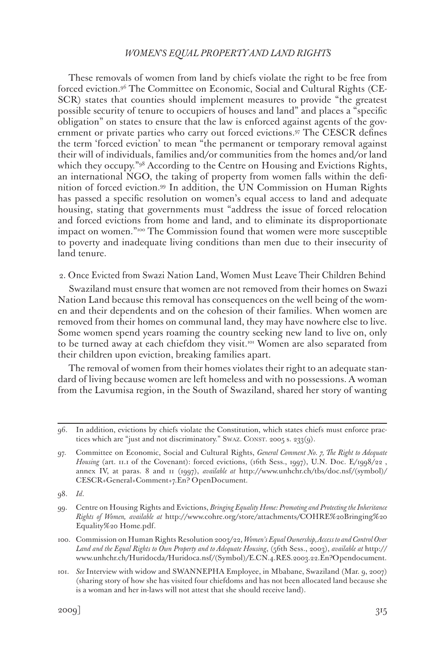These removals of women from land by chiefs violate the right to be free from forced eviction.96 The Committee on Economic, Social and Cultural Rights (CE-SCR) states that counties should implement measures to provide "the greatest possible security of tenure to occupiers of houses and land" and places a "specific obligation" on states to ensure that the law is enforced against agents of the government or private parties who carry out forced evictions.97 The CESCR defines the term 'forced eviction' to mean "the permanent or temporary removal against their will of individuals, families and/or communities from the homes and/or land which they occupy."<sup>98</sup> According to the Centre on Housing and Evictions Rights, an international NGO, the taking of property from women falls within the definition of forced eviction.99 In addition, the UN Commission on Human Rights has passed a specific resolution on women's equal access to land and adequate housing, stating that governments must "address the issue of forced relocation and forced evictions from home and land, and to eliminate its disproportionate impact on women."100 The Commission found that women were more susceptible to poverty and inadequate living conditions than men due to their insecurity of land tenure.

2. Once Evicted from Swazi Nation Land, Women Must Leave Their Children Behind

Swaziland must ensure that women are not removed from their homes on Swazi Nation Land because this removal has consequences on the well being of the women and their dependents and on the cohesion of their families. When women are removed from their homes on communal land, they may have nowhere else to live. Some women spend years roaming the country seeking new land to live on, only to be turned away at each chiefdom they visit.<sup>101</sup> Women are also separated from their children upon eviction, breaking families apart.

The removal of women from their homes violates their right to an adequate standard of living because women are left homeless and with no possessions. A woman from the Lavumisa region, in the South of Swaziland, shared her story of wanting

<sup>96.</sup> In addition, evictions by chiefs violate the Constitution, which states chiefs must enforce practices which are "just and not discriminatory." Swaz. CONST. 2005 s. 233(9).

<sup>97.</sup> Committee on Economic, Social and Cultural Rights, *General Comment No. 7, The Right to Adequate*  Housing (art. 11.1 of the Covenant): forced evictions, (16th Sess., 1997), U.N. Doc. E/1998/22, annex IV, at paras. 8 and 11 (1997), *available at* http://www.unhchr.ch/tbs/doc.nsf/(symbol)/ CESCR+General+Comment+7.En? OpenDocument.

<sup>98.</sup> *Id*.

<sup>99.</sup> Centre on Housing Rights and Evictions, *Bringing Equality Home: Promoting and Protecting the Inheritance Rights of Women, available at* http://www.cohre.org/store/attachments/COHRE%20Bringing%20 Equality%20 Home.pdf.

<sup>100.</sup> Commission on Human Rights Resolution 2003/22, *Women's Equal Ownership, Access to and Control Over Land and the Equal Rights to Own Property and to Adequate Housing*, (56th Sess., 2003), *available at* http:// www.unhchr.ch/Huridocda/Huridoca.nsf/(Symbol)/E.CN.4.RES.2003.22.En?Opendocument.

<sup>101.</sup> *See* Interview with widow and SWANNEPHA Employee, in Mbabane, Swaziland (Mar. 9, 2007) (sharing story of how she has visited four chiefdoms and has not been allocated land because she is a woman and her in-laws will not attest that she should receive land).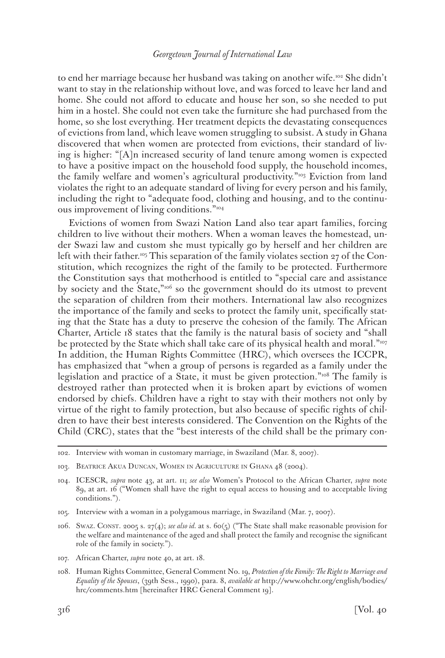to end her marriage because her husband was taking on another wife.102 She didn't want to stay in the relationship without love, and was forced to leave her land and home. She could not afford to educate and house her son, so she needed to put him in a hostel. She could not even take the furniture she had purchased from the home, so she lost everything. Her treatment depicts the devastating consequences of evictions from land, which leave women struggling to subsist. A study in Ghana discovered that when women are protected from evictions, their standard of living is higher: "[A]n increased security of land tenure among women is expected to have a positive impact on the household food supply, the household incomes, the family welfare and women's agricultural productivity."<sup>103</sup> Eviction from land violates the right to an adequate standard of living for every person and his family, including the right to "adequate food, clothing and housing, and to the continuous improvement of living conditions."104

Evictions of women from Swazi Nation Land also tear apart families, forcing children to live without their mothers. When a woman leaves the homestead, under Swazi law and custom she must typically go by herself and her children are left with their father.<sup>105</sup> This separation of the family violates section 27 of the Constitution, which recognizes the right of the family to be protected. Furthermore the Constitution says that motherhood is entitled to "special care and assistance by society and the State,"<sup>106</sup> so the government should do its utmost to prevent the separation of children from their mothers. International law also recognizes the importance of the family and seeks to protect the family unit, specifically stating that the State has a duty to preserve the cohesion of the family. The African Charter, Article 18 states that the family is the natural basis of society and "shall be protected by the State which shall take care of its physical health and moral."<sup>107</sup> In addition, the Human Rights Committee (HRC), which oversees the ICCPR, has emphasized that "when a group of persons is regarded as a family under the legislation and practice of a State, it must be given protection."108 The family is destroyed rather than protected when it is broken apart by evictions of women endorsed by chiefs. Children have a right to stay with their mothers not only by virtue of the right to family protection, but also because of specific rights of children to have their best interests considered. The Convention on the Rights of the Child (CRC), states that the "best interests of the child shall be the primary con-

- 105. Interview with a woman in a polygamous marriage, in Swaziland (Mar. 7, 2007).
- 106. Swaz. Const. 2005 s. 27(4); *see also id.* at s. 60(5) ("The State shall make reasonable provision for the welfare and maintenance of the aged and shall protect the family and recognise the significant role of the family in society.").
- 107. African Charter, *supra* note 40, at art. 18.
- 108. Human Rights Committee, General Comment No. 19, *Protection of the Family: The Right to Marriage and Equality of the Spouses*, (39th Sess., 1990), para. 8, *available at* http://www.ohchr.org/english/bodies/ hrc/comments.htm [hereinafter HRC General Comment 19].

<sup>102.</sup> Interview with woman in customary marriage, in Swaziland (Mar. 8, 2007).

<sup>103.</sup> Beatrice Akua Duncan, Women in Agriculture in Ghana 48 (2004).

<sup>104.</sup> ICESCR, *supra* note 43, at art. 11; *see also* Women's Protocol to the African Charter, *supra* note 89, at art. 16 ("Women shall have the right to equal access to housing and to acceptable living conditions.").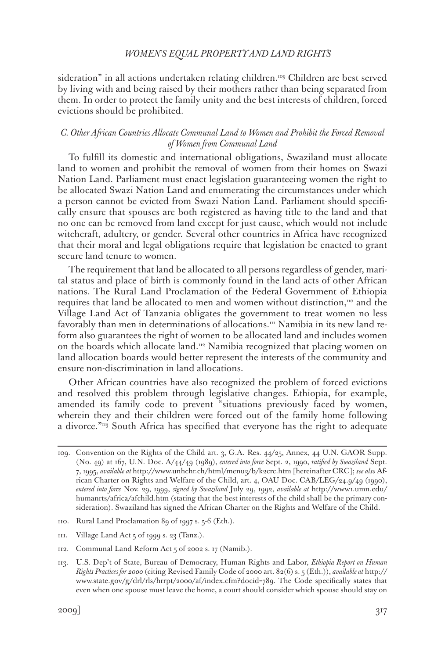sideration" in all actions undertaken relating children.109 Children are best served by living with and being raised by their mothers rather than being separated from them. In order to protect the family unity and the best interests of children, forced evictions should be prohibited.

#### *C. Other African Countries Allocate Communal Land to Women and Prohibit the Forced Removal of Women from Communal Land*

To fulfill its domestic and international obligations, Swaziland must allocate land to women and prohibit the removal of women from their homes on Swazi Nation Land. Parliament must enact legislation guaranteeing women the right to be allocated Swazi Nation Land and enumerating the circumstances under which a person cannot be evicted from Swazi Nation Land. Parliament should specifically ensure that spouses are both registered as having title to the land and that no one can be removed from land except for just cause, which would not include witchcraft, adultery, or gender. Several other countries in Africa have recognized that their moral and legal obligations require that legislation be enacted to grant secure land tenure to women.

The requirement that land be allocated to all persons regardless of gender, marital status and place of birth is commonly found in the land acts of other African nations. The Rural Land Proclamation of the Federal Government of Ethiopia requires that land be allocated to men and women without distinction, $\mu$ <sup>0</sup> and the Village Land Act of Tanzania obligates the government to treat women no less favorably than men in determinations of allocations.<sup>111</sup> Namibia in its new land reform also guarantees the right of women to be allocated land and includes women on the boards which allocate land.112 Namibia recognized that placing women on land allocation boards would better represent the interests of the community and ensure non-discrimination in land allocations.

Other African countries have also recognized the problem of forced evictions and resolved this problem through legislative changes. Ethiopia, for example, amended its family code to prevent "situations previously faced by women, wherein they and their children were forced out of the family home following a divorce."113 South Africa has specified that everyone has the right to adequate

<sup>109.</sup> Convention on the Rights of the Child art. 3, G.A. Res. 44/25, Annex, 44 U.N. GAOR Supp. (No. 49) at 167, U.N. Doc. A/44/49 (1989), *entered into force* Sept. 2, 1990, *ratified by Swaziland* Sept. 7, 1995, *available at* http://www.unhchr.ch/html/menu3/b/k2crc.htm [hereinafter CRC]; *see also* African Charter on Rights and Welfare of the Child, art. 4, OAU Doc. CAB/LEG/24.9/49 (1990), *entered into force* Nov. 29, 1999, *signed by Swaziland* July 29, 1992, *available at* http://www1.umn.edu/ humanrts/africa/afchild.htm (stating that the best interests of the child shall be the primary consideration). Swaziland has signed the African Charter on the Rights and Welfare of the Child.

<sup>110.</sup> Rural Land Proclamation 89 of 1997 s. 5-6 (Eth.).

<sup>111.</sup> Village Land Act 5 of 1999 s. 23 (Tanz.).

<sup>112.</sup> Communal Land Reform Act 5 of 2002 s. 17 (Namib.).

<sup>113.</sup> U.S. Dep't of State, Bureau of Democracy, Human Rights and Labor, *Ethiopia Report on Human Rights Practices for 2000* (citing Revised Family Code of 2000 art. 82(6) s. 5 (Eth.)), *available at* http:// www.state.gov/g/drl/rls/hrrpt/2000/af/index.cfm?docid=789. The Code specifically states that even when one spouse must leave the home, a court should consider which spouse should stay on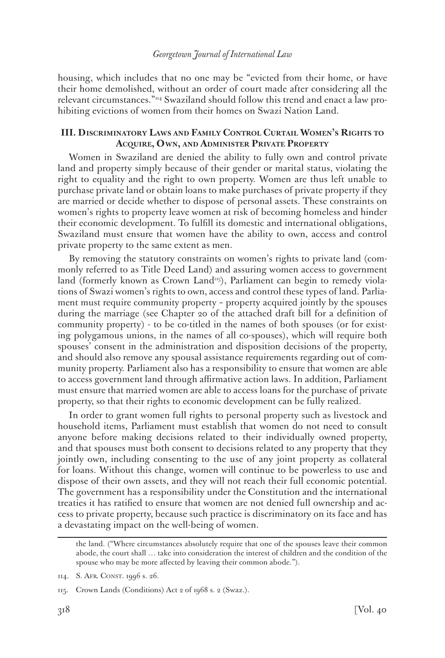housing, which includes that no one may be "evicted from their home, or have their home demolished, without an order of court made after considering all the relevant circumstances."114 Swaziland should follow this trend and enact a law prohibiting evictions of women from their homes on Swazi Nation Land.

### **III. Discriminatory Laws and Family Control Curtail Women's Rights to Acquire, Own, and Administer Private Property**

Women in Swaziland are denied the ability to fully own and control private land and property simply because of their gender or marital status, violating the right to equality and the right to own property. Women are thus left unable to purchase private land or obtain loans to make purchases of private property if they are married or decide whether to dispose of personal assets. These constraints on women's rights to property leave women at risk of becoming homeless and hinder their economic development. To fulfill its domestic and international obligations, Swaziland must ensure that women have the ability to own, access and control private property to the same extent as men.

By removing the statutory constraints on women's rights to private land (commonly referred to as Title Deed Land) and assuring women access to government land (formerly known as Crown Land<sup>115</sup>), Parliament can begin to remedy violations of Swazi women's rights to own, access and control these types of land. Parliament must require community property – property acquired jointly by the spouses during the marriage (see Chapter 20 of the attached draft bill for a definition of community property) - to be co-titled in the names of both spouses (or for existing polygamous unions, in the names of all co-spouses), which will require both spouses' consent in the administration and disposition decisions of the property, and should also remove any spousal assistance requirements regarding out of community property. Parliament also has a responsibility to ensure that women are able to access government land through affirmative action laws. In addition, Parliament must ensure that married women are able to access loans for the purchase of private property, so that their rights to economic development can be fully realized.

In order to grant women full rights to personal property such as livestock and household items, Parliament must establish that women do not need to consult anyone before making decisions related to their individually owned property, and that spouses must both consent to decisions related to any property that they jointly own, including consenting to the use of any joint property as collateral for loans. Without this change, women will continue to be powerless to use and dispose of their own assets, and they will not reach their full economic potential. The government has a responsibility under the Constitution and the international treaties it has ratified to ensure that women are not denied full ownership and access to private property, because such practice is discriminatory on its face and has a devastating impact on the well-being of women.

the land. ("Where circumstances absolutely require that one of the spouses leave their common abode, the court shall … take into consideration the interest of children and the condition of the spouse who may be more affected by leaving their common abode.").

<sup>114.</sup> S. Afr. Const. 1996 s. 26.

<sup>115.</sup> Crown Lands (Conditions) Act 2 of 1968 s. 2 (Swaz.).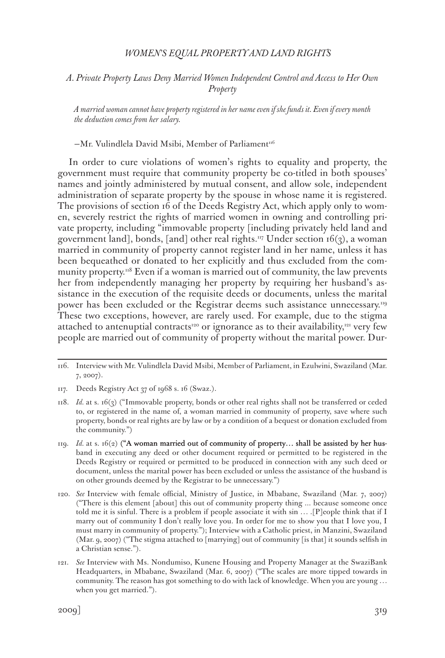*A. Private Property Laws Deny Married Women Independent Control and Access to Her Own Property*

*A married woman cannot have property registered in her name even if she funds it. Even if every month the deduction comes from her salary.*

 $-Mr.$  Vulindlela David Msibi, Member of Parliament<sup>116</sup>

In order to cure violations of women's rights to equality and property, the government must require that community property be co-titled in both spouses' names and jointly administered by mutual consent, and allow sole, independent administration of separate property by the spouse in whose name it is registered. The provisions of section 16 of the Deeds Registry Act, which apply only to women, severely restrict the rights of married women in owning and controlling private property, including "immovable property [including privately held land and government land], bonds, [and] other real rights.<sup>117</sup> Under section 16(3), a woman married in community of property cannot register land in her name, unless it has been bequeathed or donated to her explicitly and thus excluded from the community property.<sup>118</sup> Even if a woman is married out of community, the law prevents her from independently managing her property by requiring her husband's assistance in the execution of the requisite deeds or documents, unless the marital power has been excluded or the Registrar deems such assistance unnecessary.<sup>119</sup> These two exceptions, however, are rarely used. For example, due to the stigma attached to antenuptial contracts<sup>120</sup> or ignorance as to their availability,<sup>121</sup> very few people are married out of community of property without the marital power. Dur-

- 118. *Id.* at s. 16(3) ("Immovable property, bonds or other real rights shall not be transferred or ceded to, or registered in the name of, a woman married in community of property, save where such property, bonds or real rights are by law or by a condition of a bequest or donation excluded from the community.")
- 119. *Id.* at s. 16(2) ("A woman married out of community of property… shall be assisted by her husband in executing any deed or other document required or permitted to be registered in the Deeds Registry or required or permitted to be produced in connection with any such deed or document, unless the marital power has been excluded or unless the assistance of the husband is on other grounds deemed by the Registrar to be unnecessary.")
- 120. *See* Interview with female official, Ministry of Justice, in Mbabane, Swaziland (Mar. 7, 2007) ("There is this element [about] this out of community property thing ... because someone once told me it is sinful. There is a problem if people associate it with sin … .[P]eople think that if I marry out of community I don't really love you. In order for me to show you that I love you, I must marry in community of property."); Interview with a Catholic priest, in Manzini, Swaziland (Mar. 9, 2007) ("The stigma attached to [marrying] out of community [is that] it sounds selfish in a Christian sense.").
- 121. *See* Interview with Ms. Nondumiso, Kunene Housing and Property Manager at the SwaziBank Headquarters, in Mbabane, Swaziland (Mar. 6, 2007) ("The scales are more tipped towards in community. The reason has got something to do with lack of knowledge. When you are young … when you get married.").

<sup>116.</sup> Interview with Mr. Vulindlela David Msibi, Member of Parliament, in Ezulwini, Swaziland (Mar. 7, 2007).

<sup>117.</sup> Deeds Registry Act 37 of 1968 s. 16 (Swaz.).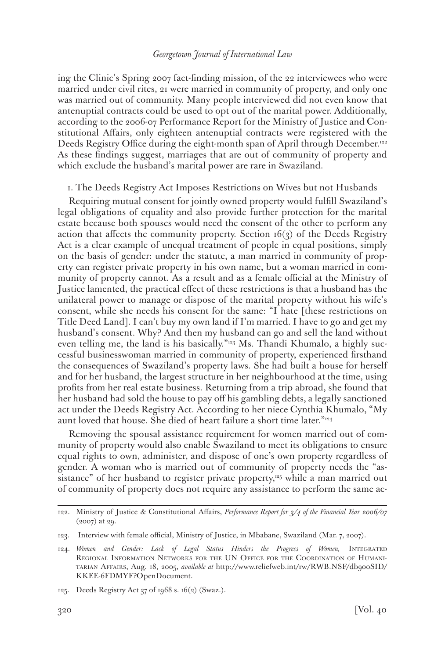ing the Clinic's Spring 2007 fact-finding mission, of the 22 interviewees who were married under civil rites, 21 were married in community of property, and only one was married out of community. Many people interviewed did not even know that antenuptial contracts could be used to opt out of the marital power. Additionally, according to the 2006-07 Performance Report for the Ministry of Justice and Constitutional Affairs, only eighteen antenuptial contracts were registered with the Deeds Registry Office during the eight-month span of April through December.<sup>122</sup> As these findings suggest, marriages that are out of community of property and which exclude the husband's marital power are rare in Swaziland.

1. The Deeds Registry Act Imposes Restrictions on Wives but not Husbands

Requiring mutual consent for jointly owned property would fulfill Swaziland's legal obligations of equality and also provide further protection for the marital estate because both spouses would need the consent of the other to perform any action that affects the community property. Section  $16(3)$  of the Deeds Registry Act is a clear example of unequal treatment of people in equal positions, simply on the basis of gender: under the statute, a man married in community of property can register private property in his own name, but a woman married in community of property cannot. As a result and as a female official at the Ministry of Justice lamented, the practical effect of these restrictions is that a husband has the unilateral power to manage or dispose of the marital property without his wife's consent, while she needs his consent for the same: "I hate [these restrictions on Title Deed Land]. I can't buy my own land if I'm married. I have to go and get my husband's consent. Why? And then my husband can go and sell the land without even telling me, the land is his basically."123 Ms. Thandi Khumalo, a highly successful businesswoman married in community of property, experienced firsthand the consequences of Swaziland's property laws. She had built a house for herself and for her husband, the largest structure in her neighbourhood at the time, using profits from her real estate business. Returning from a trip abroad, she found that her husband had sold the house to pay off his gambling debts, a legally sanctioned act under the Deeds Registry Act. According to her niece Cynthia Khumalo, "My aunt loved that house. She died of heart failure a short time later."<sup>124</sup>

Removing the spousal assistance requirement for women married out of community of property would also enable Swaziland to meet its obligations to ensure equal rights to own, administer, and dispose of one's own property regardless of gender. A woman who is married out of community of property needs the "assistance" of her husband to register private property, $125$  while a man married out of community of property does not require any assistance to perform the same ac-

<sup>122.</sup> Ministry of Justice & Constitutional Affairs, *Performance Report for 3/4 of the Financial Year 2006/07* (2007) at 29.

<sup>123.</sup> Interview with female official, Ministry of Justice, in Mbabane, Swaziland (Mar. 7, 2007).

<sup>124.</sup> Women and Gender: Lack of Legal Status Hinders the Progress of Women, INTEGRATED Regional Information Networks for the UN Office for the Coordination of Humanitarian Affairs, Aug. 18, 2005, *available at* http://www.reliefweb.int/rw/RWB.NSF/db900SID/ KKEE-6FDMYF?OpenDocument.

<sup>125.</sup> Deeds Registry Act 37 of 1968 s. 16(2) (Swaz.).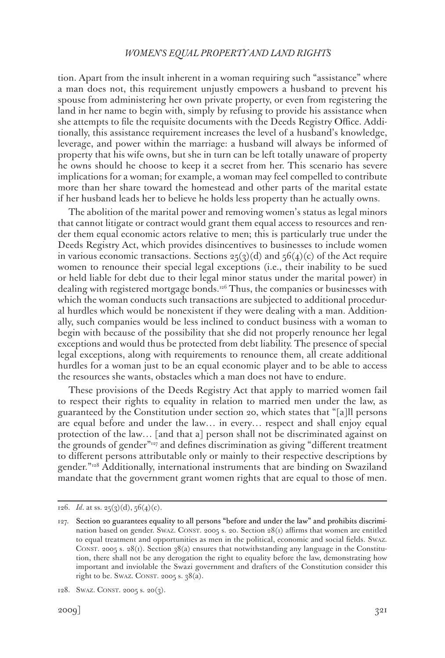tion. Apart from the insult inherent in a woman requiring such "assistance" where a man does not, this requirement unjustly empowers a husband to prevent his spouse from administering her own private property, or even from registering the land in her name to begin with, simply by refusing to provide his assistance when she attempts to file the requisite documents with the Deeds Registry Office. Additionally, this assistance requirement increases the level of a husband's knowledge, leverage, and power within the marriage: a husband will always be informed of property that his wife owns, but she in turn can be left totally unaware of property he owns should he choose to keep it a secret from her. This scenario has severe implications for a woman; for example, a woman may feel compelled to contribute more than her share toward the homestead and other parts of the marital estate if her husband leads her to believe he holds less property than he actually owns.

The abolition of the marital power and removing women's status as legal minors that cannot litigate or contract would grant them equal access to resources and render them equal economic actors relative to men; this is particularly true under the Deeds Registry Act, which provides disincentives to businesses to include women in various economic transactions. Sections  $25(3)(d)$  and  $56(4)(c)$  of the Act require women to renounce their special legal exceptions (i.e., their inability to be sued or held liable for debt due to their legal minor status under the marital power) in dealing with registered mortgage bonds.126 Thus, the companies or businesses with which the woman conducts such transactions are subjected to additional procedural hurdles which would be nonexistent if they were dealing with a man. Additionally, such companies would be less inclined to conduct business with a woman to begin with because of the possibility that she did not properly renounce her legal exceptions and would thus be protected from debt liability. The presence of special legal exceptions, along with requirements to renounce them, all create additional hurdles for a woman just to be an equal economic player and to be able to access the resources she wants, obstacles which a man does not have to endure.

These provisions of the Deeds Registry Act that apply to married women fail to respect their rights to equality in relation to married men under the law, as guaranteed by the Constitution under section 20, which states that "[a]ll persons are equal before and under the law… in every… respect and shall enjoy equal protection of the law… [and that a] person shall not be discriminated against on the grounds of gender"127 and defines discrimination as giving "different treatment to different persons attributable only or mainly to their respective descriptions by gender."<sup>128</sup> Additionally, international instruments that are binding on Swaziland mandate that the government grant women rights that are equal to those of men.

<sup>126.</sup> *Id*. at ss. 25(3)(d), 56(4)(c).

<sup>127.</sup> Section 20 guarantees equality to all persons "before and under the law" and prohibits discrimination based on gender. Swaz. CONST. 2005 s. 20. Section  $28(i)$  affirms that women are entitled to equal treatment and opportunities as men in the political, economic and social fields. Swaz. CONST. 2005 s. 28(1). Section  $38(a)$  ensures that notwithstanding any language in the Constitution, there shall not be any derogation the right to equality before the law, demonstrating how important and inviolable the Swazi government and drafters of the Constitution consider this right to be. Swaz. CONST. 2005 s.  $38(a)$ .

<sup>128.</sup> SWAZ. CONST. 2005 s. 20 $(3)$ .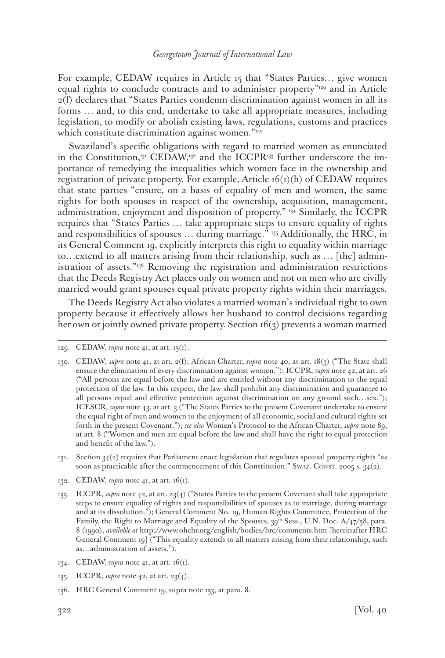For example, CEDAW requires in Article 15 that "States Parties… give women equal rights to conclude contracts and to administer property"129 and in Article 2(f) declares that "States Parties condemn discrimination against women in all its forms … and, to this end, undertake to take all appropriate measures, including legislation, to modify or abolish existing laws, regulations, customs and practices which constitute discrimination against women."<sup>130</sup>

Swaziland's specific obligations with regard to married women as enunciated in the Constitution,<sup>131</sup> CEDAW,<sup>132</sup> and the ICCPR<sup>133</sup> further underscore the importance of remedying the inequalities which women face in the ownership and registration of private property. For example, Article  $16(i)(h)$  of CEDAW requires that state parties "ensure, on a basis of equality of men and women, the same rights for both spouses in respect of the ownership, acquisition, management, administration, enjoyment and disposition of property." 134 Similarly, the ICCPR requires that "States Parties … take appropriate steps to ensure equality of rights and responsibilities of spouses … during marriage." 135 Additionally, the HRC, in its General Comment 19, explicitly interprets this right to equality within marriage to…extend to all matters arising from their relationship, such as … [the] administration of assets."136 Removing the registration and administration restrictions that the Deeds Registry Act places only on women and not on men who are civilly married would grant spouses equal private property rights within their marriages.

The Deeds Registry Act also violates a married woman's individual right to own property because it effectively allows her husband to control decisions regarding her own or jointly owned private property. Section 16(3) prevents a woman married

- 134. CEDAW, *supra* note 41, at art. 16(1).
- 135. ICCPR, *supra* note 42, at art. 23(4).
- 136. HRC General Comment 19, supra note 133, at para. 8.

<sup>129.</sup> CEDAW, *supra* note 41, at art.  $15(1)$ .

<sup>130.</sup> CEDAW, *supra* note 41, at art. 2(f); African Charter, *supra* note 40, at art. 18(3) ("The State shall ensure the elimination of every discrimination against women."); ICCPR, *supra* note 42, at art. 26 ("All persons are equal before the law and are entitled without any discrimination to the equal protection of the law. In this respect, the law shall prohibit any discrimination and guarantee to all persons equal and effective protection against discrimination on any ground such…sex."); ICESCR, *supra* note 43, at art. 3 ("The States Parties to the present Covenant undertake to ensure the equal right of men and women to the enjoyment of all economic, social and cultural rights set forth in the present Covenant."); *see also* Women's Protocol to the African Charter, *supra* note 89, at art. 8 ("Women and men are equal before the law and shall have the right to equal protection and benefit of the law.").

<sup>131.</sup> Section  $34(2)$  requires that Parliament enact legislation that regulates spousal property rights "as soon as practicable after the commencement of this Constitution." Swaz. CONST. 2005 s.  $34(2)$ .

<sup>132.</sup> CEDAW, *supra* note 41, at art. 16(1).

<sup>133.</sup> ICCPR, *supra* note 42, at art. 23(4) ("States Parties to the present Covenant shall take appropriate steps to ensure equality of rights and responsibilities of spouses as to marriage, during marriage and at its dissolution."); General Comment No. 19, Human Rights Committee, Protection of the Family, the Right to Marriage and Equality of the Spouses, 39<sup>th</sup> Sess., U.N. Doc. A/47/38, para. 8 (1990), *available at* http://www.ohchr.org/english/bodies/hrc/comments.htm [hereinafter HRC General Comment 19] ("This equality extends to all matters arising from their relationship, such as…administration of assets.").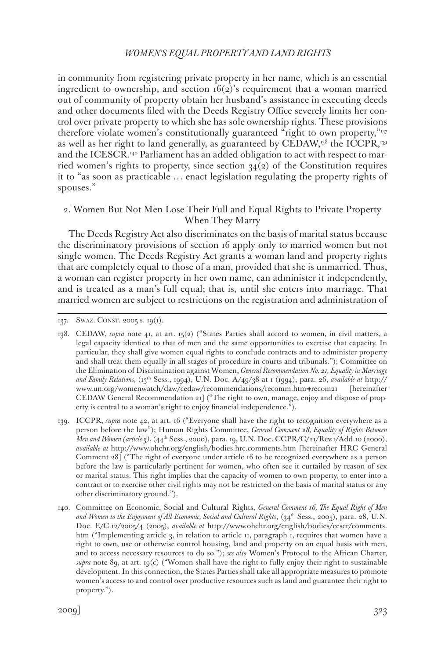in community from registering private property in her name, which is an essential ingredient to ownership, and section  $f_0(z)$ 's requirement that a woman married out of community of property obtain her husband's assistance in executing deeds and other documents filed with the Deeds Registry Office severely limits her control over private property to which she has sole ownership rights. These provisions therefore violate women's constitutionally guaranteed "right to own property,"137 as well as her right to land generally, as guaranteed by CEDAW,<sup>138</sup> the ICCPR,<sup>139</sup> and the ICESCR.140 Parliament has an added obligation to act with respect to married women's rights to property, since section  $34(2)$  of the Constitution requires it to "as soon as practicable … enact legislation regulating the property rights of spouses."

# 2. Women But Not Men Lose Their Full and Equal Rights to Private Property When They Marry

The Deeds Registry Act also discriminates on the basis of marital status because the discriminatory provisions of section 16 apply only to married women but not single women. The Deeds Registry Act grants a woman land and property rights that are completely equal to those of a man, provided that she is unmarried. Thus, a woman can register property in her own name, can administer it independently, and is treated as a man's full equal; that is, until she enters into marriage. That married women are subject to restrictions on the registration and administration of

139. ICCPR, *supra* note 42, at art. 16 ("Everyone shall have the right to recognition everywhere as a person before the law"); Human Rights Committee, *General Comment 28, Equality of Rights Between Men and Women (article 3)*,(44th Sess., 2000), para. 19, U.N. Doc. CCPR/C/21/Rev.1/Add.10 (2000), *available at* http://www.ohchr.org/english/bodies.hrc.comments.htm [hereinafter HRC General Comment 28] ("The right of everyone under article 16 to be recognized everywhere as a person before the law is particularly pertinent for women, who often see it curtailed by reason of sex or marital status. This right implies that the capacity of women to own property, to enter into a contract or to exercise other civil rights may not be restricted on the basis of marital status or any other discriminatory ground.").

140. Committee on Economic, Social and Cultural Rights, *General Comment 16, The Equal Right of Men*  and Women to the Enjoyment of All Economic, Social and Cultural Rights, (34<sup>th</sup> Sess., 2005), para. 28, U.N. Doc. E/C.12/2005/4 (2005), *available at* http://www.ohchr.org/english/bodies/cescr/comments. htm ("Implementing article 3, in relation to article 11, paragraph 1, requires that women have a right to own, use or otherwise control housing, land and property on an equal basis with men, and to access necessary resources to do so."); *see also* Women's Protocol to the African Charter, *supra* note 89, at art. 19(c) ("Women shall have the right to fully enjoy their right to sustainable development. In this connection, the States Parties shall take all appropriate measures to promote women's access to and control over productive resources such as land and guarantee their right to property.").

<sup>137.</sup> SWAZ. CONST. 2005 s. 19(1).

<sup>138.</sup> CEDAW, *supra* note 41, at art. 15(2) ("States Parties shall accord to women, in civil matters, a legal capacity identical to that of men and the same opportunities to exercise that capacity. In particular, they shall give women equal rights to conclude contracts and to administer property and shall treat them equally in all stages of procedure in courts and tribunals."); Committee on the Elimination of Discrimination against Women, *General Recommendation No. 21, Equality in Marriage and Family Relations,* (13th Sess., 1994), U.N. Doc. A/49/38 at 1 (1994), para. 26, *available at* http:// www.un.org/womenwatch/daw/cedaw/recommendations/recomm.htm#recom21 [hereinafter CEDAW General Recommendation 21] ("The right to own, manage, enjoy and dispose of property is central to a woman's right to enjoy financial independence.").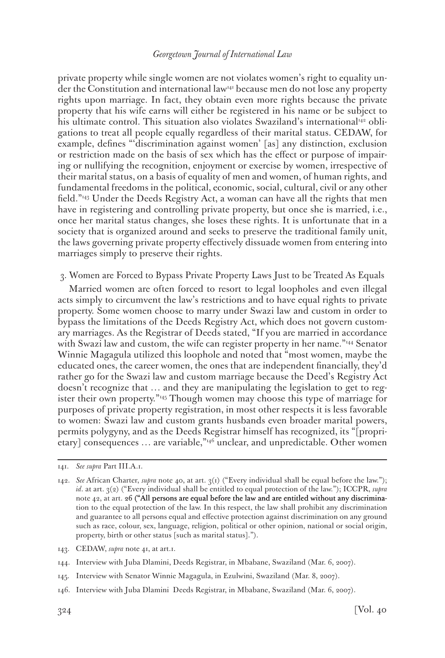private property while single women are not violates women's right to equality under the Constitution and international law141 because men do not lose any property rights upon marriage. In fact, they obtain even more rights because the private property that his wife earns will either be registered in his name or be subject to his ultimate control. This situation also violates Swaziland's international<sup>142</sup> obligations to treat all people equally regardless of their marital status. CEDAW, for example, defines "'discrimination against women' [as] any distinction, exclusion or restriction made on the basis of sex which has the effect or purpose of impairing or nullifying the recognition, enjoyment or exercise by women, irrespective of their marital status, on a basis of equality of men and women, of human rights, and fundamental freedoms in the political, economic, social, cultural, civil or any other field."143 Under the Deeds Registry Act, a woman can have all the rights that men have in registering and controlling private property, but once she is married, i.e., once her marital status changes, she loses these rights. It is unfortunate that in a society that is organized around and seeks to preserve the traditional family unit, the laws governing private property effectively dissuade women from entering into marriages simply to preserve their rights.

#### 3. Women are Forced to Bypass Private Property Laws Just to be Treated As Equals

Married women are often forced to resort to legal loopholes and even illegal acts simply to circumvent the law's restrictions and to have equal rights to private property. Some women choose to marry under Swazi law and custom in order to bypass the limitations of the Deeds Registry Act, which does not govern customary marriages. As the Registrar of Deeds stated, "If you are married in accordance with Swazi law and custom, the wife can register property in her name."<sup>144</sup> Senator Winnie Magagula utilized this loophole and noted that "most women, maybe the educated ones, the career women, the ones that are independent financially, they'd rather go for the Swazi law and custom marriage because the Deed's Registry Act doesn't recognize that … and they are manipulating the legislation to get to register their own property."145 Though women may choose this type of marriage for purposes of private property registration, in most other respects it is less favorable to women: Swazi law and custom grants husbands even broader marital powers, permits polygyny, and as the Deeds Registrar himself has recognized, its "[proprietary] consequences ... are variable,"<sup>146</sup> unclear, and unpredictable. Other women

<sup>141.</sup> *See supra* Part III.A.1.

<sup>142.</sup> *See* African Charter, *supra* note 40, at art. 3(1) ("Every individual shall be equal before the law."); *id*. at art. 3(2) ("Every individual shall be entitled to equal protection of the law."); ICCPR, *supra* note 42, at art. 26 ("All persons are equal before the law and are entitled without any discrimination to the equal protection of the law. In this respect, the law shall prohibit any discrimination and guarantee to all persons equal and effective protection against discrimination on any ground such as race, colour, sex, language, religion, political or other opinion, national or social origin, property, birth or other status [such as marital status].").

<sup>143.</sup> CEDAW, *supra* note 41, at art.1.

<sup>144.</sup> Interview with Juba Dlamini, Deeds Registrar, in Mbabane, Swaziland (Mar. 6, 2007).

<sup>145.</sup> Interview with Senator Winnie Magagula, in Ezulwini, Swaziland (Mar. 8, 2007).

<sup>146.</sup> Interview with Juba Dlamini Deeds Registrar, in Mbabane, Swaziland (Mar. 6, 2007).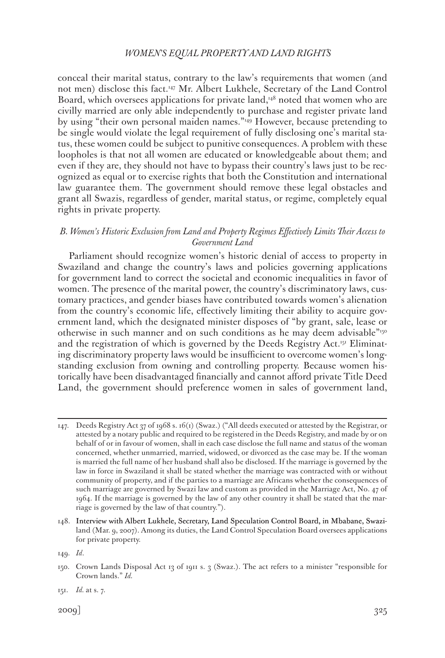conceal their marital status, contrary to the law's requirements that women (and not men) disclose this fact.147 Mr. Albert Lukhele, Secretary of the Land Control Board, which oversees applications for private land, $148$  noted that women who are civilly married are only able independently to purchase and register private land by using "their own personal maiden names."<sup>149</sup> However, because pretending to be single would violate the legal requirement of fully disclosing one's marital status, these women could be subject to punitive consequences. A problem with these loopholes is that not all women are educated or knowledgeable about them; and even if they are, they should not have to bypass their country's laws just to be recognized as equal or to exercise rights that both the Constitution and international law guarantee them. The government should remove these legal obstacles and grant all Swazis, regardless of gender, marital status, or regime, completely equal rights in private property.

# *B. Women's Historic Exclusion from Land and Property Regimes Effectively Limits Their Access to Government Land*

Parliament should recognize women's historic denial of access to property in Swaziland and change the country's laws and policies governing applications for government land to correct the societal and economic inequalities in favor of women. The presence of the marital power, the country's discriminatory laws, customary practices, and gender biases have contributed towards women's alienation from the country's economic life, effectively limiting their ability to acquire government land, which the designated minister disposes of "by grant, sale, lease or otherwise in such manner and on such conditions as he may deem advisable"150 and the registration of which is governed by the Deeds Registry Act.<sup>151</sup> Eliminating discriminatory property laws would be insufficient to overcome women's longstanding exclusion from owning and controlling property. Because women historically have been disadvantaged financially and cannot afford private Title Deed Land, the government should preference women in sales of government land,

<sup>147.</sup> Deeds Registry Act 37 of 1968 s. 16(1) (Swaz.) ("All deeds executed or attested by the Registrar, or attested by a notary public and required to be registered in the Deeds Registry, and made by or on behalf of or in favour of women, shall in each case disclose the full name and status of the woman concerned, whether unmarried, married, widowed, or divorced as the case may be. If the woman is married the full name of her husband shall also be disclosed. If the marriage is governed by the law in force in Swaziland it shall be stated whether the marriage was contracted with or without community of property, and if the parties to a marriage are Africans whether the consequences of such marriage are governed by Swazi law and custom as provided in the Marriage Act, No. 47 of 1964. If the marriage is governed by the law of any other country it shall be stated that the marriage is governed by the law of that country.").

<sup>148.</sup> Interview with Albert Lukhele, Secretary, Land Speculation Control Board, in Mbabane, Swaziland (Mar. 9, 2007). Among its duties, the Land Control Speculation Board oversees applications for private property.

<sup>149.</sup> *Id*.

<sup>150.</sup> Crown Lands Disposal Act 13 of 1911 s. 3 (Swaz.). The act refers to a minister "responsible for Crown lands." *Id.*

<sup>151.</sup> *Id.* at s. 7.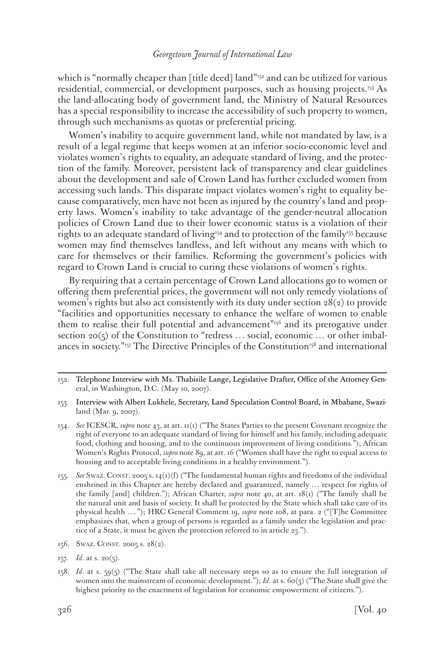which is "normally cheaper than [title deed] land" $52$  and can be utilized for various residential, commercial, or development purposes, such as housing projects.153 As the land-allocating body of government land, the Ministry of Natural Resources has a special responsibility to increase the accessibility of such property to women, through such mechanisms as quotas or preferential pricing.

Women's inability to acquire government land, while not mandated by law, is a result of a legal regime that keeps women at an inferior socio-economic level and violates women's rights to equality, an adequate standard of living, and the protection of the family. Moreover, persistent lack of transparency and clear guidelines about the development and sale of Crown Land has further excluded women from accessing such lands. This disparate impact violates women's right to equality because comparatively, men have not been as injured by the country's land and property laws. Women's inability to take advantage of the gender-neutral allocation policies of Crown Land due to their lower economic status is a violation of their rights to an adequate standard of living<sup>154</sup> and to protection of the family<sup>155</sup> because women may find themselves landless, and left without any means with which to care for themselves or their families. Reforming the government's policies with regard to Crown Land is crucial to curing these violations of women's rights.

By requiring that a certain percentage of Crown Land allocations go to women or offering them preferential prices, the government will not only remedy violations of women's rights but also act consistently with its duty under section  $28(2)$  to provide "facilities and opportunities necessary to enhance the welfare of women to enable them to realise their full potential and advancement<sup> $n_{156}$ </sup> and its prerogative under section 20(5) of the Constitution to "redress  $\ldots$  social, economic  $\ldots$  or other imbalances in society."<sup>157</sup> The Directive Principles of the Constitution<sup>158</sup> and international

- 153. Interview with Albert Lukhele, Secretary, Land Speculation Control Board, in Mbabane, Swaziland (Mar. 9, 2007).
- 154. *See* ICESCR, *supra* note 43, at art. 11(1) ("The States Parties to the present Covenant recognize the right of everyone to an adequate standard of living for himself and his family, including adequate food, clothing and housing, and to the continuous improvement of living conditions."); African Women's Rights Protocol, *supra* note 89, at art. 16 ("Women shall have the right to equal access to housing and to acceptable living conditions in a healthy environment.").
- 155. *See* Swaz. Const. 2005 s. 14(1)(f) ("The fundamental human rights and freedoms of the individual enshrined in this Chapter are hereby declared and guaranteed, namely … respect for rights of the family [and] children."); African Charter, *supra* note 40, at art. 18(1) ("The family shall be the natural unit and basis of society. It shall be protected by the State which shall take care of its physical health …."); HRC General Comment 19, *supra* note 108, at para. 2 ("[T]he Committee emphasizes that, when a group of persons is regarded as a family under the legislation and practice of a State, it must be given the protection referred to in article 23.").
- 156. SWAZ. CONST. 2005 s. 28(2).
- 157. *Id*. at s. 20(5).
- 158. *Id*. at s. 59(5) ("The State shall take all necessary steps so as to ensure the full integration of women into the mainstream of economic development."); *Id.* at s. 60(3) ("The State shall give the highest priority to the enactment of legislation for economic empowerment of citizens.").

<sup>152.</sup> Telephone Interview with Ms. Thabisile Lange, Legislative Drafter, Office of the Attorney General, in Washington, D.C. (May 10, 2007).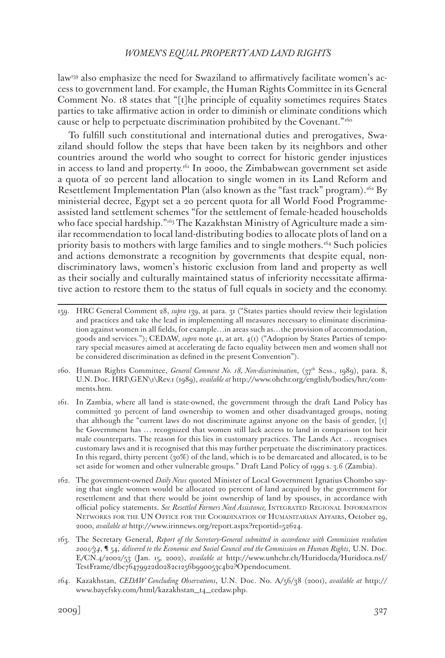law<sup>159</sup> also emphasize the need for Swaziland to affirmatively facilitate women's access to government land. For example, the Human Rights Committee in its General Comment No. 18 states that "[t]he principle of equality sometimes requires States parties to take affirmative action in order to diminish or eliminate conditions which cause or help to perpetuate discrimination prohibited by the Covenant."160

To fulfill such constitutional and international duties and prerogatives, Swaziland should follow the steps that have been taken by its neighbors and other countries around the world who sought to correct for historic gender injustices in access to land and property.161 In 2000, the Zimbabwean government set aside a quota of 20 percent land allocation to single women in its Land Reform and Resettlement Implementation Plan (also known as the "fast track" program).<sup>162</sup> By ministerial decree, Egypt set a 20 percent quota for all World Food Programmeassisted land settlement schemes "for the settlement of female-headed households who face special hardship."<sup>163</sup> The Kazakhstan Ministry of Agriculture made a similar recommendation to local land-distributing bodies to allocate plots of land on a priority basis to mothers with large families and to single mothers.164 Such policies and actions demonstrate a recognition by governments that despite equal, nondiscriminatory laws, women's historic exclusion from land and property as well as their socially and culturally maintained status of inferiority necessitate affirmative action to restore them to the status of full equals in society and the economy.

<sup>159.</sup> HRC General Comment 28, *supra* 139, at para. 31 ("States parties should review their legislation and practices and take the lead in implementing all measures necessary to eliminate discrimination against women in all fields, for example…in areas such as…the provision of accommodation, goods and services."); CEDAW, *supra* note 41, at art. 4(1) ("Adoption by States Parties of temporary special measures aimed at accelerating de facto equality between men and women shall not be considered discrimination as defined in the present Convention").

<sup>160.</sup> Human Rights Committee, *General Comment No. 18, Non-discrimination*, (37th Sess., 1989), para. 8, U.N. Doc. HRI\GEN\1\Rev.1 (1989), *available at* http://www.ohchr.org/english/bodies/hrc/comments.htm.

<sup>161.</sup> In Zambia, where all land is state-owned, the government through the draft Land Policy has committed 30 percent of land ownership to women and other disadvantaged groups, noting that although the "current laws do not discriminate against anyone on the basis of gender, [t] he Government has … recognized that women still lack access to land in comparison tot heir male counterparts. The reason for this lies in customary practices. The Lands Act … recognises customary laws and it is recognised that this may further perpetuate the discriminatory practices. In this regard, thirty percent (30%) of the land, which is to be demarcated and allocated, is to be set aside for women and other vulnerable groups." Draft Land Policy of 1999 s. 3.6 (Zambia).

<sup>162.</sup> The government-owned *Daily News* quoted Minister of Local Government Ignatius Chombo saying that single women would be allocated 20 percent of land acquired by the government for resettlement and that there would be joint ownership of land by spouses, in accordance with official policy statements. *See Resettled Farmers Need Assistance,* Integrated Regional Information Networks for the UN Office for the Coordination of Humanitarian Affairs, October 29, 2000, *available at* http://www.irinnews.org/report.aspx?reportid=52624.

<sup>163.</sup> The Secretary General, *Report of the Secretary-General submitted in accordance with Commission resolution 2001/34*, ¶ 54, *delivered to the Economic and Social Council and the Commission on Human Rights*, U.N. Doc. E/CN.4/2002/53 (Jan. 15, 2002), *available at* http://www.unhchr.ch/Huridocda/Huridoca.nsf/ TestFrame/dbc76479922d0282c1256b990053c4b2?Opendocument.

<sup>164.</sup> Kazakhstan, *CEDAW Concluding Observations*, U.N. Doc. No. A/56/38 (2001), *available at* http:// www.bayefsky.com/html/kazakhstan\_t4\_cedaw.php.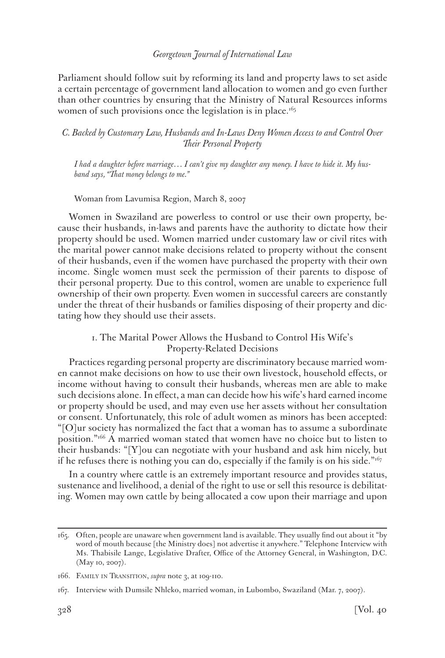Parliament should follow suit by reforming its land and property laws to set aside a certain percentage of government land allocation to women and go even further than other countries by ensuring that the Ministry of Natural Resources informs women of such provisions once the legislation is in place.<sup> $165$ </sup>

## *C. Backed by Customary Law, Husbands and In-Laws Deny Women Access to and Control Over Their Personal Property*

*I had a daughter before marriage… I can't give my daughter any money. I have to hide it. My husband says, "That money belongs to me."*

Woman from Lavumisa Region, March 8, 2007

Women in Swaziland are powerless to control or use their own property, because their husbands, in-laws and parents have the authority to dictate how their property should be used. Women married under customary law or civil rites with the marital power cannot make decisions related to property without the consent of their husbands, even if the women have purchased the property with their own income. Single women must seek the permission of their parents to dispose of their personal property. Due to this control, women are unable to experience full ownership of their own property. Even women in successful careers are constantly under the threat of their husbands or families disposing of their property and dictating how they should use their assets.

# 1. The Marital Power Allows the Husband to Control His Wife's Property-Related Decisions

Practices regarding personal property are discriminatory because married women cannot make decisions on how to use their own livestock, household effects, or income without having to consult their husbands, whereas men are able to make such decisions alone. In effect, a man can decide how his wife's hard earned income or property should be used, and may even use her assets without her consultation or consent. Unfortunately, this role of adult women as minors has been accepted: "[O]ur society has normalized the fact that a woman has to assume a subordinate position."166 A married woman stated that women have no choice but to listen to their husbands: "[Y]ou can negotiate with your husband and ask him nicely, but if he refuses there is nothing you can do, especially if the family is on his side." $167$ 

In a country where cattle is an extremely important resource and provides status, sustenance and livelihood, a denial of the right to use or sell this resource is debilitating. Women may own cattle by being allocated a cow upon their marriage and upon

<sup>165.</sup> Often, people are unaware when government land is available. They usually find out about it "by word of mouth because [the Ministry does] not advertise it anywhere." Telephone Interview with Ms. Thabisile Lange, Legislative Drafter, Office of the Attorney General, in Washington, D.C. (May 10, 2007).

<sup>166.</sup> FAMILY IN TRANSITION, *supra* note 3, at 109-110.

<sup>167.</sup> Interview with Dumsile Nhleko, married woman, in Lubombo, Swaziland (Mar. 7, 2007).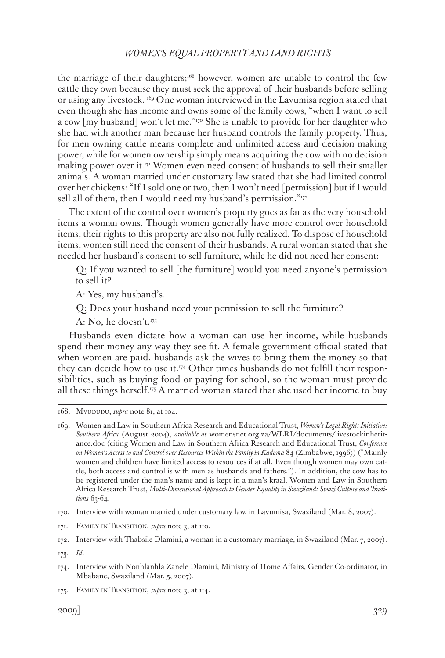the marriage of their daughters;<sup>168</sup> however, women are unable to control the few cattle they own because they must seek the approval of their husbands before selling or using any livestock. 169 One woman interviewed in the Lavumisa region stated that even though she has income and owns some of the family cows, "when I want to sell a cow [my husband] won't let me."170 She is unable to provide for her daughter who she had with another man because her husband controls the family property. Thus, for men owning cattle means complete and unlimited access and decision making power, while for women ownership simply means acquiring the cow with no decision making power over it. $17<sup>T</sup>$  Women even need consent of husbands to sell their smaller animals. A woman married under customary law stated that she had limited control over her chickens: "If I sold one or two, then I won't need [permission] but if I would sell all of them, then I would need my husband's permission."172

The extent of the control over women's property goes as far as the very household items a woman owns. Though women generally have more control over household items, their rights to this property are also not fully realized. To dispose of household items, women still need the consent of their husbands. A rural woman stated that she needed her husband's consent to sell furniture, while he did not need her consent:

Q: If you wanted to sell [the furniture] would you need anyone's permission to sell it?

A: Yes, my husband's.

Q: Does your husband need your permission to sell the furniture?

A: No, he doesn't.173

Husbands even dictate how a woman can use her income, while husbands spend their money any way they see fit. A female government official stated that when women are paid, husbands ask the wives to bring them the money so that they can decide how to use it.<sup>174</sup> Other times husbands do not fulfill their responsibilities, such as buying food or paying for school, so the woman must provide all these things herself.<sup>175</sup> A married woman stated that she used her income to buy

<sup>168.</sup> Mvududu, *supra* note 81, at 104.

<sup>169.</sup> Women and Law in Southern Africa Research and Educational Trust, *Women's Legal Rights Initiative: Southern Africa* (August 2004), *available at* womensnet.org.za/WLRI/documents/livestockinheritance.doc (citing Women and Law in Southern Africa Research and Educational Trust, *Conference on Women's Access to and Control over Resources Within the Family in Kadoma* 84 (Zimbabwe, 1996)) ("Mainly women and children have limited access to resources if at all. Even though women may own cattle, both access and control is with men as husbands and fathers."). In addition, the cow has to be registered under the man's name and is kept in a man's kraal. Women and Law in Southern Africa Research Trust, *Multi-Dimensional Approach to Gender Equality in Swaziland: Swazi Culture and Traditions* 63-64.

<sup>170.</sup> Interview with woman married under customary law, in Lavumisa, Swaziland (Mar. 8, 2007).

<sup>171.</sup> FAMILY IN TRANSITION, *supra* note 3, at 110.

<sup>172.</sup> Interview with Thabsile Dlamini, a woman in a customary marriage, in Swaziland (Mar. 7, 2007).

<sup>173.</sup> *Id*.

<sup>174.</sup> Interview with Nonhlanhla Zanele Dlamini, Ministry of Home Affairs, Gender Co-ordinator, in Mbabane, Swaziland (Mar. 5, 2007).

<sup>175.</sup> FAMILY IN TRANSITION, *supra* note 3, at 114.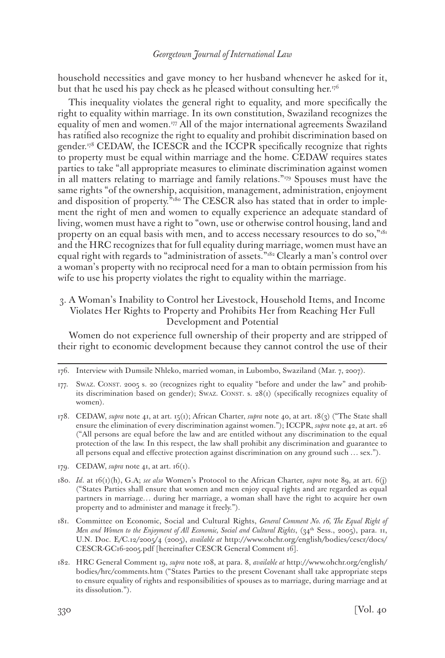household necessities and gave money to her husband whenever he asked for it, but that he used his pay check as he pleased without consulting her.<sup>176</sup>

This inequality violates the general right to equality, and more specifically the right to equality within marriage. In its own constitution, Swaziland recognizes the equality of men and women.177 All of the major international agreements Swaziland has ratified also recognize the right to equality and prohibit discrimination based on gender.<sup>178</sup> CEDAW, the ICESCR and the ICCPR specifically recognize that rights to property must be equal within marriage and the home. CEDAW requires states parties to take "all appropriate measures to eliminate discrimination against women in all matters relating to marriage and family relations."179 Spouses must have the same rights "of the ownership, acquisition, management, administration, enjoyment and disposition of property.<sup>5180</sup> The CESCR also has stated that in order to implement the right of men and women to equally experience an adequate standard of living, women must have a right to "own, use or otherwise control housing, land and property on an equal basis with men, and to access necessary resources to do so,"181 and the HRC recognizes that for full equality during marriage, women must have an equal right with regards to "administration of assets."<sup>182</sup> Clearly a man's control over a woman's property with no reciprocal need for a man to obtain permission from his wife to use his property violates the right to equality within the marriage.

3. A Woman's Inability to Control her Livestock, Household Items, and Income Violates Her Rights to Property and Prohibits Her from Reaching Her Full Development and Potential

Women do not experience full ownership of their property and are stripped of their right to economic development because they cannot control the use of their

- 179. CEDAW, *supra* note 41, at art. 16(1).
- 180. *Id*. at 16(1)(h), G.A; *see also* Women's Protocol to the African Charter, *supra* note 89, at art. 6(j) ("States Parties shall ensure that women and men enjoy equal rights and are regarded as equal partners in marriage… during her marriage, a woman shall have the right to acquire her own property and to administer and manage it freely.").
- 181. Committee on Economic, Social and Cultural Rights, *General Comment No. 16, The Equal Right of Men and Women to the Enjoyment of All Economic, Social and Cultural Rights*, (34<sup>th</sup> Sess., 2005), para. 11, U.N. Doc. E/C.12/2005/4 (2005), *available at* http://www.ohchr.org/english/bodies/cescr/docs/ CESCR-GC16-2005.pdf [hereinafter CESCR General Comment 16].
- 182. HRC General Comment 19, *supra* note 108, at para. 8, *available at* http://www.ohchr.org/english/ bodies/hrc/comments.htm ("States Parties to the present Covenant shall take appropriate steps to ensure equality of rights and responsibilities of spouses as to marriage, during marriage and at its dissolution.").

<sup>176.</sup> Interview with Dumsile Nhleko, married woman, in Lubombo, Swaziland (Mar. 7, 2007).

<sup>177.</sup> SWAZ. CONST. 2005 s. 20 (recognizes right to equality "before and under the law" and prohibits discrimination based on gender); SwAz. CONST. s. 28(1) (specifically recognizes equality of women).

<sup>178.</sup> CEDAW, *supra* note 41, at art. 15(1); African Charter, *supra* note 40, at art. 18(3) ("The State shall ensure the elimination of every discrimination against women."); ICCPR, *supra* note 42, at art. 26 ("All persons are equal before the law and are entitled without any discrimination to the equal protection of the law. In this respect, the law shall prohibit any discrimination and guarantee to all persons equal and effective protection against discrimination on any ground such … sex.").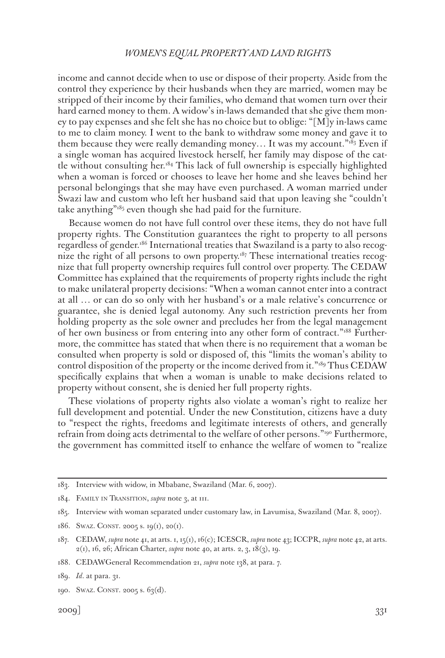income and cannot decide when to use or dispose of their property. Aside from the control they experience by their husbands when they are married, women may be stripped of their income by their families, who demand that women turn over their hard earned money to them. A widow's in-laws demanded that she give them money to pay expenses and she felt she has no choice but to oblige: "[M]y in-laws came to me to claim money. I went to the bank to withdraw some money and gave it to them because they were really demanding money... It was my account." $183$  Even if a single woman has acquired livestock herself, her family may dispose of the cattle without consulting her.184 This lack of full ownership is especially highlighted when a woman is forced or chooses to leave her home and she leaves behind her personal belongings that she may have even purchased. A woman married under Swazi law and custom who left her husband said that upon leaving she "couldn't take anything" $185$  even though she had paid for the furniture.

Because women do not have full control over these items, they do not have full property rights. The Constitution guarantees the right to property to all persons regardless of gender.186 International treaties that Swaziland is a party to also recognize the right of all persons to own property.<sup>187</sup> These international treaties recognize that full property ownership requires full control over property. The CEDAW Committee has explained that the requirements of property rights include the right to make unilateral property decisions: "When a woman cannot enter into a contract at all … or can do so only with her husband's or a male relative's concurrence or guarantee, she is denied legal autonomy. Any such restriction prevents her from holding property as the sole owner and precludes her from the legal management of her own business or from entering into any other form of contract."188 Furthermore, the committee has stated that when there is no requirement that a woman be consulted when property is sold or disposed of, this "limits the woman's ability to control disposition of the property or the income derived from it."189 Thus CEDAW specifically explains that when a woman is unable to make decisions related to property without consent, she is denied her full property rights.

These violations of property rights also violate a woman's right to realize her full development and potential. Under the new Constitution, citizens have a duty to "respect the rights, freedoms and legitimate interests of others, and generally refrain from doing acts detrimental to the welfare of other persons."<sup>190</sup> Furthermore, the government has committed itself to enhance the welfare of women to "realize

<sup>183.</sup> Interview with widow, in Mbabane, Swaziland (Mar. 6, 2007).

<sup>184.</sup> Family in Transition, *supra* note 3, at 111.

<sup>185.</sup> Interview with woman separated under customary law, in Lavumisa, Swaziland (Mar. 8, 2007).

<sup>186.</sup> Swaz. CONST. 2005 s. 19(1), 20(1).

<sup>187.</sup> CEDAW, *supra* note 41, at arts. 1, 15(1), 16(c); ICESCR, *supra* note 43; ICCPR, *supra* note 42, at arts. 2(1), 16, 26; African Charter, *supra* note 40, at arts. 2, 3, 18(3), 19.

<sup>188.</sup> CEDAWGeneral Recommendation 21, *supra* note 138, at para. 7.

<sup>189.</sup> *Id.* at para. 31.

<sup>190.</sup> SWAZ. CONST. 2005 s. 63(d).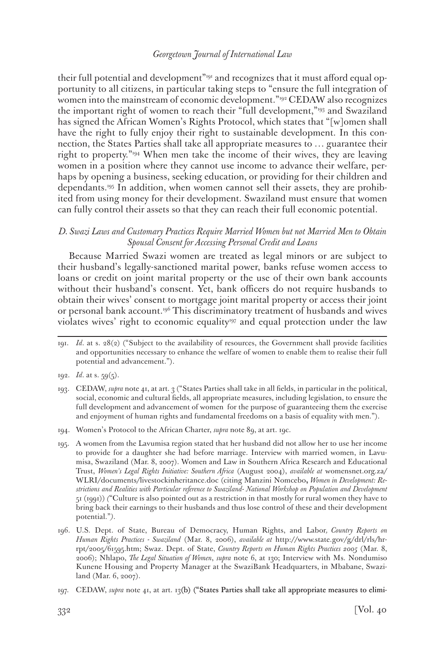their full potential and development"<sup>19191</sup> and recognizes that it must afford equal opportunity to all citizens, in particular taking steps to "ensure the full integration of women into the mainstream of economic development."<sup>192</sup> CEDAW also recognizes the important right of women to reach their "full development,"193 and Swaziland has signed the African Women's Rights Protocol, which states that "[w]omen shall have the right to fully enjoy their right to sustainable development. In this connection, the States Parties shall take all appropriate measures to … guarantee their right to property."194 When men take the income of their wives, they are leaving women in a position where they cannot use income to advance their welfare, perhaps by opening a business, seeking education, or providing for their children and dependants.195 In addition, when women cannot sell their assets, they are prohibited from using money for their development. Swaziland must ensure that women can fully control their assets so that they can reach their full economic potential.

## *D. Swazi Laws and Customary Practices Require Married Women but not Married Men to Obtain Spousal Consent for Accessing Personal Credit and Loans*

Because Married Swazi women are treated as legal minors or are subject to their husband's legally-sanctioned marital power, banks refuse women access to loans or credit on joint marital property or the use of their own bank accounts without their husband's consent. Yet, bank officers do not require husbands to obtain their wives' consent to mortgage joint marital property or access their joint or personal bank account.<sup>196</sup> This discriminatory treatment of husbands and wives violates wives' right to economic equality<sup>197</sup> and equal protection under the law

<sup>191.</sup> *Id*. at s. 28(2) ("Subject to the availability of resources, the Government shall provide facilities and opportunities necessary to enhance the welfare of women to enable them to realise their full potential and advancement.").

<sup>192.</sup> *Id*. at s. 59(5).

<sup>193.</sup> CEDAW, *supra* note 41, at art. 3 ("States Parties shall take in all fields, in particular in the political, social, economic and cultural fields, all appropriate measures, including legislation, to ensure the full development and advancement of women for the purpose of guaranteeing them the exercise and enjoyment of human rights and fundamental freedoms on a basis of equality with men.").

<sup>194.</sup> Women's Protocol to the African Charter, *supra* note 89, at art. 19c.

<sup>195.</sup> A women from the Lavumisa region stated that her husband did not allow her to use her income to provide for a daughter she had before marriage. Interview with married women, in Lavumisa, Swaziland (Mar. 8, 2007). Women and Law in Southern Africa Research and Educational Trust, *Women's Legal Rights Initiative: Southern Africa* (August 2004), *available at* womensnet.org.za/ WLRI/documents/livestockinheritance.doc (citing Manzini Nomcebo**,** *Women in Development: Restrictions and Realities with Particular reference to Swaziland- National Workshop on Population and Development* 51 (1991)) *(*"Culture is also pointed out as a restriction in that mostly for rural women they have to bring back their earnings to their husbands and thus lose control of these and their development potential."*)*.

<sup>196.</sup> U.S. Dept. of State, Bureau of Democracy, Human Rights, and Labor*, Country Reports on Human Rights Practices - Swaziland* (Mar. 8, 2006), *available at* http://www.state.gov/g/drl/rls/hrrpt/2005/61595.htm; Swaz. Dept. of State, *Country Reports on Human Rights Practices 2005* (Mar. 8, 2006); Nhlapo, *The Legal Situation of Women*, *supra* note 6, at 130; Interview with Ms. Nondumiso Kunene Housing and Property Manager at the SwaziBank Headquarters, in Mbabane, Swaziland (Mar. 6, 2007).

<sup>197.</sup> CEDAW, *supra* note 41, at art. 13(b) ("States Parties shall take all appropriate measures to elimi-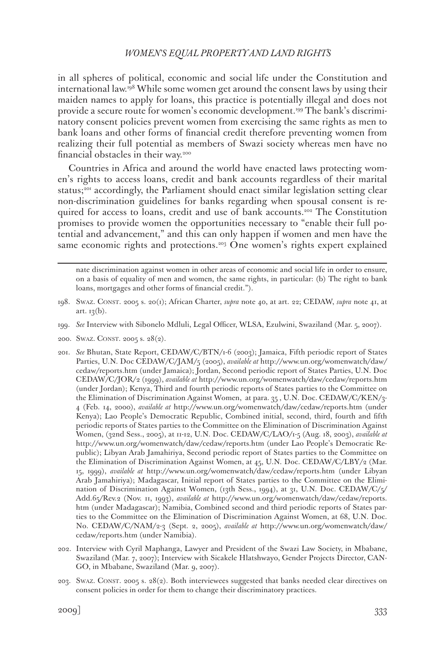in all spheres of political, economic and social life under the Constitution and international law.198 While some women get around the consent laws by using their maiden names to apply for loans, this practice is potentially illegal and does not provide a secure route for women's economic development.199 The bank's discriminatory consent policies prevent women from exercising the same rights as men to bank loans and other forms of financial credit therefore preventing women from realizing their full potential as members of Swazi society whereas men have no financial obstacles in their way.200

Countries in Africa and around the world have enacted laws protecting women's rights to access loans, credit and bank accounts regardless of their marital status;<sup>201</sup> accordingly, the Parliament should enact similar legislation setting clear non-discrimination guidelines for banks regarding when spousal consent is required for access to loans, credit and use of bank accounts.<sup>202</sup> The Constitution promises to provide women the opportunities necessary to "enable their full potential and advancement," and this can only happen if women and men have the same economic rights and protections.<sup>203</sup> One women's rights expert explained

- 199. *See* Interview with Sibonelo Mdluli, Legal Officer, WLSA, Ezulwini, Swaziland (Mar. 5, 2007).
- 200. SWAZ. CONST. 2005 s. 28(2).
- 201. *See* Bhutan, State Report, CEDAW/C/BTN/1-6 (2003); Jamaica, Fifth periodic report of States Parties, U.N. Doc CEDAW/C/JAM/5 (2005), *available at* http://www.un.org/womenwatch/daw/ cedaw/reports.htm (under Jamaica); Jordan, Second periodic report of States Parties, U.N. Doc CEDAW/C/JOR/2 (1999), *available at* http://www.un.org/womenwatch/daw/cedaw/reports.htm (under Jordan); Kenya, Third and fourth periodic reports of States parties to the Committee on the Elimination of Discrimination Against Women, at para. 35 , U.N. Doc. CEDAW/C/KEN/3- 4 (Feb. 14, 2000), *available at* http://www.un.org/womenwatch/daw/cedaw/reports.htm (under Kenya); Lao People's Democratic Republic, Combined initial, second, third, fourth and fifth periodic reports of States parties to the Committee on the Elimination of Discrimination Against Women, (32nd Sess., 2005), at 11-12, U.N. Doc. CEDAW/C/LAO/1-5 (Aug. 18, 2003), *available at*  http://www.un.org/womenwatch/daw/cedaw/reports.htm (under Lao People's Democratic Republic); Libyan Arab Jamahiriya, Second periodic report of States parties to the Committee on the Elimination of Discrimination Against Women, at 45, U.N. Doc. CEDAW/C/LBY/2 (Mar. 15, 1999), *available at* http://www.un.org/womenwatch/daw/cedaw/reports.htm (under Libyan Arab Jamahiriya); Madagascar, Initial report of States parties to the Committee on the Elimination of Discrimination Against Women, (13th Sess., 1994), at 31, U.N. Doc. CEDAW/C/5/ Add.65/Rev.2 (Nov. 11, 1993), *available at* http://www.un.org/womenwatch/daw/cedaw/reports. htm (under Madagascar); Namibia, Combined second and third periodic reports of States parties to the Committee on the Elimination of Discrimination Against Women, at 68, U.N. Doc. No. CEDAW/C/NAM/2-3 (Sept. 2, 2005), *available at* http://www.un.org/womenwatch/daw/ cedaw/reports.htm (under Namibia).
- 202. Interview with Cyril Maphanga, Lawyer and President of the Swazi Law Society, in Mbabane, Swaziland (Mar. 7, 2007); Interview with Sicakele Hlatshwayo, Gender Projects Director, CAN-GO, in Mbabane, Swaziland (Mar. 9, 2007).
- 203. Swaz. Const. 2005 s. 28(2). Both interviewees suggested that banks needed clear directives on consent policies in order for them to change their discriminatory practices.

nate discrimination against women in other areas of economic and social life in order to ensure, on a basis of equality of men and women, the same rights, in particular: (b) The right to bank loans, mortgages and other forms of financial credit.").

<sup>198.</sup> Swaz. Const. 2005 s. 20(1); African Charter, *supra* note 40, at art. 22; CEDAW, *supra* note 41, at art.  $13(b)$ .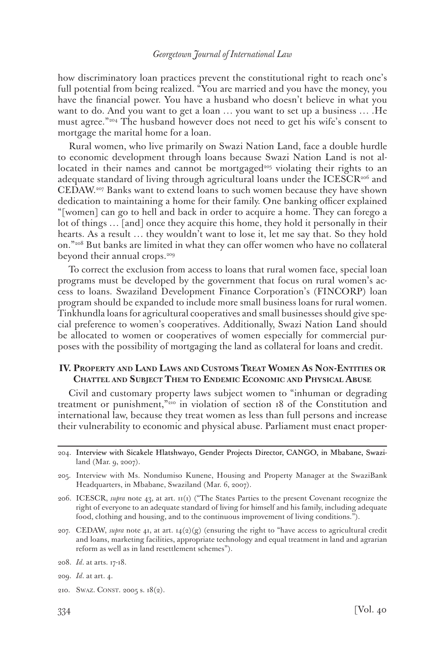how discriminatory loan practices prevent the constitutional right to reach one's full potential from being realized. "You are married and you have the money, you have the financial power. You have a husband who doesn't believe in what you want to do. And you want to get a loan … you want to set up a business … .He must agree."204 The husband however does not need to get his wife's consent to mortgage the marital home for a loan.

Rural women, who live primarily on Swazi Nation Land, face a double hurdle to economic development through loans because Swazi Nation Land is not allocated in their names and cannot be mortgaged<sup>205</sup> violating their rights to an adequate standard of living through agricultural loans under the  $ICESCR<sub>206</sub>$  and CEDAW.207 Banks want to extend loans to such women because they have shown dedication to maintaining a home for their family. One banking officer explained "[women] can go to hell and back in order to acquire a home. They can forego a lot of things … [and] once they acquire this home, they hold it personally in their hearts. As a result … they wouldn't want to lose it, let me say that. So they hold on."208 But banks are limited in what they can offer women who have no collateral beyond their annual crops.<sup>209</sup>

To correct the exclusion from access to loans that rural women face, special loan programs must be developed by the government that focus on rural women's access to loans. Swaziland Development Finance Corporation's (FINCORP) loan program should be expanded to include more small business loans for rural women. Tinkhundla loans for agricultural cooperatives and small businesses should give special preference to women's cooperatives. Additionally, Swazi Nation Land should be allocated to women or cooperatives of women especially for commercial purposes with the possibility of mortgaging the land as collateral for loans and credit.

# **IV. Property and Land Laws and Customs Treat Women As Non-Entities or Chattel and Subject Them to Endemic Economic and Physical Abuse**

Civil and customary property laws subject women to "inhuman or degrading treatment or punishment,"210 in violation of section 18 of the Constitution and international law, because they treat women as less than full persons and increase their vulnerability to economic and physical abuse. Parliament must enact proper-

- 204. Interview with Sicakele Hlatshwayo, Gender Projects Director, CANGO, in Mbabane, Swaziland (Mar. 9, 2007).
- 205. Interview with Ms. Nondumiso Kunene, Housing and Property Manager at the SwaziBank Headquarters, in Mbabane, Swaziland (Mar. 6, 2007).
- 206. ICESCR, *supra* note 43, at art. 11(1) ("The States Parties to the present Covenant recognize the right of everyone to an adequate standard of living for himself and his family, including adequate food, clothing and housing, and to the continuous improvement of living conditions.").
- 207. CEDAW, *supra* note 41, at art. 14(2)(g) (ensuring the right to "have access to agricultural credit and loans, marketing facilities, appropriate technology and equal treatment in land and agrarian reform as well as in land resettlement schemes").
- 208. *Id*. at arts. 17-18.
- 209. *Id*. at art. 4.
- 210. SWAZ. CONST. 2005 s. 18(2).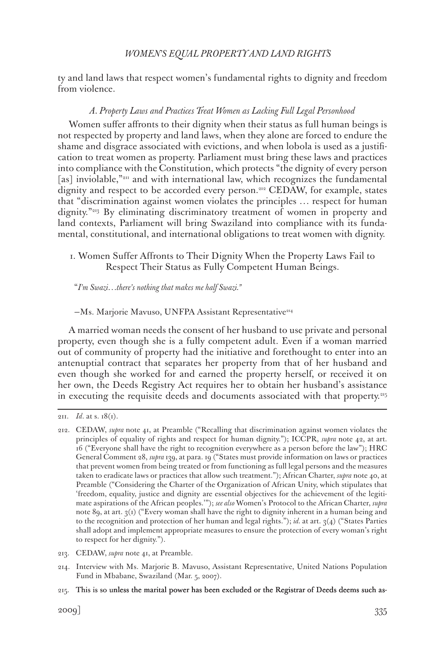ty and land laws that respect women's fundamental rights to dignity and freedom from violence.

## *A. Property Laws and Practices Treat Women as Lacking Full Legal Personhood*

Women suffer affronts to their dignity when their status as full human beings is not respected by property and land laws, when they alone are forced to endure the shame and disgrace associated with evictions, and when lobola is used as a justification to treat women as property. Parliament must bring these laws and practices into compliance with the Constitution, which protects "the dignity of every person [as] inviolable,"<sup>211</sup> and with international law, which recognizes the fundamental dignity and respect to be accorded every person.212 CEDAW, for example, states that "discrimination against women violates the principles … respect for human dignity."213 By eliminating discriminatory treatment of women in property and land contexts, Parliament will bring Swaziland into compliance with its fundamental, constitutional, and international obligations to treat women with dignity.

1. Women Suffer Affronts to Their Dignity When the Property Laws Fail to Respect Their Status as Fully Competent Human Beings.

"*I'm Swazi…there's nothing that makes me half Swazi."*

-Ms. Marjorie Mavuso, UNFPA Assistant Representative<sup>214</sup>

A married woman needs the consent of her husband to use private and personal property, even though she is a fully competent adult. Even if a woman married out of community of property had the initiative and forethought to enter into an antenuptial contract that separates her property from that of her husband and even though she worked for and earned the property herself, or received it on her own, the Deeds Registry Act requires her to obtain her husband's assistance in executing the requisite deeds and documents associated with that property.215

<sup>211.</sup> *Id*. at s. 18(1).

<sup>212.</sup> CEDAW, *supra* note 41, at Preamble ("Recalling that discrimination against women violates the principles of equality of rights and respect for human dignity."); ICCPR, *supra* note 42, at art. 16 ("Everyone shall have the right to recognition everywhere as a person before the law"); HRC General Comment 28, *supra* 139, at para. 19 ("States must provide information on laws or practices that prevent women from being treated or from functioning as full legal persons and the measures taken to eradicate laws or practices that allow such treatment."); African Charter, *supra* note 40, at Preamble ("Considering the Charter of the Organization of African Unity, which stipulates that 'freedom, equality, justice and dignity are essential objectives for the achievement of the legitimate aspirations of the African peoples.'"); *see also* Women's Protocol to the African Charter, *supra* note 89, at art. 3(1) ("Every woman shall have the right to dignity inherent in a human being and to the recognition and protection of her human and legal rights."); *id.* at art.  $3(4)$  ("States Parties") shall adopt and implement appropriate measures to ensure the protection of every woman's right to respect for her dignity.").

<sup>213.</sup> CEDAW, *supra* note 41, at Preamble.

<sup>214.</sup> Interview with Ms. Marjorie B. Mavuso, Assistant Representative, United Nations Population Fund in Mbabane, Swaziland (Mar. 5, 2007).

<sup>215.</sup> This is so unless the marital power has been excluded or the Registrar of Deeds deems such as-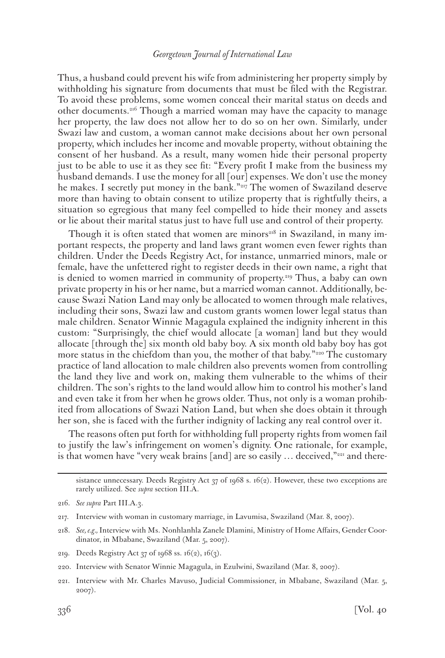Thus, a husband could prevent his wife from administering her property simply by withholding his signature from documents that must be filed with the Registrar. To avoid these problems, some women conceal their marital status on deeds and other documents.216 Though a married woman may have the capacity to manage her property, the law does not allow her to do so on her own. Similarly, under Swazi law and custom, a woman cannot make decisions about her own personal property, which includes her income and movable property, without obtaining the consent of her husband. As a result, many women hide their personal property just to be able to use it as they see fit: "Every profit I make from the business my husband demands. I use the money for all [our] expenses. We don't use the money he makes. I secretly put money in the bank."217 The women of Swaziland deserve more than having to obtain consent to utilize property that is rightfully theirs, a situation so egregious that many feel compelled to hide their money and assets or lie about their marital status just to have full use and control of their property.

Though it is often stated that women are minors<sup>218</sup> in Swaziland, in many important respects, the property and land laws grant women even fewer rights than children. Under the Deeds Registry Act, for instance, unmarried minors, male or female, have the unfettered right to register deeds in their own name, a right that is denied to women married in community of property.219 Thus, a baby can own private property in his or her name, but a married woman cannot. Additionally, because Swazi Nation Land may only be allocated to women through male relatives, including their sons, Swazi law and custom grants women lower legal status than male children. Senator Winnie Magagula explained the indignity inherent in this custom: "Surprisingly, the chief would allocate [a woman] land but they would allocate [through the] six month old baby boy. A six month old baby boy has got more status in the chiefdom than you, the mother of that baby."<sup>220</sup> The customary practice of land allocation to male children also prevents women from controlling the land they live and work on, making them vulnerable to the whims of their children. The son's rights to the land would allow him to control his mother's land and even take it from her when he grows older. Thus, not only is a woman prohibited from allocations of Swazi Nation Land, but when she does obtain it through her son, she is faced with the further indignity of lacking any real control over it.

The reasons often put forth for withholding full property rights from women fail to justify the law's infringement on women's dignity. One rationale, for example, is that women have "very weak brains [and] are so easily  $\ldots$  deceived,"<sup>221</sup> and there-

sistance unnecessary. Deeds Registry Act 37 of 1968 s. 16(2). However, these two exceptions are rarely utilized. See *supra* section III.A.

217. Interview with woman in customary marriage, in Lavumisa, Swaziland (Mar. 8, 2007).

220. Interview with Senator Winnie Magagula, in Ezulwini, Swaziland (Mar. 8, 2007).

<sup>216.</sup> *See supra* Part III.A.3.

<sup>218.</sup> *See, e.g.,* Interview with Ms. Nonhlanhla Zanele Dlamini, Ministry of Home Affairs, Gender Coordinator, in Mbabane, Swaziland (Mar. 5, 2007).

<sup>219.</sup> Deeds Registry Act 37 of 1968 ss. 16(2), 16(3).

<sup>221.</sup> Interview with Mr. Charles Mavuso, Judicial Commissioner, in Mbabane, Swaziland (Mar. 5, 2007).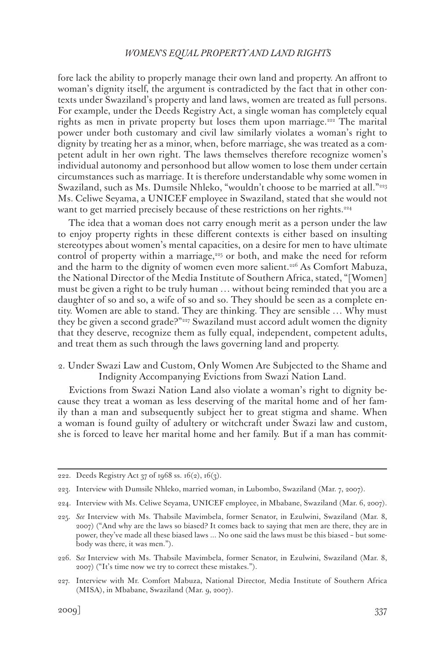fore lack the ability to properly manage their own land and property. An affront to woman's dignity itself, the argument is contradicted by the fact that in other contexts under Swaziland's property and land laws, women are treated as full persons. For example, under the Deeds Registry Act, a single woman has completely equal rights as men in private property but loses them upon marriage.<sup>222</sup> The marital power under both customary and civil law similarly violates a woman's right to dignity by treating her as a minor, when, before marriage, she was treated as a competent adult in her own right. The laws themselves therefore recognize women's individual autonomy and personhood but allow women to lose them under certain circumstances such as marriage. It is therefore understandable why some women in Swaziland, such as Ms. Dumsile Nhleko, "wouldn't choose to be married at all."223 Ms. Celiwe Seyama, a UNICEF employee in Swaziland, stated that she would not want to get married precisely because of these restrictions on her rights.<sup>224</sup>

The idea that a woman does not carry enough merit as a person under the law to enjoy property rights in these different contexts is either based on insulting stereotypes about women's mental capacities, on a desire for men to have ultimate control of property within a marriage, $225$  or both, and make the need for reform and the harm to the dignity of women even more salient.<sup>226</sup> As Comfort Mabuza, the National Director of the Media Institute of Southern Africa, stated, "[Women] must be given a right to be truly human … without being reminded that you are a daughter of so and so, a wife of so and so. They should be seen as a complete entity. Women are able to stand. They are thinking. They are sensible … Why must they be given a second grade?"227 Swaziland must accord adult women the dignity that they deserve, recognize them as fully equal, independent, competent adults, and treat them as such through the laws governing land and property.

2. Under Swazi Law and Custom, Only Women Are Subjected to the Shame and Indignity Accompanying Evictions from Swazi Nation Land.

Evictions from Swazi Nation Land also violate a woman's right to dignity because they treat a woman as less deserving of the marital home and of her family than a man and subsequently subject her to great stigma and shame. When a woman is found guilty of adultery or witchcraft under Swazi law and custom, she is forced to leave her marital home and her family. But if a man has commit-

224. Interview with Ms. Celiwe Seyama, UNICEF employee, in Mbabane, Swaziland (Mar. 6, 2007).

227. Interview with Mr. Comfort Mabuza, National Director, Media Institute of Southern Africa (MISA), in Mbabane, Swaziland (Mar. 9, 2007).

<sup>222.</sup> Deeds Registry Act 37 of 1968 ss. 16(2), 16(3).

<sup>223.</sup> Interview with Dumsile Nhleko, married woman, in Lubombo, Swaziland (Mar. 7, 2007).

<sup>225.</sup> *See* Interview with Ms. Thabsile Mavimbela, former Senator, in Ezulwini, Swaziland (Mar. 8, 2007) ("And why are the laws so biased? It comes back to saying that men are there, they are in power, they've made all these biased laws ... No one said the laws must be this biased – but somebody was there, it was men.").

<sup>226.</sup> S*ee* Interview with Ms. Thabsile Mavimbela, former Senator, in Ezulwini, Swaziland (Mar. 8, 2007) ("It's time now we try to correct these mistakes.").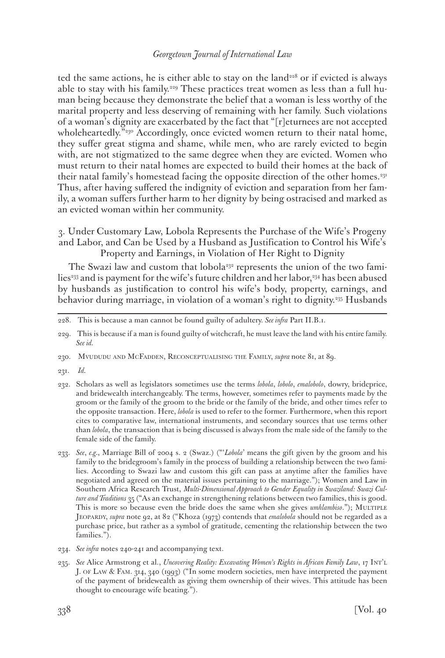ted the same actions, he is either able to stay on the land<sup>228</sup> or if evicted is always able to stay with his family.<sup>229</sup> These practices treat women as less than a full human being because they demonstrate the belief that a woman is less worthy of the marital property and less deserving of remaining with her family. Such violations of a woman's dignity are exacerbated by the fact that "[r]eturnees are not accepted wholeheartedly."<sup>230</sup> Accordingly, once evicted women return to their natal home, they suffer great stigma and shame, while men, who are rarely evicted to begin with, are not stigmatized to the same degree when they are evicted. Women who must return to their natal homes are expected to build their homes at the back of their natal family's homestead facing the opposite direction of the other homes.<sup>231</sup> Thus, after having suffered the indignity of eviction and separation from her family, a woman suffers further harm to her dignity by being ostracised and marked as an evicted woman within her community.

3. Under Customary Law, Lobola Represents the Purchase of the Wife's Progeny and Labor, and Can be Used by a Husband as Justification to Control his Wife's Property and Earnings, in Violation of Her Right to Dignity

The Swazi law and custom that lobola<sup>232</sup> represents the union of the two families<sup>233</sup> and is payment for the wife's future children and her labor,<sup>234</sup> has been abused by husbands as justification to control his wife's body, property, earnings, and behavior during marriage, in violation of a woman's right to dignity.235 Husbands

- 232. Scholars as well as legislators sometimes use the terms *lobola*, *lobolo*, *emalobolo*, dowry, brideprice, and bridewealth interchangeably. The terms, however, sometimes refer to payments made by the groom or the family of the groom to the bride or the family of the bride, and other times refer to the opposite transaction. Here, *lobola* is used to refer to the former. Furthermore, when this report cites to comparative law, international instruments, and secondary sources that use terms other than *lobola*, the transaction that is being discussed is always from the male side of the family to the female side of the family.
- 233. *See*, *e.g.*, Marriage Bill of 2004 s. 2 (Swaz.) ("'*Lobola*' means the gift given by the groom and his family to the bridegroom's family in the process of building a relationship between the two families. According to Swazi law and custom this gift can pass at anytime after the families have negotiated and agreed on the material issues pertaining to the marriage."); Women and Law in Southern Africa Research Trust, *Multi-Dimensional Approach to Gender Equality in Swaziland: Swazi Culture and Traditions* 35 ("As an exchange in strengthening relations between two families, this is good. This is more so because even the bride does the same when she gives *umhlambiso*."); MULTIPLE Jeopardy, *supra* note 92, at 82 ("Khoza (1973) contends that *emalobola* should not be regarded as a purchase price, but rather as a symbol of gratitude, cementing the relationship between the two families.").
- 234. *See infra* notes 240-241 and accompanying text.
- 235. *See* Alice Armstrong et al., *Uncovering Reality: Excavating Women's Rights in African Family Law*, 17 Int'l J. of Law & Fam. 314, 340 (1993) ("In some modern societies, men have interpreted the payment of the payment of bridewealth as giving them ownership of their wives. This attitude has been thought to encourage wife beating.").

<sup>228.</sup> This is because a man cannot be found guilty of adultery. *See infra* Part II.B.1.

<sup>229.</sup> This is because if a man is found guilty of witchcraft, he must leave the land with his entire family. *See id.*

<sup>230.</sup> Mvududu and McFadden, Reconceptualising the Family, *supra* note 81, at 89.

<sup>231.</sup> *Id.*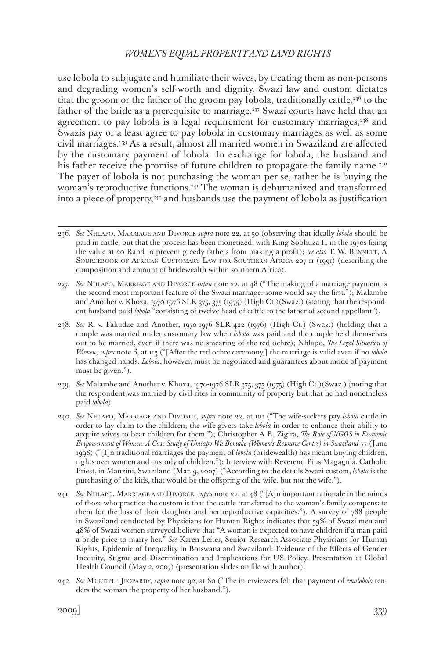use lobola to subjugate and humiliate their wives, by treating them as non-persons and degrading women's self-worth and dignity. Swazi law and custom dictates that the groom or the father of the groom pay lobola, traditionally cattle, $236$  to the father of the bride as a prerequisite to marriage.237 Swazi courts have held that an agreement to pay lobola is a legal requirement for customary marriages, $338$  and Swazis pay or a least agree to pay lobola in customary marriages as well as some civil marriages.239 As a result, almost all married women in Swaziland are affected by the customary payment of lobola. In exchange for lobola, the husband and his father receive the promise of future children to propagate the family name.<sup>240</sup> The payer of lobola is not purchasing the woman per se, rather he is buying the woman's reproductive functions.241 The woman is dehumanized and transformed into a piece of property, $342$  and husbands use the payment of lobola as justification

237. *See* Nhlapo, Marriage and Divorce *supra* note 22, at 48 ("The making of a marriage payment is the second most important feature of the Swazi marriage: some would say the first."); Malambe and Another v. Khoza, 1970-1976 SLR 375, 375 (1975) (High Ct.)(Swaz.) (stating that the respondent husband paid *lobola* "consisting of twelve head of cattle to the father of second appellant").

238. *See* R. v. Fakudze and Another, 1970-1976 SLR 422 (1976) (High Ct.) (Swaz.) (holding that a couple was married under customary law when *lobola* was paid and the couple held themselves out to be married, even if there was no smearing of the red ochre); Nhlapo, *The Legal Situation of Women*, *supra* note 6, at 113 ("[After the red ochre ceremony,] the marriage is valid even if no *lobola* has changed hands. *Lobola*, however, must be negotiated and guarantees about mode of payment must be given.").

239. *See* Malambe and Another v. Khoza, 1970-1976 SLR 375, 375 (1975) (High Ct.)(Swaz.) (noting that the respondent was married by civil rites in community of property but that he had nonetheless paid *lobola*).

240. *See* Nhlapo, Marriage and Divorce, *supra* note 22, at 101 ("The wife-seekers pay *lobola* cattle in order to lay claim to the children; the wife-givers take *lobola* in order to enhance their ability to acquire wives to bear children for them."); Christopher A.B. Zigira, *The Role of NGOS in Economic Empowerment of Women: A Case Study of Umtapo Wa Bomake (Women's Resource Centre) in Swaziland* 77 (June 1998) ("[I]n traditional marriages the payment of *lobola* (bridewealth) has meant buying children, rights over women and custody of children."); Interview with Reverend Pius Magagula, Catholic Priest, in Manzini, Swaziland (Mar. 9, 2007) ("According to the details Swazi custom, *lobola* is the purchasing of the kids, that would be the offspring of the wife, but not the wife.").

241. *See* Nhlapo, Marriage and Divorce, *supra* note 22, at 48 ("[A]n important rationale in the minds of those who practice the custom is that the cattle transferred to the woman's family compensate them for the loss of their daughter and her reproductive capacities."). A survey of 788 people in Swaziland conducted by Physicians for Human Rights indicates that 59% of Swazi men and 48% of Swazi women surveyed believe that "A woman is expected to have children if a man paid a bride price to marry her." *See* Karen Leiter, Senior Research Associate Physicians for Human Rights, Epidemic of Inequality in Botswana and Swaziland: Evidence of the Effects of Gender Inequity, Stigma and Discrimination and Implications for US Policy, Presentation at Global Health Council (May 2, 2007) (presentation slides on file with author).

242. *See* Multiple Jeopardy, *supra* note 92, at 80 ("The interviewees felt that payment of *emalobolo* renders the woman the property of her husband.").

<sup>236.</sup> *See* Nhlapo, Marriage and Divorce *supra* note 22, at 50 (observing that ideally *lobola* should be paid in cattle, but that the process has been monetized, with King Sobhuza II in the 1970s fixing the value at 20 Rand to prevent greedy fathers from making a profit); *see also* T. W. Bennett, A Sourcebook of African Customary Law for Southern Africa 207-11 (1991) (describing the composition and amount of bridewealth within southern Africa).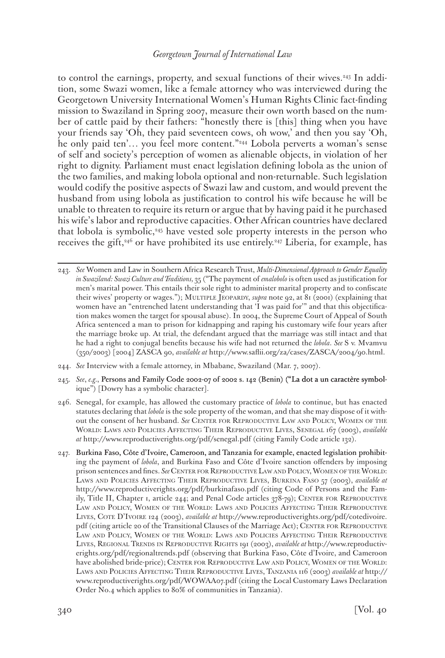to control the earnings, property, and sexual functions of their wives.243 In addition, some Swazi women, like a female attorney who was interviewed during the Georgetown University International Women's Human Rights Clinic fact-finding mission to Swaziland in Spring 2007, measure their own worth based on the number of cattle paid by their fathers: "honestly there is [this] thing when you have your friends say 'Oh, they paid seventeen cows, oh wow,' and then you say 'Oh, he only paid ten'... you feel more content."<sup>244</sup> Lobola perverts a woman's sense of self and society's perception of women as alienable objects, in violation of her right to dignity. Parliament must enact legislation defining lobola as the union of the two families, and making lobola optional and non-returnable. Such legislation would codify the positive aspects of Swazi law and custom, and would prevent the husband from using lobola as justification to control his wife because he will be unable to threaten to require its return or argue that by having paid it he purchased his wife's labor and reproductive capacities. Other African countries have declared that lobola is symbolic,245 have vested sole property interests in the person who receives the gift,<sup>246</sup> or have prohibited its use entirely.<sup>247</sup> Liberia, for example, has

- 244. *See* Interview with a female attorney, in Mbabane, Swaziland (Mar. 7, 2007).
- 245. See, e.g., Persons and Family Code 2002-07 of 2002 s. 142 (Benin) ("La dot a un caractère symbolique") [Dowry has a symbolic character].
- 246. Senegal, for example, has allowed the customary practice of *lobola* to continue, but has enacted statutes declaring that *lobola* is the sole property of the woman, and that she may dispose of it without the consent of her husband. *See* Center for Reproductive Law and Policy, Women of the World: Laws and Policies Affecting Their Reproductive Lives, Senegal 167 (2003), *available at* http://www.reproductiverights.org/pdf/senegal.pdf (citing Family Code article 132).
- 247. Burkina Faso, C�te d'Ivoire, Cameroon, and Tanzania for example, enacted legislation prohibiting the payment of *lobola*, and Burkina Faso and Côte d'Ivoire sanction offenders by imposing prison sentences and fines. *See* CENTER FOR REPRODUCTIVE LAW AND POLICY, WOMEN OF THE WORLD: Laws and Policies Affecting Their Reproductive Lives, Burkina Faso 57 (2003), *available at* http://www.reproductiverights.org/pdf/burkinafaso.pdf (citing Code of Persons and the Family, Title II, Chapter 1, article 244; and Penal Code articles 378-79); CENTER FOR REPRODUCTIVE Law and Policy, Women of the World: Laws and Policies Affecting Their Reproductive Lives, Cote D'Ivoire 124 (2003), *available at* http://www.reproductiverights.org/pdf/cotedivoire. pdf (citing article 20 of the Transitional Clauses of the Marriage Act); CENTER FOR REPRODUCTIVE Law and Policy, Women of the World: Laws and Policies Affecting Their Reproductive Lives, Regional Trends in Reproductive Rights 191 (2003), *available at* http://www.reproductiverights.org/pdf/regionaltrends.pdf (observing that Burkina Faso, Côte d'Ivoire, and Cameroon have abolished bride-price); CENTER FOR REPRODUCTIVE LAW AND POLICY, WOMEN OF THE WORLD: Laws and Policies Affecting Their Reproductive Lives, Tanzania 116 (2003) *available at* http:// www.reproductiverights.org/pdf/WOWAA07.pdf (citing the Local Customary Laws Declaration Order No.4 which applies to 80% of communities in Tanzania).

<sup>243.</sup> *See* Women and Law in Southern Africa Research Trust, *Multi-Dimensional Approach to Gender Equality in Swaziland: Swazi Culture and Traditions,* 35 ("The payment of *emalobolo* is often used as justification for men's marital power. This entails their sole right to administer marital property and to confiscate their wives' property or wages."); MULTIPLE JEOPARDY, *supra* note 92, at 81 (2001) (explaining that women have an "entrenched latent understanding that 'I was paid for'" and that this objectification makes women the target for spousal abuse). In 2004, the Supreme Court of Appeal of South Africa sentenced a man to prison for kidnapping and raping his customary wife four years after the marriage broke up. At trial, the defendant argued that the marriage was still intact and that he had a right to conjugal benefits because his wife had not returned the *lobola*. *See* S v. Mvamvu (350/2003) [2004] ZASCA 90, *available at* http://www.saflii.org/za/cases/ZASCA/2004/90.html.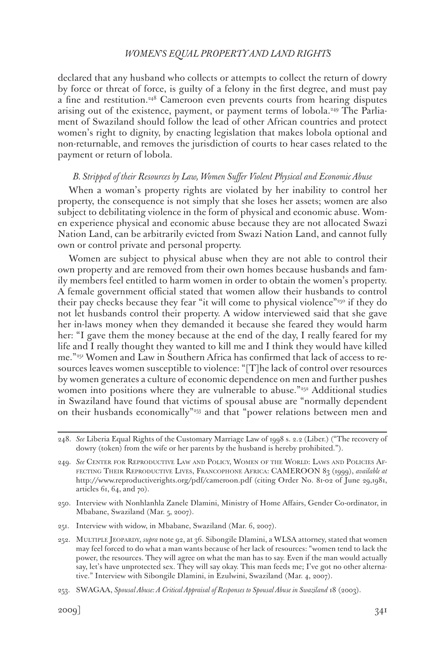declared that any husband who collects or attempts to collect the return of dowry by force or threat of force, is guilty of a felony in the first degree, and must pay a fine and restitution.248 Cameroon even prevents courts from hearing disputes arising out of the existence, payment, or payment terms of lobola.249 The Parliament of Swaziland should follow the lead of other African countries and protect women's right to dignity, by enacting legislation that makes lobola optional and non-returnable, and removes the jurisdiction of courts to hear cases related to the payment or return of lobola.

## *B. Stripped of their Resources by Law, Women Suffer Violent Physical and Economic Abuse*

When a woman's property rights are violated by her inability to control her property, the consequence is not simply that she loses her assets; women are also subject to debilitating violence in the form of physical and economic abuse. Women experience physical and economic abuse because they are not allocated Swazi Nation Land, can be arbitrarily evicted from Swazi Nation Land, and cannot fully own or control private and personal property.

Women are subject to physical abuse when they are not able to control their own property and are removed from their own homes because husbands and family members feel entitled to harm women in order to obtain the women's property. A female government official stated that women allow their husbands to control their pay checks because they fear "it will come to physical violence"<sup>250</sup> if they do not let husbands control their property. A widow interviewed said that she gave her in-laws money when they demanded it because she feared they would harm her: "I gave them the money because at the end of the day, I really feared for my life and I really thought they wanted to kill me and I think they would have killed me."251 Women and Law in Southern Africa has confirmed that lack of access to resources leaves women susceptible to violence: "[T]he lack of control over resources by women generates a culture of economic dependence on men and further pushes women into positions where they are vulnerable to abuse."<sup>252</sup> Additional studies in Swaziland have found that victims of spousal abuse are "normally dependent on their husbands economically"253 and that "power relations between men and

- 250. Interview with Nonhlanhla Zanele Dlamini, Ministry of Home Affairs, Gender Co-ordinator, in Mbabane, Swaziland (Mar. 5, 2007).
- 251. Interview with widow, in Mbabane, Swaziland (Mar. 6, 2007).

<sup>248.</sup> *See* Liberia Equal Rights of the Customary Marriage Law of 1998 s. 2.2 (Liber.) ("The recovery of dowry (token) from the wife or her parents by the husband is hereby prohibited.").

<sup>249.</sup> *See* Center for Reproductive Law and Policy, Women of the World: Laws and Policies Affecting Their Reproductive Lives, Francophone Africa: CAMEROON 83 (1999), *available at* http://www.reproductiverights.org/pdf/cameroon.pdf (citing Order No. 81-02 of June 29,1981, articles 61, 64, and 70).

<sup>252.</sup> Multiple Jeopardy, *supra* note 92, at 36. Sibongile Dlamini, a WLSA attorney, stated that women may feel forced to do what a man wants because of her lack of resources: "women tend to lack the power, the resources. They will agree on what the man has to say. Even if the man would actually say, let's have unprotected sex. They will say okay. This man feeds me; I've got no other alternative." Interview with Sibongile Dlamini, in Ezulwini, Swaziland (Mar. 4, 2007).

<sup>253.</sup> SWAGAA, *Spousal Abuse: A Critical Appraisal of Responses to Spousal Abuse in Swaziland* 18 (2003).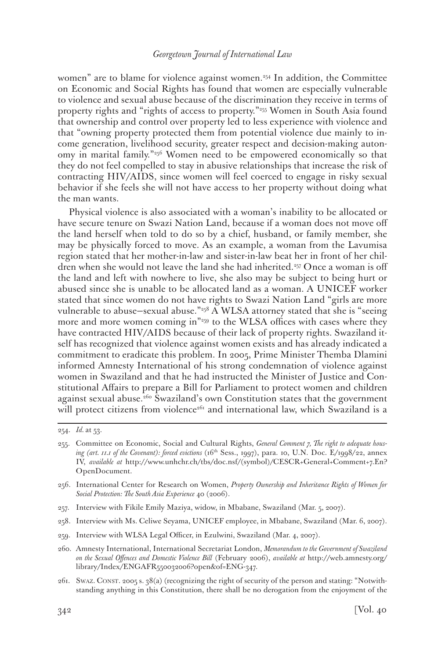women" are to blame for violence against women.<sup>254</sup> In addition, the Committee on Economic and Social Rights has found that women are especially vulnerable to violence and sexual abuse because of the discrimination they receive in terms of property rights and "rights of access to property."255 Women in South Asia found that ownership and control over property led to less experience with violence and that "owning property protected them from potential violence due mainly to income generation, livelihood security, greater respect and decision-making autonomy in marital family."256 Women need to be empowered economically so that they do not feel compelled to stay in abusive relationships that increase the risk of contracting HIV/AIDS, since women will feel coerced to engage in risky sexual behavior if she feels she will not have access to her property without doing what the man wants.

Physical violence is also associated with a woman's inability to be allocated or have secure tenure on Swazi Nation Land, because if a woman does not move off the land herself when told to do so by a chief, husband, or family member, she may be physically forced to move. As an example, a woman from the Lavumisa region stated that her mother-in-law and sister-in-law beat her in front of her children when she would not leave the land she had inherited.<sup>257</sup> Once a woman is off the land and left with nowhere to live, she also may be subject to being hurt or abused since she is unable to be allocated land as a woman. A UNICEF worker stated that since women do not have rights to Swazi Nation Land "girls are more vulnerable to abuse—sexual abuse."258 A WLSA attorney stated that she is "seeing more and more women coming in<sup>"259</sup> to the WLSA offices with cases where they have contracted HIV/AIDS because of their lack of property rights. Swaziland itself has recognized that violence against women exists and has already indicated a commitment to eradicate this problem. In 2005, Prime Minister Themba Dlamini informed Amnesty International of his strong condemnation of violence against women in Swaziland and that he had instructed the Minister of Justice and Constitutional Affairs to prepare a Bill for Parliament to protect women and children against sexual abuse.<sup>260</sup> Swaziland's own Constitution states that the government will protect citizens from violence<sup>261</sup> and international law, which Swaziland is a

- 257. Interview with Fikile Emily Maziya, widow, in Mbabane, Swaziland (Mar. 5, 2007).
- 258. Interview with Ms. Celiwe Seyama, UNICEF employee, in Mbabane, Swaziland (Mar. 6, 2007).
- 259. Interview with WLSA Legal Officer, in Ezulwini, Swaziland (Mar. 4, 2007).
- 260. Amnesty International, International Secretariat London, *Memorandum to the Government of Swaziland on the Sexual Offences and Domestic Violence Bill* (February 2006), *available at* http://web.amnesty.org/ library/Index/ENGAFR550032006?open&of=ENG-347.
- 261. Swaz. CONST. 2005 s. 38(a) (recognizing the right of security of the person and stating: "Notwithstanding anything in this Constitution, there shall be no derogation from the enjoyment of the

<sup>254.</sup> *Id.* at 53.

<sup>255.</sup> Committee on Economic, Social and Cultural Rights, *General Comment 7, The right to adequate housing (art. 11.1 of the Covenant): forced evictions* (16th Sess., 1997), para. 10, U.N. Doc. E/1998/22, annex IV, *available at* http://www.unhchr.ch/tbs/doc.nsf/(symbol)/CESCR+General+Comment+7.En? OpenDocument.

<sup>256.</sup> International Center for Research on Women, *Property Ownership and Inheritance Rights of Women for Social Protection: The South Asia Experience* 40 (2006).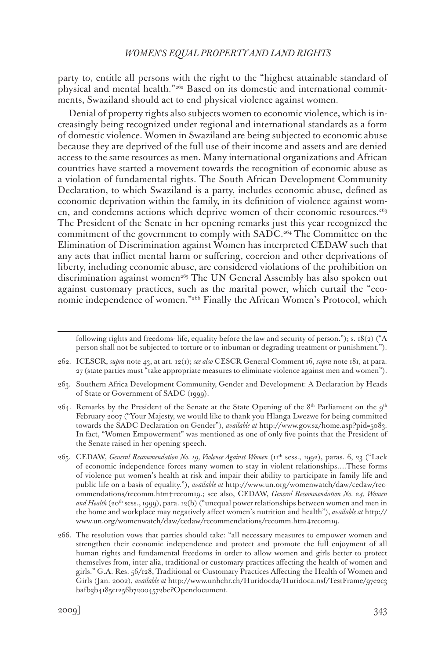party to, entitle all persons with the right to the "highest attainable standard of physical and mental health."262 Based on its domestic and international commitments, Swaziland should act to end physical violence against women.

Denial of property rights also subjects women to economic violence, which is increasingly being recognized under regional and international standards as a form of domestic violence. Women in Swaziland are being subjected to economic abuse because they are deprived of the full use of their income and assets and are denied access to the same resources as men. Many international organizations and African countries have started a movement towards the recognition of economic abuse as a violation of fundamental rights. The South African Development Community Declaration, to which Swaziland is a party, includes economic abuse, defined as economic deprivation within the family, in its definition of violence against women, and condemns actions which deprive women of their economic resources.<sup>263</sup> The President of the Senate in her opening remarks just this year recognized the commitment of the government to comply with SADC.<sup>264</sup> The Committee on the Elimination of Discrimination against Women has interpreted CEDAW such that any acts that inflict mental harm or suffering, coercion and other deprivations of liberty, including economic abuse, are considered violations of the prohibition on discrimination against women<sup>265</sup> The UN General Assembly has also spoken out against customary practices, such as the marital power, which curtail the "economic independence of women."266 Finally the African Women's Protocol, which

following rights and freedoms- life, equality before the law and security of person."); s. 18(2) ("A person shall not be subjected to torture or to inbuman or degrading treatment or punishment.").

<sup>262.</sup> ICESCR, *supra* note 43, at art. 12(1); *see also* CESCR General Comment 16, *supra* note 181, at para. 27 (state parties must "take appropriate measures to eliminate violence against men and women").

<sup>263.</sup> Southern Africa Development Community, Gender and Development: A Declaration by Heads of State or Government of SADC (1999).

<sup>264.</sup> Remarks by the President of the Senate at the State Opening of the 8<sup>th</sup> Parliament on the 9<sup>th</sup> February 2007 ("Your Majesty, we would like to thank you Hlanga Lwezwe for being committed towards the SADC Declaration on Gender"), *available at* http://www.gov.sz/home.asp?pid=5083. In fact, "Women Empowerment" was mentioned as one of only five points that the President of the Senate raised in her opening speech.

<sup>265.</sup> CEDAW, *General Recommendation No. 19, Violence Against Women* (11th sess., 1992), paras. 6, 23 ("Lack of economic independence forces many women to stay in violent relationships.…These forms of violence put women's health at risk and impair their ability to participate in family life and public life on a basis of equality."), *available at* http://www.un.org/womenwatch/daw/cedaw/recommendations/recomm.htm#recom19.; see also, CEDAW, *General Recommendation No. 24, Women*  and Health (20<sup>th</sup> sess., 1999), para. 12(b) ("unequal power relationships between women and men in the home and workplace may negatively affect women's nutrition and health"), *available at* http:// www.un.org/womenwatch/daw/cedaw/recommendations/recomm.htm#recom19.

<sup>266.</sup> The resolution vows that parties should take: "all necessary measures to empower women and strengthen their economic independence and protect and promote the full enjoyment of all human rights and fundamental freedoms in order to allow women and girls better to protect themselves from, inter alia, traditional or customary practices affecting the health of women and girls." G.A. Res. 56/128, Traditional or Customary Practices Affecting the Health of Women and Girls (Jan. 2002), *available at* http://www.unhchr.ch/Huridocda/Huridoca.nsf/TestFrame/97e2c3 bafb3b4185c1256b72004572be?Opendocument.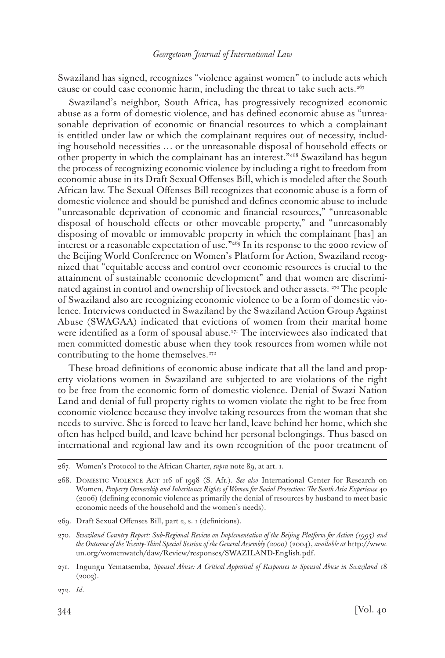Swaziland has signed, recognizes "violence against women" to include acts which cause or could case economic harm, including the threat to take such acts.<sup>267</sup>

Swaziland's neighbor, South Africa, has progressively recognized economic abuse as a form of domestic violence, and has defined economic abuse as "unreasonable deprivation of economic or financial resources to which a complainant is entitled under law or which the complainant requires out of necessity, including household necessities … or the unreasonable disposal of household effects or other property in which the complainant has an interest."<sup>268</sup> Swaziland has begun the process of recognizing economic violence by including a right to freedom from economic abuse in its Draft Sexual Offenses Bill, which is modeled after the South African law. The Sexual Offenses Bill recognizes that economic abuse is a form of domestic violence and should be punished and defines economic abuse to include "unreasonable deprivation of economic and financial resources," "unreasonable disposal of household effects or other moveable property," and "unreasonably disposing of movable or immovable property in which the complainant [has] an interest or a reasonable expectation of use."269 In its response to the 2000 review of the Beijing World Conference on Women's Platform for Action, Swaziland recognized that "equitable access and control over economic resources is crucial to the attainment of sustainable economic development" and that women are discriminated against in control and ownership of livestock and other assets. 270 The people of Swaziland also are recognizing economic violence to be a form of domestic violence. Interviews conducted in Swaziland by the Swaziland Action Group Against Abuse (SWAGAA) indicated that evictions of women from their marital home were identified as a form of spousal abuse.<sup>271</sup> The interviewees also indicated that men committed domestic abuse when they took resources from women while not contributing to the home themselves.<sup>272</sup>

These broad definitions of economic abuse indicate that all the land and property violations women in Swaziland are subjected to are violations of the right to be free from the economic form of domestic violence. Denial of Swazi Nation Land and denial of full property rights to women violate the right to be free from economic violence because they involve taking resources from the woman that she needs to survive. She is forced to leave her land, leave behind her home, which she often has helped build, and leave behind her personal belongings. Thus based on international and regional law and its own recognition of the poor treatment of

<sup>267.</sup> Women's Protocol to the African Charter, *supra* note 89, at art. 1.

<sup>268.</sup> Domestic Violence Act 116 of 1998 (S. Afr.). *See also* International Center for Research on Women, *Property Ownership and Inheritance Rights of Women for Social Protection: The South Asia Experience* 40 (2006) (defining economic violence as primarily the denial of resources by husband to meet basic economic needs of the household and the women's needs).

<sup>269.</sup> Draft Sexual Offenses Bill, part 2, s. 1 (definitions).

<sup>270.</sup> *Swaziland Country Report: Sub-Regional Review on Implementation of the Beijing Platform for Action (1995) and the Outcome of the Twenty-Third Special Session of the General Assembly (2000)* (2004), *available at* http://www. un.org/womenwatch/daw/Review/responses/SWAZILAND-English.pdf.

<sup>271.</sup> Ingungu Yematsemba, *Spousal Abuse: A Critical Appraisal of Responses to Spousal Abuse in Swaziland* 18  $(2003)$ .

<sup>272.</sup> *Id*.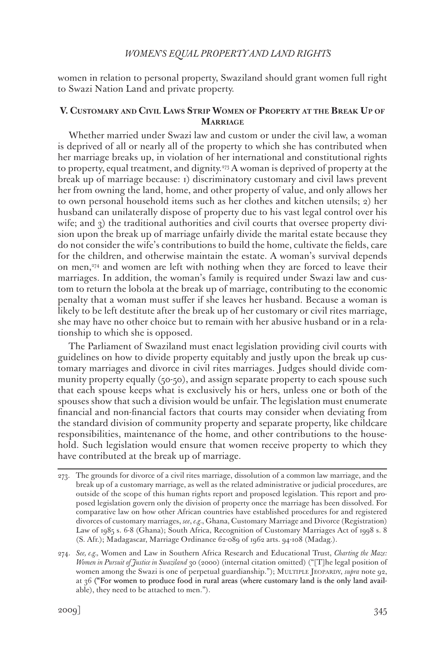women in relation to personal property, Swaziland should grant women full right to Swazi Nation Land and private property.

## **V. Customary and Civil Laws Strip Women of Property at the Break Up of Marriage**

Whether married under Swazi law and custom or under the civil law, a woman is deprived of all or nearly all of the property to which she has contributed when her marriage breaks up, in violation of her international and constitutional rights to property, equal treatment, and dignity.273 A woman is deprived of property at the break up of marriage because: 1) discriminatory customary and civil laws prevent her from owning the land, home, and other property of value, and only allows her to own personal household items such as her clothes and kitchen utensils; 2) her husband can unilaterally dispose of property due to his vast legal control over his wife; and  $\alpha$ ) the traditional authorities and civil courts that oversee property division upon the break up of marriage unfairly divide the marital estate because they do not consider the wife's contributions to build the home, cultivate the fields, care for the children, and otherwise maintain the estate. A woman's survival depends on men,274 and women are left with nothing when they are forced to leave their marriages. In addition, the woman's family is required under Swazi law and custom to return the lobola at the break up of marriage, contributing to the economic penalty that a woman must suffer if she leaves her husband. Because a woman is likely to be left destitute after the break up of her customary or civil rites marriage, she may have no other choice but to remain with her abusive husband or in a relationship to which she is opposed.

The Parliament of Swaziland must enact legislation providing civil courts with guidelines on how to divide property equitably and justly upon the break up customary marriages and divorce in civil rites marriages. Judges should divide community property equally  $(50-50)$ , and assign separate property to each spouse such that each spouse keeps what is exclusively his or hers, unless one or both of the spouses show that such a division would be unfair. The legislation must enumerate financial and non-financial factors that courts may consider when deviating from the standard division of community property and separate property, like childcare responsibilities, maintenance of the home, and other contributions to the household. Such legislation would ensure that women receive property to which they have contributed at the break up of marriage.

<sup>273.</sup> The grounds for divorce of a civil rites marriage, dissolution of a common law marriage, and the break up of a customary marriage, as well as the related administrative or judicial procedures, are outside of the scope of this human rights report and proposed legislation. This report and proposed legislation govern only the division of property once the marriage has been dissolved. For comparative law on how other African countries have established procedures for and registered divorces of customary marriages, *see*, *e.g.*, Ghana, Customary Marriage and Divorce (Registration) Law of 1985 s. 6-8 (Ghana); South Africa, Recognition of Customary Marriages Act of 1998 s. 8 (S. Afr.); Madagascar, Marriage Ordinance 62-089 of 1962 arts. 94-108 (Madag.).

<sup>274.</sup> *See, e.g.,* Women and Law in Southern Africa Research and Educational Trust, *Charting the Maze: Women in Pursuit of Justice in Swaziland* 30 (2000) (internal citation omitted) ("[T]he legal position of women among the Swazi is one of perpetual guardianship."); MULTIPLE JEOPARDY, *supra* note 92, at 36 ("For women to produce food in rural areas (where customary land is the only land available), they need to be attached to men.").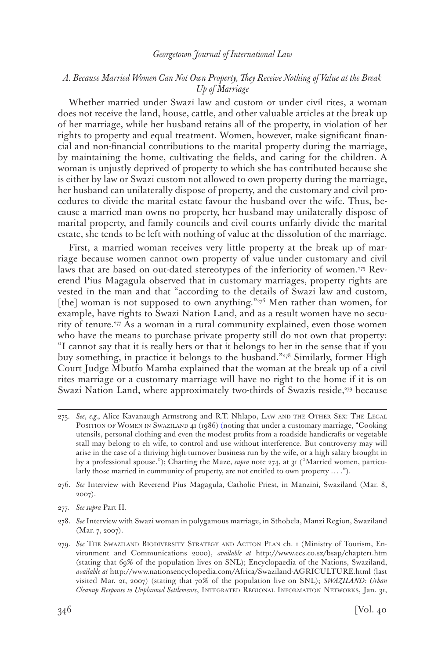# *A. Because Married Women Can Not Own Property, They Receive Nothing of Value at the Break Up of Marriage*

Whether married under Swazi law and custom or under civil rites, a woman does not receive the land, house, cattle, and other valuable articles at the break up of her marriage, while her husband retains all of the property, in violation of her rights to property and equal treatment. Women, however, make significant financial and non-financial contributions to the marital property during the marriage, by maintaining the home, cultivating the fields, and caring for the children. A woman is unjustly deprived of property to which she has contributed because she is either by law or Swazi custom not allowed to own property during the marriage, her husband can unilaterally dispose of property, and the customary and civil procedures to divide the marital estate favour the husband over the wife. Thus, because a married man owns no property, her husband may unilaterally dispose of marital property, and family councils and civil courts unfairly divide the marital estate, she tends to be left with nothing of value at the dissolution of the marriage.

First, a married woman receives very little property at the break up of marriage because women cannot own property of value under customary and civil laws that are based on out-dated stereotypes of the inferiority of women.<sup>275</sup> Reverend Pius Magagula observed that in customary marriages, property rights are vested in the man and that "according to the details of Swazi law and custom, [the] woman is not supposed to own anything." $276$  Men rather than women, for example, have rights to Swazi Nation Land, and as a result women have no security of tenure.<sup>277</sup> As a woman in a rural community explained, even those women who have the means to purchase private property still do not own that property: "I cannot say that it is really hers or that it belongs to her in the sense that if you buy something, in practice it belongs to the husband."<sup>278</sup> Similarly, former High Court Judge Mbutfo Mamba explained that the woman at the break up of a civil rites marriage or a customary marriage will have no right to the home if it is on Swazi Nation Land, where approximately two-thirds of Swazis reside,<sup>279</sup> because

- 277. *See supra* Part II.
- 278. *See* Interview with Swazi woman in polygamous marriage, in Sthobela, Manzi Region, Swaziland (Mar. 7, 2007).
- 279. *See* The Swaziland Biodiversity Strategy and Action Plan ch. 1 (Ministry of Tourism, Environment and Communications 2000), *available at* http://www.ecs.co.sz/bsap/chapter1.htm (stating that 69% of the population lives on SNL); Encyclopaedia of the Nations, Swaziland, *available at* http://www.nationsencyclopedia.com/Africa/Swaziland-AGRICULTURE.html (last visited Mar. 21, 2007) (stating that 70% of the population live on SNL); *SWAZILAND: Urban Cleanup Response to Unplanned Settlements*, INTEGRATED REGIONAL INFORMATION NETWORKS, Jan. 31,

<sup>275.</sup> See, e.g., Alice Kavanaugh Armstrong and R.T. Nhlapo, LAW AND THE OTHER SEX: THE LEGAL POSITION OF WOMEN IN SWAZILAND 41 (1986) (noting that under a customary marriage, "Cooking utensils, personal clothing and even the modest profits from a roadside handicrafts or vegetable stall may belong to eh wife, to control and use without interference. But controversy may will arise in the case of a thriving high-turnover business run by the wife, or a high salary brought in by a professional spouse."); Charting the Maze, *supra* note 274, at 31 ("Married women, particularly those married in community of property, are not entitled to own property … .").

<sup>276.</sup> *See* Interview with Reverend Pius Magagula, Catholic Priest, in Manzini, Swaziland (Mar. 8, 2007).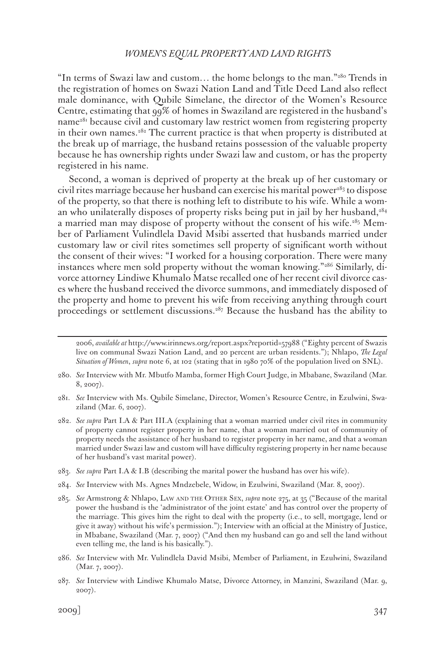"In terms of Swazi law and custom... the home belongs to the man." $280$  Trends in the registration of homes on Swazi Nation Land and Title Deed Land also reflect male dominance, with Qubile Simelane, the director of the Women's Resource Centre, estimating that 99% of homes in Swaziland are registered in the husband's name<sup>281</sup> because civil and customary law restrict women from registering property in their own names.<sup>282</sup> The current practice is that when property is distributed at the break up of marriage, the husband retains possession of the valuable property because he has ownership rights under Swazi law and custom, or has the property registered in his name.

Second, a woman is deprived of property at the break up of her customary or civil rites marriage because her husband can exercise his marital power<sup>283</sup> to dispose of the property, so that there is nothing left to distribute to his wife. While a woman who unilaterally disposes of property risks being put in jail by her husband,<sup>284</sup> a married man may dispose of property without the consent of his wife.285 Member of Parliament Vulindlela David Msibi asserted that husbands married under customary law or civil rites sometimes sell property of significant worth without the consent of their wives: "I worked for a housing corporation. There were many instances where men sold property without the woman knowing."286 Similarly, divorce attorney Lindiwe Khumalo Matse recalled one of her recent civil divorce cases where the husband received the divorce summons, and immediately disposed of the property and home to prevent his wife from receiving anything through court proceedings or settlement discussions.<sup>287</sup> Because the husband has the ability to

2006, *available at* http://www.irinnews.org/report.aspx?reportid=57988 ("Eighty percent of Swazis live on communal Swazi Nation Land, and 20 percent are urban residents."); Nhlapo, *The Legal Situation of Women*, *supra* note 6, at 102 (stating that in 1980 70% of the population lived on SNL).

- 280. *See* Interview with Mr. Mbutfo Mamba, former High Court Judge, in Mbabane, Swaziland (Mar. 8, 2007).
- 281. *See* Interview with Ms. Qubile Simelane, Director, Women's Resource Centre, in Ezulwini, Swaziland (Mar. 6, 2007).
- 282. *See supra* Part I.A & Part III.A (explaining that a woman married under civil rites in community of property cannot register property in her name, that a woman married out of community of property needs the assistance of her husband to register property in her name, and that a woman married under Swazi law and custom will have difficulty registering property in her name because of her husband's vast marital power).
- 283. *See supra* Part I.A & I.B (describing the marital power the husband has over his wife).
- 284. *See* Interview with Ms. Agnes Mndzebele, Widow, in Ezulwini, Swaziland (Mar. 8, 2007).
- 285. *See* Armstrong & Nhlapo, Law and the Other Sex, *supra* note 275, at 35 ("Because of the marital power the husband is the 'administrator of the joint estate' and has control over the property of the marriage. This gives him the right to deal with the property (i.e., to sell, mortgage, lend or give it away) without his wife's permission."); Interview with an official at the Ministry of Justice, in Mbabane, Swaziland (Mar. 7, 2007) ("And then my husband can go and sell the land without even telling me, the land is his basically.").
- 286. *See* Interview with Mr. Vulindlela David Msibi, Member of Parliament, in Ezulwini, Swaziland (Mar. 7, 2007).
- 287. *See* Interview with Lindiwe Khumalo Matse, Divorce Attorney, in Manzini, Swaziland (Mar. 9, 2007).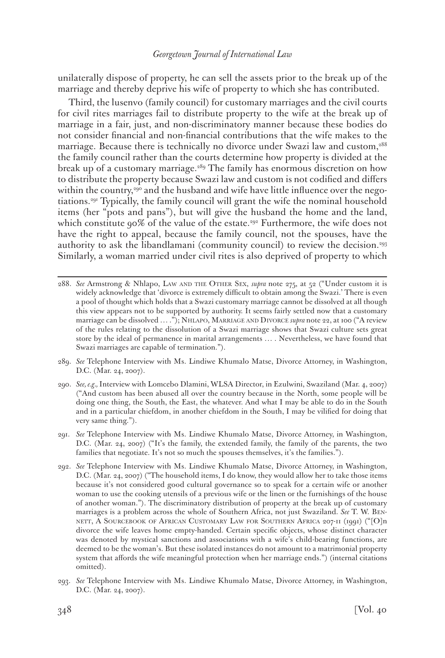unilaterally dispose of property, he can sell the assets prior to the break up of the marriage and thereby deprive his wife of property to which she has contributed.

Third, the lusenvo (family council) for customary marriages and the civil courts for civil rites marriages fail to distribute property to the wife at the break up of marriage in a fair, just, and non-discriminatory manner because these bodies do not consider financial and non-financial contributions that the wife makes to the marriage. Because there is technically no divorce under Swazi law and custom,<sup>288</sup> the family council rather than the courts determine how property is divided at the break up of a customary marriage.<sup>289</sup> The family has enormous discretion on how to distribute the property because Swazi law and custom is not codified and differs within the country,<sup>290</sup> and the husband and wife have little influence over the negotiations.291 Typically, the family council will grant the wife the nominal household items (her "pots and pans"), but will give the husband the home and the land, which constitute 90% of the value of the estate.<sup>292</sup> Furthermore, the wife does not have the right to appeal, because the family council, not the spouses, have the authority to ask the libandlamani (community council) to review the decision.293 Similarly, a woman married under civil rites is also deprived of property to which

- 289. *See* Telephone Interview with Ms. Lindiwe Khumalo Matse, Divorce Attorney, in Washington, D.C. (Mar. 24, 2007).
- 290. *See, e.g.,* Interview with Lomcebo Dlamini, WLSA Director, in Ezulwini, Swaziland (Mar. 4, 2007) ("And custom has been abused all over the country because in the North, some people will be doing one thing, the South, the East, the whatever. And what I may be able to do in the South and in a particular chiefdom, in another chiefdom in the South, I may be vilified for doing that very same thing.").
- 291. *See* Telephone Interview with Ms. Lindiwe Khumalo Matse, Divorce Attorney, in Washington, D.C. (Mar. 24, 2007) ("It's the family, the extended family, the family of the parents, the two families that negotiate. It's not so much the spouses themselves, it's the families.").
- 292. *See* Telephone Interview with Ms. Lindiwe Khumalo Matse, Divorce Attorney, in Washington, D.C. (Mar. 24, 2007) ("The household items, I do know, they would allow her to take those items because it's not considered good cultural governance so to speak for a certain wife or another woman to use the cooking utensils of a previous wife or the linen or the furnishings of the house of another woman."). The discriminatory distribution of property at the break up of customary marriages is a problem across the whole of Southern Africa, not just Swaziland. *See* T. W. Bennett, A Sourcebook of African Customary Law for Southern Africa 207-11 (1991) ("[O]n divorce the wife leaves home empty-handed. Certain specific objects, whose distinct character was denoted by mystical sanctions and associations with a wife's child-bearing functions, are deemed to be the woman's. But these isolated instances do not amount to a matrimonial property system that affords the wife meaningful protection when her marriage ends.") (internal citations omitted).
- 293. *See* Telephone Interview with Ms. Lindiwe Khumalo Matse, Divorce Attorney, in Washington, D.C. (Mar. 24, 2007).

<sup>288.</sup> *See* Armstrong & Nhlapo, Law and the Other Sex, *supra* note 275, at 52 ("Under custom it is widely acknowledge that 'divorce is extremely difficult to obtain among the Swazi.' There is even a pool of thought which holds that a Swazi customary marriage cannot be dissolved at all though this view appears not to be supported by authority. It seems fairly settled now that a customary marriage can be dissolved … ."); Nhlapo, Marriage and Divorce *supra* note 22, at 100 ("A review of the rules relating to the dissolution of a Swazi marriage shows that Swazi culture sets great store by the ideal of permanence in marital arrangements … . Nevertheless, we have found that Swazi marriages are capable of termination.").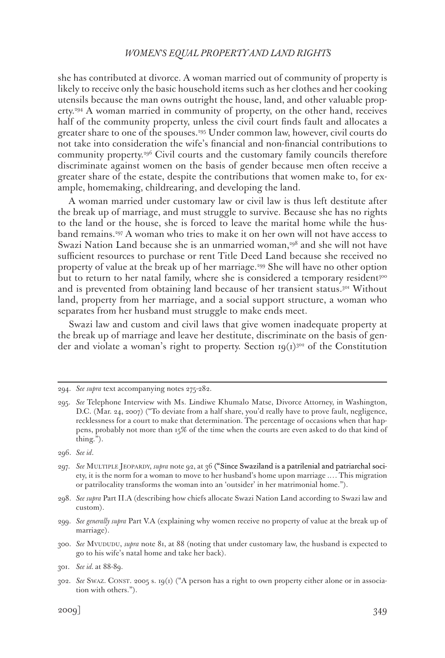she has contributed at divorce. A woman married out of community of property is likely to receive only the basic household items such as her clothes and her cooking utensils because the man owns outright the house, land, and other valuable property.294 A woman married in community of property, on the other hand, receives half of the community property, unless the civil court finds fault and allocates a greater share to one of the spouses.295 Under common law, however, civil courts do not take into consideration the wife's financial and non-financial contributions to community property.296 Civil courts and the customary family councils therefore discriminate against women on the basis of gender because men often receive a greater share of the estate, despite the contributions that women make to, for example, homemaking, childrearing, and developing the land.

A woman married under customary law or civil law is thus left destitute after the break up of marriage, and must struggle to survive. Because she has no rights to the land or the house, she is forced to leave the marital home while the husband remains.297 A woman who tries to make it on her own will not have access to Swazi Nation Land because she is an unmarried woman,<sup>298</sup> and she will not have sufficient resources to purchase or rent Title Deed Land because she received no property of value at the break up of her marriage.<sup>299</sup> She will have no other option but to return to her natal family, where she is considered a temporary resident<sup>300</sup> and is prevented from obtaining land because of her transient status.301 Without land, property from her marriage, and a social support structure, a woman who separates from her husband must struggle to make ends meet.

Swazi law and custom and civil laws that give women inadequate property at the break up of marriage and leave her destitute, discriminate on the basis of gender and violate a woman's right to property. Section  $(q(t))^{302}$  of the Constitution

<sup>294.</sup> *See supra* text accompanying notes 275-282.

<sup>295.</sup> *See* Telephone Interview with Ms. Lindiwe Khumalo Matse, Divorce Attorney, in Washington, D.C. (Mar. 24, 2007) ("To deviate from a half share, you'd really have to prove fault, negligence, recklessness for a court to make that determination. The percentage of occasions when that happens, probably not more than 15% of the time when the courts are even asked to do that kind of thing.").

<sup>296.</sup> *See id*.

<sup>297.</sup> *See* Multiple Jeopardy, *supra* note 92, at 36 ("Since Swaziland is a patrilenial and patriarchal society, it is the norm for a woman to move to her husband's home upon marriage .… This migration or patrilocality transforms the woman into an 'outsider' in her matrimonial home.").

<sup>298.</sup> *See supra* Part II.A (describing how chiefs allocate Swazi Nation Land according to Swazi law and custom).

<sup>299.</sup> *See generally supra* Part V.A (explaining why women receive no property of value at the break up of marriage).

<sup>300.</sup> *See* Mvududu, *supra* note 81, at 88 (noting that under customary law, the husband is expected to go to his wife's natal home and take her back).

<sup>301.</sup> *See id.* at 88-89.

<sup>302.</sup> *See* Swaz. Const. 2005 s. 19(1) ("A person has a right to own property either alone or in association with others.").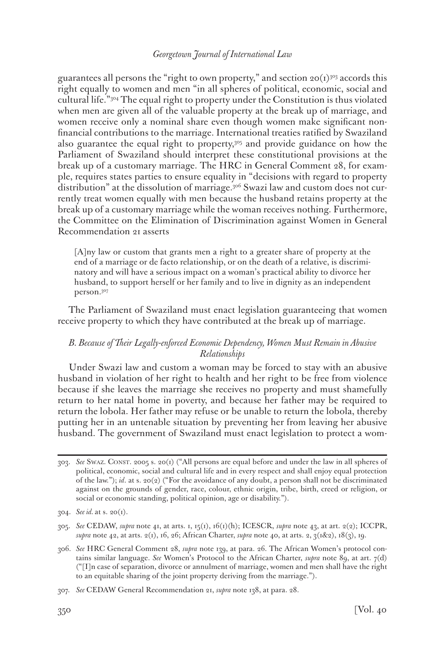guarantees all persons the "right to own property," and section  $20(1)^{303}$  accords this right equally to women and men "in all spheres of political, economic, social and cultural life."304 The equal right to property under the Constitution is thus violated when men are given all of the valuable property at the break up of marriage, and women receive only a nominal share even though women make significant nonfinancial contributions to the marriage. International treaties ratified by Swaziland also guarantee the equal right to property,305 and provide guidance on how the Parliament of Swaziland should interpret these constitutional provisions at the break up of a customary marriage. The HRC in General Comment 28, for example, requires states parties to ensure equality in "decisions with regard to property distribution" at the dissolution of marriage.306 Swazi law and custom does not currently treat women equally with men because the husband retains property at the break up of a customary marriage while the woman receives nothing. Furthermore, the Committee on the Elimination of Discrimination against Women in General Recommendation 21 asserts

[A]ny law or custom that grants men a right to a greater share of property at the end of a marriage or de facto relationship, or on the death of a relative, is discriminatory and will have a serious impact on a woman's practical ability to divorce her husband, to support herself or her family and to live in dignity as an independent person.307

The Parliament of Swaziland must enact legislation guaranteeing that women receive property to which they have contributed at the break up of marriage.

# *B. Because of Their Legally-enforced Economic Dependency, Women Must Remain in Abusive Relationships*

Under Swazi law and custom a woman may be forced to stay with an abusive husband in violation of her right to health and her right to be free from violence because if she leaves the marriage she receives no property and must shamefully return to her natal home in poverty, and because her father may be required to return the lobola. Her father may refuse or be unable to return the lobola, thereby putting her in an untenable situation by preventing her from leaving her abusive husband. The government of Swaziland must enact legislation to protect a wom-

<sup>303.</sup> *See* Swaz. Const. 2005 s. 20(1) ("All persons are equal before and under the law in all spheres of political, economic, social and cultural life and in every respect and shall enjoy equal protection of the law."); *id*. at s. 20(2) ("For the avoidance of any doubt, a person shall not be discriminated against on the grounds of gender, race, colour, ethnic origin, tribe, birth, creed or religion, or social or economic standing, political opinion, age or disability.").

<sup>304.</sup> *See id.* at s. 20(1).

<sup>305.</sup> *See* CEDAW, *supra* note 41, at arts. 1, 15(1), 16(1)(h); ICESCR, *supra* note 43, at art. 2(2); ICCPR, *supra* note 42, at arts. 2(1), 16, 26; African Charter, *supra* note 40, at arts. 2, 3(1&2), 18(3), 19.

<sup>306.</sup> *See* HRC General Comment 28, *supra* note 139, at para. 26. The African Women's protocol contains similar language. See Women's Protocol to the African Charter, *supra* note 89, at art. 7(d) ("[I]n case of separation, divorce or annulment of marriage, women and men shall have the right to an equitable sharing of the joint property deriving from the marriage.").

<sup>307.</sup> *See* CEDAW General Recommendation 21, *supra* note 138, at para. 28.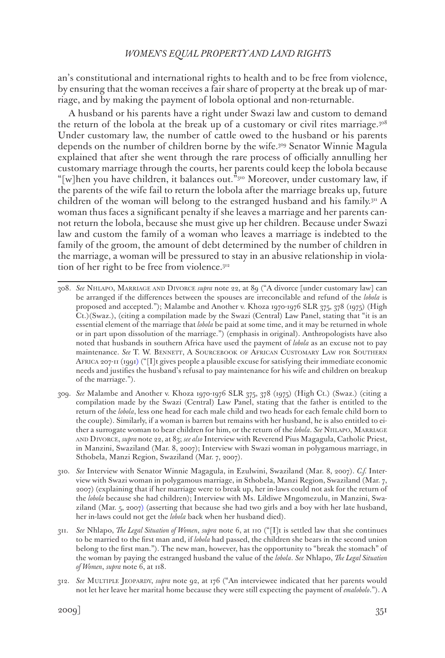an's constitutional and international rights to health and to be free from violence, by ensuring that the woman receives a fair share of property at the break up of marriage, and by making the payment of lobola optional and non-returnable.

A husband or his parents have a right under Swazi law and custom to demand the return of the lobola at the break up of a customary or civil rites marriage.308 Under customary law, the number of cattle owed to the husband or his parents depends on the number of children borne by the wife.309 Senator Winnie Magula explained that after she went through the rare process of officially annulling her customary marriage through the courts, her parents could keep the lobola because "[w]hen you have children, it balances out."<sup>310</sup> Moreover, under customary law, if the parents of the wife fail to return the lobola after the marriage breaks up, future children of the woman will belong to the estranged husband and his family.311 A woman thus faces a significant penalty if she leaves a marriage and her parents cannot return the lobola, because she must give up her children. Because under Swazi law and custom the family of a woman who leaves a marriage is indebted to the family of the groom, the amount of debt determined by the number of children in the marriage, a woman will be pressured to stay in an abusive relationship in violation of her right to be free from violence.<sup>312</sup>

- 308. *See* Nhlapo, Marriage and Divorce *supra* note 22, at 89 ("A divorce [under customary law] can be arranged if the differences between the spouses are irreconcilable and refund of the *lobola* is proposed and accepted."); Malambe and Another v. Khoza 1970-1976 SLR 375, 378 (1975) (High Ct.)(Swaz.), (citing a compilation made by the Swazi (Central) Law Panel, stating that "it is an essential element of the marriage that *lobola* be paid at some time, and it may be returned in whole or in part upon dissolution of the marriage.") (emphasis in original). Anthropologists have also noted that husbands in southern Africa have used the payment of *lobola* as an excuse not to pay maintenance. *See* T. W. Bennett, A Sourcebook of African Customary Law for Southern Africa 207-11 (1991) ("[I]t gives people a plausible excuse for satisfying their immediate economic needs and justifies the husband's refusal to pay maintenance for his wife and children on breakup of the marriage.").
- 309. *See* Malambe and Another v. Khoza 1970-1976 SLR 375, 378 (1975) (High Ct.) (Swaz.) (citing a compilation made by the Swazi (Central) Law Panel, stating that the father is entitled to the return of the *lobola*, less one head for each male child and two heads for each female child born to the couple). Similarly, if a woman is barren but remains with her husband, he is also entitled to either a surrogate woman to bear children for him, or the return of the *lobola*. *See* Nhlapo, Marriage and Divorce, *supra* note 22, at 83; *see also* Interview with Reverend Pius Magagula, Catholic Priest, in Manzini, Swaziland (Mar. 8, 2007); Interview with Swazi woman in polygamous marriage, in Sthobela, Manzi Region, Swaziland (Mar. 7, 2007).
- 310. *See* Interview with Senator Winnie Magagula, in Ezulwini, Swaziland (Mar. 8, 2007). *C.f.* Interview with Swazi woman in polygamous marriage, in Sthobela, Manzi Region, Swaziland (Mar. 7, 2007) (explaining that if her marriage were to break up, her in-laws could not ask for the return of the *lobola* because she had children); Interview with Ms. Lildiwe Mngomezulu, in Manzini, Swaziland (Mar. 5, 2007) (asserting that because she had two girls and a boy with her late husband, her in-laws could not get the *lobola* back when her husband died).
- 311. *See* Nhlapo, *The Legal Situation of Women*, *supra* note 6, at 110 ("[I]t is settled law that she continues to be married to the first man and, if *lobola* had passed, the children she bears in the second union belong to the first man."). The new man, however, has the opportunity to "break the stomach" of the woman by paying the estranged husband the value of the *lobola*. *See* Nhlapo, *The Legal Situation of Women*, *supra* note 6, at 118.
- 312. *See* Multiple Jeopardy, *supra* note 92, at 176 ("An interviewee indicated that her parents would not let her leave her marital home because they were still expecting the payment of *emalobolo*."). A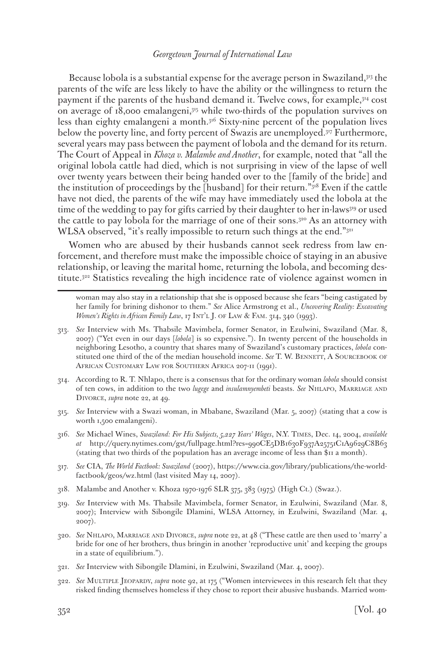Because lobola is a substantial expense for the average person in Swaziland,313 the parents of the wife are less likely to have the ability or the willingness to return the payment if the parents of the husband demand it. Twelve cows, for example,314 cost on average of 18,000 emalangeni,315 while two-thirds of the population survives on less than eighty emalangeni a month.316 Sixty-nine percent of the population lives below the poverty line, and forty percent of Swazis are unemployed.317 Furthermore, several years may pass between the payment of lobola and the demand for its return. The Court of Appeal in *Khoza v. Malambe and Another*, for example, noted that "all the original lobola cattle had died, which is not surprising in view of the lapse of well over twenty years between their being handed over to the [family of the bride] and the institution of proceedings by the [husband] for their return."318 Even if the cattle have not died, the parents of the wife may have immediately used the lobola at the time of the wedding to pay for gifts carried by their daughter to her in-laws319 or used the cattle to pay lobola for the marriage of one of their sons.320 As an attorney with WLSA observed, "it's really impossible to return such things at the end."<sup>321</sup>

Women who are abused by their husbands cannot seek redress from law enforcement, and therefore must make the impossible choice of staying in an abusive relationship, or leaving the marital home, returning the lobola, and becoming destitute.322 Statistics revealing the high incidence rate of violence against women in

woman may also stay in a relationship that she is opposed because she fears "being castigated by her family for brining dishonor to them." *See* Alice Armstrong et al., *Uncovering Reality: Excavating Women's Rights in African Family Law*, 17 INT'L J. OF LAW & FAM. 314, 340 (1993).

- 313. *See* Interview with Ms. Thabsile Mavimbela, former Senator, in Ezulwini, Swaziland (Mar. 8, 2007) ("Yet even in our days [*lobola*] is so expensive."). In twenty percent of the households in neighboring Lesotho, a country that shares many of Swaziland's customary practices, *lobola* constituted one third of the of the median household income. *See* T. W. BENNETT, A SOURCEBOOK OF AFRICAN CUSTOMARY LAW FOR SOUTHERN AFRICA 207-11 (1991).
- 314. According to R. T. Nhlapo, there is a consensus that for the ordinary woman *lobola* should consist of ten cows, in addition to the two *lugege* and *insulamnyembeti* beasts. *See* Nhlapo, Marriage and Divorce, *supra* note 22, at 49.
- 315. *See* Interview with a Swazi woman, in Mbabane, Swaziland (Mar. 5, 2007) (stating that a cow is worth 1,500 emalangeni).
- 316. *See* Michael Wines, *Swaziland: For His Subjects, 5,227 Years' Wages*, N.Y. Times, Dec. 14, 2004, *available at* http://query.nytimes.com/gst/fullpage.html?res=990CE5DB1630F937A25751C1A9629C8B63 (stating that two thirds of the population has an average income of less than \$11 a month).
- 317. *See* CIA, *The World Factbook: Swaziland* (2007), https://www.cia.gov/library/publications/the-worldfactbook/geos/wz.html (last visited May 14, 2007).
- 318. Malambe and Another v. Khoza 1970-1976 SLR 375, 383 (1975) (High Ct.) (Swaz.).
- 319. *See* Interview with Ms. Thabsile Mavimbela, former Senator, in Ezulwini, Swaziland (Mar. 8, 2007); Interview with Sibongile Dlamini, WLSA Attorney, in Ezulwini, Swaziland (Mar. 4, 2007).
- 320. *See* Nhlapo, Marriage and Divorce, *supra* note 22, at 48 ("These cattle are then used to 'marry' a bride for one of her brothers, thus bringin in another 'reproductive unit' and keeping the groups in a state of equilibrium.").
- 321. *See* Interview with Sibongile Dlamini, in Ezulwini, Swaziland (Mar. 4, 2007).
- 322. *See* Multiple Jeopardy, *supra* note 92, at 175 ("Women interviewees in this research felt that they risked finding themselves homeless if they chose to report their abusive husbands. Married wom-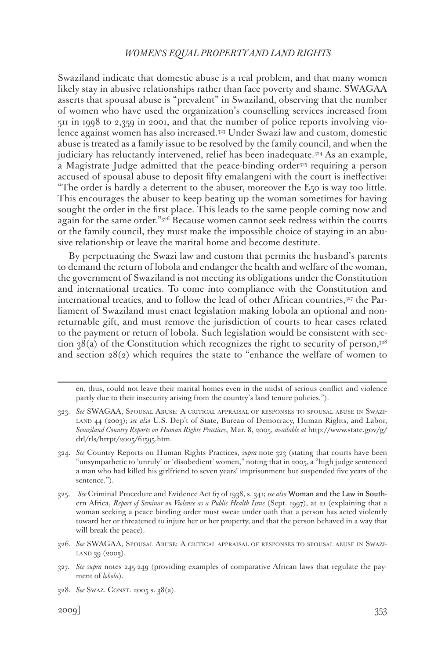Swaziland indicate that domestic abuse is a real problem, and that many women likely stay in abusive relationships rather than face poverty and shame. SWAGAA asserts that spousal abuse is "prevalent" in Swaziland, observing that the number of women who have used the organization's counselling services increased from 511 in 1998 to 2,359 in 2001, and that the number of police reports involving violence against women has also increased.323 Under Swazi law and custom, domestic abuse is treated as a family issue to be resolved by the family council, and when the judiciary has reluctantly intervened, relief has been inadequate.324 As an example, a Magistrate Judge admitted that the peace-binding order<sup>325</sup> requiring a person accused of spousal abuse to deposit fifty emalangeni with the court is ineffective: "The order is hardly a deterrent to the abuser, moreover the E50 is way too little. This encourages the abuser to keep beating up the woman sometimes for having sought the order in the first place. This leads to the same people coming now and again for the same order."326 Because women cannot seek redress within the courts or the family council, they must make the impossible choice of staying in an abusive relationship or leave the marital home and become destitute.

By perpetuating the Swazi law and custom that permits the husband's parents to demand the return of lobola and endanger the health and welfare of the woman, the government of Swaziland is not meeting its obligations under the Constitution and international treaties. To come into compliance with the Constitution and international treaties, and to follow the lead of other African countries, $3^{27}$  the Parliament of Swaziland must enact legislation making lobola an optional and nonreturnable gift, and must remove the jurisdiction of courts to hear cases related to the payment or return of lobola. Such legislation would be consistent with section  $38(a)$  of the Constitution which recognizes the right to security of person,<sup>328</sup> and section  $28(2)$  which requires the state to "enhance the welfare of women to

en, thus, could not leave their marital homes even in the midst of serious conflict and violence partly due to their insecurity arising from the country's land tenure policies.").

- 323. *See* SWAGAA, Spousal Abuse: A critical appraisal of responses to spousal abuse in Swaziland 44 (2003); *see also* U.S. Dep't of State, Bureau of Democracy, Human Rights, and Labor, *Swaziland Country Reports on Human Rights Practices*, Mar. 8, 2005, *available at* http://www.state.gov/g/ drl/rls/hrrpt/2005/61595.htm.
- 324. *See* Country Reports on Human Rights Practices, *supra* note 323 (stating that courts have been "unsympathetic to 'unruly' or 'disobedient' women," noting that in 2005, a "high judge sentenced a man who had killed his girlfriend to seven years' imprisonment but suspended five years of the sentence.").
- 325. *See* Criminal Procedure and Evidence Act 67 of 1938, s. 341; *see also* Woman and the Law in Southern Africa, *Report of Seminar on Violence as a Public Health Issue* (Sept. 1997), at 21 (explaining that a woman seeking a peace binding order must swear under oath that a person has acted violently toward her or threatened to injure her or her property, and that the person behaved in a way that will break the peace).
- 326. *See* SWAGAA, Spousal Abuse: A critical appraisal of responses to spousal abuse in Swazi-LAND 39 (2003).
- 327. *See supra* notes 245-249 (providing examples of comparative African laws that regulate the payment of *lobola*).

<sup>328.</sup> *See* Swaz. Const. 2005 s. 38(a).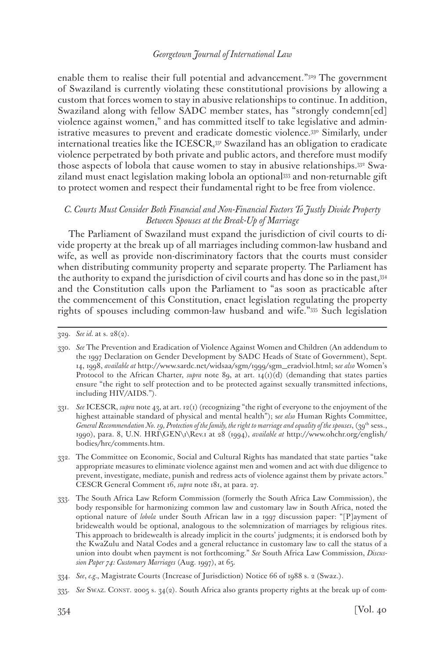enable them to realise their full potential and advancement."<sup>329</sup> The government of Swaziland is currently violating these constitutional provisions by allowing a custom that forces women to stay in abusive relationships to continue. In addition, Swaziland along with fellow SADC member states, has "strongly condemn[ed] violence against women," and has committed itself to take legislative and administrative measures to prevent and eradicate domestic violence.<sup>330</sup> Similarly, under international treaties like the ICESCR,331 Swaziland has an obligation to eradicate violence perpetrated by both private and public actors, and therefore must modify those aspects of lobola that cause women to stay in abusive relationships.332 Swaziland must enact legislation making lobola an optional333 and non-returnable gift to protect women and respect their fundamental right to be free from violence.

## *C. Courts Must Consider Both Financial and Non-Financial Factors To Justly Divide Property Between Spouses at the Break-Up of Marriage*

The Parliament of Swaziland must expand the jurisdiction of civil courts to divide property at the break up of all marriages including common-law husband and wife, as well as provide non-discriminatory factors that the courts must consider when distributing community property and separate property. The Parliament has the authority to expand the jurisdiction of civil courts and has done so in the past,334 and the Constitution calls upon the Parliament to "as soon as practicable after the commencement of this Constitution, enact legislation regulating the property rights of spouses including common-law husband and wife."335 Such legislation

- 331. *See* ICESCR, *supra* note 43, at art. 12(1) (recognizing "the right of everyone to the enjoyment of the highest attainable standard of physical and mental health"); s*ee also* Human Rights Committee, *General Recommendation No. 19, Protection of the family, the right to marriage and equality of the spouses*, (39th sess., 1990), para. 8, U.N. HRI\GEN\1\Rev.1 at 28 (1994), *available at* http://www.ohchr.org/english/ bodies/hrc/comments.htm.
- 332. The Committee on Economic, Social and Cultural Rights has mandated that state parties "take appropriate measures to eliminate violence against men and women and act with due diligence to prevent, investigate, mediate, punish and redress acts of violence against them by private actors." CESCR General Comment 16, *supra* note 181, at para. 27.
- 333. The South Africa Law Reform Commission (formerly the South Africa Law Commission), the body responsible for harmonizing common law and customary law in South Africa, noted the optional nature of *lobola* under South African law in a 1997 discussion paper: "[P]ayment of bridewealth would be optional, analogous to the solemnization of marriages by religious rites. This approach to bridewealth is already implicit in the courts' judgments; it is endorsed both by the KwaZulu and Natal Codes and a general reluctance in customary law to call the status of a union into doubt when payment is not forthcoming." *See* South Africa Law Commission, *Discussion Paper 74: Customary Marriages* (Aug. 1997), at 65.
- 334. *See*, *e.g.*, Magistrate Courts (Increase of Jurisdiction) Notice 66 of 1988 s. 2 (Swaz.).
- 335. *See* Swaz. Const. 2005 s. 34(2). South Africa also grants property rights at the break up of com-

<sup>329.</sup> *See id.* at s. 28(2).

<sup>330.</sup> *See* The Prevention and Eradication of Violence Against Women and Children (An addendum to the 1997 Declaration on Gender Development by SADC Heads of State of Government), Sept. 14, 1998, *available at* http://www.sardc.net/widsaa/sgm/1999/sgm\_eradviol.html; s*ee also* Women's Protocol to the African Charter, *supra* note 89, at art.  $14(1)(d)$  (demanding that states parties ensure "the right to self protection and to be protected against sexually transmitted infections, including HIV/AIDS.").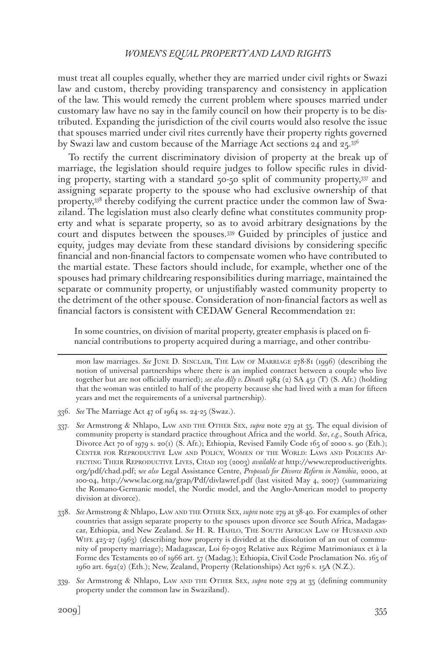must treat all couples equally, whether they are married under civil rights or Swazi law and custom, thereby providing transparency and consistency in application of the law. This would remedy the current problem where spouses married under customary law have no say in the family council on how their property is to be distributed. Expanding the jurisdiction of the civil courts would also resolve the issue that spouses married under civil rites currently have their property rights governed by Swazi law and custom because of the Marriage Act sections 24 and 25.336

To rectify the current discriminatory division of property at the break up of marriage, the legislation should require judges to follow specific rules in dividing property, starting with a standard 50-50 split of community property,337 and assigning separate property to the spouse who had exclusive ownership of that property,338 thereby codifying the current practice under the common law of Swaziland. The legislation must also clearly define what constitutes community property and what is separate property, so as to avoid arbitrary designations by the court and disputes between the spouses.339 Guided by principles of justice and equity, judges may deviate from these standard divisions by considering specific financial and non-financial factors to compensate women who have contributed to the martial estate. These factors should include, for example, whether one of the spouses had primary childrearing responsibilities during marriage, maintained the separate or community property, or unjustifiably wasted community property to the detriment of the other spouse. Consideration of non-financial factors as well as financial factors is consistent with CEDAW General Recommendation 21:

In some countries, on division of marital property, greater emphasis is placed on financial contributions to property acquired during a marriage, and other contribu-

mon law marriages. *See* June D. Sinclair, The Law of Marriage 278-81 (1996) (describing the notion of universal partnerships where there is an implied contract between a couple who live together but are not officially married); *see also Ally v. Dinath* 1984 (2) SA 451 (T) (S. Afr.) (holding that the woman was entitled to half of the property because she had lived with a man for fifteen years and met the requirements of a universal partnership).

- 336. *See* The Marriage Act 47 of 1964 ss. 24-25 (Swaz.).
- 337. *See* Armstrong & Nhlapo, Law and the Other Sex, *supra* note 279 at 35. The equal division of community property is standard practice throughout Africa and the world. *See*, *e.g.*, South Africa, Divorce Act 70 of 1979 s. 20(1) (S. Afr.); Ethiopia, Revised Family Code 165 of 2000 s. 90 (Eth.); Center for Reproductive Law and Policy, Women of the World: Laws and Policies Affecting Their Reproductive Lives, Chad 103 (2003) *available at* http://www.reproductiverights. org/pdf/chad.pdf; s*ee also* Legal Assistance Centre, *Proposals for Divorce Reform in Namibia*, 2000, at 100-04, http://www.lac.org.na/grap/Pdf/divlawref.pdf (last visited May 4, 2007) (summarizing the Romano-Germanic model, the Nordic model, and the Anglo-American model to property division at divorce).
- 338. *See* Armstrong & Nhlapo, Law and the Other Sex, *supra* note 279 at 38-40. For examples of other countries that assign separate property to the spouses upon divorce see South Africa, Madagascar, Ethiopia, and New Zealand. *See* H. R. Hahlo, The South African Law of Husband and WIFE 425-27 (1963) (describing how property is divided at the dissolution of an out of community of property marriage); Madagascar, Loi 67-0303 Relative aux Régime Matrimoniaux et à la Forme des Testaments 20 of 1966 art. 57 (Madag.); Ethiopia, Civil Code Proclamation No. 165 of 1960 art. 692(2) (Eth.); New, Zealand, Property (Relationships) Act 1976 s. 15A (N.Z.).
- 339. *See* Armstrong & Nhlapo, Law and the Other Sex, *supra* note 279 at 35 (defining community property under the common law in Swaziland).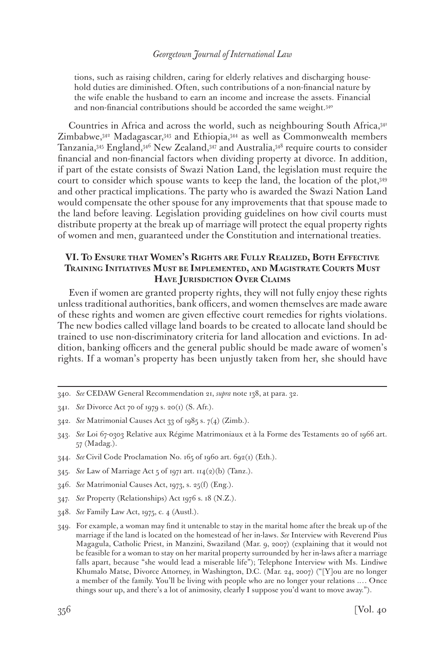tions, such as raising children, caring for elderly relatives and discharging household duties are diminished. Often, such contributions of a non-financial nature by the wife enable the husband to earn an income and increase the assets. Financial and non-financial contributions should be accorded the same weight.<sup>340</sup>

Countries in Africa and across the world, such as neighbouring South Africa,341 Zimbabwe,342 Madagascar,343 and Ethiopia,344 as well as Commonwealth members Tanzania,345 England,346 New Zealand,347 and Australia,348 require courts to consider financial and non-financial factors when dividing property at divorce. In addition, if part of the estate consists of Swazi Nation Land, the legislation must require the court to consider which spouse wants to keep the land, the location of the plot,349 and other practical implications. The party who is awarded the Swazi Nation Land would compensate the other spouse for any improvements that that spouse made to the land before leaving. Legislation providing guidelines on how civil courts must distribute property at the break up of marriage will protect the equal property rights of women and men, guaranteed under the Constitution and international treaties.

# **VI. To Ensure that Women's Rights are Fully Realized, Both Effective Training Initiatives Must be Implemented, and Magistrate Courts Must Have Jurisdiction Over Claims**

Even if women are granted property rights, they will not fully enjoy these rights unless traditional authorities, bank officers, and women themselves are made aware of these rights and women are given effective court remedies for rights violations. The new bodies called village land boards to be created to allocate land should be trained to use non-discriminatory criteria for land allocation and evictions. In addition, banking officers and the general public should be made aware of women's rights. If a woman's property has been unjustly taken from her, she should have

- 344. *See* Civil Code Proclamation No. 165 of 1960 art. 692(1) (Eth.).
- 345. *See* Law of Marriage Act 5 of 1971 art. 114(2)(b) (Tanz.).
- 346. *See* Matrimonial Causes Act, 1973, s. 25(f) (Eng.).
- 347. *See* Property (Relationships) Act 1976 s. 18 (N.Z.).
- 348. *See* Family Law Act, 1975, c. 4 (Austl.).

<sup>340.</sup> *See* CEDAW General Recommendation 21, *supra* note 138, at para. 32.

<sup>341.</sup> *See* Divorce Act 70 of 1979 s. 20(1) (S. Afr.).

<sup>342.</sup> *See* Matrimonial Causes Act 33 of 1985 s. 7(4) (Zimb.).

<sup>343.</sup> *See* Loi 67-0303 Relative aux Régime Matrimoniaux et à la Forme des Testaments 20 of 1966 art. 57 (Madag.).

<sup>349.</sup> For example, a woman may find it untenable to stay in the marital home after the break up of the marriage if the land is located on the homestead of her in-laws. *See* Interview with Reverend Pius Magagula, Catholic Priest, in Manzini, Swaziland (Mar. 9, 2007) (explaining that it would not be feasible for a woman to stay on her marital property surrounded by her in-laws after a marriage falls apart, because "she would lead a miserable life"); Telephone Interview with Ms. Lindiwe Khumalo Matse, Divorce Attorney, in Washington, D.C. (Mar. 24, 2007) ("[Y]ou are no longer a member of the family. You'll be living with people who are no longer your relations .… Once things sour up, and there's a lot of animosity, clearly I suppose you'd want to move away.").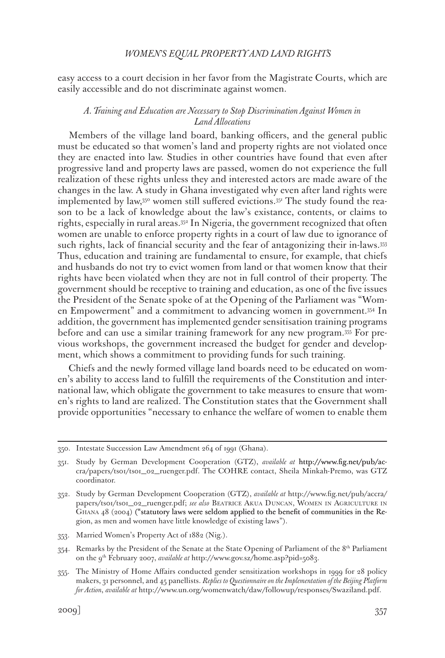easy access to a court decision in her favor from the Magistrate Courts, which are easily accessible and do not discriminate against women.

### *A. Training and Education are Necessary to Stop Discrimination Against Women in Land Allocations*

Members of the village land board, banking officers, and the general public must be educated so that women's land and property rights are not violated once they are enacted into law. Studies in other countries have found that even after progressive land and property laws are passed, women do not experience the full realization of these rights unless they and interested actors are made aware of the changes in the law. A study in Ghana investigated why even after land rights were implemented by law,<sup>350</sup> women still suffered evictions.<sup>351</sup> The study found the reason to be a lack of knowledge about the law's existance, contents, or claims to rights, especially in rural areas.352 In Nigeria, the government recognized that often women are unable to enforce property rights in a court of law due to ignorance of such rights, lack of financial security and the fear of antagonizing their in-laws.<sup>353</sup> Thus, education and training are fundamental to ensure, for example, that chiefs and husbands do not try to evict women from land or that women know that their rights have been violated when they are not in full control of their property. The government should be receptive to training and education, as one of the five issues the President of the Senate spoke of at the Opening of the Parliament was "Women Empowerment" and a commitment to advancing women in government.354 In addition, the government has implemented gender sensitisation training programs before and can use a similar training framework for any new program.355 For previous workshops, the government increased the budget for gender and development, which shows a commitment to providing funds for such training.

Chiefs and the newly formed village land boards need to be educated on women's ability to access land to fulfill the requirements of the Constitution and international law, which obligate the government to take measures to ensure that women's rights to land are realized. The Constitution states that the Government shall provide opportunities "necessary to enhance the welfare of women to enable them

<sup>350.</sup> Intestate Succession Law Amendment 264 of 1991 (Ghana).

<sup>351.</sup> Study by German Development Cooperation (GTZ), *available at* http://www.fig.net/pub/accra/papers/ts01/ts01\_02\_ruenger.pdf. The COHRE contact, Sheila Minkah-Premo, was GTZ coordinator.

<sup>352.</sup> Study by German Development Cooperation (GTZ), *available at* http://www.fig.net/pub/accra/ papers/ts01/ts01\_02\_ruenger.pdf; *see also* Beatrice Akua Duncan, Women in Agriculture in Ghana 48 (2004) ("statutory laws were seldom applied to the benefit of communities in the Region, as men and women have little knowledge of existing laws").

<sup>353.</sup> Married Women's Property Act of 1882 (Nig.).

<sup>354.</sup> Remarks by the President of the Senate at the State Opening of Parliament of the 8<sup>th</sup> Parliament on the 9th February 2007, *available at* http://www.gov.sz/home.asp?pid=5083.

<sup>355.</sup> The Ministry of Home Affairs conducted gender sensitization workshops in 1999 for 28 policy makers, 31 personnel, and 45 panellists. *Replies to Questionnaire on the Implementation of the Beijing Platform for Action*, *available at* http://www.un.org/womenwatch/daw/followup/responses/Swaziland.pdf.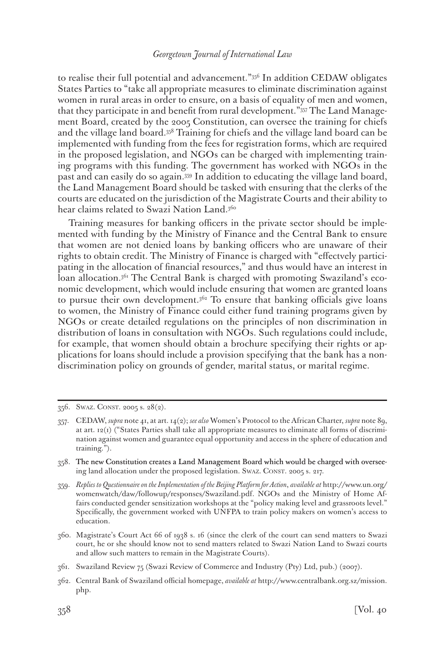to realise their full potential and advancement."356 In addition CEDAW obligates States Parties to "take all appropriate measures to eliminate discrimination against women in rural areas in order to ensure, on a basis of equality of men and women, that they participate in and benefit from rural development."357 The Land Management Board, created by the 2005 Constitution, can oversee the training for chiefs and the village land board.358 Training for chiefs and the village land board can be implemented with funding from the fees for registration forms, which are required in the proposed legislation, and NGOs can be charged with implementing training programs with this funding. The government has worked with NGOs in the past and can easily do so again.359 In addition to educating the village land board, the Land Management Board should be tasked with ensuring that the clerks of the courts are educated on the jurisdiction of the Magistrate Courts and their ability to hear claims related to Swazi Nation Land.<sup>360</sup>

Training measures for banking officers in the private sector should be implemented with funding by the Ministry of Finance and the Central Bank to ensure that women are not denied loans by banking officers who are unaware of their rights to obtain credit. The Ministry of Finance is charged with "effectvely participating in the allocation of financial resources," and thus would have an interest in loan allocation.<sup>361</sup> The Central Bank is charged with promoting Swaziland's economic development, which would include ensuring that women are granted loans to pursue their own development.<sup>362</sup> To ensure that banking officials give loans to women, the Ministry of Finance could either fund training programs given by NGOs or create detailed regulations on the principles of non discrimination in distribution of loans in consultation with NGOs. Such regulations could include, for example, that women should obtain a brochure specifying their rights or applications for loans should include a provision specifying that the bank has a nondiscrimination policy on grounds of gender, marital status, or marital regime.

<sup>356.</sup> Swaz. Const. 2005 s. 28(2).

<sup>357.</sup> CEDAW, *supra* note 41, at art. 14(2); *see also* Women's Protocol to the African Charter, *supra* note 89, at art. 12(1) ("States Parties shall take all appropriate measures to eliminate all forms of discrimination against women and guarantee equal opportunity and access in the sphere of education and training.").

<sup>358.</sup> The new Constitution creates a Land Management Board which would be charged with overseeing land allocation under the proposed legislation. Swaz. CONST. 2005 s. 217.

<sup>359.</sup> *Replies to Questionnaire on the Implementation of the Beijing Platform for Action*, *available at* http://www.un.org/ womenwatch/daw/followup/responses/Swaziland.pdf. NGOs and the Ministry of Home Affairs conducted gender sensitization workshops at the "policy making level and grassroots level." Specifically, the government worked with UNFPA to train policy makers on women's access to education.

<sup>360.</sup> Magistrate's Court Act 66 of 1938 s. 16 (since the clerk of the court can send matters to Swazi court, he or she should know not to send matters related to Swazi Nation Land to Swazi courts and allow such matters to remain in the Magistrate Courts).

<sup>361.</sup> Swaziland Review 75 (Swazi Review of Commerce and Industry (Pty) Ltd, pub.) (2007).

<sup>362.</sup> Central Bank of Swaziland official homepage, *available at* http://www.centralbank.org.sz/mission. php.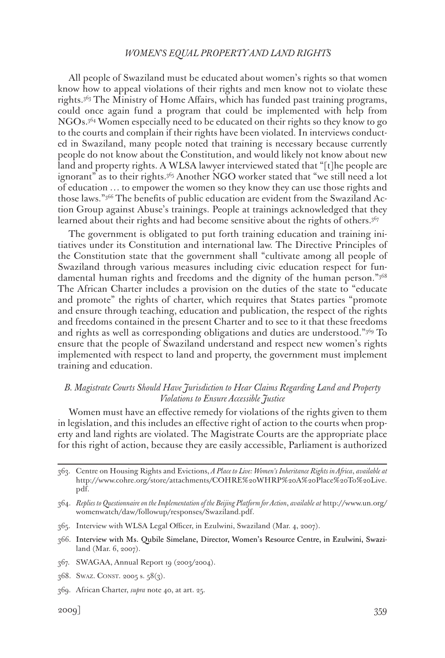All people of Swaziland must be educated about women's rights so that women know how to appeal violations of their rights and men know not to violate these rights.363 The Ministry of Home Affairs, which has funded past training programs, could once again fund a program that could be implemented with help from NGOs.364 Women especially need to be educated on their rights so they know to go to the courts and complain if their rights have been violated. In interviews conducted in Swaziland, many people noted that training is necessary because currently people do not know about the Constitution, and would likely not know about new land and property rights. A WLSA lawyer interviewed stated that "[t]he people are ignorant" as to their rights.365 Another NGO worker stated that "we still need a lot of education … to empower the women so they know they can use those rights and those laws."366 The benefits of public education are evident from the Swaziland Action Group against Abuse's trainings. People at trainings acknowledged that they learned about their rights and had become sensitive about the rights of others.<sup>367</sup>

The government is obligated to put forth training education and training initiatives under its Constitution and international law. The Directive Principles of the Constitution state that the government shall "cultivate among all people of Swaziland through various measures including civic education respect for fundamental human rights and freedoms and the dignity of the human person."368 The African Charter includes a provision on the duties of the state to "educate and promote" the rights of charter, which requires that States parties "promote and ensure through teaching, education and publication, the respect of the rights and freedoms contained in the present Charter and to see to it that these freedoms and rights as well as corresponding obligations and duties are understood."369 To ensure that the people of Swaziland understand and respect new women's rights implemented with respect to land and property, the government must implement training and education.

# *B. Magistrate Courts Should Have Jurisdiction to Hear Claims Regarding Land and Property Violations to Ensure Accessible Justice*

Women must have an effective remedy for violations of the rights given to them in legislation, and this includes an effective right of action to the courts when property and land rights are violated. The Magistrate Courts are the appropriate place for this right of action, because they are easily accessible, Parliament is authorized

- 365. Interview with WLSA Legal Officer, in Ezulwini, Swaziland (Mar. 4, 2007).
- 366. Interview with Ms. Qubile Simelane, Director, Women's Resource Centre, in Ezulwini, Swaziland (Mar. 6, 2007).
- 367. SWAGAA, Annual Report 19 (2003/2004).
- 368. Swaz. Const. 2005 s. 58(3).
- 369. African Charter, *supra* note 40, at art. 25.

<sup>363.</sup> Centre on Housing Rights and Evictions, *A Place to Live: Women's Inheritance Rights in Africa*, *available at*  http://www.cohre.org/store/attachments/COHRE%20WHRP%20A%20Place%20To%20Live. pdf.

<sup>364.</sup> *Replies to Questionnaire on the Implementation of the Beijing Platform for Action*, *available at* http://www.un.org/ womenwatch/daw/followup/responses/Swaziland.pdf.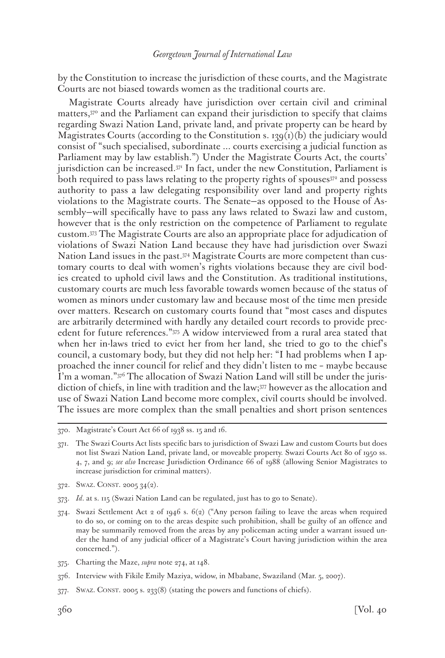by the Constitution to increase the jurisdiction of these courts, and the Magistrate Courts are not biased towards women as the traditional courts are.

Magistrate Courts already have jurisdiction over certain civil and criminal matters,370 and the Parliament can expand their jurisdiction to specify that claims regarding Swazi Nation Land, private land, and private property can be heard by Magistrates Courts (according to the Constitution s. 139(1)(b) the judiciary would consist of "such specialised, subordinate ... courts exercising a judicial function as Parliament may by law establish.") Under the Magistrate Courts Act, the courts' jurisdiction can be increased.371 In fact, under the new Constitution, Parliament is both required to pass laws relating to the property rights of spouses<sup>372</sup> and possess authority to pass a law delegating responsibility over land and property rights violations to the Magistrate courts. The Senate—as opposed to the House of Assembly—will specifically have to pass any laws related to Swazi law and custom, however that is the only restriction on the competence of Parliament to regulate custom.373 The Magistrate Courts are also an appropriate place for adjudication of violations of Swazi Nation Land because they have had jurisdiction over Swazi Nation Land issues in the past.374 Magistrate Courts are more competent than customary courts to deal with women's rights violations because they are civil bodies created to uphold civil laws and the Constitution. As traditional institutions, customary courts are much less favorable towards women because of the status of women as minors under customary law and because most of the time men preside over matters. Research on customary courts found that "most cases and disputes are arbitrarily determined with hardly any detailed court records to provide precedent for future references."375 A widow interviewed from a rural area stated that when her in-laws tried to evict her from her land, she tried to go to the chief's council, a customary body, but they did not help her: "I had problems when I approached the inner council for relief and they didn't listen to me – maybe because I'm a woman."376 The allocation of Swazi Nation Land will still be under the jurisdiction of chiefs, in line with tradition and the law;377 however as the allocation and use of Swazi Nation Land become more complex, civil courts should be involved. The issues are more complex than the small penalties and short prison sentences

375. Charting the Maze, *supra* note 274, at 148.

377. Swaz. Const. 2005 s. 233(8) (stating the powers and functions of chiefs).

<sup>370.</sup> Magistrate's Court Act 66 of 1938 ss. 15 and 16.

<sup>371.</sup> The Swazi Courts Act lists specific bars to jurisdiction of Swazi Law and custom Courts but does not list Swazi Nation Land, private land, or moveable property. Swazi Courts Act 80 of 1950 ss. 4, 7, and 9; *see also* Increase Jurisdiction Ordinance 66 of 1988 (allowing Senior Magistrates to increase jurisdiction for criminal matters).

<sup>372.</sup> SWAZ. CONST. 2005 34(2).

<sup>373.</sup> *Id*. at s. 115 (Swazi Nation Land can be regulated, just has to go to Senate).

<sup>374.</sup> Swazi Settlement Act 2 of 1946 s. 6(2) ("Any person failing to leave the areas when required to do so, or coming on to the areas despite such prohibition, shall be guilty of an offence and may be summarily removed from the areas by any policeman acting under a warrant issued under the hand of any judicial officer of a Magistrate's Court having jurisdiction within the area concerned.").

<sup>376.</sup> Interview with Fikile Emily Maziya, widow, in Mbabane, Swaziland (Mar. 5, 2007).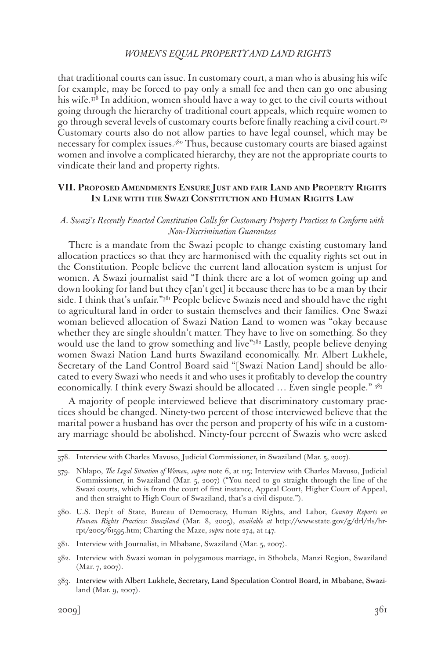that traditional courts can issue. In customary court, a man who is abusing his wife for example, may be forced to pay only a small fee and then can go one abusing his wife.378 In addition, women should have a way to get to the civil courts without going through the hierarchy of traditional court appeals, which require women to go through several levels of customary courts before finally reaching a civil court.379 Customary courts also do not allow parties to have legal counsel, which may be necessary for complex issues.380 Thus, because customary courts are biased against women and involve a complicated hierarchy, they are not the appropriate courts to vindicate their land and property rights.

## **VII. Proposed Amendments Ensure Just and fair Land and Property Rights In Line with the Swazi Constitution and Human Rights Law**

## *A. Swazi's Recently Enacted Constitution Calls for Customary Property Practices to Conform with Non-Discrimination Guarantees*

There is a mandate from the Swazi people to change existing customary land allocation practices so that they are harmonised with the equality rights set out in the Constitution. People believe the current land allocation system is unjust for women. A Swazi journalist said "I think there are a lot of women going up and down looking for land but they c[an't get] it because there has to be a man by their side. I think that's unfair."<sup>381</sup> People believe Swazis need and should have the right to agricultural land in order to sustain themselves and their families. One Swazi woman believed allocation of Swazi Nation Land to women was "okay because whether they are single shouldn't matter. They have to live on something. So they would use the land to grow something and live"<sup>382</sup> Lastly, people believe denying women Swazi Nation Land hurts Swaziland economically. Mr. Albert Lukhele, Secretary of the Land Control Board said "[Swazi Nation Land] should be allocated to every Swazi who needs it and who uses it profitably to develop the country economically. I think every Swazi should be allocated … Even single people." 383

A majority of people interviewed believe that discriminatory customary practices should be changed. Ninety-two percent of those interviewed believe that the marital power a husband has over the person and property of his wife in a customary marriage should be abolished. Ninety-four percent of Swazis who were asked

<sup>378.</sup> Interview with Charles Mavuso, Judicial Commissioner, in Swaziland (Mar. 5, 2007).

<sup>379.</sup> Nhlapo, *The Legal Situation of Women*, *supra* note 6, at 115; Interview with Charles Mavuso, Judicial Commissioner, in Swaziland (Mar. 5, 2007) ("You need to go straight through the line of the Swazi courts, which is from the court of first instance, Appeal Court, Higher Court of Appeal, and then straight to High Court of Swaziland, that's a civil dispute.").

<sup>380.</sup> U.S. Dep't of State, Bureau of Democracy, Human Rights, and Labor, *Country Reports on Human Rights Practices: Swaziland* (Mar. 8, 2005), *available at* http://www.state.gov/g/drl/rls/hrrpt/2005/61595.htm; Charting the Maze, *supra* note 274, at 147.

<sup>381.</sup> Interview with Journalist, in Mbabane, Swaziland (Mar. 5, 2007).

<sup>382.</sup> Interview with Swazi woman in polygamous marriage, in Sthobela, Manzi Region, Swaziland (Mar. 7, 2007).

<sup>383.</sup> Interview with Albert Lukhele, Secretary, Land Speculation Control Board, in Mbabane, Swaziland (Mar. 9, 2007).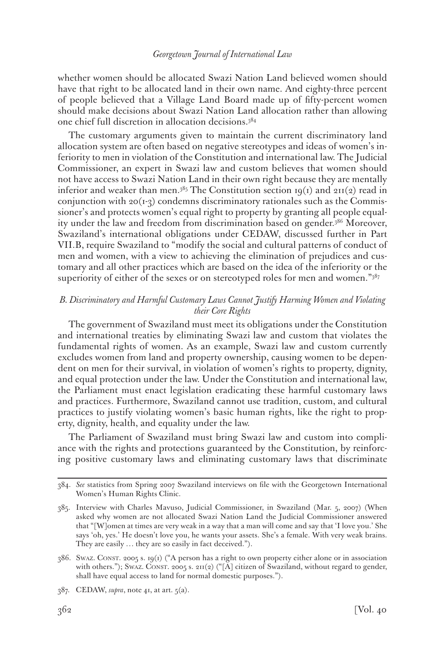whether women should be allocated Swazi Nation Land believed women should have that right to be allocated land in their own name. And eighty-three percent of people believed that a Village Land Board made up of fifty-percent women should make decisions about Swazi Nation Land allocation rather than allowing one chief full discretion in allocation decisions.384

The customary arguments given to maintain the current discriminatory land allocation system are often based on negative stereotypes and ideas of women's inferiority to men in violation of the Constitution and international law. The Judicial Commissioner, an expert in Swazi law and custom believes that women should not have access to Swazi Nation Land in their own right because they are mentally inferior and weaker than men.<sup>385</sup> The Constitution section 19(1) and 211(2) read in conjunction with  $20(I-3)$  condemns discriminatory rationales such as the Commissioner's and protects women's equal right to property by granting all people equality under the law and freedom from discrimination based on gender.<sup>386</sup> Moreover, Swaziland's international obligations under CEDAW, discussed further in Part VII.B, require Swaziland to "modify the social and cultural patterns of conduct of men and women, with a view to achieving the elimination of prejudices and customary and all other practices which are based on the idea of the inferiority or the superiority of either of the sexes or on stereotyped roles for men and women."387

## *B. Discriminatory and Harmful Customary Laws Cannot Justify Harming Women and Violating their Core Rights*

The government of Swaziland must meet its obligations under the Constitution and international treaties by eliminating Swazi law and custom that violates the fundamental rights of women. As an example, Swazi law and custom currently excludes women from land and property ownership, causing women to be dependent on men for their survival, in violation of women's rights to property, dignity, and equal protection under the law. Under the Constitution and international law, the Parliament must enact legislation eradicating these harmful customary laws and practices. Furthermore, Swaziland cannot use tradition, custom, and cultural practices to justify violating women's basic human rights, like the right to property, dignity, health, and equality under the law.

The Parliament of Swaziland must bring Swazi law and custom into compliance with the rights and protections guaranteed by the Constitution, by reinforcing positive customary laws and eliminating customary laws that discriminate

<sup>384.</sup> *See* statistics from Spring 2007 Swaziland interviews on file with the Georgetown International Women's Human Rights Clinic.

<sup>385.</sup> Interview with Charles Mavuso, Judicial Commissioner, in Swaziland (Mar. 5, 2007) (When asked why women are not allocated Swazi Nation Land the Judicial Commissioner answered that "[W]omen at times are very weak in a way that a man will come and say that 'I love you.' She says 'oh, yes.' He doesn't love you, he wants your assets. She's a female. With very weak brains. They are easily … they are so easily in fact deceived.").

<sup>386.</sup> Swaz. Const. 2005 s. 19(1) ("A person has a right to own property either alone or in association with others."); Swaz. CONST. 2005 s. 211(2) ("[A] citizen of Swaziland, without regard to gender, shall have equal access to land for normal domestic purposes.").

<sup>387.</sup> CEDAW, *supra*, note 41, at art. 5(a).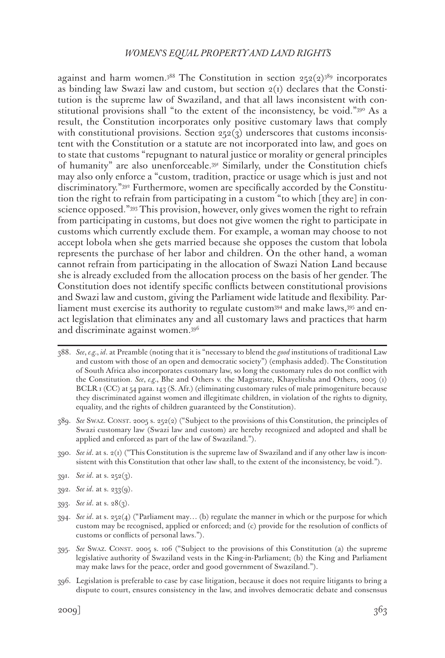against and harm women.<sup>388</sup> The Constitution in section  $252(2)^{389}$  incorporates as binding law Swazi law and custom, but section  $2(i)$  declares that the Constitution is the supreme law of Swaziland, and that all laws inconsistent with constitutional provisions shall "to the extent of the inconsistency, be void."<sup>390</sup> As a result, the Constitution incorporates only positive customary laws that comply with constitutional provisions. Section  $252(3)$  underscores that customs inconsistent with the Constitution or a statute are not incorporated into law, and goes on to state that customs "repugnant to natural justice or morality or general principles of humanity" are also unenforceable.391 Similarly, under the Constitution chiefs may also only enforce a "custom, tradition, practice or usage which is just and not discriminatory."392 Furthermore, women are specifically accorded by the Constitution the right to refrain from participating in a custom "to which [they are] in conscience opposed."393 This provision, however, only gives women the right to refrain from participating in customs, but does not give women the right to participate in customs which currently exclude them. For example, a woman may choose to not accept lobola when she gets married because she opposes the custom that lobola represents the purchase of her labor and children. On the other hand, a woman cannot refrain from participating in the allocation of Swazi Nation Land because she is already excluded from the allocation process on the basis of her gender. The Constitution does not identify specific conflicts between constitutional provisions and Swazi law and custom, giving the Parliament wide latitude and flexibility. Parliament must exercise its authority to regulate custom394 and make laws,395 and enact legislation that eliminates any and all customary laws and practices that harm and discriminate against women.396

- 388. *See*, *e.g.*, *id*. at Preamble (noting that it is "necessary to blend the *good* institutions of traditional Law and custom with those of an open and democratic society") (emphasis added). The Constitution of South Africa also incorporates customary law, so long the customary rules do not conflict with the Constitution. *See*, *e.g.*, Bhe and Others v. the Magistrate, Khayelitsha and Others, 2005 (1) BCLR 1 (CC) at 54 para. 143 (S. Afr.) (eliminating customary rules of male primogeniture because they discriminated against women and illegitimate children, in violation of the rights to dignity, equality, and the rights of children guaranteed by the Constitution).
- 389. *See* Swaz. Const. 2005 s. 252(2) ("Subject to the provisions of this Constitution, the principles of Swazi customary law (Swazi law and custom) are hereby recognized and adopted and shall be applied and enforced as part of the law of Swaziland.").
- 390. *See id*. at s. 2(1) ("This Constitution is the supreme law of Swaziland and if any other law is inconsistent with this Constitution that other law shall, to the extent of the inconsistency, be void.").
- 391. *See id*. at s. 252(3).
- 392. *See id*. at s. 233(9).
- 393. *See id*. at s. 28(3).
- 394. *See id*. at s. 252(4) ("Parliament may… (b) regulate the manner in which or the purpose for which custom may be recognised, applied or enforced; and (c) provide for the resolution of conflicts of customs or conflicts of personal laws.").
- 395. *See* Swaz. Const. 2005 s. 106 ("Subject to the provisions of this Constitution (a) the supreme legislative authority of Swaziland vests in the King-in-Parliament; (b) the King and Parliament may make laws for the peace, order and good government of Swaziland.").
- 396. Legislation is preferable to case by case litigation, because it does not require litigants to bring a dispute to court, ensures consistency in the law, and involves democratic debate and consensus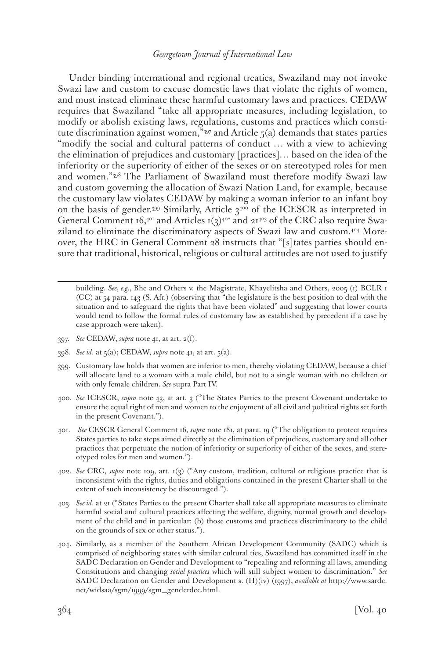Under binding international and regional treaties, Swaziland may not invoke Swazi law and custom to excuse domestic laws that violate the rights of women, and must instead eliminate these harmful customary laws and practices. CEDAW requires that Swaziland "take all appropriate measures, including legislation, to modify or abolish existing laws, regulations, customs and practices which constitute discrimination against women,"<sup>397</sup> and Article  $5(a)$  demands that states parties "modify the social and cultural patterns of conduct … with a view to achieving the elimination of prejudices and customary [practices]… based on the idea of the inferiority or the superiority of either of the sexes or on stereotyped roles for men and women."398 The Parliament of Swaziland must therefore modify Swazi law and custom governing the allocation of Swazi Nation Land, for example, because the customary law violates CEDAW by making a woman inferior to an infant boy on the basis of gender.<sup>399</sup> Similarly, Article  $3^{400}$  of the ICESCR as interpreted in General Comment 16,<sup>401</sup> and Articles 1(3)<sup>402</sup> and 21<sup>403</sup> of the CRC also require Swaziland to eliminate the discriminatory aspects of Swazi law and custom.404 Moreover, the HRC in General Comment 28 instructs that "[s]tates parties should ensure that traditional, historical, religious or cultural attitudes are not used to justify

building. *See*, *e.g.*, Bhe and Others v. the Magistrate, Khayelitsha and Others, 2005 (1) BCLR 1 (CC) at 54 para. 143 (S. Afr.) (observing that "the legislature is the best position to deal with the situation and to safeguard the rights that have been violated" and suggesting that lower courts would tend to follow the formal rules of customary law as established by precedent if a case by case approach were taken).

- 397. *See* CEDAW, *supra* note 41, at art. 2(f).
- 398. *See id*. at 5(a); CEDAW, *supra* note 41, at art. 5(a).
- 399. Customary law holds that women are inferior to men, thereby violating CEDAW, because a chief will allocate land to a woman with a male child, but not to a single woman with no children or with only female children. *See* supra Part IV.
- 400. *See* ICESCR, *supra* note 43, at art. 3 ("The States Parties to the present Covenant undertake to ensure the equal right of men and women to the enjoyment of all civil and political rights set forth in the present Covenant.").
- 401. *See* CESCR General Comment 16, *supra* note 181, at para. 19 ("The obligation to protect requires States parties to take steps aimed directly at the elimination of prejudices, customary and all other practices that perpetuate the notion of inferiority or superiority of either of the sexes, and stereotyped roles for men and women.").
- 402. *See* CRC, *supra* note 109, art. 1(3) ("Any custom, tradition, cultural or religious practice that is inconsistent with the rights, duties and obligations contained in the present Charter shall to the extent of such inconsistency be discouraged.").
- 403. *See id*. at 21 ("States Parties to the present Charter shall take all appropriate measures to eliminate harmful social and cultural practices affecting the welfare, dignity, normal growth and development of the child and in particular: (b) those customs and practices discriminatory to the child on the grounds of sex or other status.").
- 404. Similarly, as a member of the Southern African Development Community (SADC) which is comprised of neighboring states with similar cultural ties, Swaziland has committed itself in the SADC Declaration on Gender and Development to "repealing and reforming all laws, amending Constitutions and changing *social practices* which will still subject women to discrimination." *See* SADC Declaration on Gender and Development s. (H)(iv) (1997), *available at* http://www.sardc. net/widsaa/sgm/1999/sgm\_genderdec.html.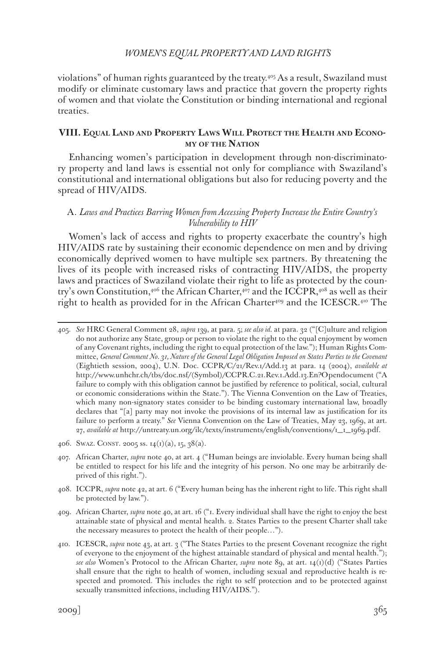violations" of human rights guaranteed by the treaty.405 As a result, Swaziland must modify or eliminate customary laws and practice that govern the property rights of women and that violate the Constitution or binding international and regional treaties.

### **VIII. Equal Land and Property Laws Will Protect the Health and Economy of the Nation**

Enhancing women's participation in development through non-discriminatory property and land laws is essential not only for compliance with Swaziland's constitutional and international obligations but also for reducing poverty and the spread of HIV/AIDS.

### A. *Laws and Practices Barring Women from Accessing Property Increase the Entire Country's Vulnerability to HIV*

Women's lack of access and rights to property exacerbate the country's high HIV/AIDS rate by sustaining their economic dependence on men and by driving economically deprived women to have multiple sex partners. By threatening the lives of its people with increased risks of contracting HIV/AIDS, the property laws and practices of Swaziland violate their right to life as protected by the country's own Constitution,<sup>406</sup> the African Charter,<sup>407</sup> and the ICCPR,<sup>408</sup> as well as their right to health as provided for in the African Charter<sup>409</sup> and the ICESCR.<sup>410</sup> The

<sup>405.</sup> *See* HRC General Comment 28, *supra* 139, at para. 5; *see also id.* at para. 32 ("[C]ulture and religion do not authorize any State, group or person to violate the right to the equal enjoyment by women of any Covenant rights, including the right to equal protection of the law."); Human Rights Committee, *General Comment No. 31, Nature of the General Legal Obligation Imposed on States Parties to the Covenant* (Eightieth session, 2004), U.N. Doc. CCPR/C/21/Rev.1/Add.13 at para. 14 (2004), *available at* http://www.unhchr.ch/tbs/doc.nsf/(Symbol)/CCPR.C.21.Rev.1.Add.13.En?Opendocument ("A failure to comply with this obligation cannot be justified by reference to political, social, cultural or economic considerations within the State."). The Vienna Convention on the Law of Treaties, which many non-signatory states consider to be binding customary international law, broadly declares that "[a] party may not invoke the provisions of its internal law as justification for its failure to perform a treaty." *See* Vienna Convention on the Law of Treaties, May 23, 1969, at art. 27, *available at* http://untreaty.un.org/ilc/texts/instruments/english/conventions/1\_1\_1969.pdf.

<sup>406.</sup> SWAZ. CONST. 2005 ss.  $14(1)(a)$ , 15, 38(a).

<sup>407.</sup> African Charter, *supra* note 40, at art. 4 ("Human beings are inviolable. Every human being shall be entitled to respect for his life and the integrity of his person. No one may be arbitrarily deprived of this right.").

<sup>408.</sup> ICCPR, *supra* note 42, at art. 6 ("Every human being has the inherent right to life. This right shall be protected by law.").

<sup>409.</sup> African Charter, *supra* note 40, at art. 16 ("1. Every individual shall have the right to enjoy the best attainable state of physical and mental health. 2. States Parties to the present Charter shall take the necessary measures to protect the health of their people…").

<sup>410.</sup> ICESCR, *supra* note 43, at art. 3 ("The States Parties to the present Covenant recognize the right of everyone to the enjoyment of the highest attainable standard of physical and mental health."); *see also* Women's Protocol to the African Charter, *supra* note 89, at art. 14(1)(d) ("States Parties shall ensure that the right to health of women, including sexual and reproductive health is respected and promoted. This includes the right to self protection and to be protected against sexually transmitted infections, including HIV/AIDS.").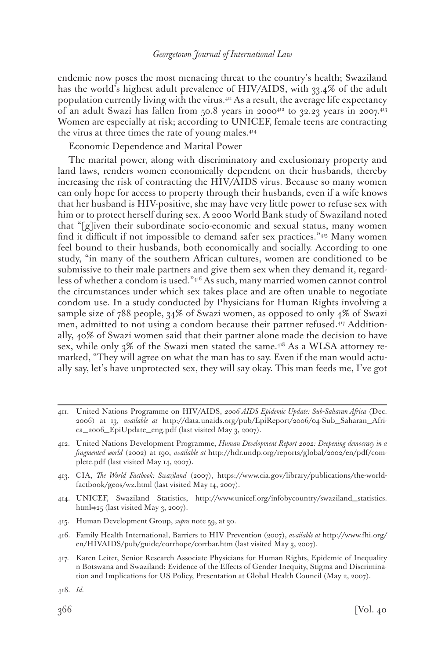endemic now poses the most menacing threat to the country's health; Swaziland has the world's highest adult prevalence of HIV/AIDS, with 33.4% of the adult population currently living with the virus.<sup>411</sup> As a result, the average life expectancy of an adult Swazi has fallen from  $50.8$  years in 2000<sup>412</sup> to 32.23 years in 2007.<sup>413</sup> Women are especially at risk; according to UNICEF, female teens are contracting the virus at three times the rate of young males.<sup>414</sup>

Economic Dependence and Marital Power

The marital power, along with discriminatory and exclusionary property and land laws, renders women economically dependent on their husbands, thereby increasing the risk of contracting the HIV/AIDS virus. Because so many women can only hope for access to property through their husbands, even if a wife knows that her husband is HIV-positive, she may have very little power to refuse sex with him or to protect herself during sex. A 2000 World Bank study of Swaziland noted that "[g]iven their subordinate socio-economic and sexual status, many women find it difficult if not impossible to demand safer sex practices."415 Many women feel bound to their husbands, both economically and socially. According to one study, "in many of the southern African cultures, women are conditioned to be submissive to their male partners and give them sex when they demand it, regardless of whether a condom is used."416 As such, many married women cannot control the circumstances under which sex takes place and are often unable to negotiate condom use. In a study conducted by Physicians for Human Rights involving a sample size of 788 people, 34% of Swazi women, as opposed to only 4% of Swazi men, admitted to not using a condom because their partner refused.<sup>417</sup> Additionally, 40% of Swazi women said that their partner alone made the decision to have sex, while only 3% of the Swazi men stated the same.<sup>418</sup> As a WLSA attorney remarked, "They will agree on what the man has to say. Even if the man would actually say, let's have unprotected sex, they will say okay. This man feeds me, I've got

- 413. CIA, *The World Factbook: Swaziland* (2007), https://www.cia.gov/library/publications/the-worldfactbook/geos/wz.html (last visited May 14, 2007).
- 414. UNICEF, Swaziland Statistics, http://www.unicef.org/infobycountry/swaziland\_statistics. html#25 (last visited May 3, 2007).
- 415. Human Development Group, *supra* note 59, at 30.
- 416. Family Health International, Barriers to HIV Prevention (2007), *available at* http://www.fhi.org/ en/HIVAIDS/pub/guide/corrhope/corrbar.htm (last visited May 3, 2007).
- 417. Karen Leiter, Senior Research Associate Physicians for Human Rights, Epidemic of Inequality n Botswana and Swaziland: Evidence of the Effects of Gender Inequity, Stigma and Discrimination and Implications for US Policy, Presentation at Global Health Council (May 2, 2007).

<sup>411.</sup> United Nations Programme on HIV/AIDS, *2006 AIDS Epidemic Update: Sub-Saharan Africa* (Dec. 2006) at 13, *available at* http://data.unaids.org/pub/EpiReport/2006/04-Sub\_Saharan\_Africa\_2006\_EpiUpdate\_eng.pdf (last visited May 3, 2007).

<sup>412.</sup> United Nations Development Programme, *Human Development Report 2002: Deepening democracy in a fragmented world* (2002) at 190, *available at* http://hdr.undp.org/reports/global/2002/en/pdf/complete.pdf (last visited May 14, 2007).

<sup>418.</sup> *Id.*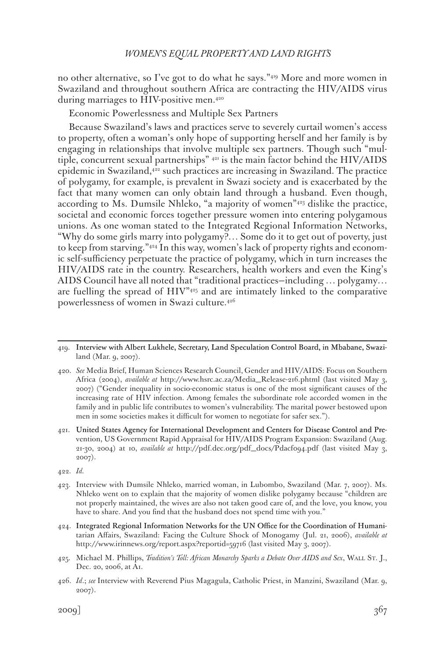no other alternative, so I've got to do what he says."419 More and more women in Swaziland and throughout southern Africa are contracting the HIV/AIDS virus during marriages to HIV-positive men.<sup>420</sup>

Economic Powerlessness and Multiple Sex Partners

Because Swaziland's laws and practices serve to severely curtail women's access to property, often a woman's only hope of supporting herself and her family is by engaging in relationships that involve multiple sex partners. Though such "multiple, concurrent sexual partnerships" 421 is the main factor behind the HIV/AIDS epidemic in Swaziland, $422$  such practices are increasing in Swaziland. The practice of polygamy, for example, is prevalent in Swazi society and is exacerbated by the fact that many women can only obtain land through a husband. Even though, according to Ms. Dumsile Nhleko, "a majority of women"423 dislike the practice, societal and economic forces together pressure women into entering polygamous unions. As one woman stated to the Integrated Regional Information Networks, "Why do some girls marry into polygamy?… Some do it to get out of poverty, just to keep from starving."424 In this way, women's lack of property rights and economic self-sufficiency perpetuate the practice of polygamy, which in turn increases the HIV/AIDS rate in the country. Researchers, health workers and even the King's AIDS Council have all noted that "traditional practices—including … polygamy… are fuelling the spread of  $HIV^{n_{45}}$  and are intimately linked to the comparative powerlessness of women in Swazi culture.426

- 425. Michael M. Phillips, *Tradition's Toll: African Monarchy Sparks a Debate Over AIDS and Sex*, WALL ST. J., Dec. 20, 2006, at A1.
- 426. *Id*.; *see* Interview with Reverend Pius Magagula, Catholic Priest, in Manzini, Swaziland (Mar. 9, 2007).

<sup>419.</sup> Interview with Albert Lukhele, Secretary, Land Speculation Control Board, in Mbabane, Swaziland (Mar. 9, 2007).

<sup>420.</sup> *See* Media Brief, Human Sciences Research Council, Gender and HIV/AIDS: Focus on Southern Africa (2004), *available at* http://www.hsrc.ac.za/Media\_Release-216.phtml (last visited May 3, 2007) ("Gender inequality in socio-economic status is one of the most significant causes of the increasing rate of HIV infection. Among females the subordinate role accorded women in the family and in public life contributes to women's vulnerability. The marital power bestowed upon men in some societies makes it difficult for women to negotiate for safer sex.").

<sup>421.</sup> United States Agency for International Development and Centers for Disease Control and Prevention, US Government Rapid Appraisal for HIV/AIDS Program Expansion: Swaziland (Aug. 21-30, 2004) at 10, *available at* http://pdf.dec.org/pdf\_docs/Pdacf094.pdf (last visited May 3, 2007).

<sup>422.</sup> *Id.*

<sup>423.</sup> Interview with Dumsile Nhleko, married woman, in Lubombo, Swaziland (Mar. 7, 2007). Ms. Nhleko went on to explain that the majority of women dislike polygamy because "children are not properly maintained, the wives are also not taken good care of, and the love, you know, you have to share. And you find that the husband does not spend time with you."

<sup>424.</sup> Integrated Regional Information Networks for the UN Office for the Coordination of Humanitarian Affairs, Swaziland: Facing the Culture Shock of Monogamy (Jul. 21, 2006), *available at*  http://www.irinnews.org/report.aspx?reportid=59716 (last visited May 3, 2007).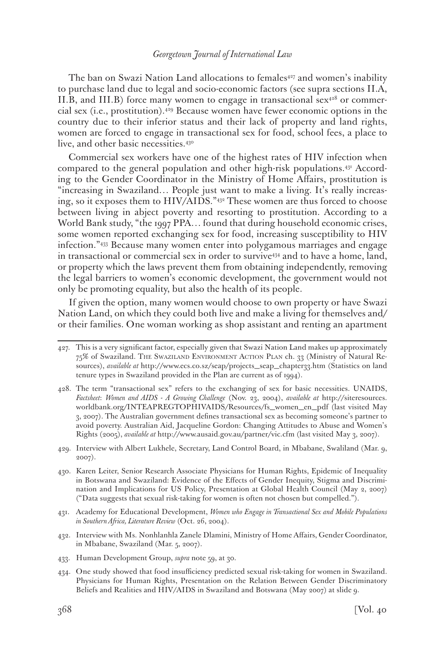The ban on Swazi Nation Land allocations to females<sup>427</sup> and women's inability to purchase land due to legal and socio-economic factors (see supra sections II.A, II.B, and III.B) force many women to engage in transactional sex $4^{28}$  or commercial sex (i.e., prostitution).429 Because women have fewer economic options in the country due to their inferior status and their lack of property and land rights, women are forced to engage in transactional sex for food, school fees, a place to live, and other basic necessities.430

Commercial sex workers have one of the highest rates of HIV infection when compared to the general population and other high-risk populations.431 According to the Gender Coordinator in the Ministry of Home Affairs, prostitution is "increasing in Swaziland… People just want to make a living. It's really increasing, so it exposes them to HIV/AIDS."432 These women are thus forced to choose between living in abject poverty and resorting to prostitution. According to a World Bank study, "the 1997 PPA… found that during household economic crises, some women reported exchanging sex for food, increasing susceptibility to HIV infection."433 Because many women enter into polygamous marriages and engage in transactional or commercial sex in order to survive<sup>434</sup> and to have a home, land, or property which the laws prevent them from obtaining independently, removing the legal barriers to women's economic development, the government would not only be promoting equality, but also the health of its people.

If given the option, many women would choose to own property or have Swazi Nation Land, on which they could both live and make a living for themselves and/ or their families. One woman working as shop assistant and renting an apartment

- 431. Academy for Educational Development, *Women who Engage in Transactional Sex and Mobile Populations in Southern Africa, Literature Review* (Oct. 26, 2004).
- 432. Interview with Ms. Nonhlanhla Zanele Dlamini, Ministry of Home Affairs, Gender Coordinator, in Mbabane, Swaziland (Mar. 5, 2007).
- 433. Human Development Group, *supra* note 59, at 30.
- 434. One study showed that food insufficiency predicted sexual risk-taking for women in Swaziland. Physicians for Human Rights, Presentation on the Relation Between Gender Discriminatory Beliefs and Realities and HIV/AIDS in Swaziland and Botswana (May 2007) at slide 9.

<sup>427.</sup> This is a very significant factor, especially given that Swazi Nation Land makes up approximately 75% of Swaziland. The Swaziland Environment Action Plan ch. 33 (Ministry of Natural Resources), *available at* http://www.ecs.co.sz/seap/projects\_seap\_chapter33.htm (Statistics on land tenure types in Swaziland provided in the Plan are current as of 1994).

<sup>428.</sup> The term "transactional sex" refers to the exchanging of sex for basic necessities. UNAIDS, *Factsheet*: *Women and AIDS - A Growing Challenge* (Nov. 23, 2004), *available at* http://siteresources. worldbank.org/INTEAPREGTOPHIVAIDS/Resources/fs\_women\_en\_pdf (last visited May 3, 2007). The Australian government defines transactional sex as becoming someone's partner to avoid poverty. Australian Aid, Jacqueline Gordon: Changing Attitudes to Abuse and Women's Rights (2005), *available at* http://www.ausaid.gov.au/partner/vic.cfm (last visited May 3, 2007).

<sup>429.</sup> Interview with Albert Lukhele, Secretary, Land Control Board, in Mbabane, Swaliland (Mar. 9, 2007).

<sup>430.</sup> Karen Leiter, Senior Research Associate Physicians for Human Rights, Epidemic of Inequality in Botswana and Swaziland: Evidence of the Effects of Gender Inequity, Stigma and Discrimination and Implications for US Policy, Presentation at Global Health Council (May 2, 2007) ("Data suggests that sexual risk-taking for women is often not chosen but compelled.").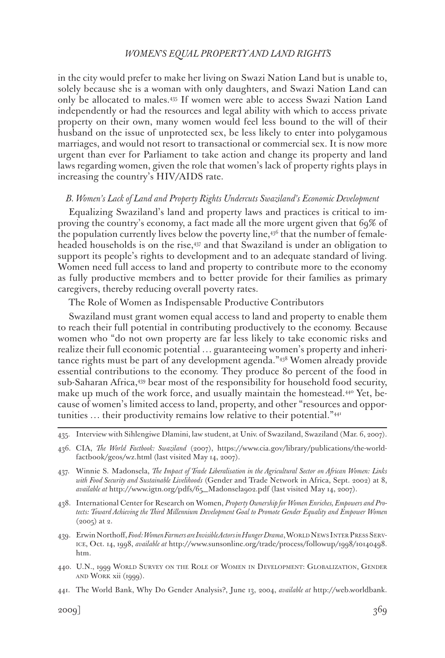in the city would prefer to make her living on Swazi Nation Land but is unable to, solely because she is a woman with only daughters, and Swazi Nation Land can only be allocated to males.435 If women were able to access Swazi Nation Land independently or had the resources and legal ability with which to access private property on their own, many women would feel less bound to the will of their husband on the issue of unprotected sex, be less likely to enter into polygamous marriages, and would not resort to transactional or commercial sex. It is now more urgent than ever for Parliament to take action and change its property and land laws regarding women, given the role that women's lack of property rights plays in increasing the country's HIV/AIDS rate.

#### *B. Women's Lack of Land and Property Rights Undercuts Swaziland's Economic Development*

Equalizing Swaziland's land and property laws and practices is critical to improving the country's economy, a fact made all the more urgent given that 69% of the population currently lives below the poverty line, $43^6$  that the number of femaleheaded households is on the rise,437 and that Swaziland is under an obligation to support its people's rights to development and to an adequate standard of living. Women need full access to land and property to contribute more to the economy as fully productive members and to better provide for their families as primary caregivers, thereby reducing overall poverty rates.

The Role of Women as Indispensable Productive Contributors

Swaziland must grant women equal access to land and property to enable them to reach their full potential in contributing productively to the economy. Because women who "do not own property are far less likely to take economic risks and realize their full economic potential … guaranteeing women's property and inheritance rights must be part of any development agenda."438 Women already provide essential contributions to the economy. They produce 80 percent of the food in sub-Saharan Africa,439 bear most of the responsibility for household food security, make up much of the work force, and usually maintain the homestead.<sup>440</sup> Yet, because of women's limited access to land, property, and other "resources and opportunities … their productivity remains low relative to their potential."441

- 438. International Center for Research on Women, *Property Ownership for Women Enriches, Empowers and Protects: Toward Achieving the Third Millennium Development Goal to Promote Gender Equality and Empower Women* (2005) at 2.
- 439. Erwin Northoff, *Food: Women Farmers are Invisible Actors in Hunger Drama*, WORLD NEWS INTER PRESS SERVice, Oct. 14, 1998, *available at* http://www.sunsonline.org/trade/process/followup/1998/10140498. htm.
- 440. U.N., 1999 World Survey on the Role of Women in Development: Globalization, Gender and Work xii (1999).
- 441. The World Bank, Why Do Gender Analysis?, June 13, 2004, *available at* http://web.worldbank.

<sup>435.</sup> Interview with Sihlengiwe Dlamini, law student, at Univ. of Swaziland, Swaziland (Mar. 6, 2007).

<sup>436.</sup> CIA, *The World Factbook: Swaziland* (2007), https://www.cia.gov/library/publications/the-worldfactbook/geos/wz.html (last visited May 14, 2007).

<sup>437.</sup> Winnie S. Madonsela, *The Impact of Trade Liberalisation in the Agricultural Sector on African Women: Links with Food Security and Sustainable Livelihoods* (Gender and Trade Network in Africa, Sept. 2002) at 8, *available at* http://www.igtn.org/pdfs/65\_Madonsela902.pdf (last visited May 14, 2007).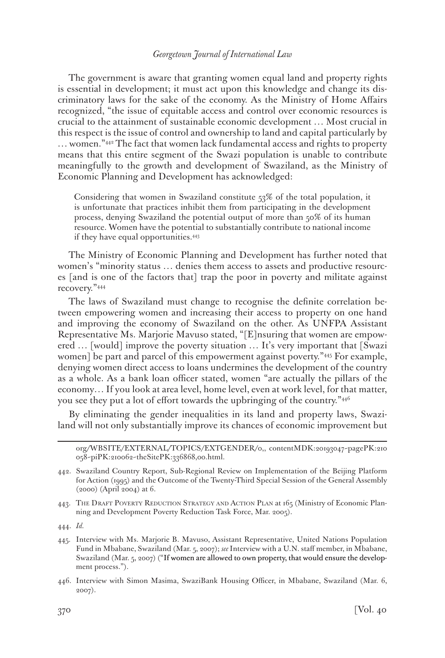The government is aware that granting women equal land and property rights is essential in development; it must act upon this knowledge and change its discriminatory laws for the sake of the economy. As the Ministry of Home Affairs recognized, "the issue of equitable access and control over economic resources is crucial to the attainment of sustainable economic development … Most crucial in this respect is the issue of control and ownership to land and capital particularly by … women."442 The fact that women lack fundamental access and rights to property means that this entire segment of the Swazi population is unable to contribute meaningfully to the growth and development of Swaziland, as the Ministry of Economic Planning and Development has acknowledged:

Considering that women in Swaziland constitute 53% of the total population, it is unfortunate that practices inhibit them from participating in the development process, denying Swaziland the potential output of more than 50% of its human resource. Women have the potential to substantially contribute to national income if they have equal opportunities.443

The Ministry of Economic Planning and Development has further noted that women's "minority status … denies them access to assets and productive resources [and is one of the factors that] trap the poor in poverty and militate against recovery."444

The laws of Swaziland must change to recognise the definite correlation between empowering women and increasing their access to property on one hand and improving the economy of Swaziland on the other. As UNFPA Assistant Representative Ms. Marjorie Mavuso stated, "[E]nsuring that women are empowered … [would] improve the poverty situation … It's very important that [Swazi women] be part and parcel of this empowerment against poverty."445 For example, denying women direct access to loans undermines the development of the country as a whole. As a bank loan officer stated, women "are actually the pillars of the economy… If you look at area level, home level, even at work level, for that matter, you see they put a lot of effort towards the upbringing of the country."<sup>446</sup>

By eliminating the gender inequalities in its land and property laws, Swaziland will not only substantially improve its chances of economic improvement but

org/WBSITE/EXTERNAL/TOPICS/EXTGENDER/0,, contentMDK:20193047~pagePK:210 058~piPK:210062~theSitePK:336868,00.html.

442. Swaziland Country Report, Sub-Regional Review on Implementation of the Beijing Platform for Action (1995) and the Outcome of the Twenty-Third Special Session of the General Assembly (2000) (April 2004) at 6.

443. THE DRAFT POVERTY REDUCTION STRATEGY AND ACTION PLAN at 165 (Ministry of Economic Planning and Development Poverty Reduction Task Force, Mar. 2005).

444. *Id.*

445. Interview with Ms. Marjorie B. Mavuso, Assistant Representative, United Nations Population Fund in Mbabane, Swaziland (Mar. 5, 2007); *see* Interview with a U.N. staff member, in Mbabane, Swaziland (Mar. 5, 2007) ("If women are allowed to own property, that would ensure the development process.").

446. Interview with Simon Masima, SwaziBank Housing Officer, in Mbabane, Swaziland (Mar. 6, 2007).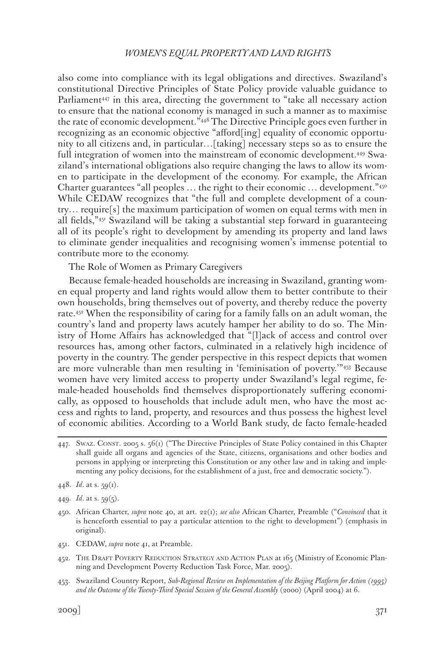also come into compliance with its legal obligations and directives. Swaziland's constitutional Directive Principles of State Policy provide valuable guidance to Parliament<sup>447</sup> in this area, directing the government to "take all necessary action to ensure that the national economy is managed in such a manner as to maximise the rate of economic development."448 The Directive Principle goes even further in recognizing as an economic objective "afford[ing] equality of economic opportunity to all citizens and, in particular…[taking] necessary steps so as to ensure the full integration of women into the mainstream of economic development.449 Swaziland's international obligations also require changing the laws to allow its women to participate in the development of the economy. For example, the African Charter guarantees "all peoples ... the right to their economic ... development."450 While CEDAW recognizes that "the full and complete development of a country… require[s] the maximum participation of women on equal terms with men in all fields,"451 Swaziland will be taking a substantial step forward in guaranteeing all of its people's right to development by amending its property and land laws to eliminate gender inequalities and recognising women's immense potential to contribute more to the economy.

The Role of Women as Primary Caregivers

Because female-headed households are increasing in Swaziland, granting women equal property and land rights would allow them to better contribute to their own households, bring themselves out of poverty, and thereby reduce the poverty rate.452 When the responsibility of caring for a family falls on an adult woman, the country's land and property laws acutely hamper her ability to do so. The Ministry of Home Affairs has acknowledged that "[l]ack of access and control over resources has, among other factors, culminated in a relatively high incidence of poverty in the country. The gender perspective in this respect depicts that women are more vulnerable than men resulting in 'feminisation of poverty.'"453 Because women have very limited access to property under Swaziland's legal regime, female-headed households find themselves disproportionately suffering economically, as opposed to households that include adult men, who have the most access and rights to land, property, and resources and thus possess the highest level of economic abilities. According to a World Bank study, de facto female-headed

- 451. CEDAW, *supra* note 41, at Preamble.
- 452. The Draft Poverty Reduction Strategy and Action Plan at 165 (Ministry of Economic Planning and Development Poverty Reduction Task Force, Mar. 2005).
- 453. Swaziland Country Report, *Sub-Regional Review on Implementation of the Beijing Platform for Action (1995) and the Outcome of the Twenty-Third Special Session of the General Assembly* (2000) (April 2004) at 6.

<sup>447.</sup> SWAZ. CONST. 2005 s. 56(1) ("The Directive Principles of State Policy contained in this Chapter shall guide all organs and agencies of the State, citizens, organisations and other bodies and persons in applying or interpreting this Constitution or any other law and in taking and implementing any policy decisions, for the establishment of a just, free and democratic society.").

<sup>448.</sup> *Id*. at s. 59(1).

<sup>449.</sup> *Id*. at s. 59(5).

<sup>450.</sup> African Charter, *supra* note 40, at art. 22(1); *see also* African Charter, Preamble ("*Convinced* that it is henceforth essential to pay a particular attention to the right to development") (emphasis in original).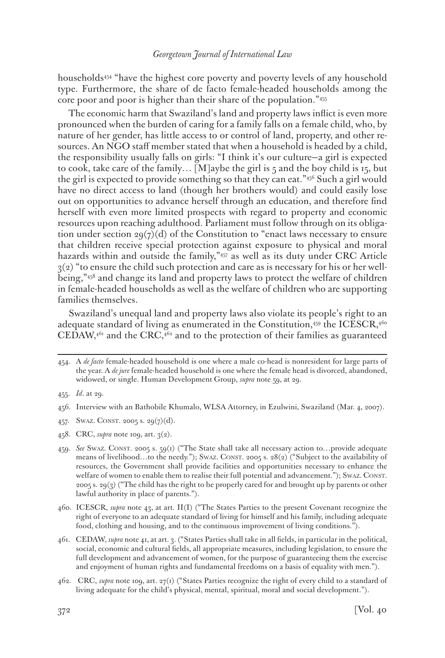households454 "have the highest core poverty and poverty levels of any household type. Furthermore, the share of de facto female-headed households among the core poor and poor is higher than their share of the population."455

The economic harm that Swaziland's land and property laws inflict is even more pronounced when the burden of caring for a family falls on a female child, who, by nature of her gender, has little access to or control of land, property, and other resources. An NGO staff member stated that when a household is headed by a child, the responsibility usually falls on girls: "I think it's our culture—a girl is expected to cook, take care of the family...  $[M]$ aybe the girl is 5 and the boy child is 15, but the girl is expected to provide something so that they can eat."456 Such a girl would have no direct access to land (though her brothers would) and could easily lose out on opportunities to advance herself through an education, and therefore find herself with even more limited prospects with regard to property and economic resources upon reaching adulthood. Parliament must follow through on its obligation under section  $29(7)(d)$  of the Constitution to "enact laws necessary to ensure that children receive special protection against exposure to physical and moral hazards within and outside the family,"<sup>457</sup> as well as its duty under CRC Article  $3(2)$  "to ensure the child such protection and care as is necessary for his or her wellbeing,"458 and change its land and property laws to protect the welfare of children in female-headed households as well as the welfare of children who are supporting families themselves.

Swaziland's unequal land and property laws also violate its people's right to an adequate standard of living as enumerated in the Constitution, $459$  the ICESCR, $4^{60}$  $\text{CEDAW},$ <sup>461</sup> and the CRC,<sup>462</sup> and to the protection of their families as guaranteed

- 458. CRC, *supra* note 109, art. 3(2).
- 459. *See* Swaz. Const. 2005 s. 59(1) ("The State shall take all necessary action to…provide adequate means of livelihood…to the needy."); Swaz. CONST. 2005 s. 28(2) ("Subject to the availability of resources, the Government shall provide facilities and opportunities necessary to enhance the welfare of women to enable them to realise their full potential and advancement."); Swaz. CONST. 2005 s. 29(3) ("The child has the right to be properly cared for and brought up by parents or other lawful authority in place of parents.").

460. ICESCR, *supra* note 43, at art. II(I) ("The States Parties to the present Covenant recognize the right of everyone to an adequate standard of living for himself and his family, including adequate food, clothing and housing, and to the continuous improvement of living conditions.").

461. CEDAW, *supra* note 41, at art. 3. ("States Parties shall take in all fields, in particular in the political, social, economic and cultural fields, all appropriate measures, including legislation, to ensure the full development and advancement of women, for the purpose of guaranteeing them the exercise and enjoyment of human rights and fundamental freedoms on a basis of equality with men.").

<sup>454.</sup> A *de facto* female-headed household is one where a male co-head is nonresident for large parts of the year. A *de jure* female-headed household is one where the female head is divorced, abandoned, widowed, or single. Human Development Group, *supra* note 59, at 29.

<sup>455.</sup> *Id*. at 29.

<sup>456.</sup> Interview with an Bathobile Khumalo, WLSA Attorney, in Ezulwini, Swaziland (Mar. 4, 2007).

<sup>457.</sup> SWAZ. CONST. 2005 s. 29 $(7)(d)$ .

<sup>462.</sup> CRC, *supra* note 109, art. 27(1) ("States Parties recognize the right of every child to a standard of living adequate for the child's physical, mental, spiritual, moral and social development.").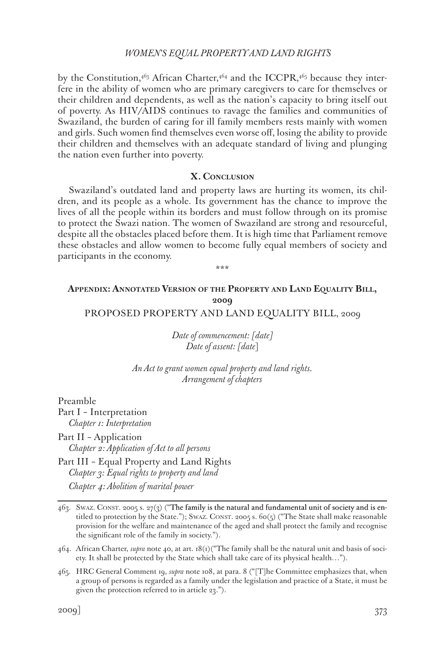by the Constitution, $4^{6}$ <sub>3</sub> African Charter, $4^{6}$ <sub>4</sub> and the ICCPR, $4^{6}$ <sub>5</sub> because they interfere in the ability of women who are primary caregivers to care for themselves or their children and dependents, as well as the nation's capacity to bring itself out of poverty. As HIV/AIDS continues to ravage the families and communities of Swaziland, the burden of caring for ill family members rests mainly with women and girls. Such women find themselves even worse off, losing the ability to provide their children and themselves with an adequate standard of living and plunging the nation even further into poverty.

### **X. Conclusion**

Swaziland's outdated land and property laws are hurting its women, its children, and its people as a whole. Its government has the chance to improve the lives of all the people within its borders and must follow through on its promise to protect the Swazi nation. The women of Swaziland are strong and resourceful, despite all the obstacles placed before them. It is high time that Parliament remove these obstacles and allow women to become fully equal members of society and participants in the economy.

**Appendix: Annotated Version of the Property and Land Equality Bill, 2009**

\*\*\*

PROPOSED PROPERTY AND LAND EQUALITY BILL, 2009

*Date of commencement: [date] Date of assent: [date*]

*An Act to grant women equal property and land rights. Arrangement of chapters*

Preamble Part I – Interpretation *Chapter 1: Interpretation*

Part II – Application *Chapter 2: Application of Act to all persons*

Part III – Equal Property and Land Rights *Chapter 3: Equal rights to property and land Chapter 4: Abolition of marital power*

<sup>463.</sup> Swaz. Const. 2005 s. 27(3) ("The family is the natural and fundamental unit of society and is entitled to protection by the State."); SWAZ. CONST. 2005 s. 60(5) ("The State shall make reasonable provision for the welfare and maintenance of the aged and shall protect the family and recognise the significant role of the family in society.").

<sup>464.</sup> African Charter, *supra* note 40, at art. 18(1)("The family shall be the natural unit and basis of society. It shall be protected by the State which shall take care of its physical health…").

<sup>465.</sup> HRC General Comment 19, *supra* note 108, at para. 8 ("[T]he Committee emphasizes that, when a group of persons is regarded as a family under the legislation and practice of a State, it must be given the protection referred to in article 23.").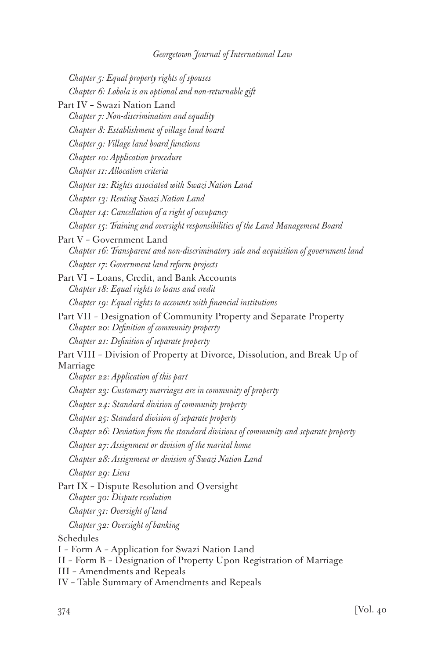| Chapter 5: Equal property rights of spouses                                                                                                                                                           |
|-------------------------------------------------------------------------------------------------------------------------------------------------------------------------------------------------------|
| Chapter 6: Lobola is an optional and non-returnable gift                                                                                                                                              |
| Part IV - Swazi Nation Land                                                                                                                                                                           |
| Chapter 7: Non-discrimination and equality                                                                                                                                                            |
| Chapter 8: Establishment of village land board                                                                                                                                                        |
| Chapter 9: Village land board functions                                                                                                                                                               |
| Chapter 10: Application procedure                                                                                                                                                                     |
| Chapter 11: Allocation criteria                                                                                                                                                                       |
| Chapter 12: Rights associated with Swazi Nation Land                                                                                                                                                  |
| Chapter 13: Renting Swazi Nation Land                                                                                                                                                                 |
| Chapter 14: Cancellation of a right of occupancy                                                                                                                                                      |
| Chapter 15: Training and oversight responsibilities of the Land Management Board                                                                                                                      |
| Part V - Government Land                                                                                                                                                                              |
| Chapter 16: Transparent and non-discriminatory sale and acquisition of government land                                                                                                                |
| Chapter 17: Government land reform projects                                                                                                                                                           |
| Part VI - Loans, Credit, and Bank Accounts<br>Chapter 18: Equal rights to loans and credit                                                                                                            |
| Chapter 19: Equal rights to accounts with financial institutions                                                                                                                                      |
| Part VII - Designation of Community Property and Separate Property<br>Chapter 20: Definition of community property                                                                                    |
| Chapter 21: Definition of separate property                                                                                                                                                           |
| Part VIII - Division of Property at Divorce, Dissolution, and Break Up of                                                                                                                             |
| Marriage                                                                                                                                                                                              |
| Chapter 22: Application of this part                                                                                                                                                                  |
| Chapter 23: Customary marriages are in community of property                                                                                                                                          |
| Chapter 24: Standard division of community property                                                                                                                                                   |
| Chapter 25: Standard division of separate property                                                                                                                                                    |
| Chapter 26: Deviation from the standard divisions of community and separate property                                                                                                                  |
| Chapter 27: Assignment or division of the marital home                                                                                                                                                |
| Chapter 28: Assignment or division of Swazi Nation Land                                                                                                                                               |
| Chapter 29: Liens                                                                                                                                                                                     |
| Part IX - Dispute Resolution and Oversight<br>Chapter 30: Dispute resolution                                                                                                                          |
| Chapter 31: Oversight of land                                                                                                                                                                         |
| Chapter 32: Oversight of banking                                                                                                                                                                      |
| Schedules                                                                                                                                                                                             |
| I - Form A - Application for Swazi Nation Land<br>II - Form B - Designation of Property Upon Registration of Marriage<br>III - Amendments and Repeals<br>IV - Table Summary of Amendments and Repeals |
|                                                                                                                                                                                                       |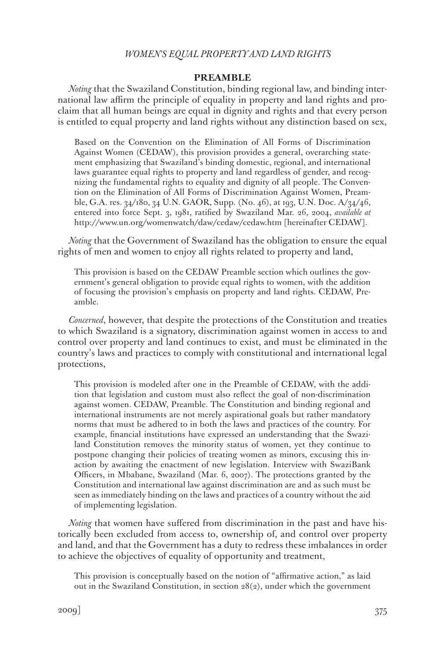#### **PREAMBLE**

*Noting* that the Swaziland Constitution, binding regional law, and binding international law affirm the principle of equality in property and land rights and proclaim that all human beings are equal in dignity and rights and that every person is entitled to equal property and land rights without any distinction based on sex,

Based on the Convention on the Elimination of All Forms of Discrimination Against Women (CEDAW), this provision provides a general, overarching statement emphasizing that Swaziland's binding domestic, regional, and international laws guarantee equal rights to property and land regardless of gender, and recognizing the fundamental rights to equality and dignity of all people. The Convention on the Elimination of All Forms of Discrimination Against Women, Preamble, G.A. res. 34/180, 34 U.N. GAOR, Supp. (No. 46), at 193, U.N. Doc. A/34/46, entered into force Sept. 3, 1981, ratified by Swaziland Mar. 26, 2004, *available at* http://www.un.org/womenwatch/daw/cedaw/cedaw.htm [hereinafter CEDAW].

*Noting* that the Government of Swaziland has the obligation to ensure the equal rights of men and women to enjoy all rights related to property and land,

This provision is based on the CEDAW Preamble section which outlines the government's general obligation to provide equal rights to women, with the addition of focusing the provision's emphasis on property and land rights. CEDAW, Preamble.

*Concerned*, however, that despite the protections of the Constitution and treaties to which Swaziland is a signatory, discrimination against women in access to and control over property and land continues to exist, and must be eliminated in the country's laws and practices to comply with constitutional and international legal protections,

This provision is modeled after one in the Preamble of CEDAW, with the addition that legislation and custom must also reflect the goal of non-discrimination against women. CEDAW, Preamble. The Constitution and binding regional and international instruments are not merely aspirational goals but rather mandatory norms that must be adhered to in both the laws and practices of the country. For example, financial institutions have expressed an understanding that the Swaziland Constitution removes the minority status of women, yet they continue to postpone changing their policies of treating women as minors, excusing this inaction by awaiting the enactment of new legislation. Interview with SwaziBank Officers, in Mbabane, Swaziland (Mar. 6, 2007). The protections granted by the Constitution and international law against discrimination are and as such must be seen as immediately binding on the laws and practices of a country without the aid of implementing legislation.

*Noting* that women have suffered from discrimination in the past and have historically been excluded from access to, ownership of, and control over property and land, and that the Government has a duty to redress these imbalances in order to achieve the objectives of equality of opportunity and treatment,

This provision is conceptually based on the notion of "affirmative action," as laid out in the Swaziland Constitution, in section  $28(2)$ , under which the government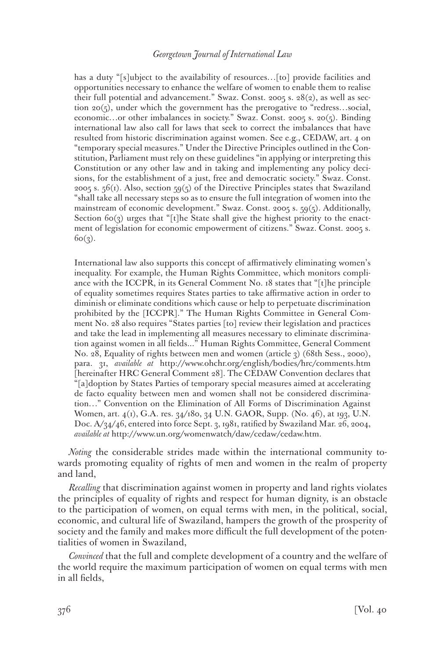has a duty "[s]ubject to the availability of resources...[to] provide facilities and opportunities necessary to enhance the welfare of women to enable them to realise their full potential and advancement." Swaz. Const. 2005 s. 28(2), as well as section 20(5), under which the government has the prerogative to "redress…social, economic…or other imbalances in society." Swaz. Const. 2005 s. 20(5). Binding international law also call for laws that seek to correct the imbalances that have resulted from historic discrimination against women. See e.g., CEDAW, art. 4 on "temporary special measures." Under the Directive Principles outlined in the Constitution, Parliament must rely on these guidelines "in applying or interpreting this Constitution or any other law and in taking and implementing any policy decisions, for the establishment of a just, free and democratic society." Swaz. Const. 2005 s.  $56(i)$ . Also, section  $59(5)$  of the Directive Principles states that Swaziland "shall take all necessary steps so as to ensure the full integration of women into the mainstream of economic development." Swaz. Const. 2005 s. 59(5). Additionally, Section  $60(3)$  urges that "[t]he State shall give the highest priority to the enactment of legislation for economic empowerment of citizens." Swaz. Const. 2005 s.  $6o(3)$ .

International law also supports this concept of affirmatively eliminating women's inequality. For example, the Human Rights Committee, which monitors compliance with the ICCPR, in its General Comment No. 18 states that "[t]he principle of equality sometimes requires States parties to take affirmative action in order to diminish or eliminate conditions which cause or help to perpetuate discrimination prohibited by the [ICCPR]." The Human Rights Committee in General Comment No. 28 also requires "States parties [to] review their legislation and practices and take the lead in implementing all measures necessary to eliminate discrimination against women in all fields..." Human Rights Committee, General Comment No. 28, Equality of rights between men and women (article 3) (68th Sess., 2000), para. 31, *available at* http://www.ohchr.org/english/bodies/hrc/comments.htm [hereinafter HRC General Comment 28]. The CEDAW Convention declares that "[a]doption by States Parties of temporary special measures aimed at accelerating de facto equality between men and women shall not be considered discrimination…" Convention on the Elimination of All Forms of Discrimination Against Women, art. 4(1), G.A. res. 34/180, 34 U.N. GAOR, Supp. (No. 46), at 193, U.N. Doc. A/34/46, entered into force Sept. 3, 1981, ratified by Swaziland Mar. 26, 2004, *available at* http://www.un.org/womenwatch/daw/cedaw/cedaw.htm.

*Noting* the considerable strides made within the international community towards promoting equality of rights of men and women in the realm of property and land,

*Recalling* that discrimination against women in property and land rights violates the principles of equality of rights and respect for human dignity, is an obstacle to the participation of women, on equal terms with men, in the political, social, economic, and cultural life of Swaziland, hampers the growth of the prosperity of society and the family and makes more difficult the full development of the potentialities of women in Swaziland,

*Convinced* that the full and complete development of a country and the welfare of the world require the maximum participation of women on equal terms with men in all fields,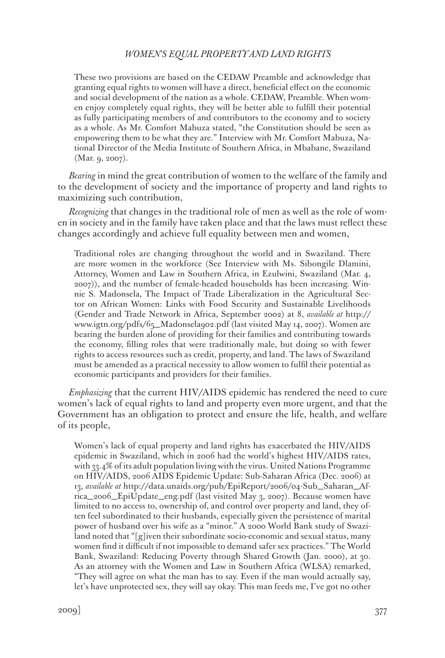These two provisions are based on the CEDAW Preamble and acknowledge that granting equal rights to women will have a direct, beneficial effect on the economic and social development of the nation as a whole. CEDAW, Preamble. When women enjoy completely equal rights, they will be better able to fulfill their potential as fully participating members of and contributors to the economy and to society as a whole. As Mr. Comfort Mabuza stated, "the Constitution should be seen as empowering them to be what they are." Interview with Mr. Comfort Mabuza, National Director of the Media Institute of Southern Africa, in Mbabane, Swaziland (Mar. 9, 2007).

*Bearing* in mind the great contribution of women to the welfare of the family and to the development of society and the importance of property and land rights to maximizing such contribution,

*Recognizing* that changes in the traditional role of men as well as the role of women in society and in the family have taken place and that the laws must reflect these changes accordingly and achieve full equality between men and women,

Traditional roles are changing throughout the world and in Swaziland. There are more women in the workforce (See Interview with Ms. Sibongile Dlamini, Attorney, Women and Law in Southern Africa, in Ezulwini, Swaziland (Mar. 4, 2007)), and the number of female-headed households has been increasing. Winnie S. Madonsela, The Impact of Trade Liberalization in the Agricultural Sector on African Women: Links with Food Security and Sustainable Livelihoods (Gender and Trade Network in Africa, September 2002) at 8, *available at* http:// www.igtn.org/pdfs/65\_Madonsela902.pdf (last visited May 14, 2007). Women are bearing the burden alone of providing for their families and contributing towards the economy, filling roles that were traditionally male, but doing so with fewer rights to access resources such as credit, property, and land. The laws of Swaziland must be amended as a practical necessity to allow women to fulfil their potential as economic participants and providers for their families.

*Emphasizing* that the current HIV/AIDS epidemic has rendered the need to cure women's lack of equal rights to land and property even more urgent, and that the Government has an obligation to protect and ensure the life, health, and welfare of its people,

Women's lack of equal property and land rights has exacerbated the HIV/AIDS epidemic in Swaziland, which in 2006 had the world's highest HIV/AIDS rates, with 33.4% of its adult population living with the virus. United Nations Programme on HIV/AIDS, 2006 AIDS Epidemic Update: Sub-Saharan Africa (Dec. 2006) at 13, *available at* http://data.unaids.org/pub/EpiReport/2006/04-Sub\_Saharan\_Africa\_2006\_EpiUpdate\_eng.pdf (last visited May 3, 2007). Because women have limited to no access to, ownership of, and control over property and land, they often feel subordinated to their husbands, especially given the persistence of marital power of husband over his wife as a "minor." A 2000 World Bank study of Swaziland noted that "[g]iven their subordinate socio-economic and sexual status, many women find it difficult if not impossible to demand safer sex practices." The World Bank, Swaziland: Reducing Poverty through Shared Growth (Jan. 2000), at 30. As an attorney with the Women and Law in Southern Africa (WLSA) remarked, "They will agree on what the man has to say. Even if the man would actually say, let's have unprotected sex, they will say okay. This man feeds me, I've got no other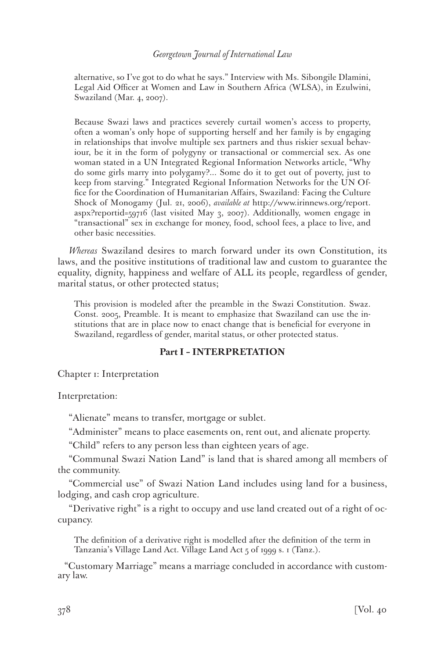alternative, so I've got to do what he says." Interview with Ms. Sibongile Dlamini, Legal Aid Officer at Women and Law in Southern Africa (WLSA), in Ezulwini, Swaziland (Mar. 4, 2007).

Because Swazi laws and practices severely curtail women's access to property, often a woman's only hope of supporting herself and her family is by engaging in relationships that involve multiple sex partners and thus riskier sexual behaviour, be it in the form of polygyny or transactional or commercial sex. As one woman stated in a UN Integrated Regional Information Networks article, "Why do some girls marry into polygamy?... Some do it to get out of poverty, just to keep from starving." Integrated Regional Information Networks for the UN Office for the Coordination of Humanitarian Affairs, Swaziland: Facing the Culture Shock of Monogamy (Jul. 21, 2006), *available at* http://www.irinnews.org/report. aspx?reportid=59716 (last visited May 3, 2007). Additionally, women engage in "transactional" sex in exchange for money, food, school fees, a place to live, and other basic necessities.

*Whereas* Swaziland desires to march forward under its own Constitution, its laws, and the positive institutions of traditional law and custom to guarantee the equality, dignity, happiness and welfare of ALL its people, regardless of gender, marital status, or other protected status;

This provision is modeled after the preamble in the Swazi Constitution. Swaz. Const. 2005, Preamble. It is meant to emphasize that Swaziland can use the institutions that are in place now to enact change that is beneficial for everyone in Swaziland, regardless of gender, marital status, or other protected status.

# **Part I – INTERPRETATION**

Chapter 1: Interpretation

Interpretation:

"Alienate" means to transfer, mortgage or sublet.

"Administer" means to place easements on, rent out, and alienate property.

"Child" refers to any person less than eighteen years of age.

"Communal Swazi Nation Land" is land that is shared among all members of the community.

"Commercial use" of Swazi Nation Land includes using land for a business, lodging, and cash crop agriculture.

"Derivative right" is a right to occupy and use land created out of a right of occupancy.

The definition of a derivative right is modelled after the definition of the term in Tanzania's Village Land Act. Village Land Act 5 of 1999 s. 1 (Tanz.).

"Customary Marriage" means a marriage concluded in accordance with customary law.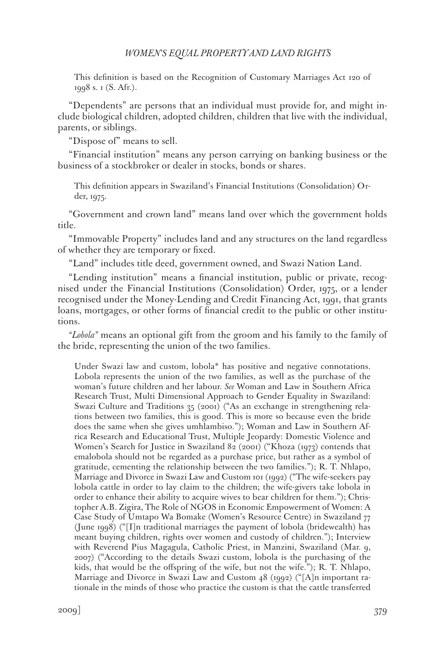This definition is based on the Recognition of Customary Marriages Act 120 of 1998 s. 1 (S. Afr.).

"Dependents" are persons that an individual must provide for, and might include biological children, adopted children, children that live with the individual, parents, or siblings.

"Dispose of" means to sell.

"Financial institution" means any person carrying on banking business or the business of a stockbroker or dealer in stocks, bonds or shares.

This definition appears in Swaziland's Financial Institutions (Consolidation) Order, 1975.

"Government and crown land" means land over which the government holds title.

"Immovable Property" includes land and any structures on the land regardless of whether they are temporary or fixed.

"Land" includes title deed, government owned, and Swazi Nation Land.

"Lending institution" means a financial institution, public or private, recognised under the Financial Institutions (Consolidation) Order, 1975, or a lender recognised under the Money-Lending and Credit Financing Act, 1991, that grants loans, mortgages, or other forms of financial credit to the public or other institutions.

*"Lobola"* means an optional gift from the groom and his family to the family of the bride, representing the union of the two families.

Under Swazi law and custom, lobola\* has positive and negative connotations. Lobola represents the union of the two families, as well as the purchase of the woman's future children and her labour. *See* Woman and Law in Southern Africa Research Trust, Multi Dimensional Approach to Gender Equality in Swaziland: Swazi Culture and Traditions 35 (2001) ("As an exchange in strengthening relations between two families, this is good. This is more so because even the bride does the same when she gives umhlambiso."); Woman and Law in Southern Africa Research and Educational Trust, Multiple Jeopardy: Domestic Violence and Women's Search for Justice in Swaziland 82 (2001) ("Khoza (1973) contends that emalobola should not be regarded as a purchase price, but rather as a symbol of gratitude, cementing the relationship between the two families."); R. T. Nhlapo, Marriage and Divorce in Swazi Law and Custom 101 (1992) ("The wife-seekers pay lobola cattle in order to lay claim to the children; the wife-givers take lobola in order to enhance their ability to acquire wives to bear children for them."); Christopher A.B. Zigira, The Role of NGOS in Economic Empowerment of Women: A Case Study of Umtapo Wa Bomake (Women's Resource Centre) in Swaziland 77 (June 1998) ("[I]n traditional marriages the payment of lobola (bridewealth) has meant buying children, rights over women and custody of children."); Interview with Reverend Pius Magagula, Catholic Priest, in Manzini, Swaziland (Mar. 9, 2007) ("According to the details Swazi custom, lobola is the purchasing of the kids, that would be the offspring of the wife, but not the wife."); R. T. Nhlapo, Marriage and Divorce in Swazi Law and Custom 48 (1992) ("[A]n important rationale in the minds of those who practice the custom is that the cattle transferred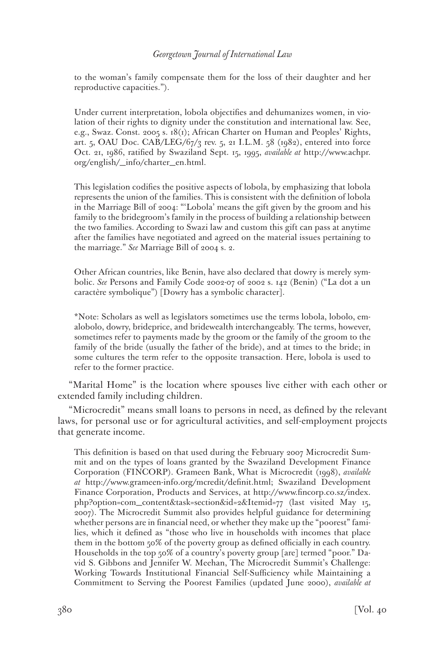to the woman's family compensate them for the loss of their daughter and her reproductive capacities.").

Under current interpretation, lobola objectifies and dehumanizes women, in violation of their rights to dignity under the constitution and international law. See, e.g., Swaz. Const. 2005 s. 18(1); African Charter on Human and Peoples' Rights, art. 5, OAU Doc. CAB/LEG/67/3 rev. 5, 21 I.L.M. 58 (1982), entered into force Oct. 21, 1986, ratified by Swaziland Sept. 15, 1995, *available at* http://www.achpr. org/english/\_info/charter\_en.html.

This legislation codifies the positive aspects of lobola, by emphasizing that lobola represents the union of the families. This is consistent with the definition of lobola in the Marriage Bill of 2004: "'Lobola' means the gift given by the groom and his family to the bridegroom's family in the process of building a relationship between the two families. According to Swazi law and custom this gift can pass at anytime after the families have negotiated and agreed on the material issues pertaining to the marriage." *See* Marriage Bill of 2004 s. 2.

Other African countries, like Benin, have also declared that dowry is merely symbolic. *See* Persons and Family Code 2002-07 of 2002 s. 142 (Benin) ("La dot a un caractère symbolique") [Dowry has a symbolic character].

\*Note: Scholars as well as legislators sometimes use the terms lobola, lobolo, emalobolo, dowry, brideprice, and bridewealth interchangeably. The terms, however, sometimes refer to payments made by the groom or the family of the groom to the family of the bride (usually the father of the bride), and at times to the bride; in some cultures the term refer to the opposite transaction. Here, lobola is used to refer to the former practice.

"Marital Home" is the location where spouses live either with each other or extended family including children.

"Microcredit" means small loans to persons in need, as defined by the relevant laws, for personal use or for agricultural activities, and self-employment projects that generate income.

This definition is based on that used during the February 2007 Microcredit Summit and on the types of loans granted by the Swaziland Development Finance Corporation (FINCORP). Grameen Bank, What is Microcredit (1998), *available at* http://www.grameen-info.org/mcredit/definit.html; Swaziland Development Finance Corporation, Products and Services, at http://www.fincorp.co.sz/index. php?option=com\_content&task=section&id=2&Itemid=77 (last visited May 15, 2007). The Microcredit Summit also provides helpful guidance for determining whether persons are in financial need, or whether they make up the "poorest" families, which it defined as "those who live in households with incomes that place them in the bottom 50% of the poverty group as defined officially in each country. Households in the top 50% of a country's poverty group [are] termed "poor." David S. Gibbons and Jennifer W. Meehan, The Microcredit Summit's Challenge: Working Towards Institutional Financial Self-Sufficiency while Maintaining a Commitment to Serving the Poorest Families (updated June 2000), *available at*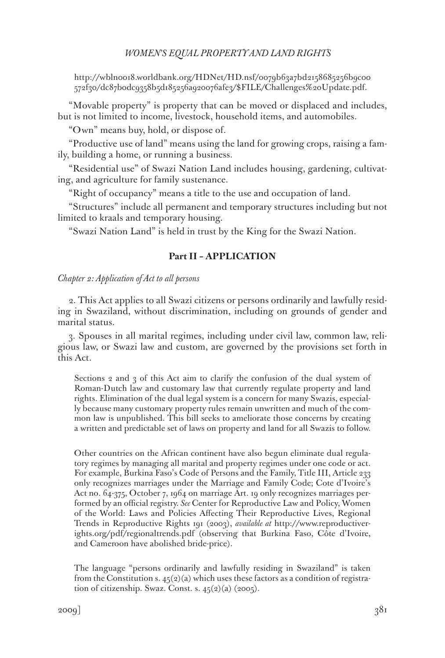http://wbln0018.worldbank.org/HDNet/HD.nsf/0079b63a7bd2158685256b9c00 572f30/dc87b0dc9358b5d185256a920076afe3/\$FILE/Challenges%20Update.pdf.

"Movable property" is property that can be moved or displaced and includes, but is not limited to income, livestock, household items, and automobiles.

"Own" means buy, hold, or dispose of.

"Productive use of land" means using the land for growing crops, raising a family, building a home, or running a business.

"Residential use" of Swazi Nation Land includes housing, gardening, cultivating, and agriculture for family sustenance.

"Right of occupancy" means a title to the use and occupation of land.

"Structures" include all permanent and temporary structures including but not limited to kraals and temporary housing.

"Swazi Nation Land" is held in trust by the King for the Swazi Nation.

### **Part II – APPLICATION**

#### *Chapter 2: Application of Act to all persons*

2. This Act applies to all Swazi citizens or persons ordinarily and lawfully residing in Swaziland, without discrimination, including on grounds of gender and marital status.

3. Spouses in all marital regimes, including under civil law, common law, religious law, or Swazi law and custom, are governed by the provisions set forth in this Act.

Sections 2 and 3 of this Act aim to clarify the confusion of the dual system of Roman-Dutch law and customary law that currently regulate property and land rights. Elimination of the dual legal system is a concern for many Swazis, especially because many customary property rules remain unwritten and much of the common law is unpublished. This bill seeks to ameliorate those concerns by creating a written and predictable set of laws on property and land for all Swazis to follow.

Other countries on the African continent have also begun eliminate dual regulatory regimes by managing all marital and property regimes under one code or act. For example, Burkina Faso's Code of Persons and the Family, Title III, Article 233 only recognizes marriages under the Marriage and Family Code; Cote d'Ivoire's Act no. 64-375, October 7, 1964 on marriage Art. 19 only recognizes marriages performed by an official registry. *See* Center for Reproductive Law and Policy, Women of the World: Laws and Policies Affecting Their Reproductive Lives, Regional Trends in Reproductive Rights 191 (2003), *available at* http://www.reproductiverights.org/pdf/regionaltrends.pdf (observing that Burkina Faso, Côte d'Ivoire, and Cameroon have abolished bride-price).

The language "persons ordinarily and lawfully residing in Swaziland" is taken from the Constitution s.  $45(2)(a)$  which uses these factors as a condition of registration of citizenship. Swaz. Const. s.  $45(2)(a)$  (2005).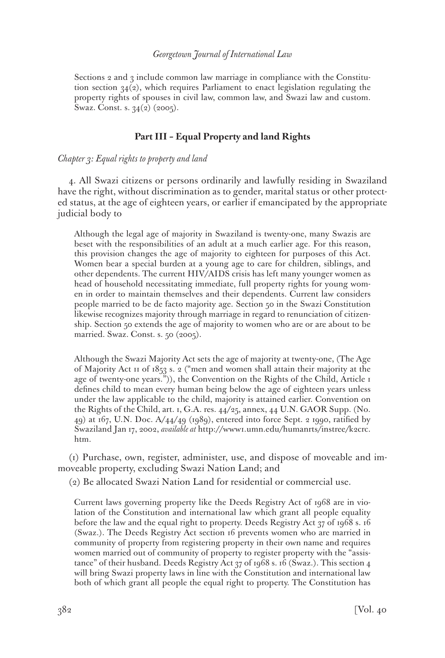Sections 2 and 3 include common law marriage in compliance with the Constitution section  $34(2)$ , which requires Parliament to enact legislation regulating the property rights of spouses in civil law, common law, and Swazi law and custom. Swaz. Const. s. 34(2) (2005).

### **Part III – Equal Property and land Rights**

#### *Chapter 3: Equal rights to property and land*

4. All Swazi citizens or persons ordinarily and lawfully residing in Swaziland have the right, without discrimination as to gender, marital status or other protected status, at the age of eighteen years, or earlier if emancipated by the appropriate judicial body to

Although the legal age of majority in Swaziland is twenty-one, many Swazis are beset with the responsibilities of an adult at a much earlier age. For this reason, this provision changes the age of majority to eighteen for purposes of this Act. Women bear a special burden at a young age to care for children, siblings, and other dependents. The current HIV/AIDS crisis has left many younger women as head of household necessitating immediate, full property rights for young women in order to maintain themselves and their dependents. Current law considers people married to be de facto majority age. Section 50 in the Swazi Constitution likewise recognizes majority through marriage in regard to renunciation of citizenship. Section 50 extends the age of majority to women who are or are about to be married. Swaz. Const. s. 50 (2005).

Although the Swazi Majority Act sets the age of majority at twenty-one, (The Age of Majority Act 11 of 1853 s. 2 ("men and women shall attain their majority at the age of twenty-one years.")), the Convention on the Rights of the Child, Article 1 defines child to mean every human being below the age of eighteen years unless under the law applicable to the child, majority is attained earlier. Convention on the Rights of the Child, art. 1, G.A. res. 44/25, annex, 44 U.N. GAOR Supp. (No. 49) at 167, U.N. Doc. A/44/49 (1989), entered into force Sept. 2 1990, ratified by Swaziland Jan 17, 2002, *available at* http://www1.umn.edu/humanrts/instree/k2crc. htm.

(1) Purchase, own, register, administer, use, and dispose of moveable and immoveable property, excluding Swazi Nation Land; and

(2) Be allocated Swazi Nation Land for residential or commercial use.

Current laws governing property like the Deeds Registry Act of 1968 are in violation of the Constitution and international law which grant all people equality before the law and the equal right to property. Deeds Registry Act 37 of 1968 s. 16 (Swaz.). The Deeds Registry Act section 16 prevents women who are married in community of property from registering property in their own name and requires women married out of community of property to register property with the "assistance" of their husband. Deeds Registry Act 37 of 1968 s. 16 (Swaz.). This section 4 will bring Swazi property laws in line with the Constitution and international law both of which grant all people the equal right to property. The Constitution has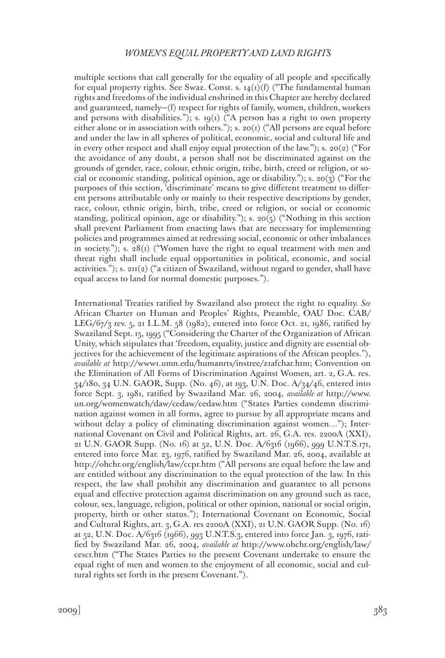multiple sections that call generally for the equality of all people and specifically for equal property rights. See Swaz. Const. s.  $14(1)(f)$  ("The fundamental human rights and freedoms of the individual enshrined in this Chapter are hereby declared and guaranteed, namely—(f) respect for rights of family, women, children, workers and persons with disabilities."); s.  $19(1)$  ("A person has a right to own property either alone or in association with others."); s. 20(1) ("All persons are equal before and under the law in all spheres of political, economic, social and cultural life and in every other respect and shall enjoy equal protection of the law."); s. 20(2) ("For the avoidance of any doubt, a person shall not be discriminated against on the grounds of gender, race, colour, ethnic origin, tribe, birth, creed or religion, or social or economic standing, political opinion, age or disability."); s. 20(3) ("For the purposes of this section, 'discriminate' means to give different treatment to different persons attributable only or mainly to their respective descriptions by gender, race, colour, ethnic origin, birth, tribe, creed or religion, or social or economic standing, political opinion, age or disability."); s. 20( $\frac{1}{2}$ ) ("Nothing in this section shall prevent Parliament from enacting laws that are necessary for implementing policies and programmes aimed at redressing social, economic or other imbalances in society."); s.  $28(i)$  ("Women have the right to equal treatment with men and threat right shall include equal opportunities in political, economic, and social activities."); s.  $2H(2)$  ("a citizen of Swaziland, without regard to gender, shall have equal access to land for normal domestic purposes.").

International Treaties ratified by Swaziland also protect the right to equality. *See* African Charter on Human and Peoples' Rights, Preamble, OAU Doc. CAB/ LEG/6 $7/3$  rev. 5, 21 I.L.M. 58 (1982), entered into force Oct. 21, 1986, ratified by Swaziland Sept. 15, 1995 ("Considering the Charter of the Organization of African Unity, which stipulates that 'freedom, equality, justice and dignity are essential objectives for the achievement of the legitimate aspirations of the African peoples."), *available at* http://www1.umn.edu/humanrts/instree/z1afchar.htm; Convention on the Elimination of All Forms of Discrimination Against Women, art. 2, G.A. res. 34/180, 34 U.N. GAOR, Supp. (No. 46), at 193, U.N. Doc. A/34/46, entered into force Sept. 3, 1981, ratified by Swaziland Mar. 26, 2004, *available at* http://www. un.org/womenwatch/daw/cedaw/cedaw.htm ("States Parties condemn discrimination against women in all forms, agree to pursue by all appropriate means and without delay a policy of eliminating discrimination against women..."); International Covenant on Civil and Political Rights, art. 26, G.A. res. 2200A (XXI), 21 U.N. GAOR Supp. (No. 16) at 52, U.N. Doc. A/6316 (1966), 999 U.N.T.S.171, entered into force Mar. 23, 1976, ratified by Swaziland Mar. 26, 2004, available at http://ohchr.org/english/law/ccpr.htm ("All persons are equal before the law and are entitled without any discrimination to the equal protection of the law. In this respect, the law shall prohibit any discrimination and guarantee to all persons equal and effective protection against discrimination on any ground such as race, colour, sex, language, religion, political or other opinion, national or social origin, property, birth or other status."); International Covenant on Economic, Social and Cultural Rights, art. 3, G.A. res 2200A (XXI), 21 U.N. GAOR Supp. (No. 16) at 52, U.N. Doc. A/6316 (1966), 993 U.N.T.S.3, entered into force Jan. 3, 1976, ratified by Swaziland Mar. 26, 2004, *available at* http://www.ohchr.org/english/law/ cescr.htm ("The States Parties to the present Covenant undertake to ensure the equal right of men and women to the enjoyment of all economic, social and cultural rights set forth in the present Covenant.").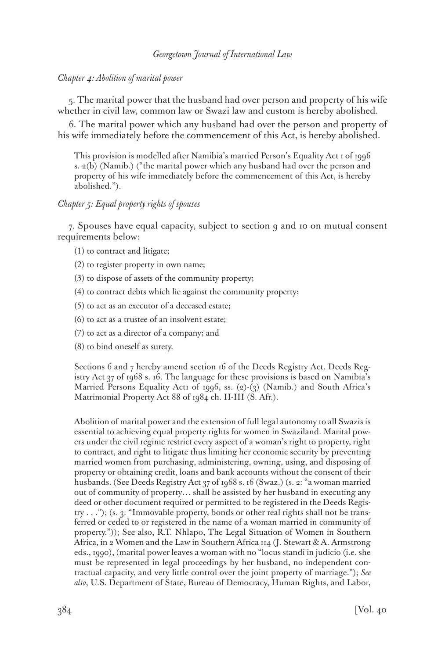# *Chapter 4: Abolition of marital power*

5. The marital power that the husband had over person and property of his wife whether in civil law, common law or Swazi law and custom is hereby abolished.

6. The marital power which any husband had over the person and property of his wife immediately before the commencement of this Act, is hereby abolished.

This provision is modelled after Namibia's married Person's Equality Act 1 of 1996 s. 2(b) (Namib.) ("the marital power which any husband had over the person and property of his wife immediately before the commencement of this Act, is hereby abolished.").

# *Chapter 5: Equal property rights of spouses*

7. Spouses have equal capacity, subject to section 9 and 10 on mutual consent requirements below:

- (1) to contract and litigate;
- (2) to register property in own name;
- (3) to dispose of assets of the community property;
- (4) to contract debts which lie against the community property;
- (5) to act as an executor of a deceased estate;
- (6) to act as a trustee of an insolvent estate;
- (7) to act as a director of a company; and
- (8) to bind oneself as surety.

Sections 6 and 7 hereby amend section 16 of the Deeds Registry Act. Deeds Registry Act 37 of 1968 s. 16. The language for these provisions is based on Namibia's Married Persons Equality Act1 of 1996, ss. (2)-(3) (Namib.) and South Africa's Matrimonial Property Act 88 of 1984 ch. II-III (S. Afr.).

Abolition of marital power and the extension of full legal autonomy to all Swazis is essential to achieving equal property rights for women in Swaziland. Marital powers under the civil regime restrict every aspect of a woman's right to property, right to contract, and right to litigate thus limiting her economic security by preventing married women from purchasing, administering, owning, using, and disposing of property or obtaining credit, loans and bank accounts without the consent of their husbands. (See Deeds Registry Act 37 of 1968 s. 16 (Swaz.) (s. 2: "a woman married out of community of property… shall be assisted by her husband in executing any deed or other document required or permitted to be registered in the Deeds Registry . . ."); (s. 3: "Immovable property, bonds or other real rights shall not be transferred or ceded to or registered in the name of a woman married in community of property.")); See also, R.T. Nhlapo, The Legal Situation of Women in Southern Africa, in 2 Women and the Law in Southern Africa 114 (J. Stewart & A. Armstrong eds., 1990), (marital power leaves a woman with no "locus standi in judicio (i.e. she must be represented in legal proceedings by her husband, no independent contractual capacity, and very little control over the joint property of marriage."); *See also*, U.S. Department of State, Bureau of Democracy, Human Rights, and Labor,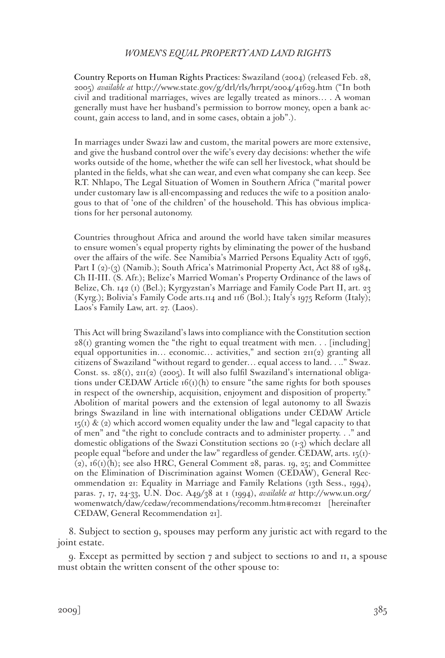Country Reports on Human Rights Practices: Swaziland (2004) (released Feb. 28, 2005) *available at* http://www.state.gov/g/drl/rls/hrrpt/2004/41629.htm ("In both civil and traditional marriages, wives are legally treated as minors… . A woman generally must have her husband's permission to borrow money, open a bank account, gain access to land, and in some cases, obtain a job".).

In marriages under Swazi law and custom, the marital powers are more extensive, and give the husband control over the wife's every day decisions: whether the wife works outside of the home, whether the wife can sell her livestock, what should be planted in the fields, what she can wear, and even what company she can keep. See R.T. Nhlapo, The Legal Situation of Women in Southern Africa ("marital power under customary law is all-encompassing and reduces the wife to a position analogous to that of 'one of the children' of the household. This has obvious implications for her personal autonomy.

Countries throughout Africa and around the world have taken similar measures to ensure women's equal property rights by eliminating the power of the husband over the affairs of the wife. See Namibia's Married Persons Equality Actr of 1996, Part I (2)-(3) (Namib.); South Africa's Matrimonial Property Act, Act 88 of 1984, Ch II-III. (S. Afr.); Belize's Married Woman's Property Ordinance of the laws of Belize, Ch. 142 (1) (Bel.); Kyrgyzstan's Marriage and Family Code Part II, art. 23 (Kyrg.); Bolivia's Family Code arts.114 and 116 (Bol.); Italy's 1975 Reform (Italy); Laos's Family Law, art. 27. (Laos).

This Act will bring Swaziland's laws into compliance with the Constitution section  $28(i)$  granting women the "the right to equal treatment with men. . . [including] equal opportunities in… economic… activities," and section  $2\pi(2)$  granting all citizens of Swaziland "without regard to gender… equal access to land. . .." Swaz. Const. ss.  $28(i)$ ,  $211(2)$  (2005). It will also fulfil Swaziland's international obligations under CEDAW Article  $f(t)(h)$  to ensure "the same rights for both spouses" in respect of the ownership, acquisition, enjoyment and disposition of property." Abolition of marital powers and the extension of legal autonomy to all Swazis brings Swaziland in line with international obligations under CEDAW Article  $15(i)$  & (2) which accord women equality under the law and "legal capacity to that of men" and "the right to conclude contracts and to administer property. . ." and domestic obligations of the Swazi Constitution sections 20 (1-3) which declare all people equal "before and under the law" regardless of gender. CEDAW, arts. 15(1)-  $(2)$ ,  $16(1)(h)$ ; see also HRC, General Comment 28, paras. 19, 25; and Committee on the Elimination of Discrimination against Women (CEDAW), General Recommendation 21: Equality in Marriage and Family Relations (13th Sess., 1994), paras. 7, 17, 24-33, U.N. Doc. A49/38 at 1 (1994), *available at* http://www.un.org/ womenwatch/daw/cedaw/recommendations/recomm.htm#recom21 [hereinafter CEDAW, General Recommendation 21].

8. Subject to section 9, spouses may perform any juristic act with regard to the joint estate.

9. Except as permitted by section 7 and subject to sections 10 and 11, a spouse must obtain the written consent of the other spouse to: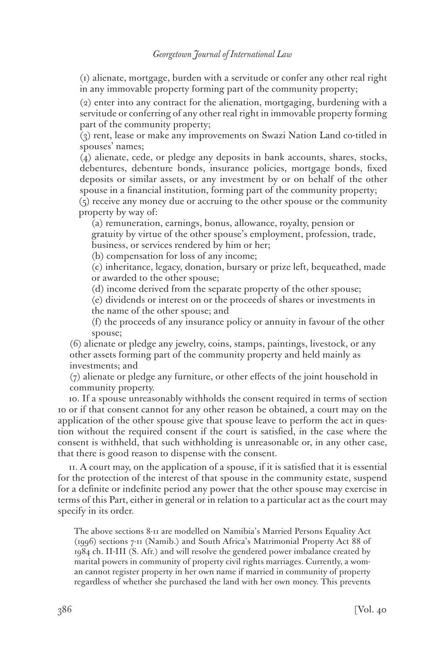(1) alienate, mortgage, burden with a servitude or confer any other real right in any immovable property forming part of the community property;

(2) enter into any contract for the alienation, mortgaging, burdening with a servitude or conferring of any other real right in immovable property forming part of the community property;

(3) rent, lease or make any improvements on Swazi Nation Land co-titled in spouses' names;

(4) alienate, cede, or pledge any deposits in bank accounts, shares, stocks, debentures, debenture bonds, insurance policies, mortgage bonds, fixed deposits or similar assets, or any investment by or on behalf of the other spouse in a financial institution, forming part of the community property;

(5) receive any money due or accruing to the other spouse or the community property by way of:

(a) remuneration, earnings, bonus, allowance, royalty, pension or gratuity by virtue of the other spouse's employment, profession, trade, business, or services rendered by him or her;

(b) compensation for loss of any income;

(c) inheritance, legacy, donation, bursary or prize left, bequeathed, made or awarded to the other spouse;

(d) income derived from the separate property of the other spouse;

(e) dividends or interest on or the proceeds of shares or investments in the name of the other spouse; and

(f) the proceeds of any insurance policy or annuity in favour of the other spouse;

(6) alienate or pledge any jewelry, coins, stamps, paintings, livestock, or any other assets forming part of the community property and held mainly as investments; and

(7) alienate or pledge any furniture, or other effects of the joint household in community property.

10. If a spouse unreasonably withholds the consent required in terms of section 10 or if that consent cannot for any other reason be obtained, a court may on the application of the other spouse give that spouse leave to perform the act in question without the required consent if the court is satisfied, in the case where the consent is withheld, that such withholding is unreasonable or, in any other case, that there is good reason to dispense with the consent.

11. A court may, on the application of a spouse, if it is satisfied that it is essential for the protection of the interest of that spouse in the community estate, suspend for a definite or indefinite period any power that the other spouse may exercise in terms of this Part, either in general or in relation to a particular act as the court may specify in its order.

The above sections 8-11 are modelled on Namibia's Married Persons Equality Act (1996) sections 7-11 (Namib.) and South Africa's Matrimonial Property Act 88 of 1984 ch. II-III (S. Afr.) and will resolve the gendered power imbalance created by marital powers in community of property civil rights marriages. Currently, a woman cannot register property in her own name if married in community of property regardless of whether she purchased the land with her own money. This prevents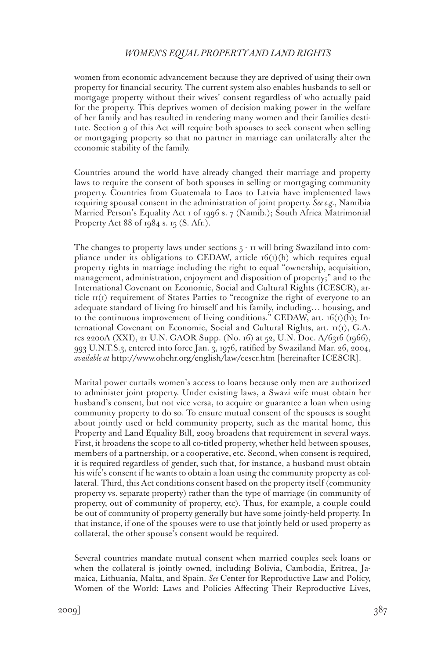women from economic advancement because they are deprived of using their own property for financial security. The current system also enables husbands to sell or mortgage property without their wives' consent regardless of who actually paid for the property. This deprives women of decision making power in the welfare of her family and has resulted in rendering many women and their families destitute. Section 9 of this Act will require both spouses to seek consent when selling or mortgaging property so that no partner in marriage can unilaterally alter the economic stability of the family.

Countries around the world have already changed their marriage and property laws to require the consent of both spouses in selling or mortgaging community property. Countries from Guatemala to Laos to Latvia have implemented laws requiring spousal consent in the administration of joint property. *See e.g.*, Namibia Married Person's Equality Act 1 of 1996 s. 7 (Namib.); South Africa Matrimonial Property Act 88 of 1984 s. 15 (S. Afr.).

The changes to property laws under sections 5 - 11 will bring Swaziland into compliance under its obligations to CEDAW, article  $16(1)(h)$  which requires equal property rights in marriage including the right to equal "ownership, acquisition, management, administration, enjoyment and disposition of property;" and to the International Covenant on Economic, Social and Cultural Rights (ICESCR), article 11(1) requirement of States Parties to "recognize the right of everyone to an adequate standard of living fro himself and his family, including… housing, and to the continuous improvement of living conditions." CEDAW, art.  $16(i)(h)$ ; International Covenant on Economic, Social and Cultural Rights, art. 11(1), G.A. res 2200A (XXI), 21 U.N. GAOR Supp. (No. 16) at 52, U.N. Doc. A/6316 (1966), 993 U.N.T.S.3, entered into force Jan. 3, 1976, ratified by Swaziland Mar. 26, 2004, *available at* http://www.ohchr.org/english/law/cescr.htm [hereinafter ICESCR].

Marital power curtails women's access to loans because only men are authorized to administer joint property. Under existing laws, a Swazi wife must obtain her husband's consent, but not vice versa, to acquire or guarantee a loan when using community property to do so. To ensure mutual consent of the spouses is sought about jointly used or held community property, such as the marital home, this Property and Land Equality Bill, 2009 broadens that requirement in several ways. First, it broadens the scope to all co-titled property, whether held between spouses, members of a partnership, or a cooperative, etc. Second, when consent is required, it is required regardless of gender, such that, for instance, a husband must obtain his wife's consent if he wants to obtain a loan using the community property as collateral. Third, this Act conditions consent based on the property itself (community property vs. separate property) rather than the type of marriage (in community of property, out of community of property, etc). Thus, for example, a couple could be out of community of property generally but have some jointly-held property. In that instance, if one of the spouses were to use that jointly held or used property as collateral, the other spouse's consent would be required.

Several countries mandate mutual consent when married couples seek loans or when the collateral is jointly owned, including Bolivia, Cambodia, Eritrea, Jamaica, Lithuania, Malta, and Spain. *See* Center for Reproductive Law and Policy, Women of the World: Laws and Policies Affecting Their Reproductive Lives,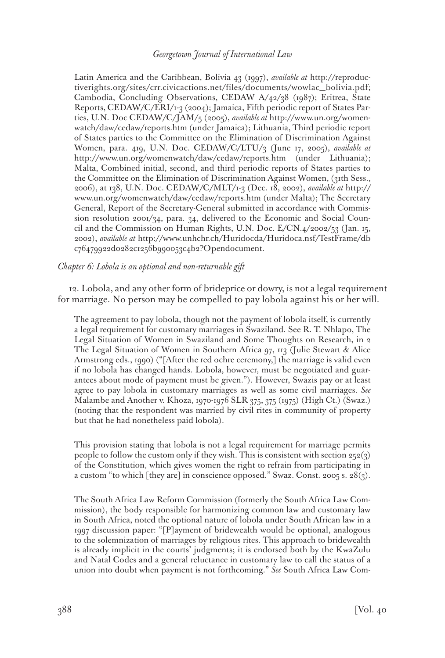Latin America and the Caribbean, Bolivia 43 (1997), *available at* http://reproductiverights.org/sites/crr.civicactions.net/files/documents/wowlac\_bolivia.pdf; Cambodia, Concluding Observations, CEDAW A/42/38 (1987); Eritrea, State Reports, CEDAW/C/ERI/1-3 (2004); Jamaica, Fifth periodic report of States Parties, U.N. Doc CEDAW/C/JAM/5 (2005), *available at* http://www.un.org/womenwatch/daw/cedaw/reports.htm (under Jamaica); Lithuania, Third periodic report of States parties to the Committee on the Elimination of Discrimination Against Women, para. 419, U.N. Doc. CEDAW/C/LTU/3 (June 17, 2005), *available at* http://www.un.org/womenwatch/daw/cedaw/reports.htm (under Lithuania); Malta, Combined initial, second, and third periodic reports of States parties to the Committee on the Elimination of Discrimination Against Women, (31th Sess., 2006), at 138, U.N. Doc. CEDAW/C/MLT/1-3 (Dec. 18, 2002), *available at* http:// www.un.org/womenwatch/daw/cedaw/reports.htm (under Malta); The Secretary General, Report of the Secretary-General submitted in accordance with Commission resolution 2001/34, para. 34, delivered to the Economic and Social Council and the Commission on Human Rights, U.N. Doc. E/CN.4/2002/53 (Jan. 15, 2002), *available at* http://www.unhchr.ch/Huridocda/Huridoca.nsf/TestFrame/db c76479922d0282c1256b990053c4b2?Opendocument.

#### *Chapter 6: Lobola is an optional and non-returnable gift*

12. Lobola, and any other form of brideprice or dowry, is not a legal requirement for marriage. No person may be compelled to pay lobola against his or her will.

The agreement to pay lobola, though not the payment of lobola itself, is currently a legal requirement for customary marriages in Swaziland. See R. T. Nhlapo, The Legal Situation of Women in Swaziland and Some Thoughts on Research, in 2 The Legal Situation of Women in Southern Africa 97, 113 (Julie Stewart & Alice Armstrong eds., 1990) ("[After the red ochre ceremony,] the marriage is valid even if no lobola has changed hands. Lobola, however, must be negotiated and guarantees about mode of payment must be given."). However, Swazis pay or at least agree to pay lobola in customary marriages as well as some civil marriages. *See* Malambe and Another v. Khoza, 1970-1976 SLR 375, 375 (1975) (High Ct.) (Swaz.) (noting that the respondent was married by civil rites in community of property but that he had nonetheless paid lobola).

This provision stating that lobola is not a legal requirement for marriage permits people to follow the custom only if they wish. This is consistent with section  $252(3)$ of the Constitution, which gives women the right to refrain from participating in a custom "to which [they are] in conscience opposed." Swaz. Const. 2005 s. 28(3).

The South Africa Law Reform Commission (formerly the South Africa Law Commission), the body responsible for harmonizing common law and customary law in South Africa, noted the optional nature of lobola under South African law in a 1997 discussion paper: "[P]ayment of bridewealth would be optional, analogous to the solemnization of marriages by religious rites. This approach to bridewealth is already implicit in the courts' judgments; it is endorsed both by the KwaZulu and Natal Codes and a general reluctance in customary law to call the status of a union into doubt when payment is not forthcoming." *See* South Africa Law Com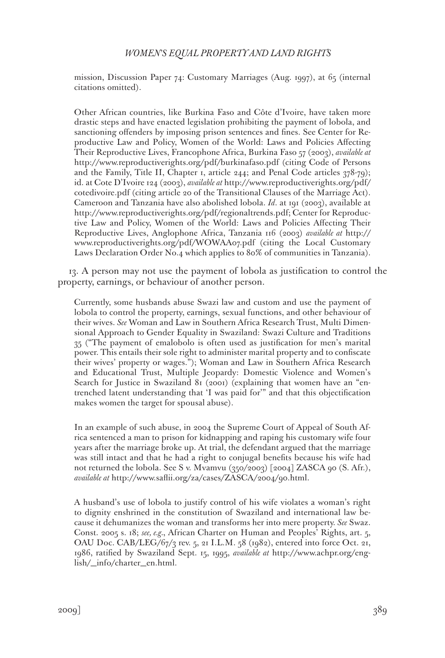mission, Discussion Paper 74: Customary Marriages (Aug. 1997), at 65 (internal citations omitted).

Other African countries, like Burkina Faso and Côte d'Ivoire, have taken more drastic steps and have enacted legislation prohibiting the payment of lobola, and sanctioning offenders by imposing prison sentences and fines. See Center for Reproductive Law and Policy, Women of the World: Laws and Policies Affecting Their Reproductive Lives, Francophone Africa, Burkina Faso 57 (2003), *available at* http://www.reproductiverights.org/pdf/burkinafaso.pdf (citing Code of Persons and the Family, Title II, Chapter 1, article 244; and Penal Code articles 378-79); id. at Cote D'Ivoire 124 (2003), *available at* http://www.reproductiverights.org/pdf/ cotedivoire.pdf (citing article 20 of the Transitional Clauses of the Marriage Act). Cameroon and Tanzania have also abolished lobola. *Id*. at 191 (2003), available at http://www.reproductiverights.org/pdf/regionaltrends.pdf; Center for Reproductive Law and Policy, Women of the World: Laws and Policies Affecting Their Reproductive Lives, Anglophone Africa, Tanzania 116 (2003) *available at* http:// www.reproductiverights.org/pdf/WOWAA07.pdf (citing the Local Customary Laws Declaration Order No.4 which applies to 80% of communities in Tanzania).

13. A person may not use the payment of lobola as justification to control the property, earnings, or behaviour of another person.

Currently, some husbands abuse Swazi law and custom and use the payment of lobola to control the property, earnings, sexual functions, and other behaviour of their wives. *See* Woman and Law in Southern Africa Research Trust, Multi Dimensional Approach to Gender Equality in Swaziland: Swazi Culture and Traditions 35 ("The payment of emalobolo is often used as justification for men's marital power. This entails their sole right to administer marital property and to confiscate their wives' property or wages."); Woman and Law in Southern Africa Research and Educational Trust, Multiple Jeopardy: Domestic Violence and Women's Search for Justice in Swaziland 81 (2001) (explaining that women have an "entrenched latent understanding that 'I was paid for'" and that this objectification makes women the target for spousal abuse).

In an example of such abuse, in 2004 the Supreme Court of Appeal of South Africa sentenced a man to prison for kidnapping and raping his customary wife four years after the marriage broke up. At trial, the defendant argued that the marriage was still intact and that he had a right to conjugal benefits because his wife had not returned the lobola. See S v. Mvamvu (350/2003) [2004] ZASCA 90 (S. Afr.), *available at* http://www.saflii.org/za/cases/ZASCA/2004/90.html.

A husband's use of lobola to justify control of his wife violates a woman's right to dignity enshrined in the constitution of Swaziland and international law because it dehumanizes the woman and transforms her into mere property. *See* Swaz. Const. 2005 s. 18; *see, e.g.*, African Charter on Human and Peoples' Rights, art. 5, OAU Doc. CAB/LEG/67/3 rev. 5, 21 I.L.M. 58 (1982), entered into force Oct. 21, 1986, ratified by Swaziland Sept. 15, 1995, *available at* http://www.achpr.org/english/\_info/charter\_en.html.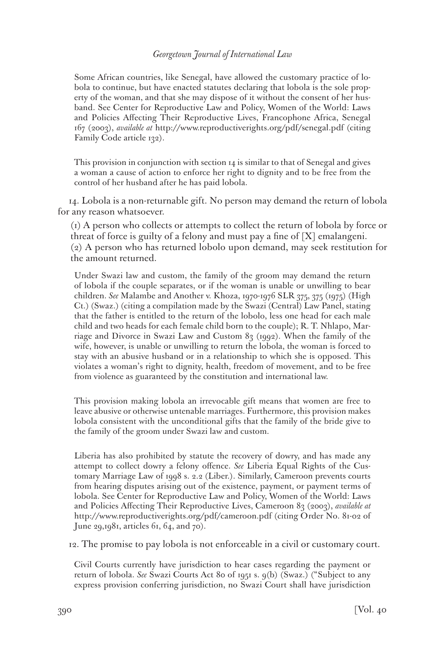Some African countries, like Senegal, have allowed the customary practice of lobola to continue, but have enacted statutes declaring that lobola is the sole property of the woman, and that she may dispose of it without the consent of her husband. See Center for Reproductive Law and Policy, Women of the World: Laws and Policies Affecting Their Reproductive Lives, Francophone Africa, Senegal 167 (2003), *available at* http://www.reproductiverights.org/pdf/senegal.pdf (citing Family Code article 132).

This provision in conjunction with section 14 is similar to that of Senegal and gives a woman a cause of action to enforce her right to dignity and to be free from the control of her husband after he has paid lobola.

14. Lobola is a non-returnable gift. No person may demand the return of lobola for any reason whatsoever.

(1) A person who collects or attempts to collect the return of lobola by force or threat of force is guilty of a felony and must pay a fine of [X] emalangeni. (2) A person who has returned lobolo upon demand, may seek restitution for the amount returned.

Under Swazi law and custom, the family of the groom may demand the return of lobola if the couple separates, or if the woman is unable or unwilling to bear children. *See* Malambe and Another v. Khoza, 1970-1976 SLR 375, 375 (1975) (High Ct.) (Swaz.) (citing a compilation made by the Swazi (Central) Law Panel, stating that the father is entitled to the return of the lobolo, less one head for each male child and two heads for each female child born to the couple); R. T. Nhlapo, Marriage and Divorce in Swazi Law and Custom 83 (1992). When the family of the wife, however, is unable or unwilling to return the lobola, the woman is forced to stay with an abusive husband or in a relationship to which she is opposed. This violates a woman's right to dignity, health, freedom of movement, and to be free from violence as guaranteed by the constitution and international law.

This provision making lobola an irrevocable gift means that women are free to leave abusive or otherwise untenable marriages. Furthermore, this provision makes lobola consistent with the unconditional gifts that the family of the bride give to the family of the groom under Swazi law and custom.

Liberia has also prohibited by statute the recovery of dowry, and has made any attempt to collect dowry a felony offence. *See* Liberia Equal Rights of the Customary Marriage Law of 1998 s. 2.2 (Liber.). Similarly, Cameroon prevents courts from hearing disputes arising out of the existence, payment, or payment terms of lobola. See Center for Reproductive Law and Policy, Women of the World: Laws and Policies Affecting Their Reproductive Lives, Cameroon 83 (2003), *available at* http://www.reproductiverights.org/pdf/cameroon.pdf (citing Order No. 81-02 of June 29,1981, articles 61, 64, and 70).

12. The promise to pay lobola is not enforceable in a civil or customary court.

Civil Courts currently have jurisdiction to hear cases regarding the payment or return of lobola. *See* Swazi Courts Act 80 of 1951 s. 9(b) (Swaz.) ("Subject to any express provision conferring jurisdiction, no Swazi Court shall have jurisdiction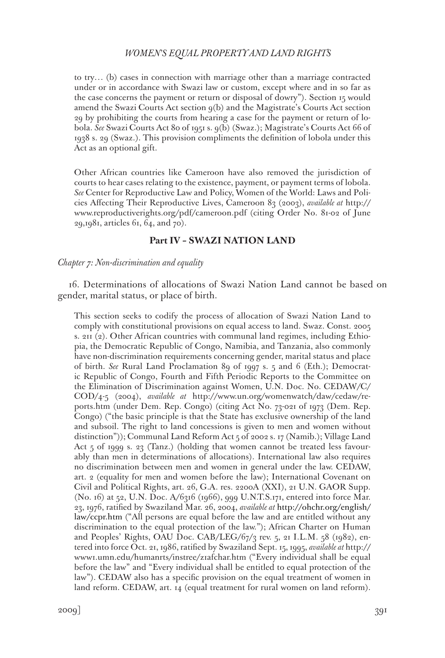to try… (b) cases in connection with marriage other than a marriage contracted under or in accordance with Swazi law or custom, except where and in so far as the case concerns the payment or return or disposal of dowry"). Section 15 would amend the Swazi Courts Act section 9(b) and the Magistrate's Courts Act section 29 by prohibiting the courts from hearing a case for the payment or return of lobola. *See* Swazi Courts Act 80 of 1951 s. 9(b) (Swaz.); Magistrate's Courts Act 66 of 1938 s. 29 (Swaz.). This provision compliments the definition of lobola under this Act as an optional gift.

Other African countries like Cameroon have also removed the jurisdiction of courts to hear cases relating to the existence, payment, or payment terms of lobola. *See* Center for Reproductive Law and Policy, Women of the World: Laws and Policies Affecting Their Reproductive Lives, Cameroon 83 (2003), *available at* http:// www.reproductiverights.org/pdf/cameroon.pdf (citing Order No. 81-02 of June 29,1981, articles 61, 64, and 70).

# **Part IV – SWAZI NATION LAND**

#### *Chapter 7: Non-discrimination and equality*

16. Determinations of allocations of Swazi Nation Land cannot be based on gender, marital status, or place of birth.

This section seeks to codify the process of allocation of Swazi Nation Land to comply with constitutional provisions on equal access to land. Swaz. Const. 2005 s. 211 (2). Other African countries with communal land regimes, including Ethiopia, the Democratic Republic of Congo, Namibia, and Tanzania, also commonly have non-discrimination requirements concerning gender, marital status and place of birth. *See* Rural Land Proclamation 89 of 1997 s. 5 and 6 (Eth.); Democratic Republic of Congo, Fourth and Fifth Periodic Reports to the Committee on the Elimination of Discrimination against Women, U.N. Doc. No. CEDAW/C/ COD/4-5 (2004), *available at* http://www.un.org/womenwatch/daw/cedaw/reports.htm (under Dem. Rep. Congo) (citing Act No. 73-021 of 1973 (Dem. Rep. Congo) ("the basic principle is that the State has exclusive ownership of the land and subsoil. The right to land concessions is given to men and women without distinction")); Communal Land Reform Act 5 of 2002 s. 17 (Namib.); Village Land Act 5 of 1999 s. 23 (Tanz.) (holding that women cannot be treated less favourably than men in determinations of allocations). International law also requires no discrimination between men and women in general under the law. CEDAW, art. 2 (equality for men and women before the law); International Covenant on Civil and Political Rights, art. 26, G.A. res. 2200A (XXI), 21 U.N. GAOR Supp. (No. 16) at 52, U.N. Doc. A/6316 (1966), 999 U.N.T.S.171, entered into force Mar. 23, 1976, ratified by Swaziland Mar. 26, 2004, *available at* http://ohchr.org/english/ law/ccpr.htm ("All persons are equal before the law and are entitled without any discrimination to the equal protection of the law."); African Charter on Human and Peoples' Rights, OAU Doc. CAB/LEG/67/3 rev. 5, 21 I.L.M. 58 (1982), entered into force Oct. 21, 1986, ratified by Swaziland Sept. 15, 1995, *available at* http:// www1.umn.edu/humanrts/instree/z1afchar.htm ("Every individual shall be equal before the law" and "Every individual shall be entitled to equal protection of the law"). CEDAW also has a specific provision on the equal treatment of women in land reform. CEDAW, art. 14 (equal treatment for rural women on land reform).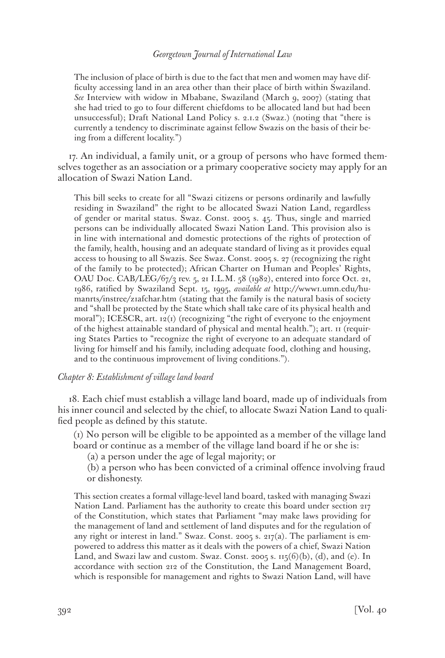The inclusion of place of birth is due to the fact that men and women may have difficulty accessing land in an area other than their place of birth within Swaziland. *See* Interview with widow in Mbabane, Swaziland (March 9, 2007) (stating that she had tried to go to four different chiefdoms to be allocated land but had been unsuccessful); Draft National Land Policy s. 2.1.2 (Swaz.) (noting that "there is currently a tendency to discriminate against fellow Swazis on the basis of their being from a different locality.")

17. An individual, a family unit, or a group of persons who have formed themselves together as an association or a primary cooperative society may apply for an allocation of Swazi Nation Land.

This bill seeks to create for all "Swazi citizens or persons ordinarily and lawfully residing in Swaziland" the right to be allocated Swazi Nation Land, regardless of gender or marital status. Swaz. Const. 2005 s. 45. Thus, single and married persons can be individually allocated Swazi Nation Land. This provision also is in line with international and domestic protections of the rights of protection of the family, health, housing and an adequate standard of living as it provides equal access to housing to all Swazis. See Swaz. Const. 2005 s. 27 (recognizing the right of the family to be protected); African Charter on Human and Peoples' Rights, OAU Doc. CAB/LEG/67/3 rev. 5, 21 I.L.M. 58 (1982), entered into force Oct. 21, 1986, ratified by Swaziland Sept. 15, 1995, *available at* http://www1.umn.edu/humanrts/instree/z1afchar.htm (stating that the family is the natural basis of society and "shall be protected by the State which shall take care of its physical health and moral"); ICESCR, art. 12(1) (recognizing "the right of everyone to the enjoyment of the highest attainable standard of physical and mental health."); art. 11 (requiring States Parties to "recognize the right of everyone to an adequate standard of living for himself and his family, including adequate food, clothing and housing, and to the continuous improvement of living conditions.").

#### *Chapter 8: Establishment of village land board*

18. Each chief must establish a village land board, made up of individuals from his inner council and selected by the chief, to allocate Swazi Nation Land to qualified people as defined by this statute.

(1) No person will be eligible to be appointed as a member of the village land board or continue as a member of the village land board if he or she is:

(a) a person under the age of legal majority; or

(b) a person who has been convicted of a criminal offence involving fraud or dishonesty.

This section creates a formal village-level land board, tasked with managing Swazi Nation Land. Parliament has the authority to create this board under section 217 of the Constitution, which states that Parliament "may make laws providing for the management of land and settlement of land disputes and for the regulation of any right or interest in land." Swaz. Const. 2005 s. 217(a). The parliament is empowered to address this matter as it deals with the powers of a chief, Swazi Nation Land, and Swazi law and custom. Swaz. Const. 2005 s. 115(6)(b), (d), and (e). In accordance with section 212 of the Constitution, the Land Management Board, which is responsible for management and rights to Swazi Nation Land, will have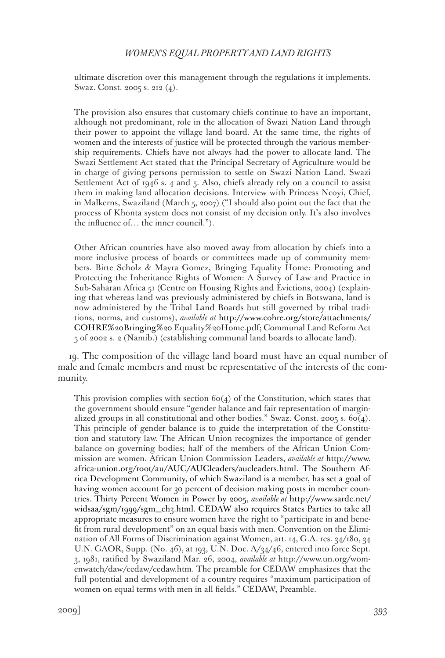ultimate discretion over this management through the regulations it implements. Swaz. Const. 2005 s. 212 (4).

The provision also ensures that customary chiefs continue to have an important, although not predominant, role in the allocation of Swazi Nation Land through their power to appoint the village land board. At the same time, the rights of women and the interests of justice will be protected through the various membership requirements. Chiefs have not always had the power to allocate land. The Swazi Settlement Act stated that the Principal Secretary of Agriculture would be in charge of giving persons permission to settle on Swazi Nation Land. Swazi Settlement Act of 1946 s. 4 and 5. Also, chiefs already rely on a council to assist them in making land allocation decisions. Interview with Princess Ncoyi, Chief, in Malkerns, Swaziland (March 5, 2007) ("I should also point out the fact that the process of Khonta system does not consist of my decision only. It's also involves the influence of… the inner council.").

Other African countries have also moved away from allocation by chiefs into a more inclusive process of boards or committees made up of community members. Birte Scholz & Mayra Gomez, Bringing Equality Home: Promoting and Protecting the Inheritance Rights of Women: A Survey of Law and Practice in Sub-Saharan Africa 51 (Centre on Housing Rights and Evictions, 2004) (explaining that whereas land was previously administered by chiefs in Botswana, land is now administered by the Tribal Land Boards but still governed by tribal traditions, norms, and customs), *available at* http://www.cohre.org/store/attachments/ COHRE%20Bringing%20 Equality%20Home.pdf; Communal Land Reform Act 5 of 2002 s. 2 (Namib.) (establishing communal land boards to allocate land).

19. The composition of the village land board must have an equal number of male and female members and must be representative of the interests of the community.

This provision complies with section  $60(4)$  of the Constitution, which states that the government should ensure "gender balance and fair representation of marginalized groups in all constitutional and other bodies." Swaz. Const. 2005 s.  $60(4)$ . This principle of gender balance is to guide the interpretation of the Constitution and statutory law. The African Union recognizes the importance of gender balance on governing bodies; half of the members of the African Union Commission are women. African Union Commission Leaders, *available at* http://www. africa-union.org/root/au/AUC/AUCleaders/aucleaders.html. The Southern Africa Development Community, of which Swaziland is a member, has set a goal of having women account for 30 percent of decision making posts in member countries. Thirty Percent Women in Power by 2005, *available at* http://www.sardc.net/ widsaa/sgm/1999/sgm\_ch3.html. CEDAW also requires States Parties to take all appropriate measures to ensure women have the right to "participate in and benefit from rural development" on an equal basis with men. Convention on the Elimination of All Forms of Discrimination against Women, art. 14, G.A. res. 34/180, 34 U.N. GAOR, Supp. (No. 46), at 193, U.N. Doc. A/34/46, entered into force Sept. 3, 1981, ratified by Swaziland Mar. 26, 2004, *available at* http://www.un.org/womenwatch/daw/cedaw/cedaw.htm. The preamble for CEDAW emphasizes that the full potential and development of a country requires "maximum participation of women on equal terms with men in all fields." CEDAW, Preamble.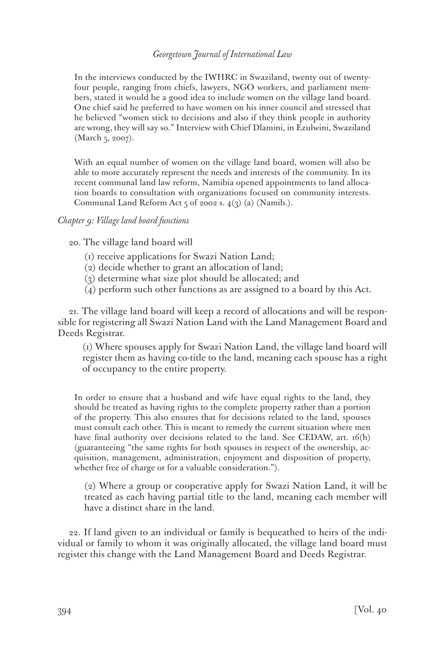In the interviews conducted by the IWHRC in Swaziland, twenty out of twentyfour people, ranging from chiefs, lawyers, NGO workers, and parliament members, stated it would be a good idea to include women on the village land board. One chief said he preferred to have women on his inner council and stressed that he believed "women stick to decisions and also if they think people in authority are wrong, they will say so." Interview with Chief Dlamini, in Ezulwini, Swaziland (March 5, 2007).

With an equal number of women on the village land board, women will also be able to more accurately represent the needs and interests of the community. In its recent communal land law reform, Namibia opened appointments to land allocation boards to consultation with organizations focused on community interests. Communal Land Reform Act  $5$  of 2002 s.  $4(3)$  (a) (Namib.).

### *Chapter 9: Village land board functions*

20. The village land board will

- (1) receive applications for Swazi Nation Land;
- (2) decide whether to grant an allocation of land;
- (3) determine what size plot should be allocated; and
- (4) perform such other functions as are assigned to a board by this Act.

21. The village land board will keep a record of allocations and will be responsible for registering all Swazi Nation Land with the Land Management Board and Deeds Registrar.

(1) Where spouses apply for Swazi Nation Land, the village land board will register them as having co-title to the land, meaning each spouse has a right of occupancy to the entire property.

In order to ensure that a husband and wife have equal rights to the land, they should be treated as having rights to the complete property rather than a portion of the property. This also ensures that for decisions related to the land, spouses must consult each other. This is meant to remedy the current situation where men have final authority over decisions related to the land. See CEDAW, art. 16(h) (guaranteeing "the same rights for both spouses in respect of the ownership, acquisition, management, administration, enjoyment and disposition of property, whether free of charge or for a valuable consideration.").

(2) Where a group or cooperative apply for Swazi Nation Land, it will be treated as each having partial title to the land, meaning each member will have a distinct share in the land.

22. If land given to an individual or family is bequeathed to heirs of the individual or family to whom it was originally allocated, the village land board must register this change with the Land Management Board and Deeds Registrar.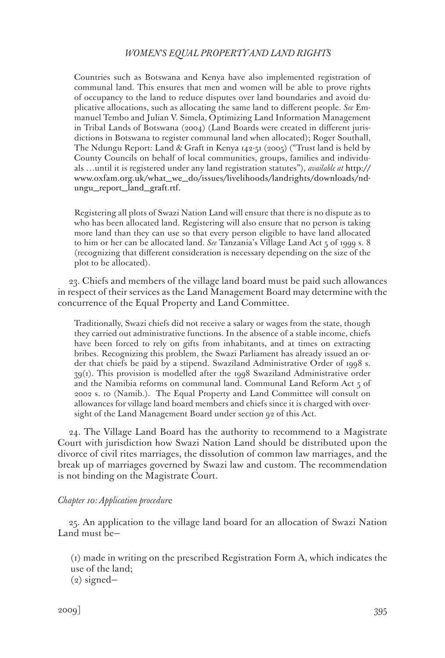Countries such as Botswana and Kenya have also implemented registration of communal land. This ensures that men and women will be able to prove rights of occupancy to the land to reduce disputes over land boundaries and avoid duplicative allocations, such as allocating the same land to different people. *See* Emmanuel Tembo and Julian V. Simela, Optimizing Land Information Management in Tribal Lands of Botswana (2004) (Land Boards were created in different jurisdictions in Botswana to register communal land when allocated); Roger Southall, The Ndungu Report: Land & Graft in Kenya 142-51 (2005) ("Trust land is held by County Councils on behalf of local communities, groups, families and individuals …until it is registered under any land registration statutes"), *available at* http:// www.oxfam.org.uk/what\_we\_do/issues/livelihoods/landrights/downloads/ndungu\_report\_land\_graft.rtf.

Registering all plots of Swazi Nation Land will ensure that there is no dispute as to who has been allocated land. Registering will also ensure that no person is taking more land than they can use so that every person eligible to have land allocated to him or her can be allocated land. *See* Tanzania's Village Land Act 5 of 1999 s. 8 (recognizing that different consideration is necessary depending on the size of the plot to be allocated).

23. Chiefs and members of the village land board must be paid such allowances in respect of their services as the Land Management Board may determine with the concurrence of the Equal Property and Land Committee.

Traditionally, Swazi chiefs did not receive a salary or wages from the state, though they carried out administrative functions. In the absence of a stable income, chiefs have been forced to rely on gifts from inhabitants, and at times on extracting bribes. Recognizing this problem, the Swazi Parliament has already issued an order that chiefs be paid by a stipend. Swaziland Administrative Order of 1998 s. 39(1). This provision is modelled after the 1998 Swaziland Administrative order and the Namibia reforms on communal land. Communal Land Reform Act 5 of 2002 s. 10 (Namib.). The Equal Property and Land Committee will consult on allowances for village land board members and chiefs since it is charged with oversight of the Land Management Board under section 92 of this Act.

24. The Village Land Board has the authority to recommend to a Magistrate Court with jurisdiction how Swazi Nation Land should be distributed upon the divorce of civil rites marriages, the dissolution of common law marriages, and the break up of marriages governed by Swazi law and custom. The recommendation is not binding on the Magistrate Court.

#### *Chapter 10: Application procedur*e

25. An application to the village land board for an allocation of Swazi Nation Land must be—

(1) made in writing on the prescribed Registration Form A, which indicates the use of the land;

(2) signed—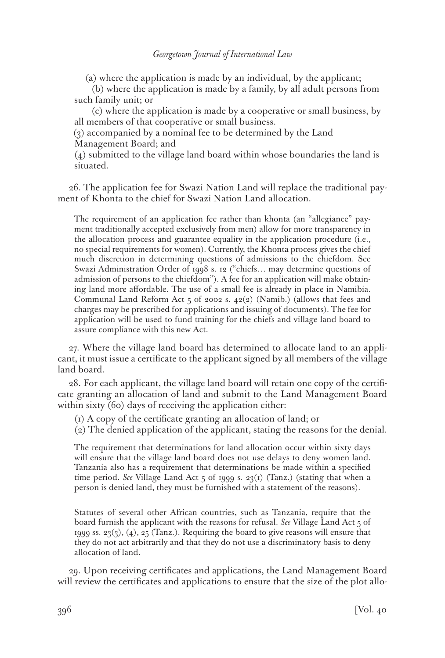(a) where the application is made by an individual, by the applicant;

(b) where the application is made by a family, by all adult persons from such family unit; or

(c) where the application is made by a cooperative or small business, by all members of that cooperative or small business.

(3) accompanied by a nominal fee to be determined by the Land Management Board; and

(4) submitted to the village land board within whose boundaries the land is situated.

26. The application fee for Swazi Nation Land will replace the traditional payment of Khonta to the chief for Swazi Nation Land allocation.

The requirement of an application fee rather than khonta (an "allegiance" payment traditionally accepted exclusively from men) allow for more transparency in the allocation process and guarantee equality in the application procedure (i.e., no special requirements for women). Currently, the Khonta process gives the chief much discretion in determining questions of admissions to the chiefdom. See Swazi Administration Order of 1998 s. 12 ("chiefs… may determine questions of admission of persons to the chiefdom"). A fee for an application will make obtaining land more affordable. The use of a small fee is already in place in Namibia. Communal Land Reform Act  $_5$  of 2002 s.  $42(2)$  (Namib.) (allows that fees and charges may be prescribed for applications and issuing of documents). The fee for application will be used to fund training for the chiefs and village land board to assure compliance with this new Act.

27. Where the village land board has determined to allocate land to an applicant, it must issue a certificate to the applicant signed by all members of the village land board.

28. For each applicant, the village land board will retain one copy of the certificate granting an allocation of land and submit to the Land Management Board within sixty (60) days of receiving the application either:

(1) A copy of the certificate granting an allocation of land; or

(2) The denied application of the applicant, stating the reasons for the denial.

The requirement that determinations for land allocation occur within sixty days will ensure that the village land board does not use delays to deny women land. Tanzania also has a requirement that determinations be made within a specified time period. *See* Village Land Act 5 of 1999 s. 23(1) (Tanz.) (stating that when a person is denied land, they must be furnished with a statement of the reasons).

Statutes of several other African countries, such as Tanzania, require that the board furnish the applicant with the reasons for refusal. *See* Village Land Act 5 of 1999 ss. 23 $(3)$ ,  $(4)$ , 25 (Tanz.). Requiring the board to give reasons will ensure that they do not act arbitrarily and that they do not use a discriminatory basis to deny allocation of land.

29. Upon receiving certificates and applications, the Land Management Board will review the certificates and applications to ensure that the size of the plot allo-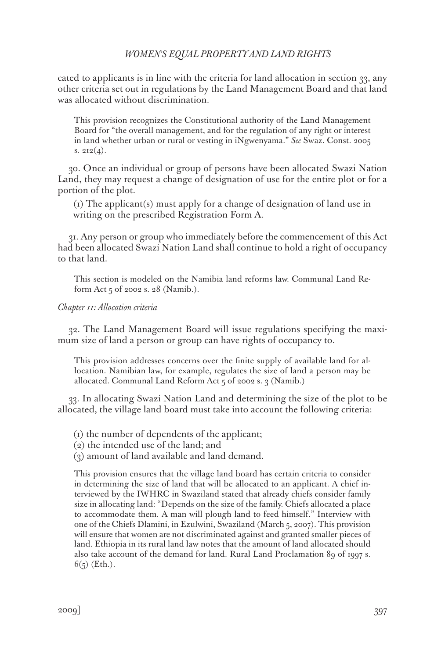cated to applicants is in line with the criteria for land allocation in section 33, any other criteria set out in regulations by the Land Management Board and that land was allocated without discrimination.

This provision recognizes the Constitutional authority of the Land Management Board for "the overall management, and for the regulation of any right or interest in land whether urban or rural or vesting in iNgwenyama." *See* Swaz. Const. 2005 s.  $212(4)$ .

30. Once an individual or group of persons have been allocated Swazi Nation Land, they may request a change of designation of use for the entire plot or for a portion of the plot.

(1) The applicant(s) must apply for a change of designation of land use in writing on the prescribed Registration Form A.

31. Any person or group who immediately before the commencement of this Act had been allocated Swazi Nation Land shall continue to hold a right of occupancy to that land.

This section is modeled on the Namibia land reforms law. Communal Land Reform Act 5 of 2002 s. 28 (Namib.).

#### *Chapter 11: Allocation criteria*

32. The Land Management Board will issue regulations specifying the maximum size of land a person or group can have rights of occupancy to.

This provision addresses concerns over the finite supply of available land for allocation. Namibian law, for example, regulates the size of land a person may be allocated. Communal Land Reform Act 5 of 2002 s. 3 (Namib.)

33. In allocating Swazi Nation Land and determining the size of the plot to be allocated, the village land board must take into account the following criteria:

- (1) the number of dependents of the applicant;
- (2) the intended use of the land; and
- (3) amount of land available and land demand.

This provision ensures that the village land board has certain criteria to consider in determining the size of land that will be allocated to an applicant. A chief interviewed by the IWHRC in Swaziland stated that already chiefs consider family size in allocating land: "Depends on the size of the family. Chiefs allocated a place to accommodate them. A man will plough land to feed himself." Interview with one of the Chiefs Dlamini, in Ezulwini, Swaziland (March 5, 2007). This provision will ensure that women are not discriminated against and granted smaller pieces of land. Ethiopia in its rural land law notes that the amount of land allocated should also take account of the demand for land. Rural Land Proclamation 89 of 1997 s.  $6(5)$  (Eth.).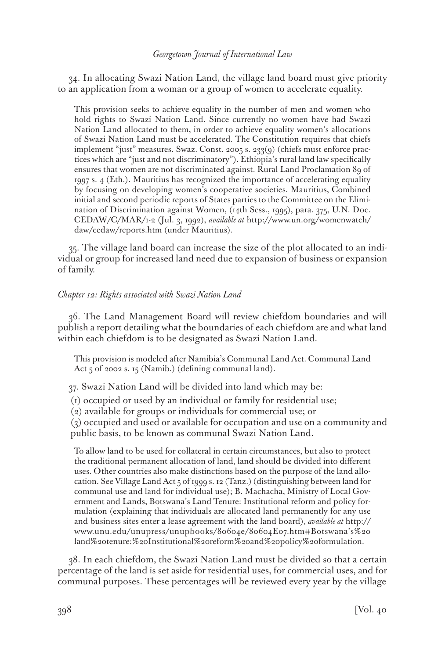34. In allocating Swazi Nation Land, the village land board must give priority to an application from a woman or a group of women to accelerate equality.

This provision seeks to achieve equality in the number of men and women who hold rights to Swazi Nation Land. Since currently no women have had Swazi Nation Land allocated to them, in order to achieve equality women's allocations of Swazi Nation Land must be accelerated. The Constitution requires that chiefs implement "just" measures. Swaz. Const. 2005 s. 233(9) (chiefs must enforce practices which are "just and not discriminatory"). Ethiopia's rural land law specifically ensures that women are not discriminated against. Rural Land Proclamation 89 of 1997 s. 4 (Eth.). Mauritius has recognized the importance of accelerating equality by focusing on developing women's cooperative societies. Mauritius, Combined initial and second periodic reports of States parties to the Committee on the Elimination of Discrimination against Women, (14th Sess., 1995), para. 375, U.N. Doc. CEDAW/C/MAR/1-2 (Jul. 3, 1992), *available at* http://www.un.org/womenwatch/ daw/cedaw/reports.htm (under Mauritius).

35. The village land board can increase the size of the plot allocated to an individual or group for increased land need due to expansion of business or expansion of family.

#### *Chapter 12: Rights associated with Swazi Nation Land*

36. The Land Management Board will review chiefdom boundaries and will publish a report detailing what the boundaries of each chiefdom are and what land within each chiefdom is to be designated as Swazi Nation Land.

This provision is modeled after Namibia's Communal Land Act. Communal Land Act 5 of 2002 s. 15 (Namib.) (defining communal land).

37. Swazi Nation Land will be divided into land which may be:

(1) occupied or used by an individual or family for residential use;

(2) available for groups or individuals for commercial use; or

(3) occupied and used or available for occupation and use on a community and public basis, to be known as communal Swazi Nation Land.

To allow land to be used for collateral in certain circumstances, but also to protect the traditional permanent allocation of land, land should be divided into different uses. Other countries also make distinctions based on the purpose of the land allocation. See Village Land Act 5 of 1999 s. 12 (Tanz.) (distinguishing between land for communal use and land for individual use); B. Machacha, Ministry of Local Government and Lands, Botswana's Land Tenure: Institutional reform and policy formulation (explaining that individuals are allocated land permanently for any use and business sites enter a lease agreement with the land board), *available at* http:// www.unu.edu/unupress/unupbooks/80604e/80604E07.htm#Botswana's%20 land%20tenure:%20Institutional%20reform%20and%20policy%20formulation.

38. In each chiefdom, the Swazi Nation Land must be divided so that a certain percentage of the land is set aside for residential uses, for commercial uses, and for communal purposes. These percentages will be reviewed every year by the village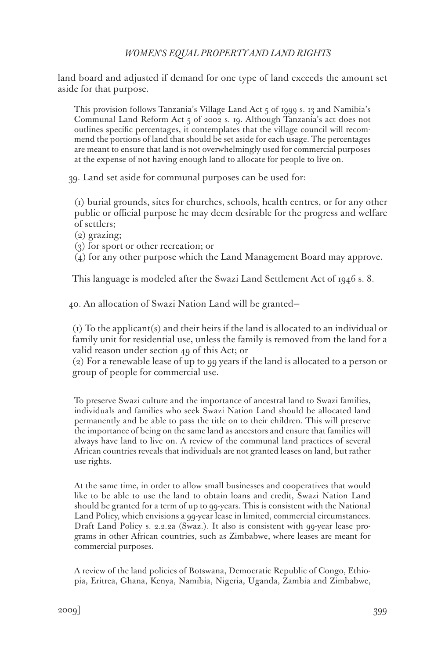land board and adjusted if demand for one type of land exceeds the amount set aside for that purpose.

This provision follows Tanzania's Village Land Act  $\frac{1}{2}$  of 1999 s. 13 and Namibia's Communal Land Reform Act 5 of 2002 s. 19. Although Tanzania's act does not outlines specific percentages, it contemplates that the village council will recommend the portions of land that should be set aside for each usage. The percentages are meant to ensure that land is not overwhelmingly used for commercial purposes at the expense of not having enough land to allocate for people to live on.

39. Land set aside for communal purposes can be used for:

(1) burial grounds, sites for churches, schools, health centres, or for any other public or official purpose he may deem desirable for the progress and welfare of settlers;

- (2) grazing;
- (3) for sport or other recreation; or

(4) for any other purpose which the Land Management Board may approve.

This language is modeled after the Swazi Land Settlement Act of 1946 s. 8.

40. An allocation of Swazi Nation Land will be granted—

(1) To the applicant(s) and their heirs if the land is allocated to an individual or family unit for residential use, unless the family is removed from the land for a valid reason under section 49 of this Act; or

(2) For a renewable lease of up to 99 years if the land is allocated to a person or group of people for commercial use.

To preserve Swazi culture and the importance of ancestral land to Swazi families, individuals and families who seek Swazi Nation Land should be allocated land permanently and be able to pass the title on to their children. This will preserve the importance of being on the same land as ancestors and ensure that families will always have land to live on. A review of the communal land practices of several African countries reveals that individuals are not granted leases on land, but rather use rights.

At the same time, in order to allow small businesses and cooperatives that would like to be able to use the land to obtain loans and credit, Swazi Nation Land should be granted for a term of up to 99-years. This is consistent with the National Land Policy, which envisions a 99-year lease in limited, commercial circumstances. Draft Land Policy s. 2.2.2a (Swaz.). It also is consistent with 99-year lease programs in other African countries, such as Zimbabwe, where leases are meant for commercial purposes.

A review of the land policies of Botswana, Democratic Republic of Congo, Ethiopia, Eritrea, Ghana, Kenya, Namibia, Nigeria, Uganda, Zambia and Zimbabwe,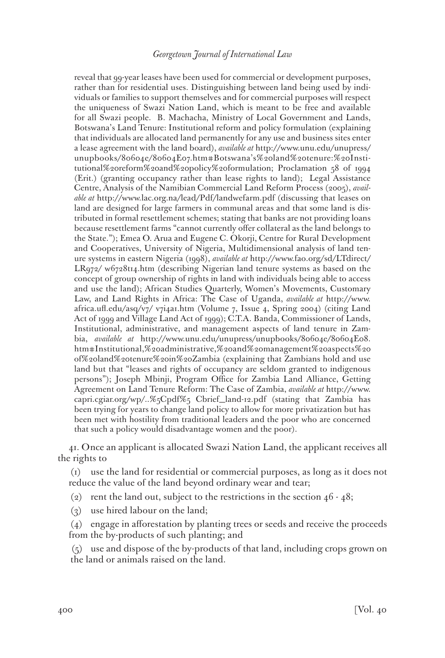reveal that 99-year leases have been used for commercial or development purposes, rather than for residential uses. Distinguishing between land being used by individuals or families to support themselves and for commercial purposes will respect the uniqueness of Swazi Nation Land, which is meant to be free and available for all Swazi people. B. Machacha, Ministry of Local Government and Lands, Botswana's Land Tenure: Institutional reform and policy formulation (explaining that individuals are allocated land permanently for any use and business sites enter a lease agreement with the land board), *available at* http://www.unu.edu/unupress/ unupbooks/80604e/80604E07.htm#Botswana's%20land%20tenure:%20Institutional%20reform%20and%20policy%20formulation; Proclamation 58 of 1994 (Erit.) (granting occupancy rather than lease rights to land); Legal Assistance Centre, Analysis of the Namibian Commercial Land Reform Process (2005), *available at* http://www.lac.org.na/lead/Pdf/landwefarm.pdf (discussing that leases on land are designed for large farmers in communal areas and that some land is distributed in formal resettlement schemes; stating that banks are not providing loans because resettlement farms "cannot currently offer collateral as the land belongs to the State."); Emea O. Arua and Eugene C. Okorji, Centre for Rural Development and Cooperatives, University of Nigeria, Multidimensional analysis of land tenure systems in eastern Nigeria (1998), *available at* http://www.fao.org/sd/LTdirect/ LR972/ w6728t14.htm (describing Nigerian land tenure systems as based on the concept of group ownership of rights in land with individuals being able to access and use the land); African Studies Quarterly, Women's Movements, Customary Law, and Land Rights in Africa: The Case of Uganda, *available at* http://www. africa.ufl.edu/asq/v7/ v7i4a1.htm (Volume 7, Issue 4, Spring 2004) (citing Land Act of 1999 and Village Land Act of 1999); C.T.A. Banda, Commissioner of Lands, Institutional, administrative, and management aspects of land tenure in Zambia, *available at* http://www.unu.edu/unupress/unupbooks/80604e/80604E08. htm#Institutional,%20administrative,%20and%20management%20aspects%20 of%20land%20tenure%20in%20Zambia (explaining that Zambians hold and use land but that "leases and rights of occupancy are seldom granted to indigenous persons"); Joseph Mbinji, Program Office for Zambia Land Alliance, Getting Agreement on Land Tenure Reform: The Case of Zambia, *available at* http://www. capri.cgiar.org/wp/..%5Cpdf%5 Cbrief\_land-12.pdf (stating that Zambia has been trying for years to change land policy to allow for more privatization but has been met with hostility from traditional leaders and the poor who are concerned that such a policy would disadvantage women and the poor).

41. Once an applicant is allocated Swazi Nation Land, the applicant receives all the rights to

(1) use the land for residential or commercial purposes, as long as it does not reduce the value of the land beyond ordinary wear and tear;

- (2) rent the land out, subject to the restrictions in the section  $46 48$ ;
- (3) use hired labour on the land;

(4) engage in afforestation by planting trees or seeds and receive the proceeds from the by-products of such planting; and

(5) use and dispose of the by-products of that land, including crops grown on the land or animals raised on the land.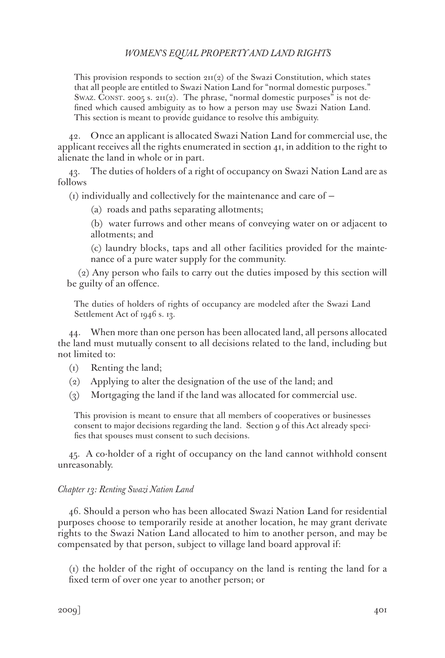This provision responds to section  $2\pi(2)$  of the Swazi Constitution, which states that all people are entitled to Swazi Nation Land for "normal domestic purposes." SWAZ. CONST. 2005 s.  $2II(2)$ . The phrase, "normal domestic purposes" is not defined which caused ambiguity as to how a person may use Swazi Nation Land. This section is meant to provide guidance to resolve this ambiguity.

42. Once an applicant is allocated Swazi Nation Land for commercial use, the applicant receives all the rights enumerated in section 41, in addition to the right to alienate the land in whole or in part.

43. The duties of holders of a right of occupancy on Swazi Nation Land are as follows

(1) individually and collectively for the maintenance and care of —

(a) roads and paths separating allotments;

(b) water furrows and other means of conveying water on or adjacent to allotments; and

(c) laundry blocks, taps and all other facilities provided for the maintenance of a pure water supply for the community.

(2) Any person who fails to carry out the duties imposed by this section will be guilty of an offence.

The duties of holders of rights of occupancy are modeled after the Swazi Land Settlement Act of 1946 s. 13.

44. When more than one person has been allocated land, all persons allocated the land must mutually consent to all decisions related to the land, including but not limited to:

- (1) Renting the land;
- (2) Applying to alter the designation of the use of the land; and
- (3) Mortgaging the land if the land was allocated for commercial use.

This provision is meant to ensure that all members of cooperatives or businesses consent to major decisions regarding the land. Section 9 of this Act already specifies that spouses must consent to such decisions.

45. A co-holder of a right of occupancy on the land cannot withhold consent unreasonably.

### *Chapter 13: Renting Swazi Nation Land*

46. Should a person who has been allocated Swazi Nation Land for residential purposes choose to temporarily reside at another location, he may grant derivate rights to the Swazi Nation Land allocated to him to another person, and may be compensated by that person, subject to village land board approval if:

(1) the holder of the right of occupancy on the land is renting the land for a fixed term of over one year to another person; or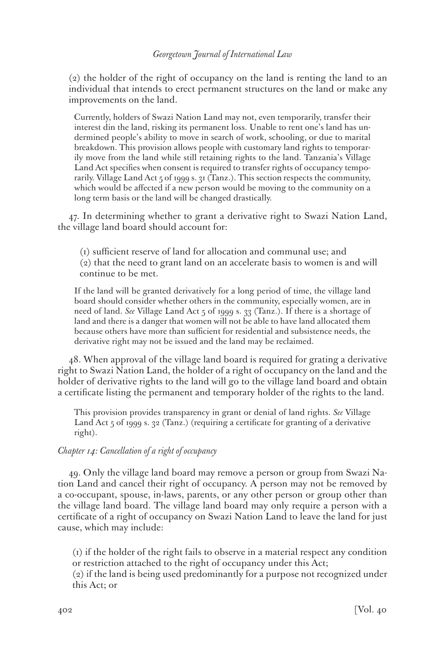(2) the holder of the right of occupancy on the land is renting the land to an individual that intends to erect permanent structures on the land or make any improvements on the land.

Currently, holders of Swazi Nation Land may not, even temporarily, transfer their interest din the land, risking its permanent loss. Unable to rent one's land has undermined people's ability to move in search of work, schooling, or due to marital breakdown. This provision allows people with customary land rights to temporarily move from the land while still retaining rights to the land. Tanzania's Village Land Act specifies when consent is required to transfer rights of occupancy temporarily. Village Land Act 5 of 1999 s. 31 (Tanz.). This section respects the community, which would be affected if a new person would be moving to the community on a long term basis or the land will be changed drastically.

47. In determining whether to grant a derivative right to Swazi Nation Land, the village land board should account for:

(1) sufficient reserve of land for allocation and communal use; and (2) that the need to grant land on an accelerate basis to women is and will continue to be met.

If the land will be granted derivatively for a long period of time, the village land board should consider whether others in the community, especially women, are in need of land. *See* Village Land Act 5 of 1999 s. 33 (Tanz.). If there is a shortage of land and there is a danger that women will not be able to have land allocated them because others have more than sufficient for residential and subsistence needs, the derivative right may not be issued and the land may be reclaimed.

48. When approval of the village land board is required for grating a derivative right to Swazi Nation Land, the holder of a right of occupancy on the land and the holder of derivative rights to the land will go to the village land board and obtain a certificate listing the permanent and temporary holder of the rights to the land.

This provision provides transparency in grant or denial of land rights. *See* Village Land Act 5 of 1999 s. 32 (Tanz.) (requiring a certificate for granting of a derivative right).

### *Chapter 14: Cancellation of a right of occupancy*

49. Only the village land board may remove a person or group from Swazi Nation Land and cancel their right of occupancy. A person may not be removed by a co-occupant, spouse, in-laws, parents, or any other person or group other than the village land board. The village land board may only require a person with a certificate of a right of occupancy on Swazi Nation Land to leave the land for just cause, which may include:

(1) if the holder of the right fails to observe in a material respect any condition or restriction attached to the right of occupancy under this Act;

(2) if the land is being used predominantly for a purpose not recognized under this Act; or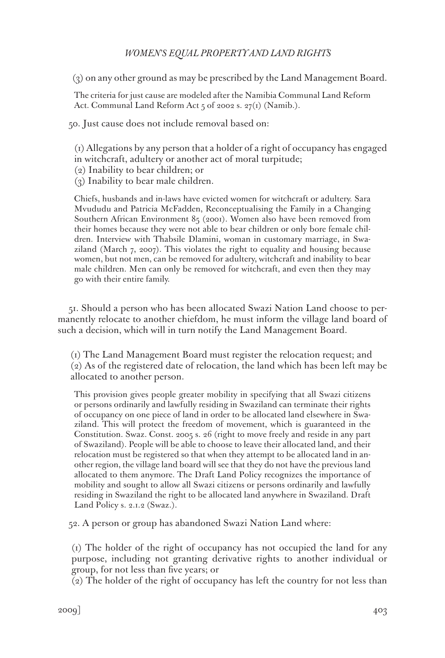(3) on any other ground as may be prescribed by the Land Management Board.

The criteria for just cause are modeled after the Namibia Communal Land Reform Act. Communal Land Reform Act 5 of 2002 s. 27(1) (Namib.).

50. Just cause does not include removal based on:

(1) Allegations by any person that a holder of a right of occupancy has engaged in witchcraft, adultery or another act of moral turpitude;

- (2) Inability to bear children; or
- (3) Inability to bear male children.

Chiefs, husbands and in-laws have evicted women for witchcraft or adultery. Sara Mvududu and Patricia McFadden, Reconceptualising the Family in a Changing Southern African Environment 85 (2001). Women also have been removed from their homes because they were not able to bear children or only bore female children. Interview with Thabsile Dlamini, woman in customary marriage, in Swaziland (March 7, 2007). This violates the right to equality and housing because women, but not men, can be removed for adultery, witchcraft and inability to bear male children. Men can only be removed for witchcraft, and even then they may go with their entire family.

51. Should a person who has been allocated Swazi Nation Land choose to permanently relocate to another chiefdom, he must inform the village land board of such a decision, which will in turn notify the Land Management Board.

(1) The Land Management Board must register the relocation request; and (2) As of the registered date of relocation, the land which has been left may be allocated to another person.

This provision gives people greater mobility in specifying that all Swazi citizens or persons ordinarily and lawfully residing in Swaziland can terminate their rights of occupancy on one piece of land in order to be allocated land elsewhere in Swaziland. This will protect the freedom of movement, which is guaranteed in the Constitution. Swaz. Const. 2005 s. 26 (right to move freely and reside in any part of Swaziland). People will be able to choose to leave their allocated land, and their relocation must be registered so that when they attempt to be allocated land in another region, the village land board will see that they do not have the previous land allocated to them anymore. The Draft Land Policy recognizes the importance of mobility and sought to allow all Swazi citizens or persons ordinarily and lawfully residing in Swaziland the right to be allocated land anywhere in Swaziland. Draft Land Policy s. 2.1.2 (Swaz.).

52. A person or group has abandoned Swazi Nation Land where:

(1) The holder of the right of occupancy has not occupied the land for any purpose, including not granting derivative rights to another individual or group, for not less than five years; or

 $(2)$  The holder of the right of occupancy has left the country for not less than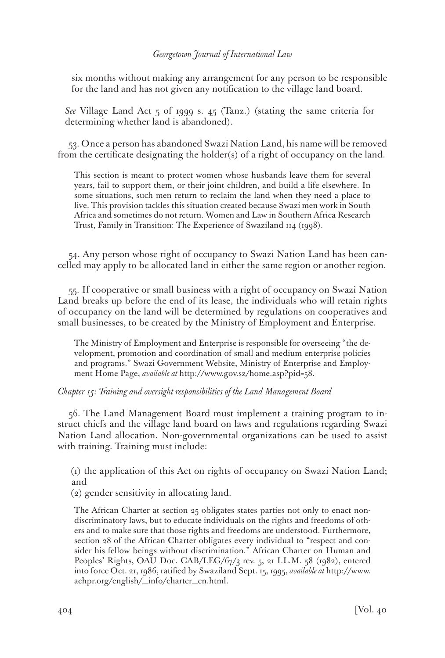six months without making any arrangement for any person to be responsible for the land and has not given any notification to the village land board.

*See* Village Land Act 5 of 1999 s. 45 (Tanz.) (stating the same criteria for determining whether land is abandoned).

53. Once a person has abandoned Swazi Nation Land, his name will be removed from the certificate designating the holder(s) of a right of occupancy on the land.

This section is meant to protect women whose husbands leave them for several years, fail to support them, or their joint children, and build a life elsewhere. In some situations, such men return to reclaim the land when they need a place to live. This provision tackles this situation created because Swazi men work in South Africa and sometimes do not return. Women and Law in Southern Africa Research Trust, Family in Transition: The Experience of Swaziland 114 (1998).

54. Any person whose right of occupancy to Swazi Nation Land has been cancelled may apply to be allocated land in either the same region or another region.

55. If cooperative or small business with a right of occupancy on Swazi Nation Land breaks up before the end of its lease, the individuals who will retain rights of occupancy on the land will be determined by regulations on cooperatives and small businesses, to be created by the Ministry of Employment and Enterprise.

The Ministry of Employment and Enterprise is responsible for overseeing "the development, promotion and coordination of small and medium enterprise policies and programs." Swazi Government Website, Ministry of Enterprise and Employment Home Page, *available at* http://www.gov.sz/home.asp?pid=58.

### *Chapter 15: Training and oversight responsibilities of the Land Management Board*

56. The Land Management Board must implement a training program to instruct chiefs and the village land board on laws and regulations regarding Swazi Nation Land allocation. Non-governmental organizations can be used to assist with training. Training must include:

(1) the application of this Act on rights of occupancy on Swazi Nation Land; and

(2) gender sensitivity in allocating land.

The African Charter at section 25 obligates states parties not only to enact nondiscriminatory laws, but to educate individuals on the rights and freedoms of others and to make sure that those rights and freedoms are understood. Furthermore, section 28 of the African Charter obligates every individual to "respect and consider his fellow beings without discrimination." African Charter on Human and Peoples' Rights, OAU Doc. CAB/LEG/67/3 rev. 5, 21 I.L.M. 58 (1982), entered into force Oct. 21, 1986, ratified by Swaziland Sept. 15, 1995, *available at* http://www. achpr.org/english/\_info/charter\_en.html.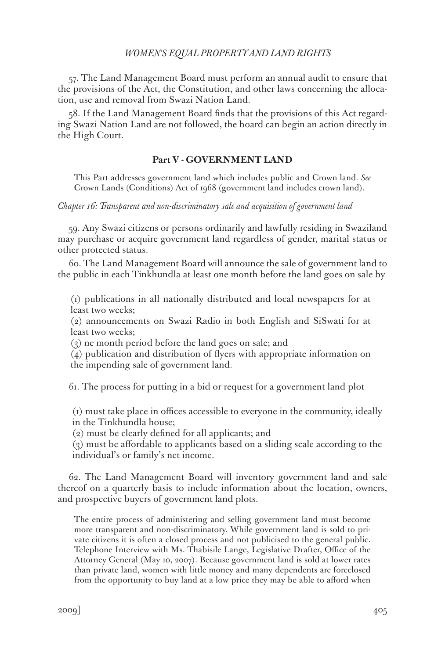57. The Land Management Board must perform an annual audit to ensure that the provisions of the Act, the Constitution, and other laws concerning the allocation, use and removal from Swazi Nation Land.

58. If the Land Management Board finds that the provisions of this Act regarding Swazi Nation Land are not followed, the board can begin an action directly in the High Court.

#### **Part V - GOVERNMENT LAND**

This Part addresses government land which includes public and Crown land. *See* Crown Lands (Conditions) Act of 1968 (government land includes crown land).

#### *Chapter 16: Transparent and non-discriminatory sale and acquisition of government land*

59. Any Swazi citizens or persons ordinarily and lawfully residing in Swaziland may purchase or acquire government land regardless of gender, marital status or other protected status.

60. The Land Management Board will announce the sale of government land to the public in each Tinkhundla at least one month before the land goes on sale by

(1) publications in all nationally distributed and local newspapers for at least two weeks;

(2) announcements on Swazi Radio in both English and SiSwati for at least two weeks;

(3) ne month period before the land goes on sale; and

(4) publication and distribution of flyers with appropriate information on the impending sale of government land.

61. The process for putting in a bid or request for a government land plot

(1) must take place in offices accessible to everyone in the community, ideally in the Tinkhundla house;

(2) must be clearly defined for all applicants; and

(3) must be affordable to applicants based on a sliding scale according to the individual's or family's net income.

62. The Land Management Board will inventory government land and sale thereof on a quarterly basis to include information about the location, owners, and prospective buyers of government land plots.

The entire process of administering and selling government land must become more transparent and non-discriminatory. While government land is sold to private citizens it is often a closed process and not publicised to the general public. Telephone Interview with Ms. Thabisile Lange, Legislative Drafter, Office of the Attorney General (May 10, 2007). Because government land is sold at lower rates than private land, women with little money and many dependents are foreclosed from the opportunity to buy land at a low price they may be able to afford when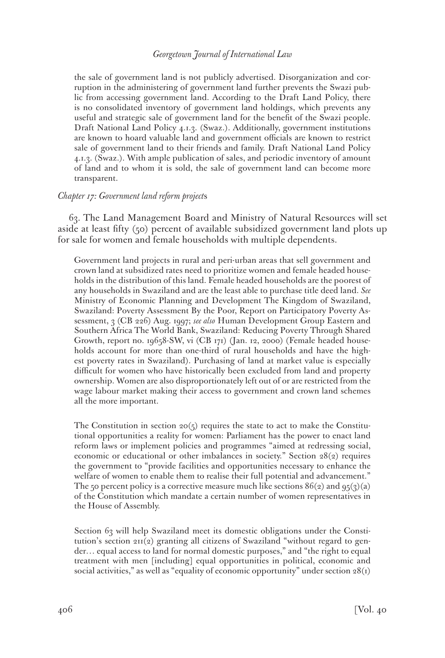the sale of government land is not publicly advertised. Disorganization and corruption in the administering of government land further prevents the Swazi public from accessing government land. According to the Draft Land Policy, there is no consolidated inventory of government land holdings, which prevents any useful and strategic sale of government land for the benefit of the Swazi people. Draft National Land Policy 4.1.3. (Swaz.). Additionally, government institutions are known to hoard valuable land and government officials are known to restrict sale of government land to their friends and family. Draft National Land Policy 4.1.3. (Swaz.). With ample publication of sales, and periodic inventory of amount of land and to whom it is sold, the sale of government land can become more transparent.

### *Chapter 17: Government land reform project*s

63. The Land Management Board and Ministry of Natural Resources will set aside at least fifty (50) percent of available subsidized government land plots up for sale for women and female households with multiple dependents.

Government land projects in rural and peri-urban areas that sell government and crown land at subsidized rates need to prioritize women and female headed households in the distribution of this land. Female headed households are the poorest of any households in Swaziland and are the least able to purchase title deed land. *See* Ministry of Economic Planning and Development The Kingdom of Swaziland, Swaziland: Poverty Assessment By the Poor, Report on Participatory Poverty Assessment, 3 (CB 226) Aug. 1997; *see also* Human Development Group Eastern and Southern Africa The World Bank, Swaziland: Reducing Poverty Through Shared Growth, report no. 19658-SW, vi (CB 171) (Jan. 12, 2000) (Female headed households account for more than one-third of rural households and have the highest poverty rates in Swaziland). Purchasing of land at market value is especially difficult for women who have historically been excluded from land and property ownership. Women are also disproportionately left out of or are restricted from the wage labour market making their access to government and crown land schemes all the more important.

The Constitution in section  $20(5)$  requires the state to act to make the Constitutional opportunities a reality for women: Parliament has the power to enact land reform laws or implement policies and programmes "aimed at redressing social, economic or educational or other imbalances in society." Section 28(2) requires the government to "provide facilities and opportunities necessary to enhance the welfare of women to enable them to realise their full potential and advancement." The 50 percent policy is a corrective measure much like sections  $86(\text{q})$  and  $95(\text{q})(\text{a})$ of the Constitution which mandate a certain number of women representatives in the House of Assembly.

Section 63 will help Swaziland meet its domestic obligations under the Constitution's section 211(2) granting all citizens of Swaziland "without regard to gender… equal access to land for normal domestic purposes," and "the right to equal treatment with men [including] equal opportunities in political, economic and social activities," as well as "equality of economic opportunity" under section  $28(i)$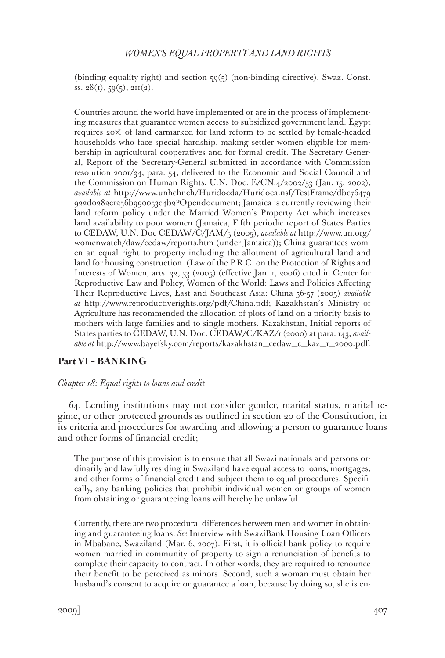(binding equality right) and section 59(5) (non-binding directive). Swaz. Const. ss.  $28(i), 59(5), 211(2)$ .

Countries around the world have implemented or are in the process of implementing measures that guarantee women access to subsidized government land. Egypt requires 20% of land earmarked for land reform to be settled by female-headed households who face special hardship, making settler women eligible for membership in agricultural cooperatives and for formal credit. The Secretary General, Report of the Secretary-General submitted in accordance with Commission resolution 2001/34, para. 54, delivered to the Economic and Social Council and the Commission on Human Rights, U.N. Doc. E/CN.4/2002/53 (Jan. 15, 2002), *available at* http://www.unhchr.ch/Huridocda/Huridoca.nsf/TestFrame/dbc76479 922d0282c1256b990053c4b2?Opendocument; Jamaica is currently reviewing their land reform policy under the Married Women's Property Act which increases land availability to poor women (Jamaica, Fifth periodic report of States Parties to CEDAW, U.N. Doc CEDAW/C/JAM/5 (2005), *available at* http://www.un.org/ womenwatch/daw/cedaw/reports.htm (under Jamaica)); China guarantees women an equal right to property including the allotment of agricultural land and land for housing construction. (Law of the P.R.C. on the Protection of Rights and Interests of Women, arts. 32, 33 (2005) (effective Jan. 1, 2006) cited in Center for Reproductive Law and Policy, Women of the World: Laws and Policies Affecting Their Reproductive Lives, East and Southeast Asia: China 56-57 (2005) *available at* http://www.reproductiverights.org/pdf/China.pdf; Kazakhstan's Ministry of Agriculture has recommended the allocation of plots of land on a priority basis to mothers with large families and to single mothers. Kazakhstan, Initial reports of States parties to CEDAW, U.N. Doc. CEDAW/C/KAZ/1 (2000) at para. 143, *available at* http://www.bayefsky.com/reports/kazakhstan\_cedaw\_c\_kaz\_1\_2000.pdf.

### **Part VI – BANKING**

#### *Chapter 18: Equal rights to loans and credi*t

64. Lending institutions may not consider gender, marital status, marital regime, or other protected grounds as outlined in section 20 of the Constitution, in its criteria and procedures for awarding and allowing a person to guarantee loans and other forms of financial credit;

The purpose of this provision is to ensure that all Swazi nationals and persons ordinarily and lawfully residing in Swaziland have equal access to loans, mortgages, and other forms of financial credit and subject them to equal procedures. Specifically, any banking policies that prohibit individual women or groups of women from obtaining or guaranteeing loans will hereby be unlawful.

Currently, there are two procedural differences between men and women in obtaining and guaranteeing loans. *See* Interview with SwaziBank Housing Loan Officers in Mbabane, Swaziland (Mar. 6, 2007). First, it is official bank policy to require women married in community of property to sign a renunciation of benefits to complete their capacity to contract. In other words, they are required to renounce their benefit to be perceived as minors. Second, such a woman must obtain her husband's consent to acquire or guarantee a loan, because by doing so, she is en-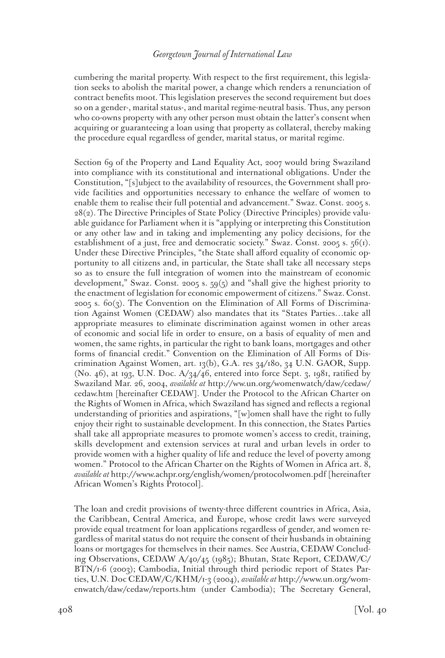cumbering the marital property. With respect to the first requirement, this legislation seeks to abolish the marital power, a change which renders a renunciation of contract benefits moot. This legislation preserves the second requirement but does so on a gender-, marital status-, and marital regime-neutral basis. Thus, any person who co-owns property with any other person must obtain the latter's consent when acquiring or guaranteeing a loan using that property as collateral, thereby making the procedure equal regardless of gender, marital status, or marital regime.

Section 69 of the Property and Land Equality Act, 2007 would bring Swaziland into compliance with its constitutional and international obligations. Under the Constitution, "[s]ubject to the availability of resources, the Government shall provide facilities and opportunities necessary to enhance the welfare of women to enable them to realise their full potential and advancement." Swaz. Const. 2005 s. 28(2). The Directive Principles of State Policy (Directive Principles) provide valuable guidance for Parliament when it is "applying or interpreting this Constitution or any other law and in taking and implementing any policy decisions, for the establishment of a just, free and democratic society." Swaz. Const. 2005 s.  $56(i)$ . Under these Directive Principles, "the State shall afford equality of economic opportunity to all citizens and, in particular, the State shall take all necessary steps so as to ensure the full integration of women into the mainstream of economic development," Swaz. Const. 2005 s. 59(5) and "shall give the highest priority to the enactment of legislation for economic empowerment of citizens." Swaz. Const. 2005 s. 60(3). The Convention on the Elimination of All Forms of Discrimination Against Women (CEDAW) also mandates that its "States Parties…take all appropriate measures to eliminate discrimination against women in other areas of economic and social life in order to ensure, on a basis of equality of men and women, the same rights, in particular the right to bank loans, mortgages and other forms of financial credit." Convention on the Elimination of All Forms of Discrimination Against Women, art. 13(b), G.A. res  $34/180$ ,  $34$  U.N. GAOR, Supp. (No. 46), at 193, U.N. Doc. A/34/46, entered into force Sept. 3, 1981, ratified by Swaziland Mar. 26, 2004, *available at* http://ww.un.org/womenwatch/daw/cedaw/ cedaw.htm [hereinafter CEDAW]. Under the Protocol to the African Charter on the Rights of Women in Africa, which Swaziland has signed and reflects a regional understanding of priorities and aspirations, "[w]omen shall have the right to fully enjoy their right to sustainable development. In this connection, the States Parties shall take all appropriate measures to promote women's access to credit, training, skills development and extension services at rural and urban levels in order to provide women with a higher quality of life and reduce the level of poverty among women." Protocol to the African Charter on the Rights of Women in Africa art. 8, *available at* http://www.achpr.org/english/women/protocolwomen.pdf [hereinafter African Women's Rights Protocol].

The loan and credit provisions of twenty-three different countries in Africa, Asia, the Caribbean, Central America, and Europe, whose credit laws were surveyed provide equal treatment for loan applications regardless of gender, and women regardless of marital status do not require the consent of their husbands in obtaining loans or mortgages for themselves in their names. See Austria, CEDAW Concluding Observations, CEDAW A/40/45 (1985); Bhutan, State Report, CEDAW/C/ BTN/1-6 (2003); Cambodia, Initial through third periodic report of States Parties, U.N. Doc CEDAW/C/KHM/1-3 (2004), *available at* http://www.un.org/womenwatch/daw/cedaw/reports.htm (under Cambodia); The Secretary General,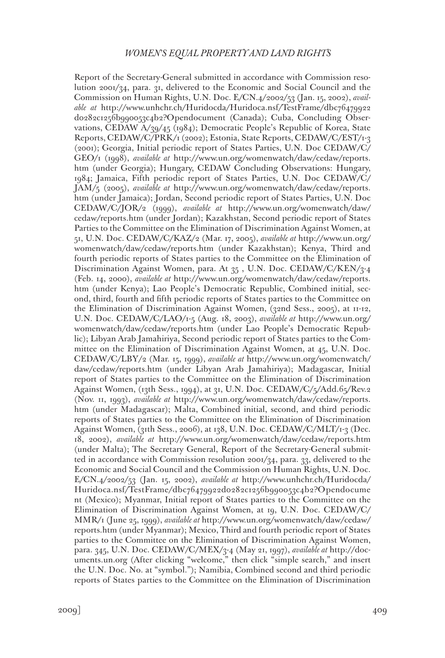Report of the Secretary-General submitted in accordance with Commission resolution 2001/34, para. 31, delivered to the Economic and Social Council and the Commission on Human Rights, U.N. Doc. E/CN.4/2002/53 (Jan. 15, 2002), *available at* http://www.unhchr.ch/Huridocda/Huridoca.nsf/TestFrame/dbc76479922 d0282c1256b990053c4b2?Opendocument (Canada); Cuba, Concluding Observations, CEDAW A/39/45 (1984); Democratic People's Republic of Korea, State Reports, CEDAW/C/PRK/1 (2002); Estonia, State Reports, CEDAW/C/EST/1-3 (2001); Georgia, Initial periodic report of States Parties, U.N. Doc CEDAW/C/ GEO/1 (1998), *available at* http://www.un.org/womenwatch/daw/cedaw/reports. htm (under Georgia); Hungary, CEDAW Concluding Observations: Hungary, 1984; Jamaica, Fifth periodic report of States Parties, U.N. Doc CEDAW/C/ JAM/5 (2005), *available at* http://www.un.org/womenwatch/daw/cedaw/reports. htm (under Jamaica); Jordan, Second periodic report of States Parties, U.N. Doc CEDAW/C/JOR/2 (1999), *available at* http://www.un.org/womenwatch/daw/ cedaw/reports.htm (under Jordan); Kazakhstan, Second periodic report of States Parties to the Committee on the Elimination of Discrimination Against Women, at 51, U.N. Doc. CEDAW/C/KAZ/2 (Mar. 17, 2005), *available at* http://www.un.org/ womenwatch/daw/cedaw/reports.htm (under Kazakhstan); Kenya, Third and fourth periodic reports of States parties to the Committee on the Elimination of Discrimination Against Women, para. At 35 , U.N. Doc. CEDAW/C/KEN/3-4 (Feb. 14, 2000), *available at* http://www.un.org/womenwatch/daw/cedaw/reports. htm (under Kenya); Lao People's Democratic Republic, Combined initial, second, third, fourth and fifth periodic reports of States parties to the Committee on the Elimination of Discrimination Against Women, (32nd Sess., 2005), at 11-12, U.N. Doc. CEDAW/C/LAO/1-5 (Aug. 18, 2003), *available at* http://www.un.org/ womenwatch/daw/cedaw/reports.htm (under Lao People's Democratic Republic); Libyan Arab Jamahiriya, Second periodic report of States parties to the Committee on the Elimination of Discrimination Against Women, at 45, U.N. Doc. CEDAW/C/LBY/2 (Mar. 15, 1999), *available at* http://www.un.org/womenwatch/ daw/cedaw/reports.htm (under Libyan Arab Jamahiriya); Madagascar, Initial report of States parties to the Committee on the Elimination of Discrimination Against Women, (13th Sess., 1994), at 31, U.N. Doc. CEDAW/C/5/Add.65/Rev.2 (Nov. 11, 1993), *available at* http://www.un.org/womenwatch/daw/cedaw/reports. htm (under Madagascar); Malta, Combined initial, second, and third periodic reports of States parties to the Committee on the Elimination of Discrimination Against Women, (31th Sess., 2006), at 138, U.N. Doc. CEDAW/C/MLT/1-3 (Dec. 18, 2002), *available at* http://www.un.org/womenwatch/daw/cedaw/reports.htm (under Malta); The Secretary General, Report of the Secretary-General submitted in accordance with Commission resolution 2001/34, para. 33, delivered to the Economic and Social Council and the Commission on Human Rights, U.N. Doc. E/CN.4/2002/53 (Jan. 15, 2002), *available at* http://www.unhchr.ch/Huridocda/ Huridoca.nsf/TestFrame/dbc76479922d0282c1256b990053c4b2?Opendocume nt (Mexico); Myanmar, Initial report of States parties to the Committee on the Elimination of Discrimination Against Women, at 19, U.N. Doc. CEDAW/C/ MMR/1 (June 25, 1999), *available at* http://www.un.org/womenwatch/daw/cedaw/ reports.htm (under Myanmar); Mexico, Third and fourth periodic report of States parties to the Committee on the Elimination of Discrimination Against Women, para. 345, U.N. Doc. CEDAW/C/MEX/3-4 (May 21, 1997), *available at* http://documents.un.org (After clicking "welcome," then click "simple search," and insert the U.N. Doc. No. at "symbol."); Namibia, Combined second and third periodic reports of States parties to the Committee on the Elimination of Discrimination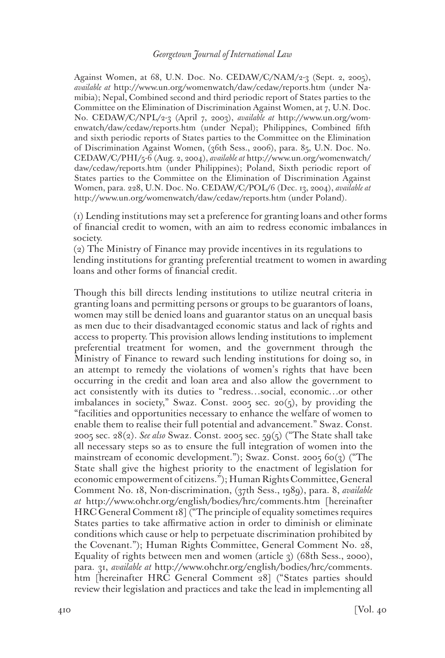Against Women, at 68, U.N. Doc. No. CEDAW/C/NAM/2-3 (Sept. 2, 2005), *available at* http://www.un.org/womenwatch/daw/cedaw/reports.htm (under Namibia); Nepal, Combined second and third periodic report of States parties to the Committee on the Elimination of Discrimination Against Women, at 7, U.N. Doc. No. CEDAW/C/NPL/2-3 (April 7, 2003), *available at* http://www.un.org/womenwatch/daw/cedaw/reports.htm (under Nepal); Philippines, Combined fifth and sixth periodic reports of States parties to the Committee on the Elimination of Discrimination Against Women, (36th Sess., 2006), para. 85, U.N. Doc. No. CEDAW/C/PHI/5-6 (Aug. 2, 2004), *available at* http://www.un.org/womenwatch/ daw/cedaw/reports.htm (under Philippines); Poland, Sixth periodic report of States parties to the Committee on the Elimination of Discrimination Against Women, para. 228, U.N. Doc. No. CEDAW/C/POL/6 (Dec. 13, 2004), *available at* http://www.un.org/womenwatch/daw/cedaw/reports.htm (under Poland).

(1) Lending institutions may set a preference for granting loans and other forms of financial credit to women, with an aim to redress economic imbalances in society.

(2) The Ministry of Finance may provide incentives in its regulations to lending institutions for granting preferential treatment to women in awarding loans and other forms of financial credit.

Though this bill directs lending institutions to utilize neutral criteria in granting loans and permitting persons or groups to be guarantors of loans, women may still be denied loans and guarantor status on an unequal basis as men due to their disadvantaged economic status and lack of rights and access to property. This provision allows lending institutions to implement preferential treatment for women, and the government through the Ministry of Finance to reward such lending institutions for doing so, in an attempt to remedy the violations of women's rights that have been occurring in the credit and loan area and also allow the government to act consistently with its duties to "redress…social, economic…or other imbalances in society," Swaz. Const. 2005 sec. 20(5), by providing the "facilities and opportunities necessary to enhance the welfare of women to enable them to realise their full potential and advancement." Swaz. Const. 2005 sec. 28(2). *See also* Swaz. Const. 2005 sec. 59(5) ("The State shall take all necessary steps so as to ensure the full integration of women into the mainstream of economic development."); Swaz. Const. 2005 60(3) ("The State shall give the highest priority to the enactment of legislation for economic empowerment of citizens."); Human Rights Committee, General Comment No. 18, Non-discrimination, (37th Sess., 1989), para. 8, *available at* http://www.ohchr.org/english/bodies/hrc/comments.htm [hereinafter HRC General Comment 18] ("The principle of equality sometimes requires States parties to take affirmative action in order to diminish or eliminate conditions which cause or help to perpetuate discrimination prohibited by the Covenant."); Human Rights Committee, General Comment No. 28, Equality of rights between men and women (article 3) (68th Sess., 2000), para. 31, *available at* http://www.ohchr.org/english/bodies/hrc/comments. htm [hereinafter HRC General Comment 28] ("States parties should review their legislation and practices and take the lead in implementing all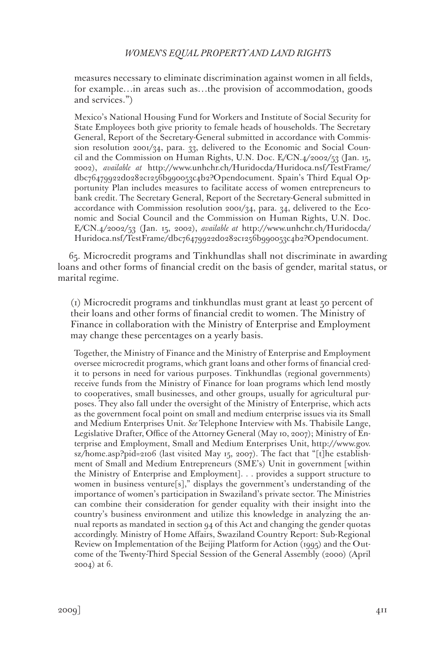measures necessary to eliminate discrimination against women in all fields, for example…in areas such as…the provision of accommodation, goods and services.")

Mexico's National Housing Fund for Workers and Institute of Social Security for State Employees both give priority to female heads of households. The Secretary General, Report of the Secretary-General submitted in accordance with Commission resolution 2001/34, para. 33, delivered to the Economic and Social Council and the Commission on Human Rights, U.N. Doc. E/CN.4/2002/53 (Jan. 15, 2002), *available at* http://www.unhchr.ch/Huridocda/Huridoca.nsf/TestFrame/ dbc76479922d0282c1256b990053c4b2?Opendocument. Spain's Third Equal Opportunity Plan includes measures to facilitate access of women entrepreneurs to bank credit. The Secretary General, Report of the Secretary-General submitted in accordance with Commission resolution 2001/34, para. 34, delivered to the Economic and Social Council and the Commission on Human Rights, U.N. Doc. E/CN.4/2002/53 (Jan. 15, 2002), *available at* http://www.unhchr.ch/Huridocda/ Huridoca.nsf/TestFrame/dbc76479922d0282c1256b990053c4b2?Opendocument.

65. Microcredit programs and Tinkhundlas shall not discriminate in awarding loans and other forms of financial credit on the basis of gender, marital status, or marital regime.

(1) Microcredit programs and tinkhundlas must grant at least 50 percent of their loans and other forms of financial credit to women. The Ministry of Finance in collaboration with the Ministry of Enterprise and Employment may change these percentages on a yearly basis.

Together, the Ministry of Finance and the Ministry of Enterprise and Employment oversee microcredit programs, which grant loans and other forms of financial credit to persons in need for various purposes. Tinkhundlas (regional governments) receive funds from the Ministry of Finance for loan programs which lend mostly to cooperatives, small businesses, and other groups, usually for agricultural purposes. They also fall under the oversight of the Ministry of Enterprise, which acts as the government focal point on small and medium enterprise issues via its Small and Medium Enterprises Unit. *See* Telephone Interview with Ms. Thabisile Lange, Legislative Drafter, Office of the Attorney General (May 10, 2007); Ministry of Enterprise and Employment, Small and Medium Enterprises Unit, http://www.gov. sz/home.asp?pid=2106 (last visited May 15, 2007). The fact that "[t]he establishment of Small and Medium Entrepreneurs (SME's) Unit in government [within the Ministry of Enterprise and Employment]. . . provides a support structure to women in business venture[s]," displays the government's understanding of the importance of women's participation in Swaziland's private sector. The Ministries can combine their consideration for gender equality with their insight into the country's business environment and utilize this knowledge in analyzing the annual reports as mandated in section 94 of this Act and changing the gender quotas accordingly. Ministry of Home Affairs, Swaziland Country Report: Sub-Regional Review on Implementation of the Beijing Platform for Action (1995) and the Outcome of the Twenty-Third Special Session of the General Assembly (2000) (April 2004) at 6.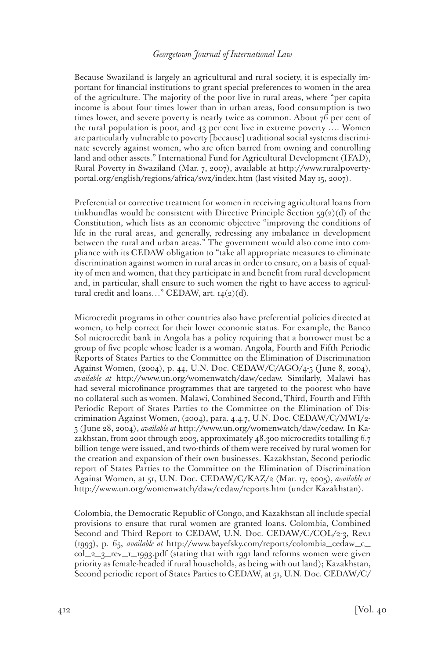Because Swaziland is largely an agricultural and rural society, it is especially important for financial institutions to grant special preferences to women in the area of the agriculture. The majority of the poor live in rural areas, where "per capita income is about four times lower than in urban areas, food consumption is two times lower, and severe poverty is nearly twice as common. About 76 per cent of the rural population is poor, and 43 per cent live in extreme poverty …. Women are particularly vulnerable to poverty [because] traditional social systems discriminate severely against women, who are often barred from owning and controlling land and other assets." International Fund for Agricultural Development (IFAD), Rural Poverty in Swaziland (Mar. 7, 2007), available at http://www.ruralpovertyportal.org/english/regions/africa/swz/index.htm (last visited May 15, 2007).

Preferential or corrective treatment for women in receiving agricultural loans from tinkhundlas would be consistent with Directive Principle Section  $59(2)(d)$  of the Constitution, which lists as an economic objective "improving the conditions of life in the rural areas, and generally, redressing any imbalance in development between the rural and urban areas." The government would also come into compliance with its CEDAW obligation to "take all appropriate measures to eliminate discrimination against women in rural areas in order to ensure, on a basis of equality of men and women, that they participate in and benefit from rural development and, in particular, shall ensure to such women the right to have access to agricultural credit and loans…" CEDAW, art. 14(2)(d).

Microcredit programs in other countries also have preferential policies directed at women, to help correct for their lower economic status. For example, the Banco Sol microcredit bank in Angola has a policy requiring that a borrower must be a group of five people whose leader is a woman. Angola, Fourth and Fifth Periodic Reports of States Parties to the Committee on the Elimination of Discrimination Against Women, (2004), p. 44, U.N. Doc. CEDAW/C/AGO/4-5 (June 8, 2004), *available at* http://www.un.org/womenwatch/daw/cedaw. Similarly, Malawi has had several microfinance programmes that are targeted to the poorest who have no collateral such as women. Malawi, Combined Second, Third, Fourth and Fifth Periodic Report of States Parties to the Committee on the Elimination of Discrimination Against Women, (2004), para. 4.4.7, U.N. Doc. CEDAW/C/MWI/2- 5 (June 28, 2004), *available at* http://www.un.org/womenwatch/daw/cedaw. In Kazakhstan, from 2001 through 2003, approximately 48,300 microcredits totalling 6.7 billion tenge were issued, and two-thirds of them were received by rural women for the creation and expansion of their own businesses. Kazakhstan, Second periodic report of States Parties to the Committee on the Elimination of Discrimination Against Women, at 51, U.N. Doc. CEDAW/C/KAZ/2 (Mar. 17, 2005), *available at* http://www.un.org/womenwatch/daw/cedaw/reports.htm (under Kazakhstan).

Colombia, the Democratic Republic of Congo, and Kazakhstan all include special provisions to ensure that rural women are granted loans. Colombia, Combined Second and Third Report to CEDAW, U.N. Doc. CEDAW/C/COL/2-3, Rev.1 (1993), p. 65, *available at* http://www.bayefsky.com/reports/colombia\_cedaw\_c\_ col\_2\_3\_rev\_1\_1993.pdf (stating that with 1991 land reforms women were given priority as female-headed if rural households, as being with out land); Kazakhstan, Second periodic report of States Parties to CEDAW, at 51, U.N. Doc. CEDAW/C/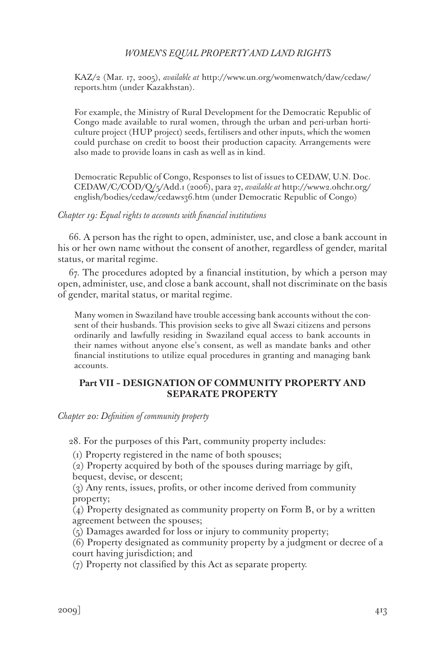KAZ/2 (Mar. 17, 2005), *available at* http://www.un.org/womenwatch/daw/cedaw/ reports.htm (under Kazakhstan).

For example, the Ministry of Rural Development for the Democratic Republic of Congo made available to rural women, through the urban and peri-urban horticulture project (HUP project) seeds, fertilisers and other inputs, which the women could purchase on credit to boost their production capacity. Arrangements were also made to provide loans in cash as well as in kind.

Democratic Republic of Congo, Responses to list of issues to CEDAW, U.N. Doc. CEDAW/C/COD/Q/5/Add.1 (2006), para 27, *available at* http://www2.ohchr.org/ english/bodies/cedaw/cedaws36.htm (under Democratic Republic of Congo)

#### *Chapter 19: Equal rights to accounts with financial institutions*

66. A person has the right to open, administer, use, and close a bank account in his or her own name without the consent of another, regardless of gender, marital status, or marital regime.

67. The procedures adopted by a financial institution, by which a person may open, administer, use, and close a bank account, shall not discriminate on the basis of gender, marital status, or marital regime.

Many women in Swaziland have trouble accessing bank accounts without the consent of their husbands. This provision seeks to give all Swazi citizens and persons ordinarily and lawfully residing in Swaziland equal access to bank accounts in their names without anyone else's consent, as well as mandate banks and other financial institutions to utilize equal procedures in granting and managing bank accounts.

### **Part VII – DESIGNATION OF COMMUNITY PROPERTY AND SEPARATE PROPERTY**

*Chapter 20: Definition of community property*

28. For the purposes of this Part, community property includes:

(1) Property registered in the name of both spouses;

(2) Property acquired by both of the spouses during marriage by gift, bequest, devise, or descent;

(3) Any rents, issues, profits, or other income derived from community property;

(4) Property designated as community property on Form B, or by a written agreement between the spouses;

(5) Damages awarded for loss or injury to community property;

(6) Property designated as community property by a judgment or decree of a court having jurisdiction; and

(7) Property not classified by this Act as separate property.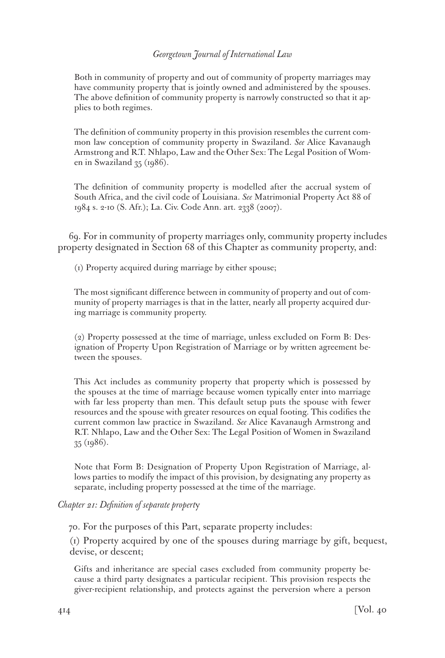Both in community of property and out of community of property marriages may have community property that is jointly owned and administered by the spouses. The above definition of community property is narrowly constructed so that it applies to both regimes.

The definition of community property in this provision resembles the current common law conception of community property in Swaziland. *See* Alice Kavanaugh Armstrong and R.T. Nhlapo, Law and the Other Sex: The Legal Position of Women in Swaziland 35 (1986).

The definition of community property is modelled after the accrual system of South Africa, and the civil code of Louisiana. *See* Matrimonial Property Act 88 of 1984 s. 2-10 (S. Afr.); La. Civ. Code Ann. art. 2338 (2007).

69. For in community of property marriages only, community property includes property designated in Section 68 of this Chapter as community property, and:

(1) Property acquired during marriage by either spouse;

The most significant difference between in community of property and out of community of property marriages is that in the latter, nearly all property acquired during marriage is community property.

(2) Property possessed at the time of marriage, unless excluded on Form B: Designation of Property Upon Registration of Marriage or by written agreement between the spouses.

This Act includes as community property that property which is possessed by the spouses at the time of marriage because women typically enter into marriage with far less property than men. This default setup puts the spouse with fewer resources and the spouse with greater resources on equal footing. This codifies the current common law practice in Swaziland. *See* Alice Kavanaugh Armstrong and R.T. Nhlapo, Law and the Other Sex: The Legal Position of Women in Swaziland 35 (1986).

Note that Form B: Designation of Property Upon Registration of Marriage, allows parties to modify the impact of this provision, by designating any property as separate, including property possessed at the time of the marriage.

### *Chapter 21: Definition of separate propert*y

70. For the purposes of this Part, separate property includes:

(1) Property acquired by one of the spouses during marriage by gift, bequest, devise, or descent;

Gifts and inheritance are special cases excluded from community property because a third party designates a particular recipient. This provision respects the giver-recipient relationship, and protects against the perversion where a person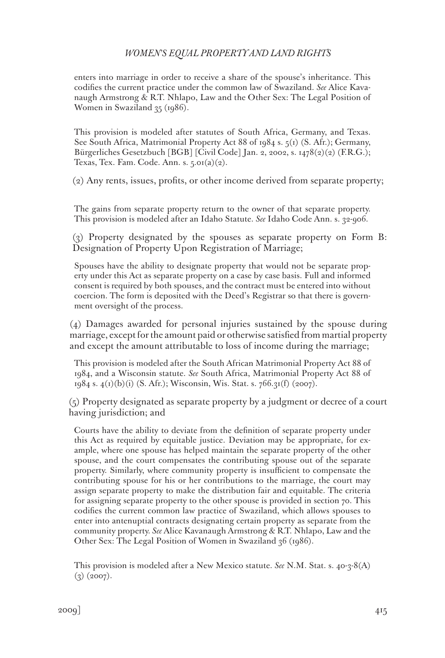enters into marriage in order to receive a share of the spouse's inheritance. This codifies the current practice under the common law of Swaziland. *See* Alice Kavanaugh Armstrong & R.T. Nhlapo, Law and the Other Sex: The Legal Position of Women in Swaziland 35 (1986).

This provision is modeled after statutes of South Africa, Germany, and Texas. See South Africa, Matrimonial Property Act 88 of 1984 s. 5(1) (S. Afr.); Germany, Bürgerliches Gesetzbuch [BGB] [Civil Code] Jan. 2, 2002, s. 1478(2)(2) (F.R.G.); Texas, Tex. Fam. Code. Ann. s.  $5.01(a)(2)$ .

(2) Any rents, issues, profits, or other income derived from separate property;

The gains from separate property return to the owner of that separate property. This provision is modeled after an Idaho Statute. *See* Idaho Code Ann. s. 32-906.

(3) Property designated by the spouses as separate property on Form B: Designation of Property Upon Registration of Marriage;

Spouses have the ability to designate property that would not be separate property under this Act as separate property on a case by case basis. Full and informed consent is required by both spouses, and the contract must be entered into without coercion. The form is deposited with the Deed's Registrar so that there is government oversight of the process.

(4) Damages awarded for personal injuries sustained by the spouse during marriage, except for the amount paid or otherwise satisfied from martial property and except the amount attributable to loss of income during the marriage;

This provision is modeled after the South African Matrimonial Property Act 88 of 1984, and a Wisconsin statute. *See* South Africa, Matrimonial Property Act 88 of 1984 s.  $4(1)(b)(i)$  (S. Afr.); Wisconsin, Wis. Stat. s. 766.31(f) (2007).

(5) Property designated as separate property by a judgment or decree of a court having jurisdiction; and

Courts have the ability to deviate from the definition of separate property under this Act as required by equitable justice. Deviation may be appropriate, for example, where one spouse has helped maintain the separate property of the other spouse, and the court compensates the contributing spouse out of the separate property. Similarly, where community property is insufficient to compensate the contributing spouse for his or her contributions to the marriage, the court may assign separate property to make the distribution fair and equitable. The criteria for assigning separate property to the other spouse is provided in section 70. This codifies the current common law practice of Swaziland, which allows spouses to enter into antenuptial contracts designating certain property as separate from the community property. *See* Alice Kavanaugh Armstrong & R.T. Nhlapo, Law and the Other Sex: The Legal Position of Women in Swaziland 36 (1986).

This provision is modeled after a New Mexico statute. *See* N.M. Stat. s. 40-3-8(A)  $(3)$   $(2007)$ .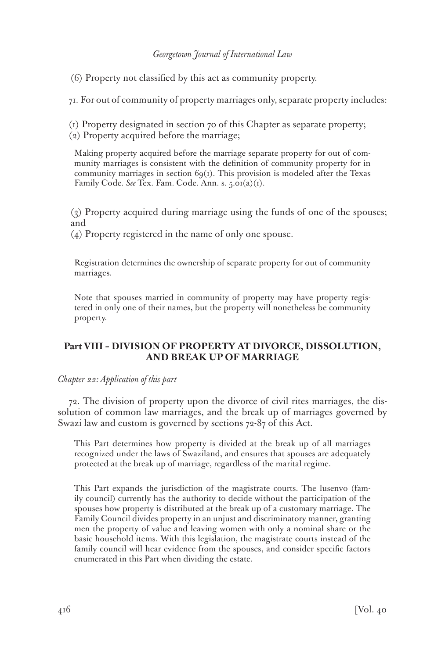(6) Property not classified by this act as community property.

71. For out of community of property marriages only, separate property includes:

(1) Property designated in section 70 of this Chapter as separate property; (2) Property acquired before the marriage;

Making property acquired before the marriage separate property for out of community marriages is consistent with the definition of community property for in community marriages in section  $69<sub>(1)</sub>$ . This provision is modeled after the Texas Family Code. *See* Tex. Fam. Code. Ann. s. 5.01(a)(1).

(3) Property acquired during marriage using the funds of one of the spouses; and

(4) Property registered in the name of only one spouse.

Registration determines the ownership of separate property for out of community marriages.

Note that spouses married in community of property may have property registered in only one of their names, but the property will nonetheless be community property.

# **Part VIII – DIVISION OF PROPERTY AT DIVORCE, DISSOLUTION, AND BREAK UP OF MARRIAGE**

*Chapter 22: Application of this part*

72. The division of property upon the divorce of civil rites marriages, the dissolution of common law marriages, and the break up of marriages governed by Swazi law and custom is governed by sections 72-87 of this Act.

This Part determines how property is divided at the break up of all marriages recognized under the laws of Swaziland, and ensures that spouses are adequately protected at the break up of marriage, regardless of the marital regime.

This Part expands the jurisdiction of the magistrate courts. The lusenvo (family council) currently has the authority to decide without the participation of the spouses how property is distributed at the break up of a customary marriage. The Family Council divides property in an unjust and discriminatory manner, granting men the property of value and leaving women with only a nominal share or the basic household items. With this legislation, the magistrate courts instead of the family council will hear evidence from the spouses, and consider specific factors enumerated in this Part when dividing the estate.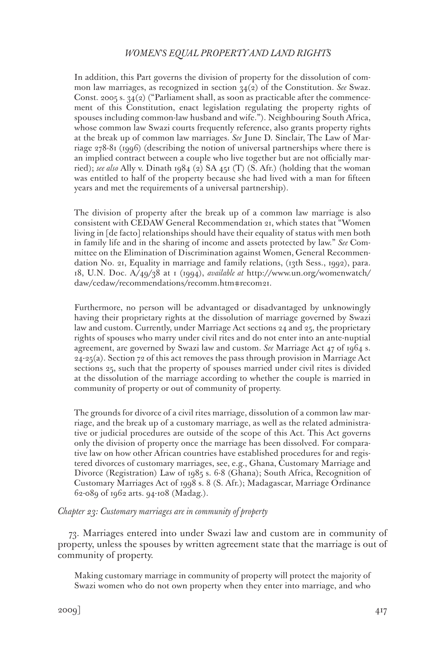In addition, this Part governs the division of property for the dissolution of common law marriages, as recognized in section 34(2) of the Constitution. *See* Swaz. Const. 2005 s.  $34(2)$  ("Parliament shall, as soon as practicable after the commencement of this Constitution, enact legislation regulating the property rights of spouses including common-law husband and wife."). Neighbouring South Africa, whose common law Swazi courts frequently reference, also grants property rights at the break up of common law marriages. *See* June D. Sinclair, The Law of Marriage 278-81 (1996) (describing the notion of universal partnerships where there is an implied contract between a couple who live together but are not officially married); *see also* Ally v. Dinath 1984 (2) SA 451 (T) (S. Afr.) (holding that the woman was entitled to half of the property because she had lived with a man for fifteen years and met the requirements of a universal partnership).

The division of property after the break up of a common law marriage is also consistent with CEDAW General Recommendation 21, which states that "Women living in [de facto] relationships should have their equality of status with men both in family life and in the sharing of income and assets protected by law." *See* Committee on the Elimination of Discrimination against Women, General Recommendation No. 21, Equality in marriage and family relations, (13th Sess., 1992), para. 18, U.N. Doc. A/49/38 at 1 (1994), *available at* http://www.un.org/womenwatch/ daw/cedaw/recommendations/recomm.htm#recom21.

Furthermore, no person will be advantaged or disadvantaged by unknowingly having their proprietary rights at the dissolution of marriage governed by Swazi law and custom. Currently, under Marriage Act sections 24 and 25, the proprietary rights of spouses who marry under civil rites and do not enter into an ante-nuptial agreement, are governed by Swazi law and custom. *See* Marriage Act 47 of 1964 s. 24-25(a). Section 72 of this act removes the pass through provision in Marriage Act sections 25, such that the property of spouses married under civil rites is divided at the dissolution of the marriage according to whether the couple is married in community of property or out of community of property.

The grounds for divorce of a civil rites marriage, dissolution of a common law marriage, and the break up of a customary marriage, as well as the related administrative or judicial procedures are outside of the scope of this Act. This Act governs only the division of property once the marriage has been dissolved. For comparative law on how other African countries have established procedures for and registered divorces of customary marriages, see, e.g., Ghana, Customary Marriage and Divorce (Registration) Law of 1985 s. 6-8 (Ghana); South Africa, Recognition of Customary Marriages Act of 1998 s. 8 (S. Afr.); Madagascar, Marriage Ordinance 62-089 of 1962 arts. 94-108 (Madag.).

*Chapter 23: Customary marriages are in community of property*

73. Marriages entered into under Swazi law and custom are in community of property, unless the spouses by written agreement state that the marriage is out of community of property.

Making customary marriage in community of property will protect the majority of Swazi women who do not own property when they enter into marriage, and who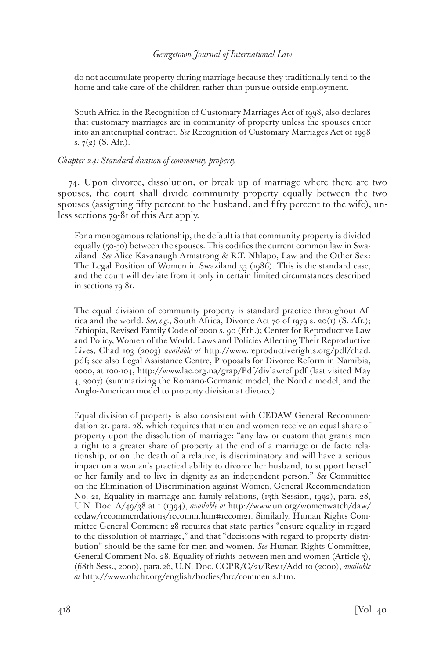do not accumulate property during marriage because they traditionally tend to the home and take care of the children rather than pursue outside employment.

South Africa in the Recognition of Customary Marriages Act of 1998, also declares that customary marriages are in community of property unless the spouses enter into an antenuptial contract. *See* Recognition of Customary Marriages Act of 1998 s. 7(2) (S. Afr.).

### *Chapter 24: Standard division of community property*

74. Upon divorce, dissolution, or break up of marriage where there are two spouses, the court shall divide community property equally between the two spouses (assigning fifty percent to the husband, and fifty percent to the wife), unless sections 79-81 of this Act apply.

For a monogamous relationship, the default is that community property is divided equally (50-50) between the spouses. This codifies the current common law in Swaziland. *See* Alice Kavanaugh Armstrong & R.T. Nhlapo, Law and the Other Sex: The Legal Position of Women in Swaziland 35 (1986). This is the standard case, and the court will deviate from it only in certain limited circumstances described in sections 79-81.

The equal division of community property is standard practice throughout Africa and the world. *See, e.g.*, South Africa, Divorce Act 70 of 1979 s. 20(1) (S. Afr.); Ethiopia, Revised Family Code of 2000 s. 90 (Eth.); Center for Reproductive Law and Policy, Women of the World: Laws and Policies Affecting Their Reproductive Lives, Chad 103 (2003) *available at* http://www.reproductiverights.org/pdf/chad. pdf; see also Legal Assistance Centre, Proposals for Divorce Reform in Namibia, 2000, at 100-104, http://www.lac.org.na/grap/Pdf/divlawref.pdf (last visited May 4, 2007) (summarizing the Romano-Germanic model, the Nordic model, and the Anglo-American model to property division at divorce).

Equal division of property is also consistent with CEDAW General Recommendation 21, para. 28, which requires that men and women receive an equal share of property upon the dissolution of marriage: "any law or custom that grants men a right to a greater share of property at the end of a marriage or de facto relationship, or on the death of a relative, is discriminatory and will have a serious impact on a woman's practical ability to divorce her husband, to support herself or her family and to live in dignity as an independent person." *See* Committee on the Elimination of Discrimination against Women, General Recommendation No. 21, Equality in marriage and family relations, (13th Session, 1992), para. 28, U.N. Doc. A/49/38 at 1 (1994), *available at* http://www.un.org/womenwatch/daw/ cedaw/recommendations/recomm.htm#recom21. Similarly, Human Rights Committee General Comment 28 requires that state parties "ensure equality in regard to the dissolution of marriage," and that "decisions with regard to property distribution" should be the same for men and women. *See* Human Rights Committee, General Comment No. 28, Equality of rights between men and women (Article 3), (68th Sess., 2000), para.26, U.N. Doc. CCPR/C/21/Rev.1/Add.10 (2000), *available at* http://www.ohchr.org/english/bodies/hrc/comments.htm.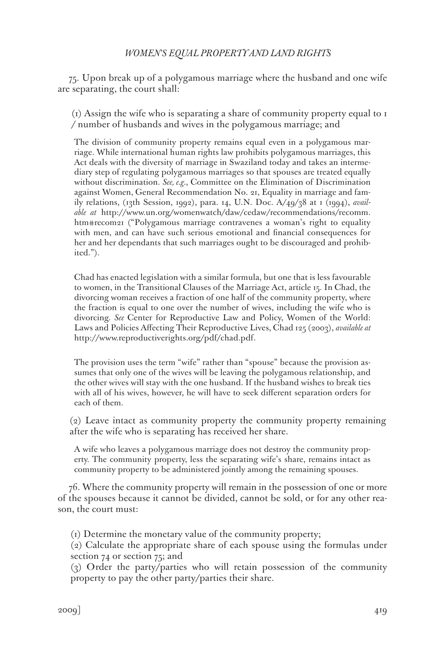75. Upon break up of a polygamous marriage where the husband and one wife are separating, the court shall:

(1) Assign the wife who is separating a share of community property equal to 1 / number of husbands and wives in the polygamous marriage; and

The division of community property remains equal even in a polygamous marriage. While international human rights law prohibits polygamous marriages, this Act deals with the diversity of marriage in Swaziland today and takes an intermediary step of regulating polygamous marriages so that spouses are treated equally without discrimination. *See, e.g.*, Committee on the Elimination of Discrimination against Women, General Recommendation No. 21, Equality in marriage and family relations, (13th Session, 1992), para. 14, U.N. Doc. A/49/38 at 1 (1994), *available at* http://www.un.org/womenwatch/daw/cedaw/recommendations/recomm. htm#recom21 ("Polygamous marriage contravenes a woman's right to equality with men, and can have such serious emotional and financial consequences for her and her dependants that such marriages ought to be discouraged and prohibited.").

Chad has enacted legislation with a similar formula, but one that is less favourable to women, in the Transitional Clauses of the Marriage Act, article 15. In Chad, the divorcing woman receives a fraction of one half of the community property, where the fraction is equal to one over the number of wives, including the wife who is divorcing. *See* Center for Reproductive Law and Policy, Women of the World: Laws and Policies Affecting Their Reproductive Lives, Chad 125 (2003), *available at* http://www.reproductiverights.org/pdf/chad.pdf.

The provision uses the term "wife" rather than "spouse" because the provision assumes that only one of the wives will be leaving the polygamous relationship, and the other wives will stay with the one husband. If the husband wishes to break ties with all of his wives, however, he will have to seek different separation orders for each of them.

(2) Leave intact as community property the community property remaining after the wife who is separating has received her share.

A wife who leaves a polygamous marriage does not destroy the community property. The community property, less the separating wife's share, remains intact as community property to be administered jointly among the remaining spouses.

76. Where the community property will remain in the possession of one or more of the spouses because it cannot be divided, cannot be sold, or for any other reason, the court must:

(1) Determine the monetary value of the community property;

(2) Calculate the appropriate share of each spouse using the formulas under section 74 or section 75; and

(3) Order the party/parties who will retain possession of the community property to pay the other party/parties their share.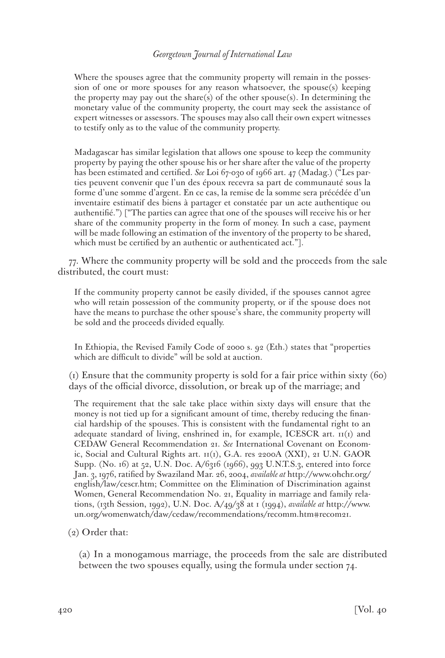Where the spouses agree that the community property will remain in the possession of one or more spouses for any reason whatsoever, the spouse(s) keeping the property may pay out the share(s) of the other spouse(s). In determining the monetary value of the community property, the court may seek the assistance of expert witnesses or assessors. The spouses may also call their own expert witnesses to testify only as to the value of the community property.

Madagascar has similar legislation that allows one spouse to keep the community property by paying the other spouse his or her share after the value of the property has been estimated and certified. *See* Loi 67-030 of 1966 art. 47 (Madag.) ("Les parties peuvent convenir que l'un des époux recevra sa part de communauté sous la forme d'une somme d'argent. En ce cas, la remise de la somme sera précédée d'un inventaire estimatif des biens à partager et constatée par un acte authentique ou authentifié.") ["The parties can agree that one of the spouses will receive his or her share of the community property in the form of money. In such a case, payment will be made following an estimation of the inventory of the property to be shared, which must be certified by an authentic or authenticated act."].

77. Where the community property will be sold and the proceeds from the sale distributed, the court must:

If the community property cannot be easily divided, if the spouses cannot agree who will retain possession of the community property, or if the spouse does not have the means to purchase the other spouse's share, the community property will be sold and the proceeds divided equally.

In Ethiopia, the Revised Family Code of 2000 s. 92 (Eth.) states that "properties which are difficult to divide" will be sold at auction.

(1) Ensure that the community property is sold for a fair price within sixty (60) days of the official divorce, dissolution, or break up of the marriage; and

The requirement that the sale take place within sixty days will ensure that the money is not tied up for a significant amount of time, thereby reducing the financial hardship of the spouses. This is consistent with the fundamental right to an adequate standard of living, enshrined in, for example, ICESCR art. 11(1) and CEDAW General Recommendation 21. *See* International Covenant on Economic, Social and Cultural Rights art. 11(1), G.A. res 2200A (XXI), 21 U.N. GAOR Supp. (No. 16) at 52, U.N. Doc. A/6316 (1966), 993 U.N.T.S.3, entered into force Jan. 3, 1976, ratified by Swaziland Mar. 26, 2004, *available at* http://www.ohchr.org/ english/law/cescr.htm; Committee on the Elimination of Discrimination against Women, General Recommendation No. 21, Equality in marriage and family relations, (13th Session, 1992), U.N. Doc. A/49/38 at 1 (1994), *available at* http://www. un.org/womenwatch/daw/cedaw/recommendations/recomm.htm#recom21.

### (2) Order that:

(a) In a monogamous marriage, the proceeds from the sale are distributed between the two spouses equally, using the formula under section 74.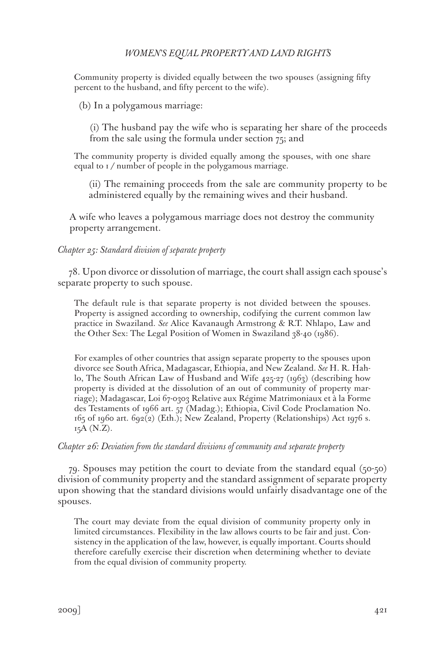Community property is divided equally between the two spouses (assigning fifty percent to the husband, and fifty percent to the wife).

(b) In a polygamous marriage:

(i) The husband pay the wife who is separating her share of the proceeds from the sale using the formula under section 75; and

The community property is divided equally among the spouses, with one share equal to 1/ number of people in the polygamous marriage.

(ii) The remaining proceeds from the sale are community property to be administered equally by the remaining wives and their husband.

A wife who leaves a polygamous marriage does not destroy the community property arrangement.

#### *Chapter 25: Standard division of separate property*

78. Upon divorce or dissolution of marriage, the court shall assign each spouse's separate property to such spouse.

The default rule is that separate property is not divided between the spouses. Property is assigned according to ownership, codifying the current common law practice in Swaziland. *See* Alice Kavanaugh Armstrong & R.T. Nhlapo, Law and the Other Sex: The Legal Position of Women in Swaziland 38-40 (1986).

For examples of other countries that assign separate property to the spouses upon divorce see South Africa, Madagascar, Ethiopia, and New Zealand. *See* H. R. Hahlo, The South African Law of Husband and Wife 425-27 (1963) (describing how property is divided at the dissolution of an out of community of property marriage); Madagascar, Loi 67-0303 Relative aux Régime Matrimoniaux et à la Forme des Testaments of 1966 art. 57 (Madag.); Ethiopia, Civil Code Proclamation No. 165 of 1960 art. 692(2) (Eth.); New Zealand, Property (Relationships) Act 1976 s. 15A (N.Z).

#### *Chapter 26: Deviation from the standard divisions of community and separate property*

79. Spouses may petition the court to deviate from the standard equal (50-50) division of community property and the standard assignment of separate property upon showing that the standard divisions would unfairly disadvantage one of the spouses.

The court may deviate from the equal division of community property only in limited circumstances. Flexibility in the law allows courts to be fair and just. Consistency in the application of the law, however, is equally important. Courts should therefore carefully exercise their discretion when determining whether to deviate from the equal division of community property.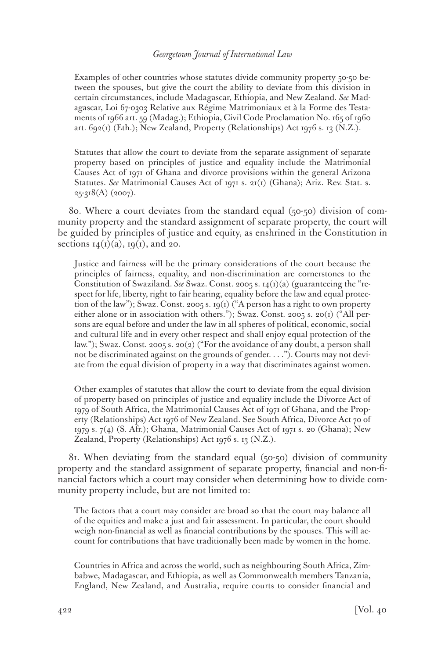Examples of other countries whose statutes divide community property 50-50 between the spouses, but give the court the ability to deviate from this division in certain circumstances, include Madagascar, Ethiopia, and New Zealand. *See* Madagascar, Loi 67-0303 Relative aux Régime Matrimoniaux et à la Forme des Testaments of 1966 art. 59 (Madag.); Ethiopia, Civil Code Proclamation No. 165 of 1960 art. 692(1) (Eth.); New Zealand, Property (Relationships) Act 1976 s. 13 (N.Z.).

Statutes that allow the court to deviate from the separate assignment of separate property based on principles of justice and equality include the Matrimonial Causes Act of 1971 of Ghana and divorce provisions within the general Arizona Statutes. *See* Matrimonial Causes Act of 1971 s. 21(1) (Ghana); Ariz. Rev. Stat. s.  $25-318(A)$  (2007).

80. Where a court deviates from the standard equal (50-50) division of community property and the standard assignment of separate property, the court will be guided by principles of justice and equity, as enshrined in the Constitution in sections  $I_4(I)(a)$ ,  $I_9(I)$ , and 20.

Justice and fairness will be the primary considerations of the court because the principles of fairness, equality, and non-discrimination are cornerstones to the Constitution of Swaziland. *See* Swaz. Const. 2005 s. 14(1)(a) (guaranteeing the "respect for life, liberty, right to fair hearing, equality before the law and equal protection of the law"); Swaz. Const. 2005 s. 19(1) ("A person has a right to own property either alone or in association with others."); Swaz. Const. 2005 s. 20(1) ("All persons are equal before and under the law in all spheres of political, economic, social and cultural life and in every other respect and shall enjoy equal protection of the law."); Swaz. Const. 2005 s. 20(2) ("For the avoidance of any doubt, a person shall not be discriminated against on the grounds of gender. . . ."). Courts may not deviate from the equal division of property in a way that discriminates against women.

Other examples of statutes that allow the court to deviate from the equal division of property based on principles of justice and equality include the Divorce Act of 1979 of South Africa, the Matrimonial Causes Act of 1971 of Ghana, and the Property (Relationships) Act 1976 of New Zealand. See South Africa, Divorce Act 70 of 1979 s. 7(4) (S. Afr.); Ghana, Matrimonial Causes Act of 1971 s. 20 (Ghana); New Zealand, Property (Relationships) Act 1976 s. 13 (N.Z.).

81. When deviating from the standard equal (50-50) division of community property and the standard assignment of separate property, financial and non-financial factors which a court may consider when determining how to divide community property include, but are not limited to:

The factors that a court may consider are broad so that the court may balance all of the equities and make a just and fair assessment. In particular, the court should weigh non-financial as well as financial contributions by the spouses. This will account for contributions that have traditionally been made by women in the home.

Countries in Africa and across the world, such as neighbouring South Africa, Zimbabwe, Madagascar, and Ethiopia, as well as Commonwealth members Tanzania, England, New Zealand, and Australia, require courts to consider financial and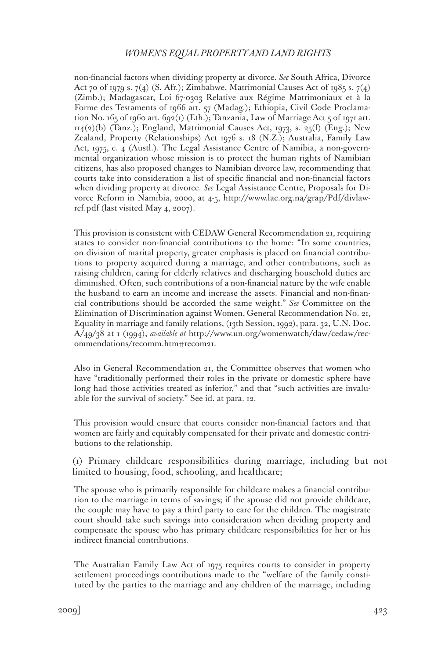non-financial factors when dividing property at divorce. *See* South Africa, Divorce Act 70 of 1979 s. 7(4) (S. Afr.); Zimbabwe, Matrimonial Causes Act of 1985 s. 7(4) (Zimb.); Madagascar, Loi 67-0303 Relative aux Régime Matrimoniaux et à la Forme des Testaments of 1966 art. 57 (Madag.); Ethiopia, Civil Code Proclamation No. 165 of 1960 art. 692(1) (Eth.); Tanzania, Law of Marriage Act 5 of 1971 art.  $114(2)(b)$  (Tanz.); England, Matrimonial Causes Act, 1973, s. 25(f) (Eng.); New Zealand, Property (Relationships) Act 1976 s. 18 (N.Z.); Australia, Family Law Act, 1975, c. 4 (Austl.). The Legal Assistance Centre of Namibia, a non-governmental organization whose mission is to protect the human rights of Namibian citizens, has also proposed changes to Namibian divorce law, recommending that courts take into consideration a list of specific financial and non-financial factors when dividing property at divorce. *See* Legal Assistance Centre, Proposals for Divorce Reform in Namibia, 2000, at 4-5, http://www.lac.org.na/grap/Pdf/divlawref.pdf (last visited May 4, 2007).

This provision is consistent with CEDAW General Recommendation 21, requiring states to consider non-financial contributions to the home: "In some countries, on division of marital property, greater emphasis is placed on financial contributions to property acquired during a marriage, and other contributions, such as raising children, caring for elderly relatives and discharging household duties are diminished. Often, such contributions of a non-financial nature by the wife enable the husband to earn an income and increase the assets. Financial and non-financial contributions should be accorded the same weight." *See* Committee on the Elimination of Discrimination against Women, General Recommendation No. 21, Equality in marriage and family relations, (13th Session, 1992), para. 32, U.N. Doc. A/49/38 at 1 (1994), *available at* http://www.un.org/womenwatch/daw/cedaw/recommendations/recomm.htm#recom21.

Also in General Recommendation 21, the Committee observes that women who have "traditionally performed their roles in the private or domestic sphere have long had those activities treated as inferior," and that "such activities are invaluable for the survival of society." See id. at para. 12.

This provision would ensure that courts consider non-financial factors and that women are fairly and equitably compensated for their private and domestic contributions to the relationship.

(1) Primary childcare responsibilities during marriage, including but not limited to housing, food, schooling, and healthcare;

The spouse who is primarily responsible for childcare makes a financial contribution to the marriage in terms of savings; if the spouse did not provide childcare, the couple may have to pay a third party to care for the children. The magistrate court should take such savings into consideration when dividing property and compensate the spouse who has primary childcare responsibilities for her or his indirect financial contributions.

The Australian Family Law Act of 1975 requires courts to consider in property settlement proceedings contributions made to the "welfare of the family constituted by the parties to the marriage and any children of the marriage, including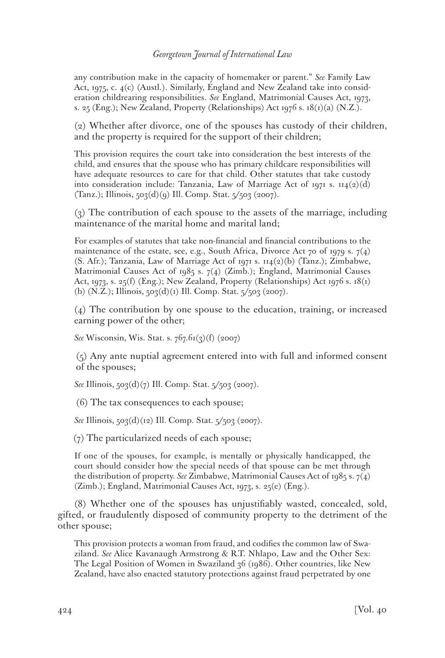any contribution make in the capacity of homemaker or parent." *See* Family Law Act, 1975, c. 4(c) (Austl.). Similarly, England and New Zealand take into consideration childrearing responsibilities. *See* England, Matrimonial Causes Act, 1973, s. 25 (Eng.); New Zealand, Property (Relationships) Act 1976 s.  $18(i)(a)$  (N.Z.).

(2) Whether after divorce, one of the spouses has custody of their children, and the property is required for the support of their children;

This provision requires the court take into consideration the best interests of the child, and ensures that the spouse who has primary childcare responsibilities will have adequate resources to care for that child. Other statutes that take custody into consideration include: Tanzania, Law of Marriage Act of 1971 s.  $\text{II}_4(\text{2})(\text{d})$ (Tanz.); Illinois, 503(d)(9) Ill. Comp. Stat. 5/503 (2007).

(3) The contribution of each spouse to the assets of the marriage, including maintenance of the marital home and marital land;

For examples of statutes that take non-financial and financial contributions to the maintenance of the estate, see, e.g., South Africa, Divorce Act 70 of 1979 s.  $7(4)$ (S. Afr.); Tanzania, Law of Marriage Act of 1971 s.  $114(2)(b)$  (Tanz.); Zimbabwe, Matrimonial Causes Act of 1985 s. 7(4) (Zimb.); England, Matrimonial Causes Act, 1973, s. 25(f) (Eng.); New Zealand, Property (Relationships) Act 1976 s. 18(1) (b) (N.Z.); Illinois,  $503(d)(1)$  Ill. Comp. Stat.  $5/503$  (2007).

(4) The contribution by one spouse to the education, training, or increased earning power of the other;

*See* Wisconsin, Wis. Stat. s. 767.61(3)(f) (2007)

(5) Any ante nuptial agreement entered into with full and informed consent of the spouses;

*See* Illinois, 503(d)(7) Ill. Comp. Stat. 5/503 (2007).

(6) The tax consequences to each spouse;

*See* Illinois, 503(d)(12) Ill. Comp. Stat. 5/503 (2007).

(7) The particularized needs of each spouse;

If one of the spouses, for example, is mentally or physically handicapped, the court should consider how the special needs of that spouse can be met through the distribution of property. *See* Zimbabwe, Matrimonial Causes Act of 1985 s. 7(4) (Zimb.); England, Matrimonial Causes Act, 1973, s. 25(e) (Eng.).

(8) Whether one of the spouses has unjustifiably wasted, concealed, sold, gifted, or fraudulently disposed of community property to the detriment of the other spouse;

This provision protects a woman from fraud, and codifies the common law of Swaziland. *See* Alice Kavanaugh Armstrong & R.T. Nhlapo, Law and the Other Sex: The Legal Position of Women in Swaziland 36 (1986). Other countries, like New Zealand, have also enacted statutory protections against fraud perpetrated by one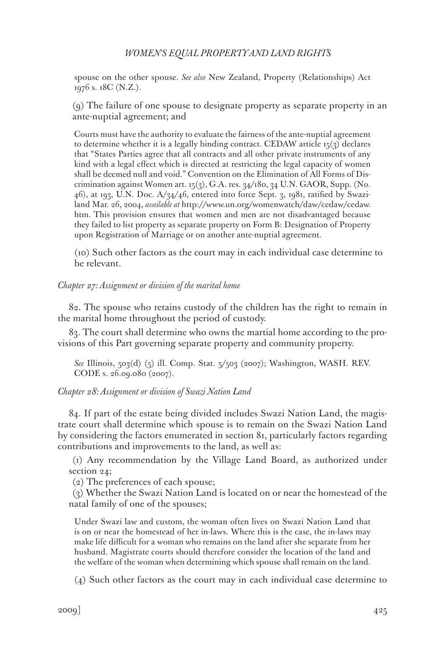spouse on the other spouse. *See also* New Zealand, Property (Relationships) Act 1976 s. 18C (N.Z.).

(9) The failure of one spouse to designate property as separate property in an ante-nuptial agreement; and

Courts must have the authority to evaluate the fairness of the ante-nuptial agreement to determine whether it is a legally binding contract. CEDAW article  $15(3)$  declares that "States Parties agree that all contracts and all other private instruments of any kind with a legal effect which is directed at restricting the legal capacity of women shall be deemed null and void." Convention on the Elimination of All Forms of Discrimination against Women art. 15(3), G.A. res.  $34/180$ ,  $34$  U.N. GAOR, Supp. (No. 46), at 193, U.N. Doc.  $A/34/46$ , entered into force Sept. 3, 1981, ratified by Swaziland Mar. 26, 2004, *available at* http://www.un.org/womenwatch/daw/cedaw/cedaw. htm. This provision ensures that women and men are not disadvantaged because they failed to list property as separate property on Form B: Designation of Property upon Registration of Marriage or on another ante-nuptial agreement.

(10) Such other factors as the court may in each individual case determine to be relevant.

### *Chapter 27: Assignment or division of the marital home*

82. The spouse who retains custody of the children has the right to remain in the marital home throughout the period of custody.

83. The court shall determine who owns the martial home according to the provisions of this Part governing separate property and community property.

*See* Illinois, 503(d) (5) ill. Comp. Stat. 5/503 (2007); Washington, WASH. REV. CODE s. 26.09.080 (2007).

#### *Chapter 28: Assignment or division of Swazi Nation Land*

84. If part of the estate being divided includes Swazi Nation Land, the magistrate court shall determine which spouse is to remain on the Swazi Nation Land by considering the factors enumerated in section 81, particularly factors regarding contributions and improvements to the land, as well as:

(1) Any recommendation by the Village Land Board, as authorized under section 24;

(2) The preferences of each spouse;

(3) Whether the Swazi Nation Land is located on or near the homestead of the natal family of one of the spouses;

Under Swazi law and custom, the woman often lives on Swazi Nation Land that is on or near the homestead of her in-laws. Where this is the case, the in-laws may make life difficult for a woman who remains on the land after she separate from her husband. Magistrate courts should therefore consider the location of the land and the welfare of the woman when determining which spouse shall remain on the land.

(4) Such other factors as the court may in each individual case determine to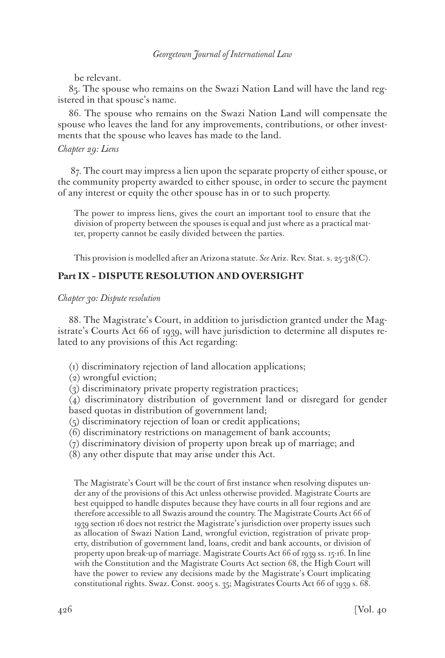be relevant.

85. The spouse who remains on the Swazi Nation Land will have the land registered in that spouse's name.

86. The spouse who remains on the Swazi Nation Land will compensate the spouse who leaves the land for any improvements, contributions, or other investments that the spouse who leaves has made to the land.

## *Chapter 29: Liens*

 87. The court may impress a lien upon the separate property of either spouse, or the community property awarded to either spouse, in order to secure the payment of any interest or equity the other spouse has in or to such property.

The power to impress liens, gives the court an important tool to ensure that the division of property between the spouses is equal and just where as a practical matter, property cannot be easily divided between the parties.

This provision is modelled after an Arizona statute. *See* Ariz. Rev. Stat. s. 25-318(C).

# **Part IX – DISPUTE RESOLUTION AND OVERSIGHT**

## *Chapter 30: Dispute resolution*

88. The Magistrate's Court, in addition to jurisdiction granted under the Magistrate's Courts Act 66 of 1939, will have jurisdiction to determine all disputes related to any provisions of this Act regarding:

- (1) discriminatory rejection of land allocation applications;
- (2) wrongful eviction;
- (3) discriminatory private property registration practices;

(4) discriminatory distribution of government land or disregard for gender based quotas in distribution of government land;

- (5) discriminatory rejection of loan or credit applications;
- (6) discriminatory restrictions on management of bank accounts;
- (7) discriminatory division of property upon break up of marriage; and
- (8) any other dispute that may arise under this Act.

The Magistrate's Court will be the court of first instance when resolving disputes under any of the provisions of this Act unless otherwise provided. Magistrate Courts are best equipped to handle disputes because they have courts in all four regions and are therefore accessible to all Swazis around the country. The Magistrate Courts Act 66 of 1939 section 16 does not restrict the Magistrate's jurisdiction over property issues such as allocation of Swazi Nation Land, wrongful eviction, registration of private property, distribution of government land, loans, credit and bank accounts, or division of property upon break-up of marriage. Magistrate Courts Act 66 of 1939 ss. 15-16. In line with the Constitution and the Magistrate Courts Act section 68, the High Court will have the power to review any decisions made by the Magistrate's Court implicating constitutional rights. Swaz. Const. 2005 s. 35; Magistrates Courts Act 66 of 1939 s. 68.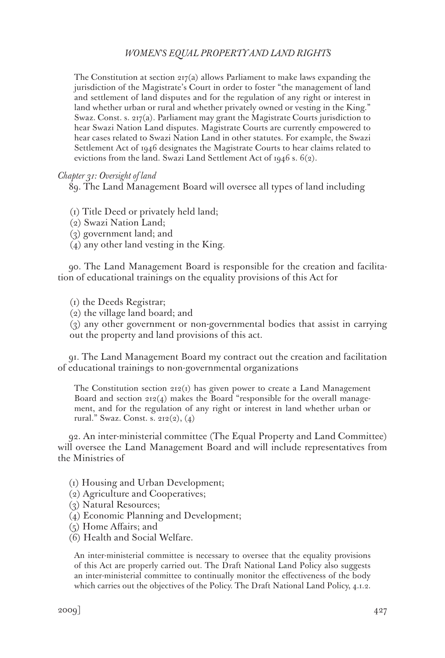The Constitution at section  $217(a)$  allows Parliament to make laws expanding the jurisdiction of the Magistrate's Court in order to foster "the management of land and settlement of land disputes and for the regulation of any right or interest in land whether urban or rural and whether privately owned or vesting in the King." Swaz. Const. s. 217(a). Parliament may grant the Magistrate Courts jurisdiction to hear Swazi Nation Land disputes. Magistrate Courts are currently empowered to hear cases related to Swazi Nation Land in other statutes. For example, the Swazi Settlement Act of 1946 designates the Magistrate Courts to hear claims related to evictions from the land. Swazi Land Settlement Act of 1946 s. 6(2).

#### *Chapter 31: Oversight of land*

89. The Land Management Board will oversee all types of land including

- (1) Title Deed or privately held land;
- (2) Swazi Nation Land;
- (3) government land; and
- (4) any other land vesting in the King.

90. The Land Management Board is responsible for the creation and facilitation of educational trainings on the equality provisions of this Act for

(1) the Deeds Registrar;

(2) the village land board; and

(3) any other government or non-governmental bodies that assist in carrying out the property and land provisions of this act.

91. The Land Management Board my contract out the creation and facilitation of educational trainings to non-governmental organizations

The Constitution section  $212(i)$  has given power to create a Land Management Board and section  $212(4)$  makes the Board "responsible for the overall management, and for the regulation of any right or interest in land whether urban or rural." Swaz. Const. s. 212(2), (4)

92. An inter-ministerial committee (The Equal Property and Land Committee) will oversee the Land Management Board and will include representatives from the Ministries of

- (1) Housing and Urban Development;
- (2) Agriculture and Cooperatives;
- (3) Natural Resources;
- (4) Economic Planning and Development;
- (5) Home Affairs; and
- (6) Health and Social Welfare.

An inter-ministerial committee is necessary to oversee that the equality provisions of this Act are properly carried out. The Draft National Land Policy also suggests an inter-ministerial committee to continually monitor the effectiveness of the body which carries out the objectives of the Policy. The Draft National Land Policy, 4.1.2.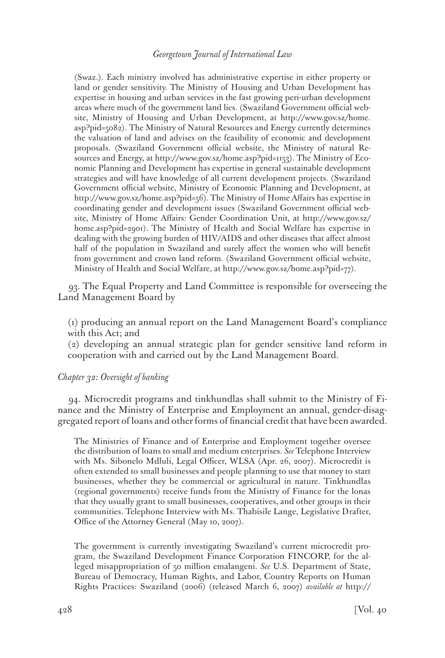(Swaz.). Each ministry involved has administrative expertise in either property or land or gender sensitivity. The Ministry of Housing and Urban Development has expertise in housing and urban services in the fast growing peri-urban development areas where much of the government land lies. (Swaziland Government official website, Ministry of Housing and Urban Development, at http://www.gov.sz/home. asp?pid=5082). The Ministry of Natural Resources and Energy currently determines the valuation of land and advises on the feasibility of economic and development proposals. (Swaziland Government official website, the Ministry of natural Resources and Energy, at http://www.gov.sz/home.asp?pid=1153). The Ministry of Economic Planning and Development has expertise in general sustainable development strategies and will have knowledge of all current development projects. (Swaziland Government official website, Ministry of Economic Planning and Development, at http://www.gov.sz/home.asp?pid=56). The Ministry of Home Affairs has expertise in coordinating gender and development issues (Swaziland Government official website, Ministry of Home Affairs: Gender Coordination Unit, at http://www.gov.sz/ home.asp?pid=2901). The Ministry of Health and Social Welfare has expertise in dealing with the growing burden of HIV/AIDS and other diseases that affect almost half of the population in Swaziland and surely affect the women who will benefit from government and crown land reform. (Swaziland Government official website, Ministry of Health and Social Welfare, at http://www.gov.sz/home.asp?pid=77).

93. The Equal Property and Land Committee is responsible for overseeing the Land Management Board by

(1) producing an annual report on the Land Management Board's compliance with this Act; and

(2) developing an annual strategic plan for gender sensitive land reform in cooperation with and carried out by the Land Management Board.

#### *Chapter 32: Oversight of banking*

94. Microcredit programs and tinkhundlas shall submit to the Ministry of Finance and the Ministry of Enterprise and Employment an annual, gender-disaggregated report of loans and other forms of financial credit that have been awarded.

The Ministries of Finance and of Enterprise and Employment together oversee the distribution of loans to small and medium enterprises. *See* Telephone Interview with Ms. Sibonelo Mdluli, Legal Officer, WLSA (Apr. 26, 2007). Microcredit is often extended to small businesses and people planning to use that money to start businesses, whether they be commercial or agricultural in nature. Tinkhundlas (regional governments) receive funds from the Ministry of Finance for the lonas that they usually grant to small businesses, cooperatives, and other groups in their communities. Telephone Interview with Ms. Thabisile Lange, Legislative Drafter, Office of the Attorney General (May 10, 2007).

The government is currently investigating Swaziland's current microcredit program, the Swaziland Development Finance Corporation FINCORP, for the alleged misappropriation of 50 million emalangeni. *See* U.S. Department of State, Bureau of Democracy, Human Rights, and Labor, Country Reports on Human Rights Practices: Swaziland (2006) (released March 6, 2007) *available at* http://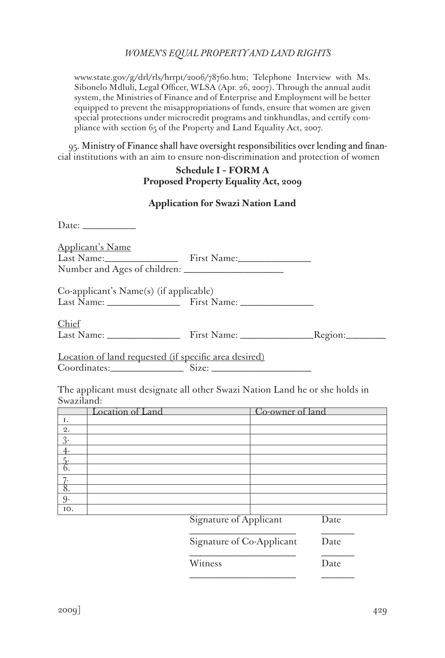www.state.gov/g/drl/rls/hrrpt/2006/78760.htm; Telephone Interview with Ms. Sibonelo Mdluli, Legal Officer, WLSA (Apr. 26, 2007). Through the annual audit system, the Ministries of Finance and of Enterprise and Employment will be better equipped to prevent the misappropriations of funds, ensure that women are given special protections under microcredit programs and tinkhundlas, and certify compliance with section 65 of the Property and Land Equality Act, 2007.

95. Ministry of Finance shall have oversight responsibilities over lending and financial institutions with an aim to ensure non-discrimination and protection of women

## **Schedule I – FORM A Proposed Property Equality Act, 2009**

### **Application for Swazi Nation Land**

| Date: $\_\_\_\_\_\_\_\_\_\_\_\_\_\_\_$                |  |  |  |
|-------------------------------------------------------|--|--|--|
| <b>Applicant's Name</b><br>Last Name: First Name:     |  |  |  |
| Co-applicant's Name(s) (if applicable)                |  |  |  |
| Chief                                                 |  |  |  |
| Location of land requested (if specific area desired) |  |  |  |

Coordinates:\_\_\_\_\_\_\_\_\_\_\_ Size: \_\_\_\_\_\_\_\_\_\_\_\_\_\_\_

The applicant must designate all other Swazi Nation Land he or she holds in Swaziland:

|       | Location of Land | Co-owner of land |
|-------|------------------|------------------|
| Ι.    |                  |                  |
| $2$ . |                  |                  |
| 3     |                  |                  |
|       |                  |                  |
|       |                  |                  |
|       |                  |                  |
|       |                  |                  |
|       |                  |                  |
| -9    |                  |                  |
| IO.   | __<br>$-$        | $-$              |

Signature of Applicant Date

\_\_\_\_\_\_\_\_\_\_\_\_\_\_\_\_ \_\_\_\_\_ Signature of Co-Applicant Date

\_\_\_\_\_\_\_\_\_\_\_\_\_\_\_\_ \_\_\_\_\_

\_\_\_\_\_\_\_\_\_\_\_\_\_\_\_\_ \_\_\_\_\_

Witness Date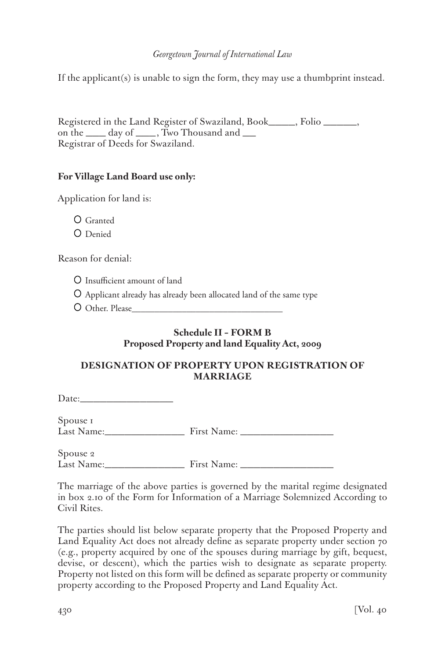If the applicant(s) is unable to sign the form, they may use a thumbprint instead.

Registered in the Land Register of Swaziland, Book\_\_\_\_, Folio \_\_\_\_\_, on the \_\_\_ day of \_\_\_, Two Thousand and \_\_ Registrar of Deeds for Swaziland.

## **For Village Land Board use only:**

Application for land is:

Granted O Denied

Reason for denial:

Insufficient amount of land

Applicant already has already been allocated land of the same type

Other. Please\_\_\_\_\_\_\_\_\_\_\_\_\_\_\_\_\_\_\_\_\_\_\_\_\_\_\_\_\_\_\_\_\_

# **Schedule II – FORM B Proposed Property and land Equality Act, 2009**

## **DESIGNATION OF PROPERTY UPON REGISTRATION OF MARRIAGE**

Date:\_\_\_\_\_\_\_\_\_\_\_\_\_\_

Spouse 1 Last Name:\_\_\_\_\_\_\_\_\_\_\_\_ First Name: \_\_\_\_\_\_\_\_\_\_\_\_\_\_

Spouse 2 Last Name:\_\_\_\_\_\_\_\_\_\_\_\_ First Name: \_\_\_\_\_\_\_\_\_\_\_\_\_\_

The marriage of the above parties is governed by the marital regime designated in box 2.10 of the Form for Information of a Marriage Solemnized According to Civil Rites.

The parties should list below separate property that the Proposed Property and Land Equality Act does not already define as separate property under section 70 (e.g., property acquired by one of the spouses during marriage by gift, bequest, devise, or descent), which the parties wish to designate as separate property. Property not listed on this form will be defined as separate property or community property according to the Proposed Property and Land Equality Act.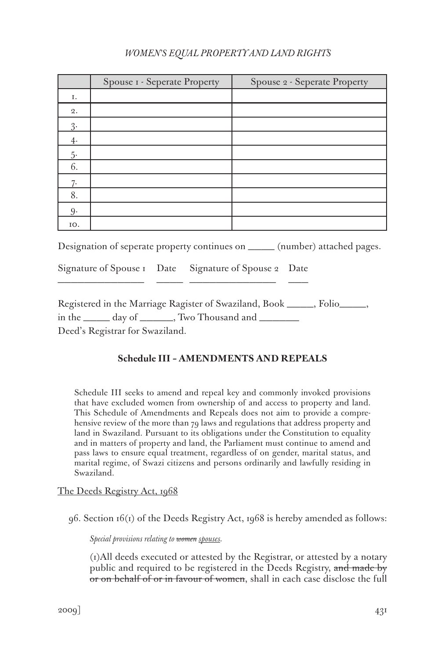|          | Spouse I - Seperate Property | Spouse 2 - Seperate Property |
|----------|------------------------------|------------------------------|
| Ι.       |                              |                              |
| 2.       |                              |                              |
| $3\cdot$ |                              |                              |
| 4.       |                              |                              |
| $5-$     |                              |                              |
| 6.       |                              |                              |
| 7.       |                              |                              |
| 8.       |                              |                              |
| 9.       |                              |                              |
| IO.      |                              |                              |

Designation of seperate property continues on \_\_\_\_ (number) attached pages.

Signature of Spouse 1 Date Signature of Spouse 2 Date \_\_\_\_\_\_\_\_\_\_\_\_\_ \_\_\_\_ \_\_\_\_\_\_\_\_\_\_\_\_\_ \_\_\_

Registered in the Marriage Ragister of Swaziland, Book \_\_\_\_, Folio\_\_\_\_, in the \_\_\_\_\_ day of \_\_\_\_\_\_, Two Thousand and \_\_\_\_\_\_\_ Deed's Registrar for Swaziland.

# **Schedule III – AMENDMENTS AND REPEALS**

Schedule III seeks to amend and repeal key and commonly invoked provisions that have excluded women from ownership of and access to property and land. This Schedule of Amendments and Repeals does not aim to provide a comprehensive review of the more than 79 laws and regulations that address property and land in Swaziland. Pursuant to its obligations under the Constitution to equality and in matters of property and land, the Parliament must continue to amend and pass laws to ensure equal treatment, regardless of on gender, marital status, and marital regime, of Swazi citizens and persons ordinarily and lawfully residing in Swaziland.

# The Deeds Registry Act, 1968

96. Section 16(1) of the Deeds Registry Act, 1968 is hereby amended as follows:

*Special provisions relating to women spouses.*

(1)All deeds executed or attested by the Registrar, or attested by a notary public and required to be registered in the Deeds Registry, and made by or on behalf of or in favour of women, shall in each case disclose the full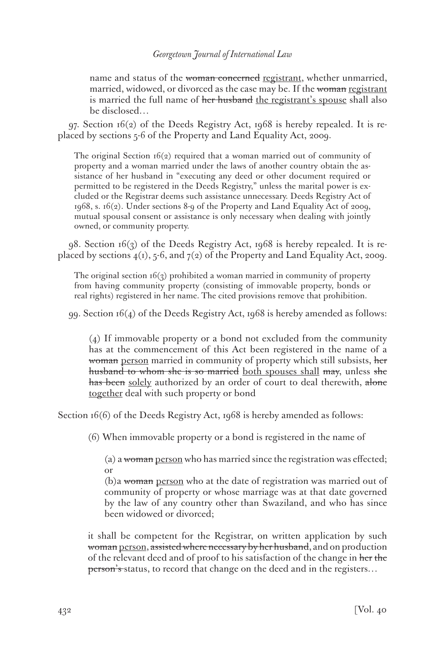name and status of the woman concerned registrant, whether unmarried, married, widowed, or divorced as the case may be. If the woman registrant is married the full name of her husband the registrant's spouse shall also be disclosed…

 $97.$  Section  $16(2)$  of the Deeds Registry Act,  $1968$  is hereby repealed. It is replaced by sections 5-6 of the Property and Land Equality Act, 2009.

The original Section  $16(2)$  required that a woman married out of community of property and a woman married under the laws of another country obtain the assistance of her husband in "executing any deed or other document required or permitted to be registered in the Deeds Registry," unless the marital power is excluded or the Registrar deems such assistance unnecessary. Deeds Registry Act of 1968, s. 16(2). Under sections 8-9 of the Property and Land Equality Act of 2009, mutual spousal consent or assistance is only necessary when dealing with jointly owned, or community property.

98. Section 16(3) of the Deeds Registry Act, 1968 is hereby repealed. It is replaced by sections  $4(1)$ , 5-6, and  $7(2)$  of the Property and Land Equality Act, 2009.

The original section  $16(3)$  prohibited a woman married in community of property from having community property (consisting of immovable property, bonds or real rights) registered in her name. The cited provisions remove that prohibition.

99. Section 16(4) of the Deeds Registry Act, 1968 is hereby amended as follows:

(4) If immovable property or a bond not excluded from the community has at the commencement of this Act been registered in the name of a woman person married in community of property which still subsists, her husband to whom she is so married both spouses shall may, unless she has been solely authorized by an order of court to deal therewith, alone together deal with such property or bond

Section  $16(6)$  of the Deeds Registry Act, 1968 is hereby amended as follows:

(6) When immovable property or a bond is registered in the name of

(a) a woman person who has married since the registration was effected; or

(b)a woman person who at the date of registration was married out of community of property or whose marriage was at that date governed by the law of any country other than Swaziland, and who has since been widowed or divorced;

it shall be competent for the Registrar, on written application by such woman person, assisted where necessary by her husband, and on production of the relevant deed and of proof to his satisfaction of the change in her the person's status, to record that change on the deed and in the registers...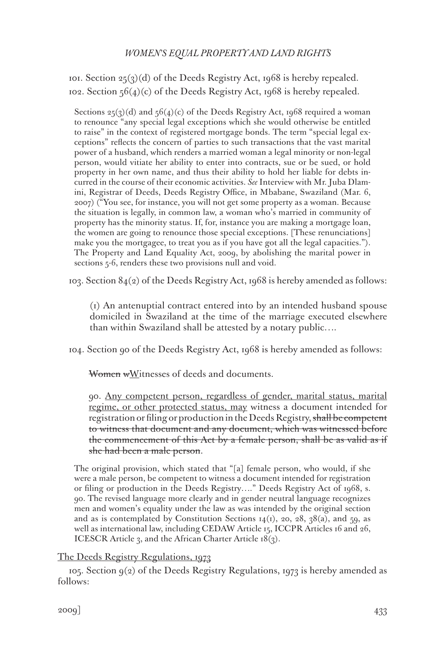101. Section  $25(3)(d)$  of the Deeds Registry Act, 1968 is hereby repealed. 102. Section  $56(4)(c)$  of the Deeds Registry Act, 1968 is hereby repealed.

Sections  $25(3)(d)$  and  $56(4)(c)$  of the Deeds Registry Act, 1968 required a woman to renounce "any special legal exceptions which she would otherwise be entitled to raise" in the context of registered mortgage bonds. The term "special legal exceptions" reflects the concern of parties to such transactions that the vast marital power of a husband, which renders a married woman a legal minority or non-legal person, would vitiate her ability to enter into contracts, sue or be sued, or hold property in her own name, and thus their ability to hold her liable for debts incurred in the course of their economic activities. *See* Interview with Mr. Juba Dlamini, Registrar of Deeds, Deeds Registry Office, in Mbabane, Swaziland (Mar. 6, 2007) ("You see, for instance, you will not get some property as a woman. Because the situation is legally, in common law, a woman who's married in community of property has the minority status. If, for, instance you are making a mortgage loan, the women are going to renounce those special exceptions. [These renunciations] make you the mortgagee, to treat you as if you have got all the legal capacities."). The Property and Land Equality Act, 2009, by abolishing the marital power in sections 5-6, renders these two provisions null and void.

103. Section  $84(2)$  of the Deeds Registry Act, 1968 is hereby amended as follows:

(1) An antenuptial contract entered into by an intended husband spouse domiciled in Swaziland at the time of the marriage executed elsewhere than within Swaziland shall be attested by a notary public….

104. Section 90 of the Deeds Registry Act, 1968 is hereby amended as follows:

Women wWitnesses of deeds and documents.

90. Any competent person, regardless of gender, marital status, marital regime, or other protected status, may witness a document intended for registration or filing or production in the Deeds Registry, shall be competent to witness that document and any document, which was witnessed before the commencement of this Act by a female person, shall be as valid as if she had been a male person.

The original provision, which stated that "[a] female person, who would, if she were a male person, be competent to witness a document intended for registration or filing or production in the Deeds Registry…." Deeds Registry Act of 1968, s. 90. The revised language more clearly and in gender neutral language recognizes men and women's equality under the law as was intended by the original section and as is contemplated by Constitution Sections  $14(i)$ , 20, 28, 38(a), and 59, as well as international law, including CEDAW Article 15, ICCPR Articles 16 and 26, ICESCR Article 3, and the African Charter Article 18(3).

## The Deeds Registry Regulations, 1973

105. Section  $g(z)$  of the Deeds Registry Regulations, 1973 is hereby amended as follows: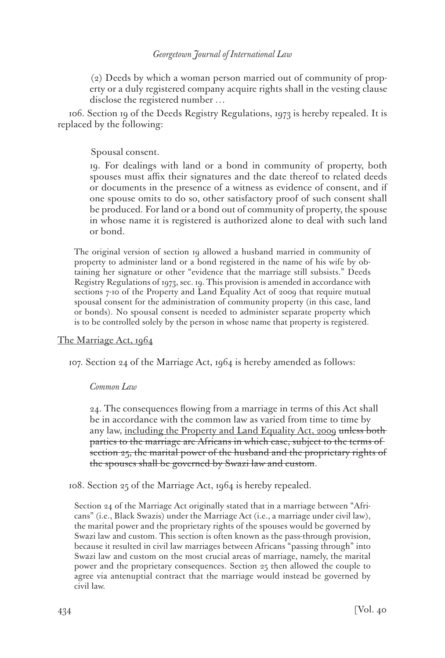(2) Deeds by which a woman person married out of community of property or a duly registered company acquire rights shall in the vesting clause disclose the registered number …

106. Section 19 of the Deeds Registry Regulations, 1973 is hereby repealed. It is replaced by the following:

Spousal consent.

19. For dealings with land or a bond in community of property, both spouses must affix their signatures and the date thereof to related deeds or documents in the presence of a witness as evidence of consent, and if one spouse omits to do so, other satisfactory proof of such consent shall be produced. For land or a bond out of community of property, the spouse in whose name it is registered is authorized alone to deal with such land or bond.

The original version of section 19 allowed a husband married in community of property to administer land or a bond registered in the name of his wife by obtaining her signature or other "evidence that the marriage still subsists." Deeds Registry Regulations of 1973, sec. 19. This provision is amended in accordance with sections 7-10 of the Property and Land Equality Act of 2009 that require mutual spousal consent for the administration of community property (in this case, land or bonds). No spousal consent is needed to administer separate property which is to be controlled solely by the person in whose name that property is registered.

## The Marriage Act, 1964

107. Section 24 of the Marriage Act, 1964 is hereby amended as follows:

## *Common Law*

24. The consequences flowing from a marriage in terms of this Act shall be in accordance with the common law as varied from time to time by any law, including the Property and Land Equality Act, 2009 unless both parties to the marriage are Africans in which case, subject to the terms of section 25, the marital power of the husband and the proprietary rights of the spouses shall be governed by Swazi law and custom.

108. Section 25 of the Marriage Act, 1964 is hereby repealed.

Section 24 of the Marriage Act originally stated that in a marriage between "Africans" (i.e., Black Swazis) under the Marriage Act (i.e., a marriage under civil law), the marital power and the proprietary rights of the spouses would be governed by Swazi law and custom. This section is often known as the pass-through provision, because it resulted in civil law marriages between Africans "passing through" into Swazi law and custom on the most crucial areas of marriage, namely, the marital power and the proprietary consequences. Section 25 then allowed the couple to agree via antenuptial contract that the marriage would instead be governed by civil law.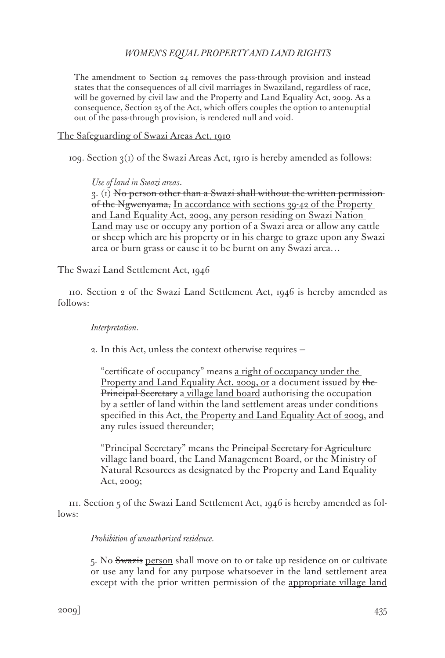### *WOMEN'S EQUAL PROPERTY AND LAND RIGHTS*

The amendment to Section 24 removes the pass-through provision and instead states that the consequences of all civil marriages in Swaziland, regardless of race, will be governed by civil law and the Property and Land Equality Act, 2009. As a consequence, Section 25 of the Act, which offers couples the option to antenuptial out of the pass-through provision, is rendered null and void.

The Safeguarding of Swazi Areas Act, 1910

109. Section  $3(1)$  of the Swazi Areas Act, 1910 is hereby amended as follows:

#### *Use of land in Swazi areas*.

 $3.$  (1) No person other than a Swazi shall without the written permissionof the Ngwenyama, In accordance with sections 39-42 of the Property and Land Equality Act, 2009, any person residing on Swazi Nation Land may use or occupy any portion of a Swazi area or allow any cattle or sheep which are his property or in his charge to graze upon any Swazi area or burn grass or cause it to be burnt on any Swazi area…

#### The Swazi Land Settlement Act, 1946

110. Section 2 of the Swazi Land Settlement Act, 1946 is hereby amended as follows:

#### *Interpretation*.

2. In this Act, unless the context otherwise requires —

"certificate of occupancy" means a right of occupancy under the Property and Land Equality Act, 2009, or a document issued by the Principal Secretary a village land board authorising the occupation by a settler of land within the land settlement areas under conditions specified in this Act, the Property and Land Equality Act of 2000, and any rules issued thereunder;

"Principal Secretary" means the Principal Secretary for Agriculture village land board, the Land Management Board, or the Ministry of Natural Resources as designated by the Property and Land Equality Act, 2009;

111. Section 5 of the Swazi Land Settlement Act, 1946 is hereby amended as follows:

#### *Prohibition of unauthorised residence.*

5. No Swazis person shall move on to or take up residence on or cultivate or use any land for any purpose whatsoever in the land settlement area except with the prior written permission of the appropriate village land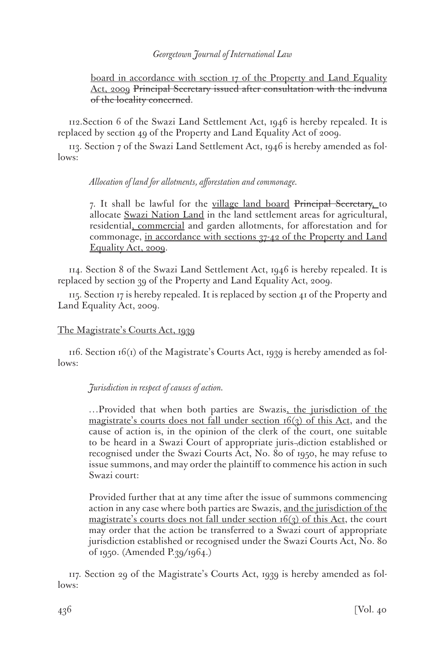### *Georgetown Journal of International Law*

board in accordance with section 17 of the Property and Land Equality Act, 2009 Principal Secretary issued after consultation with the indvuna of the locality concerned.

112.Section 6 of the Swazi Land Settlement Act, 1946 is hereby repealed. It is replaced by section 49 of the Property and Land Equality Act of 2009.

113. Section 7 of the Swazi Land Settlement Act, 1946 is hereby amended as follows:

### *Allocation of land for allotments, afforestation and commonage.*

7. It shall be lawful for the village land board Principal Secretary, to allocate Swazi Nation Land in the land settlement areas for agricultural, residential, commercial and garden allotments, for afforestation and for commonage, in accordance with sections 37-42 of the Property and Land Equality Act, 2009.

114. Section 8 of the Swazi Land Settlement Act, 1946 is hereby repealed. It is replaced by section 39 of the Property and Land Equality Act, 2009.

115. Section 17 is hereby repealed. It is replaced by section 41 of the Property and Land Equality Act, 2009.

## The Magistrate's Courts Act, 1939

116. Section  $16(i)$  of the Magistrate's Courts Act, 1939 is hereby amended as follows:

# *Jurisdiction in respect of causes of action.*

…Provided that when both parties are Swazis, the jurisdiction of the magistrate's courts does not fall under section  $16(3)$  of this Act, and the cause of action is, in the opinion of the clerk of the court, one suitable to be heard in a Swazi Court of appropriate juris¬diction established or recognised under the Swazi Courts Act, No. 80 of 1950, he may refuse to issue summons, and may order the plaintiff to commence his action in such Swazi court:

Provided further that at any time after the issue of summons commencing action in any case where both parties are Swazis, and the jurisdiction of the magistrate's courts does not fall under section  $16(3)$  of this Act, the court may order that the action be transferred to a Swazi court of appropriate jurisdiction established or recognised under the Swazi Courts Act, No. 80 of 1950. (Amended P.39/1964.)

117. Section 29 of the Magistrate's Courts Act, 1939 is hereby amended as follows: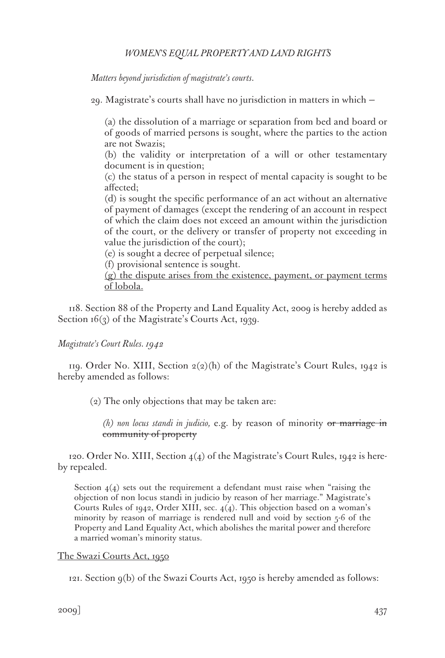*Matters beyond jurisdiction of magistrate's courts.*

29. Magistrate's courts shall have no jurisdiction in matters in which —

(a) the dissolution of a marriage or separation from bed and board or of goods of married persons is sought, where the parties to the action are not Swazis;

(b) the validity or interpretation of a will or other testamentary document is in question;

(c) the status of a person in respect of mental capacity is sought to be affected;

(d) is sought the specific performance of an act without an alternative of payment of damages (except the rendering of an account in respect of which the claim does not exceed an amount within the jurisdiction of the court, or the delivery or transfer of property not exceeding in value the jurisdiction of the court);

(e) is sought a decree of perpetual silence;

(f) provisional sentence is sought.

(g) the dispute arises from the existence, payment, or payment terms of lobola.

118. Section 88 of the Property and Land Equality Act, 2009 is hereby added as Section  $16(3)$  of the Magistrate's Courts Act, 1939.

*Magistrate's Court Rules. 1942*

119. Order No. XIII, Section  $2(2)(h)$  of the Magistrate's Court Rules, 1942 is hereby amended as follows:

(2) The only objections that may be taken are:

*(h) non locus standi in judicio,* e.g. by reason of minority or marriage in community of property

120. Order No. XIII, Section 4(4) of the Magistrate's Court Rules, 1942 is hereby repealed.

Section  $4(4)$  sets out the requirement a defendant must raise when "raising the objection of non locus standi in judicio by reason of her marriage." Magistrate's Courts Rules of 1942, Order XIII, sec. 4(4). This objection based on a woman's minority by reason of marriage is rendered null and void by section 5-6 of the Property and Land Equality Act, which abolishes the marital power and therefore a married woman's minority status.

### The Swazi Courts Act, 1950

121. Section 9(b) of the Swazi Courts Act, 1950 is hereby amended as follows: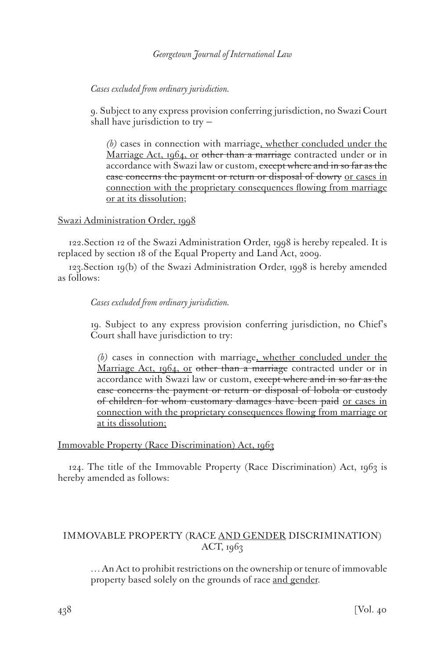## *Cases excluded from ordinary jurisdiction.*

9. Subject to any express provision conferring jurisdiction, no Swazi Court shall have jurisdiction to try —

*(b)* cases in connection with marriage, whether concluded under the Marriage Act, 1964, or other than a marriage contracted under or in accordance with Swazi law or custom, except where and in so far as the case concerns the payment or return or disposal of dowry or cases in connection with the proprietary consequences flowing from marriage or at its dissolution;

## Swazi Administration Order, 1998

122.Section 12 of the Swazi Administration Order, 1998 is hereby repealed. It is replaced by section 18 of the Equal Property and Land Act, 2009.

123.Section 19(b) of the Swazi Administration Order, 1998 is hereby amended as follows:

## *Cases excluded from ordinary jurisdiction.*

19. Subject to any express provision conferring jurisdiction, no Chief's Court shall have jurisdiction to try:

*(b)* cases in connection with marriage, whether concluded under the Marriage Act, 1964, or other than a marriage contracted under or in accordance with Swazi law or custom, except where and in so far as the case concerns the payment or return or disposal of lobola or custody of children for whom customary damages have been paid or cases in connection with the proprietary consequences flowing from marriage or at its dissolution;

# Immovable Property (Race Discrimination) Act, 1963

124. The title of the Immovable Property (Race Discrimination) Act, 1963 is hereby amended as follows:

# IMMOVABLE PROPERTY (RACE AND GENDER DISCRIMINATION) ACT, 1963

… An Act to prohibit restrictions on the ownership or tenure of immovable property based solely on the grounds of race and gender.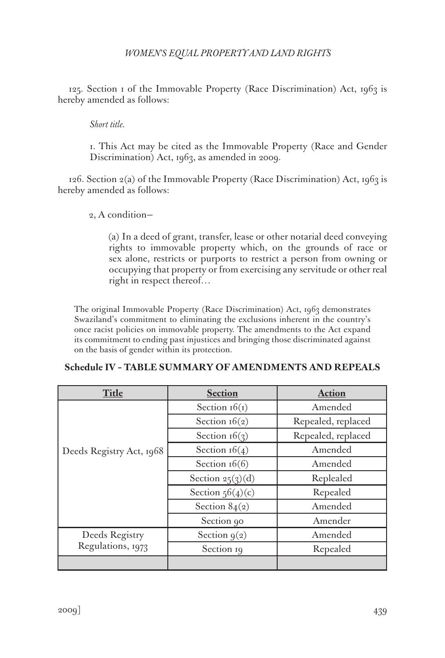125. Section 1 of the Immovable Property (Race Discrimination) Act, 1963 is hereby amended as follows:

*Short title.*

1. This Act may be cited as the Immovable Property (Race and Gender Discrimination) Act, 1963, as amended in 2009.

 $126.$  Section  $2(a)$  of the Immovable Property (Race Discrimination) Act, 1963 is hereby amended as follows:

2, A condition—

(a) In a deed of grant, transfer, lease or other notarial deed conveying rights to immovable property which, on the grounds of race or sex alone, restricts or purports to restrict a person from owning or occupying that property or from exercising any servitude or other real right in respect thereof…

The original Immovable Property (Race Discrimination) Act, 1963 demonstrates Swaziland's commitment to eliminating the exclusions inherent in the country's once racist policies on immovable property. The amendments to the Act expand its commitment to ending past injustices and bringing those discriminated against on the basis of gender within its protection.

| <b>Title</b>                        | <b>Section</b>     | <b>Action</b>      |
|-------------------------------------|--------------------|--------------------|
| Deeds Registry Act, 1968            | Section $16(1)$    | Amended            |
|                                     | Section $16(2)$    | Repealed, replaced |
|                                     | Section $16(3)$    | Repealed, replaced |
|                                     | Section $16(4)$    | Amended            |
|                                     | Section $16(6)$    | Amended            |
|                                     | Section $25(3)(d)$ | Replealed          |
|                                     | Section $56(4)(c)$ | Repealed           |
|                                     | Section $84(2)$    | Amended            |
|                                     | Section 90         | Amender            |
| Deeds Registry<br>Regulations, 1973 | Section $g(2)$     | Amended            |
|                                     | Section 19         | Repealed           |
|                                     |                    |                    |

# **Schedule IV – TABLE SUMMARY OF AMENDMENTS AND REPEALS**